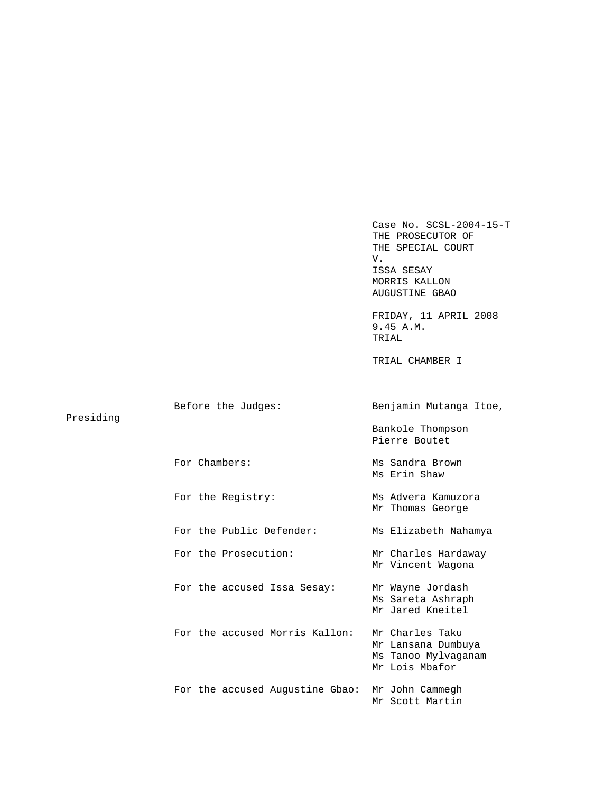Case No. SCSL-2004-15-T THE PROSECUTOR OF THE SPECIAL COURT V. ISSA SESAY MORRIS KALLON AUGUSTINE GBAO FRIDAY, 11 APRIL 2008 9.45 A.M. TRIAL TRIAL CHAMBER I Before the Judges: Benjamin Mutanga Itoe, Bankole Thompson Pierre Boutet For Chambers: Ms Sandra Brown Ms Erin Shaw For the Registry: Ms Advera Kamuzora Mr Thomas George For the Public Defender: Ms Elizabeth Nahamya For the Prosecution: Mr Charles Hardaway Mr Vincent Wagona For the accused Issa Sesay: Mr Wayne Jordash Ms Sareta Ashraph Mr Jared Kneitel For the accused Morris Kallon: Mr Charles Taku Mr Lansana Dumbuya Ms Tanoo Mylvaganam Mr Lois Mbafor For the accused Augustine Gbao: Mr John Cammegh Mr Scott Martin

Presiding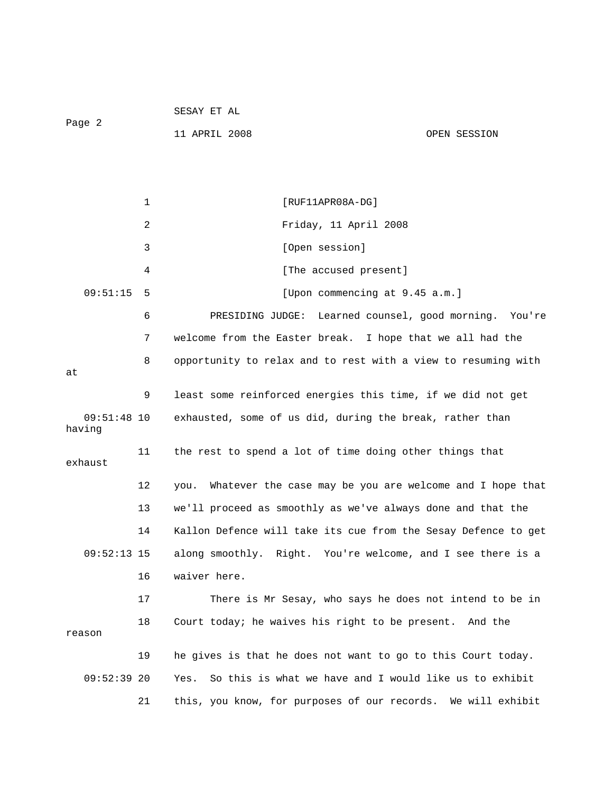|                         |    | 11 APRIL 2008                                            | OPEN SESSION                                                   |
|-------------------------|----|----------------------------------------------------------|----------------------------------------------------------------|
|                         |    |                                                          |                                                                |
|                         |    |                                                          |                                                                |
|                         | 1  | [RUF11APR08A-DG]                                         |                                                                |
|                         | 2  | Friday, 11 April 2008                                    |                                                                |
|                         | 3  | [Open session]                                           |                                                                |
|                         | 4  | [The accused present]                                    |                                                                |
| 09:51:15                | 5  |                                                          | [Upon commencing at 9.45 a.m.]                                 |
|                         | 6  | PRESIDING JUDGE:                                         | Learned counsel, good morning. You're                          |
|                         | 7  |                                                          | welcome from the Easter break. I hope that we all had the      |
|                         | 8  |                                                          | opportunity to relax and to rest with a view to resuming with  |
| at                      |    |                                                          |                                                                |
|                         | 9  |                                                          | least some reinforced energies this time, if we did not get    |
| $09:51:48$ 10<br>having |    | exhausted, some of us did, during the break, rather than |                                                                |
| exhaust                 | 11 | the rest to spend a lot of time doing other things that  |                                                                |
|                         | 12 | you.                                                     | Whatever the case may be you are welcome and I hope that       |
|                         | 13 |                                                          | we'll proceed as smoothly as we've always done and that the    |
|                         | 14 |                                                          | Kallon Defence will take its cue from the Sesay Defence to get |
| $09:52:13$ 15           |    |                                                          | along smoothly. Right. You're welcome, and I see there is a    |
|                         | 16 | waiver here                                              |                                                                |
|                         | 17 |                                                          | There is Mr Sesay, who says he does not intend to be in        |
| reason                  | 18 | Court today; he waives his right to be present. And the  |                                                                |
|                         | 19 |                                                          | he gives is that he does not want to go to this Court today.   |
| $09:52:39$ 20           |    | Yes.                                                     | So this is what we have and I would like us to exhibit         |
|                         | 21 |                                                          | this, you know, for purposes of our records. We will exhibit   |

SESAY ET AL

Page 2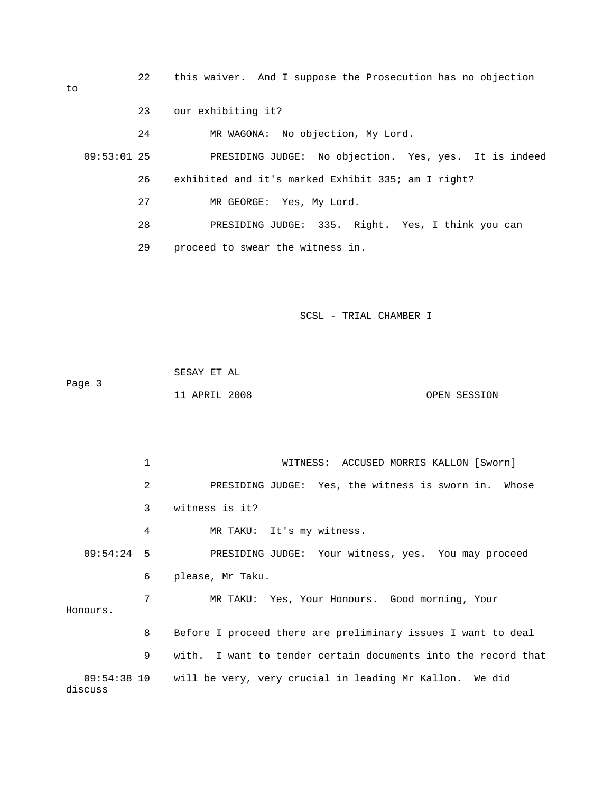22 this waiver. And I suppose the Prosecution has no objection 23 our exhibiting it? 24 MR WAGONA: No objection, My Lord. 09:53:01 25 PRESIDING JUDGE: No objection. Yes, yes. It is indeed 26 exhibited and it's marked Exhibit 335; am I right? 27 MR GEORGE: Yes, My Lord. 28 PRESIDING JUDGE: 335. Right. Yes, I think you can 29 proceed to swear the witness in.

SCSL - TRIAL CHAMBER I

 SESAY ET AL Page 3 11 APRIL 2008 OPEN SESSION

 1 WITNESS: ACCUSED MORRIS KALLON [Sworn] 2 PRESIDING JUDGE: Yes, the witness is sworn in. Whose 3 witness is it? 4 MR TAKU: It's my witness. 09:54:24 5 PRESIDING JUDGE: Your witness, yes. You may proceed 6 please, Mr Taku. 7 MR TAKU: Yes, Your Honours. Good morning, Your Honours. 8 Before I proceed there are preliminary issues I want to deal 9 with. I want to tender certain documents into the record that 09:54:38 10 will be very, very crucial in leading Mr Kallon. We did discuss

to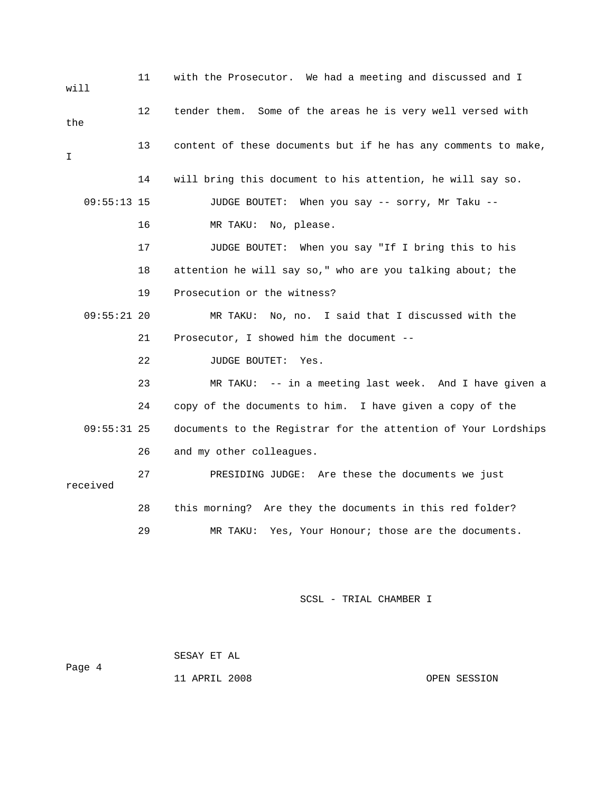11 with the Prosecutor. We had a meeting and discussed and I will 12 tender them. Some of the areas he is very well versed with the 13 content of these documents but if he has any comments to make,  $\mathsf{T}$  14 will bring this document to his attention, he will say so. 09:55:13 15 JUDGE BOUTET: When you say -- sorry, Mr Taku -- 16 MR TAKU: No, please. 17 JUDGE BOUTET: When you say "If I bring this to his 18 attention he will say so," who are you talking about; the 19 Prosecution or the witness? 09:55:21 20 MR TAKU: No, no. I said that I discussed with the 21 Prosecutor, I showed him the document -- 22 JUDGE BOUTET: Yes. 23 MR TAKU: -- in a meeting last week. And I have given a 24 copy of the documents to him. I have given a copy of the 09:55:31 25 documents to the Registrar for the attention of Your Lordships 26 and my other colleagues. 27 PRESIDING JUDGE: Are these the documents we just received 28 this morning? Are they the documents in this red folder? 29 MR TAKU: Yes, Your Honour; those are the documents.

SCSL - TRIAL CHAMBER I

 SESAY ET AL Page 4 11 APRIL 2008 OPEN SESSION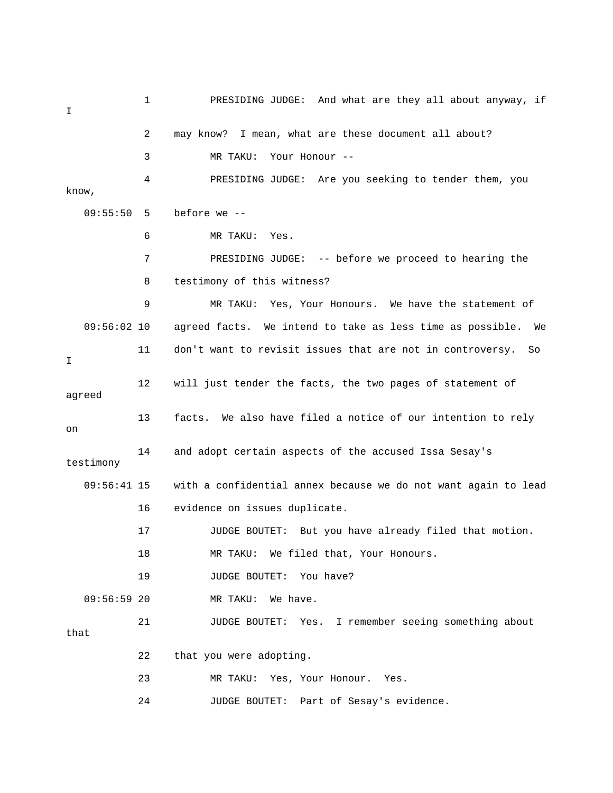1 PRESIDING JUDGE: And what are they all about anyway, if I 2 may know? I mean, what are these document all about? 3 MR TAKU: Your Honour -- 4 PRESIDING JUDGE: Are you seeking to tender them, you know, 09:55:50 5 before we -- 6 MR TAKU: Yes. 7 PRESIDING JUDGE: -- before we proceed to hearing the 8 testimony of this witness? 9 MR TAKU: Yes, Your Honours. We have the statement of 09:56:02 10 agreed facts. We intend to take as less time as possible. We 11 don't want to revisit issues that are not in controversy. So I 12 will just tender the facts, the two pages of statement of agreed 13 facts. We also have filed a notice of our intention to rely on 14 and adopt certain aspects of the accused Issa Sesay's testimony 09:56:41 15 with a confidential annex because we do not want again to lead 16 evidence on issues duplicate. 17 JUDGE BOUTET: But you have already filed that motion. 18 MR TAKU: We filed that, Your Honours. 19 JUDGE BOUTET: You have? 09:56:59 20 MR TAKU: We have. 21 JUDGE BOUTET: Yes. I remember seeing something about that 22 that you were adopting. 23 MR TAKU: Yes, Your Honour. Yes. 24 JUDGE BOUTET: Part of Sesay's evidence.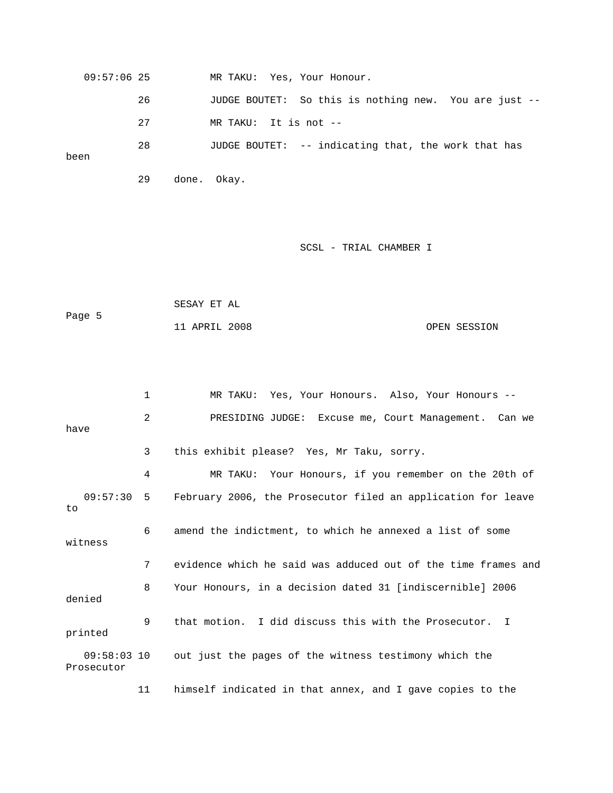| $09:57:06$ 25 |    | MR TAKU: Yes, Your Honour.                            |
|---------------|----|-------------------------------------------------------|
|               | 26 | JUDGE BOUTET: So this is nothing new. You are just -- |
|               | 27 | MR TAKU: It is not --                                 |
| been          | 28 | JUDGE BOUTET: -- indicating that, the work that has   |

29 done. Okay.

## SCSL - TRIAL CHAMBER I

 SESAY ET AL Page 5 11 APRIL 2008 OPEN SESSION

|                             | 1              | MR TAKU: Yes, Your Honours. Also, Your Honours --             |
|-----------------------------|----------------|---------------------------------------------------------------|
| have                        | $\overline{a}$ | PRESIDING JUDGE: Excuse me, Court Management. Can we          |
|                             | 3              | this exhibit please? Yes, Mr Taku, sorry.                     |
|                             | 4              | MR TAKU: Your Honours, if you remember on the 20th of         |
| 09:57:30:5<br>to            |                | February 2006, the Prosecutor filed an application for leave  |
| witness                     | 6              | amend the indictment, to which he annexed a list of some      |
|                             | 7              | evidence which he said was adduced out of the time frames and |
| denied                      | 8              | Your Honours, in a decision dated 31 [indiscernible] 2006     |
| printed                     | 9              | that motion. I did discuss this with the Prosecutor. I        |
| $09:58:03$ 10<br>Prosecutor |                | out just the pages of the witness testimony which the         |
|                             | 11             | himself indicated in that annex, and I gave copies to the     |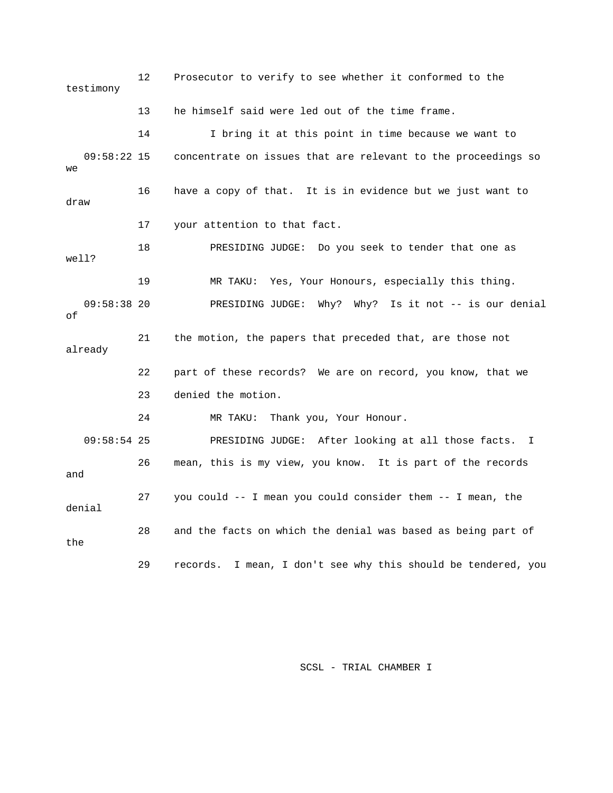12 Prosecutor to verify to see whether it conformed to the testimony 13 he himself said were led out of the time frame. 14 I bring it at this point in time because we want to 09:58:22 15 concentrate on issues that are relevant to the proceedings so we 16 have a copy of that. It is in evidence but we just want to draw 17 your attention to that fact. 18 PRESIDING JUDGE: Do you seek to tender that one as well? 19 MR TAKU: Yes, Your Honours, especially this thing. 09:58:38 20 PRESIDING JUDGE: Why? Why? Is it not -- is our denial of 21 the motion, the papers that preceded that, are those not already 22 part of these records? We are on record, you know, that we 23 denied the motion. 24 MR TAKU: Thank you, Your Honour. 09:58:54 25 PRESIDING JUDGE: After looking at all those facts. I 26 mean, this is my view, you know. It is part of the records and 27 you could -- I mean you could consider them -- I mean, the denial 28 and the facts on which the denial was based as being part of the 29 records. I mean, I don't see why this should be tendered, you

SCSL - TRIAL CHAMBER I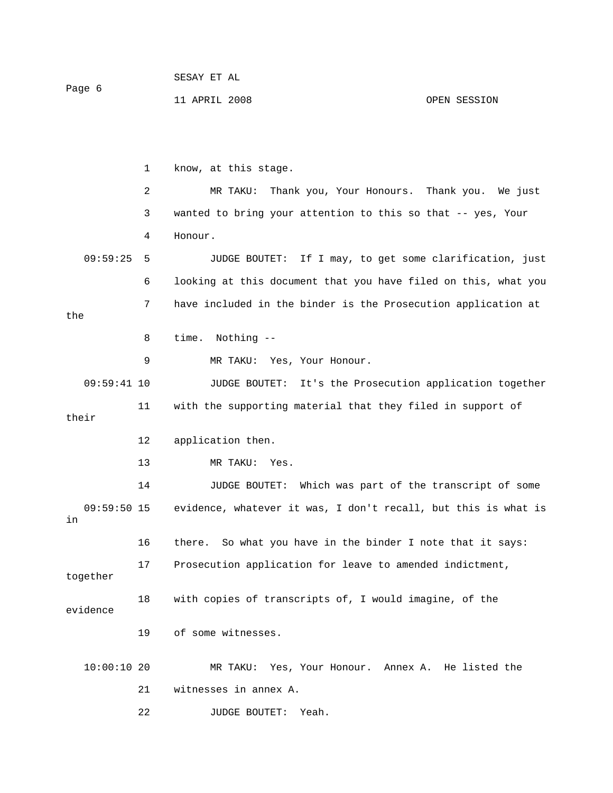| Page 6 | SESAY ET AL   |              |
|--------|---------------|--------------|
|        | 11 APRIL 2008 | OPEN SESSION |

|                     | $\mathbf{1}$   | know, at this stage.                                           |
|---------------------|----------------|----------------------------------------------------------------|
|                     | $\overline{a}$ | Thank you, Your Honours. Thank you. We just<br>MR TAKU:        |
|                     | 3              | wanted to bring your attention to this so that -- yes, Your    |
|                     | 4              | Honour.                                                        |
| 09:59:25            | 5              | If I may, to get some clarification, just<br>JUDGE BOUTET:     |
|                     | 6              | looking at this document that you have filed on this, what you |
| the                 | 7              | have included in the binder is the Prosecution application at  |
|                     | 8              | time.<br>Nothing --                                            |
|                     | 9              | MR TAKU: Yes, Your Honour.                                     |
| $09:59:41$ 10       |                | It's the Prosecution application together<br>JUDGE BOUTET:     |
| their               | 11             | with the supporting material that they filed in support of     |
|                     | 12             | application then.                                              |
|                     | 13             | MR TAKU: Yes.                                                  |
|                     | 14             | Which was part of the transcript of some<br>JUDGE BOUTET:      |
| $09:59:50$ 15<br>in |                | evidence, whatever it was, I don't recall, but this is what is |
|                     | 16             | there.<br>So what you have in the binder I note that it says:  |
| together            | 17             | Prosecution application for leave to amended indictment,       |
| evidence            | 18             | with copies of transcripts of, I would imagine, of the         |
|                     | 19             | of some witnesses.                                             |
| 10:00:1020          |                | MR TAKU: Yes, Your Honour. Annex A. He listed the              |
|                     | 21             | witnesses in annex A.                                          |
|                     | 22             | <b>JUDGE BOUTET:</b><br>Yeah.                                  |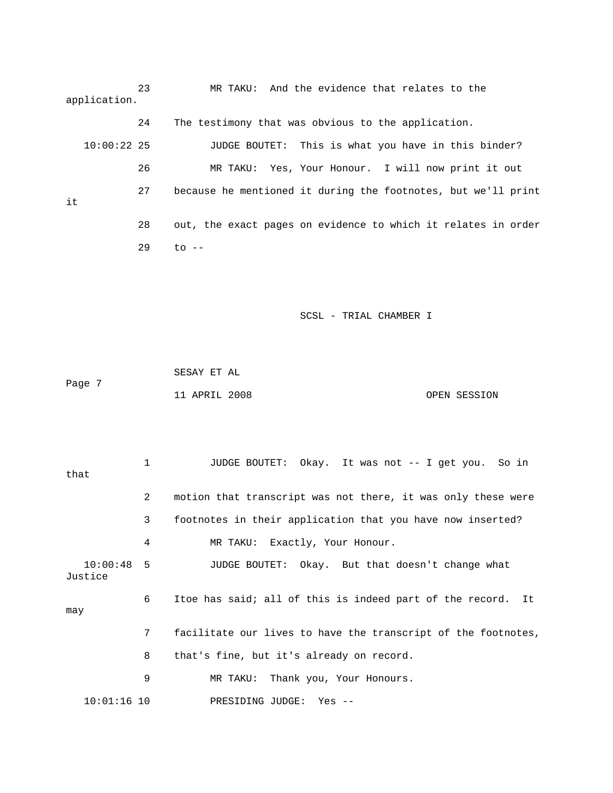23 MR TAKU: And the evidence that relates to the application.

 24 The testimony that was obvious to the application. 10:00:22 25 JUDGE BOUTET: This is what you have in this binder? 26 MR TAKU: Yes, Your Honour. I will now print it out 27 because he mentioned it during the footnotes, but we'll print it 28 out, the exact pages on evidence to which it relates in order 29 to --

SCSL - TRIAL CHAMBER I

 SESAY ET AL Page 7 11 APRIL 2008 OPEN SESSION

 1 JUDGE BOUTET: Okay. It was not -- I get you. So in that 2 motion that transcript was not there, it was only these were 3 footnotes in their application that you have now inserted? 4 MR TAKU: Exactly, Your Honour. 10:00:48 5 JUDGE BOUTET: Okay. But that doesn't change what Justice 6 Itoe has said; all of this is indeed part of the record. It may 7 facilitate our lives to have the transcript of the footnotes, 8 that's fine, but it's already on record. 9 MR TAKU: Thank you, Your Honours. 10:01:16 10 PRESIDING JUDGE: Yes --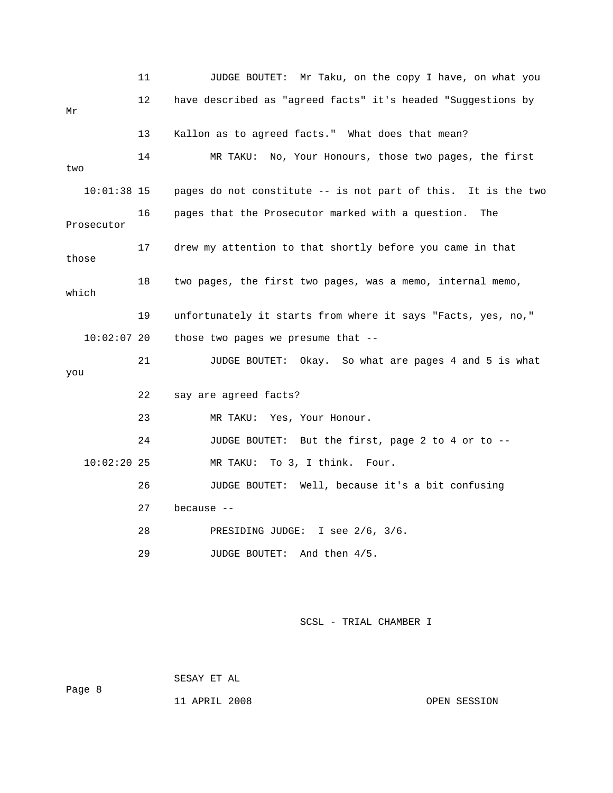|               | 11 | JUDGE BOUTET: Mr Taku, on the copy I have, on what you        |
|---------------|----|---------------------------------------------------------------|
| Mr            | 12 | have described as "agreed facts" it's headed "Suggestions by  |
|               | 13 | Kallon as to agreed facts." What does that mean?              |
| two           | 14 | MR TAKU: No, Your Honours, those two pages, the first         |
| $10:01:38$ 15 |    | pages do not constitute -- is not part of this. It is the two |
| Prosecutor    | 16 | pages that the Prosecutor marked with a question.<br>The      |
| those         | 17 | drew my attention to that shortly before you came in that     |
| which         | 18 | two pages, the first two pages, was a memo, internal memo,    |
|               | 19 | unfortunately it starts from where it says "Facts, yes, no,"  |
| $10:02:07$ 20 |    | those two pages we presume that --                            |
| you           | 21 | JUDGE BOUTET: Okay. So what are pages 4 and 5 is what         |
|               | 22 | say are agreed facts?                                         |
|               | 23 | MR TAKU: Yes, Your Honour.                                    |
|               | 24 | JUDGE BOUTET: But the first, page 2 to 4 or to --             |
| 10:02:2025    |    | To 3, I think. Four.<br>MR TAKU:                              |
|               | 26 | JUDGE BOUTET: Well, because it's a bit confusing              |
|               | 27 | because --                                                    |
|               | 28 | PRESIDING JUDGE: I see 2/6, 3/6.                              |
|               | 29 | JUDGE BOUTET: And then 4/5.                                   |

Page 8

SESAY ET AL

11 APRIL 2008 OPEN SESSION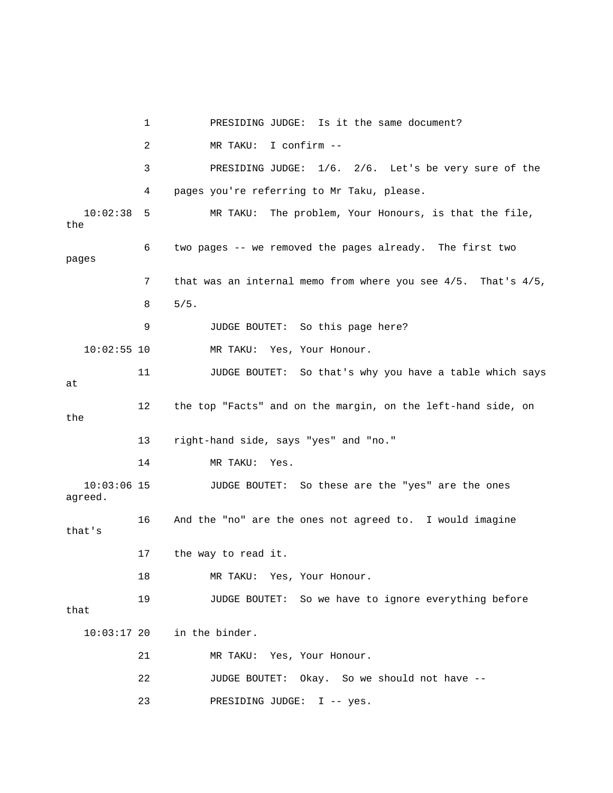1 PRESIDING JUDGE: Is it the same document? 2 MR TAKU: I confirm -- 3 PRESIDING JUDGE: 1/6. 2/6. Let's be very sure of the 4 pages you're referring to Mr Taku, please. 10:02:38 5 MR TAKU: The problem, Your Honours, is that the file, the 6 two pages -- we removed the pages already. The first two pages 7 that was an internal memo from where you see 4/5. That's 4/5, 8 5/5. 9 JUDGE BOUTET: So this page here? 10:02:55 10 MR TAKU: Yes, Your Honour. 11 JUDGE BOUTET: So that's why you have a table which says at 12 the top "Facts" and on the margin, on the left-hand side, on the 13 right-hand side, says "yes" and "no." 14 MR TAKU: Yes. 10:03:06 15 JUDGE BOUTET: So these are the "yes" are the ones agreed. 16 And the "no" are the ones not agreed to. I would imagine that's 17 the way to read it. 18 MR TAKU: Yes, Your Honour. 19 JUDGE BOUTET: So we have to ignore everything before that 10:03:17 20 in the binder. 21 MR TAKU: Yes, Your Honour. 22 JUDGE BOUTET: Okay. So we should not have -- 23 PRESIDING JUDGE: I -- yes.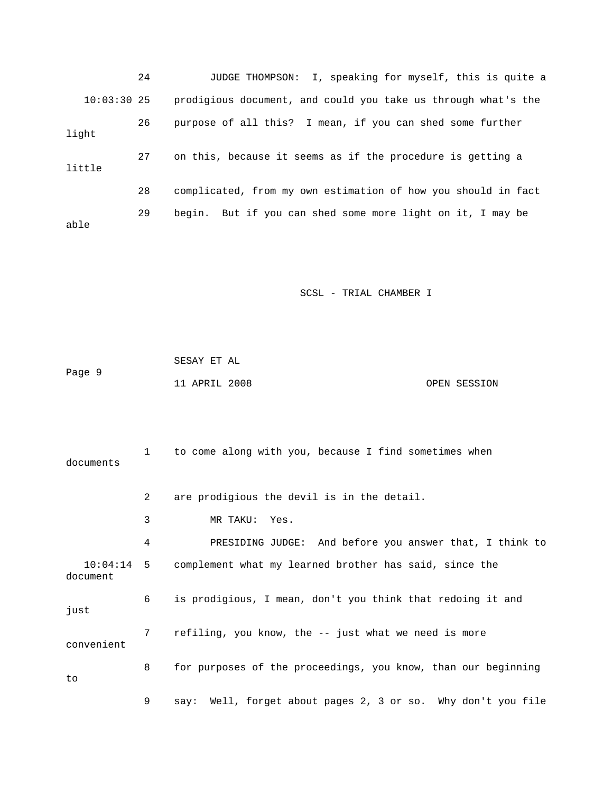|               | 24 | I, speaking for myself, this is quite a<br>JUDGE THOMPSON:    |
|---------------|----|---------------------------------------------------------------|
| $10:03:30$ 25 |    | prodigious document, and could you take us through what's the |
| light         | 26 | purpose of all this? I mean, if you can shed some further     |
| little        | 27 | on this, because it seems as if the procedure is getting a    |
|               | 28 | complicated, from my own estimation of how you should in fact |
| able          | 29 | begin. But if you can shed some more light on it, I may be    |

|        | SESAY ET AL   |  |              |
|--------|---------------|--|--------------|
| Page 9 |               |  |              |
|        | 11 APRIL 2008 |  | OPEN SESSION |

| documents  | $\mathbf{1}$   | to come along with you, because I find sometimes when             |
|------------|----------------|-------------------------------------------------------------------|
|            | $\overline{2}$ | are prodigious the devil is in the detail.                        |
|            | 3              | MR TAKU: Yes.                                                     |
|            | 4              | PRESIDING JUDGE: And before you answer that, I think to           |
| document   |                | 10:04:14 5 complement what my learned brother has said, since the |
| just       | 6              | is prodigious, I mean, don't you think that redoing it and        |
| convenient | 7              | refiling, you know, the -- just what we need is more              |
| to         | 8              | for purposes of the proceedings, you know, than our beginning     |
|            | 9              | say: Well, forget about pages 2, 3 or so. Why don't you file      |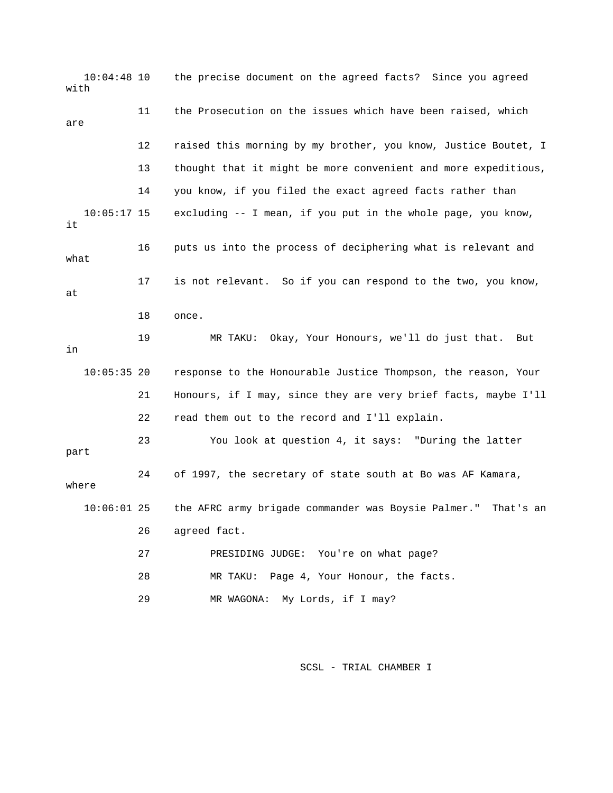10:04:48 10 the precise document on the agreed facts? Since you agreed with 11 the Prosecution on the issues which have been raised, which are 12 raised this morning by my brother, you know, Justice Boutet, I 13 thought that it might be more convenient and more expeditious, 14 you know, if you filed the exact agreed facts rather than 10:05:17 15 excluding -- I mean, if you put in the whole page, you know, it 16 puts us into the process of deciphering what is relevant and what 17 is not relevant. So if you can respond to the two, you know, at 18 once. 19 MR TAKU: Okay, Your Honours, we'll do just that. But in 10:05:35 20 response to the Honourable Justice Thompson, the reason, Your 21 Honours, if I may, since they are very brief facts, maybe I'll 22 read them out to the record and I'll explain. 23 You look at question 4, it says: "During the latter part 24 of 1997, the secretary of state south at Bo was AF Kamara, where 10:06:01 25 the AFRC army brigade commander was Boysie Palmer." That's an 26 agreed fact. 27 PRESIDING JUDGE: You're on what page? 28 MR TAKU: Page 4, Your Honour, the facts. 29 MR WAGONA: My Lords, if I may?

SCSL - TRIAL CHAMBER I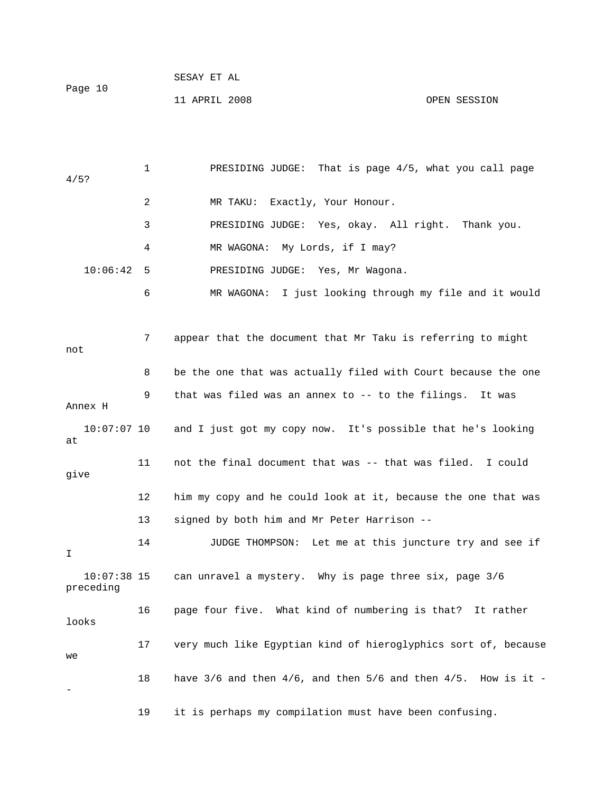|         | SESAY ET AL   |
|---------|---------------|
| Page 10 |               |
|         | 11 APRIL 2008 |

 1 PRESIDING JUDGE: That is page 4/5, what you call page 4/5? 2 MR TAKU: Exactly, Your Honour. 3 PRESIDING JUDGE: Yes, okay. All right. Thank you. 4 MR WAGONA: My Lords, if I may? 10:06:42 5 PRESIDING JUDGE: Yes, Mr Wagona. 6 MR WAGONA: I just looking through my file and it would

OPEN SESSION

 7 appear that the document that Mr Taku is referring to might not 8 be the one that was actually filed with Court because the one 9 that was filed was an annex to -- to the filings. It was Annex H 10:07:07 10 and I just got my copy now. It's possible that he's looking at 11 not the final document that was -- that was filed. I could give 12 him my copy and he could look at it, because the one that was 13 signed by both him and Mr Peter Harrison -- 14 JUDGE THOMPSON: Let me at this juncture try and see if I 10:07:38 15 can unravel a mystery. Why is page three six, page 3/6 preceding 16 page four five. What kind of numbering is that? It rather looks 17 very much like Egyptian kind of hieroglyphics sort of, because we 18 have  $3/6$  and then  $4/6$ , and then  $5/6$  and then  $4/5$ . How is it -- 19 it is perhaps my compilation must have been confusing.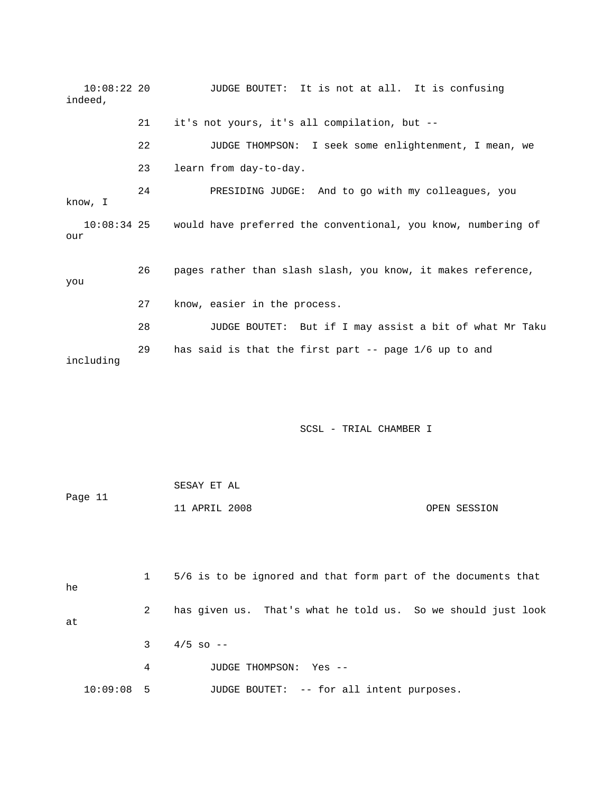10:08:22 20 JUDGE BOUTET: It is not at all. It is confusing indeed, 21 it's not yours, it's all compilation, but -- 22 JUDGE THOMPSON: I seek some enlightenment, I mean, we 23 learn from day-to-day. 24 PRESIDING JUDGE: And to go with my colleagues, you know, I 10:08:34 25 would have preferred the conventional, you know, numbering of our 26 pages rather than slash slash, you know, it makes reference, you 27 know, easier in the process. 28 JUDGE BOUTET: But if I may assist a bit of what Mr Taku 29 has said is that the first part -- page 1/6 up to and including

SCSL - TRIAL CHAMBER I

| Page 11 |                | 11 APRIL 2008<br>OPEN SESSION                                 |
|---------|----------------|---------------------------------------------------------------|
|         |                |                                                               |
| he      | $\mathbf{1}$   | 5/6 is to be ignored and that form part of the documents that |
| at      | $\overline{2}$ | has given us. That's what he told us. So we should just look  |
|         | 3              | $4/5$ so $-$                                                  |
|         | 4              | JUDGE THOMPSON:<br>Yes --                                     |

10:09:08 5 JUDGE BOUTET: -- for all intent purposes.

SESAY ET AL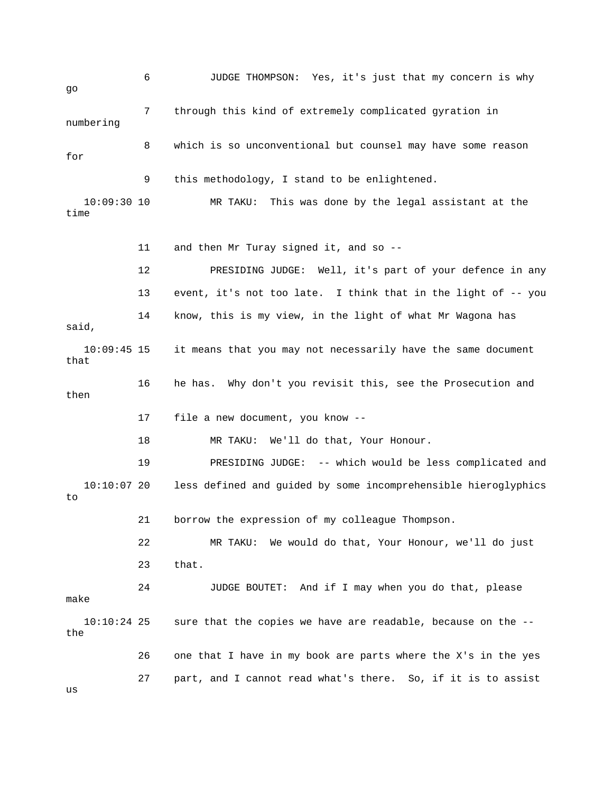6 JUDGE THOMPSON: Yes, it's just that my concern is why go 7 through this kind of extremely complicated gyration in numbering 8 which is so unconventional but counsel may have some reason for 9 this methodology, I stand to be enlightened. 10:09:30 10 MR TAKU: This was done by the legal assistant at the time 11 and then Mr Turay signed it, and so -- 12 PRESIDING JUDGE: Well, it's part of your defence in any 13 event, it's not too late. I think that in the light of -- you 14 know, this is my view, in the light of what Mr Wagona has said, 10:09:45 15 it means that you may not necessarily have the same document that 16 he has. Why don't you revisit this, see the Prosecution and then 17 file a new document, you know -- 18 MR TAKU: We'll do that, Your Honour. 19 PRESIDING JUDGE: -- which would be less complicated and 10:10:07 20 less defined and guided by some incomprehensible hieroglyphics to 21 borrow the expression of my colleague Thompson. 22 MR TAKU: We would do that, Your Honour, we'll do just 23 that. 24 JUDGE BOUTET: And if I may when you do that, please make 10:10:24 25 sure that the copies we have are readable, because on the - the 26 one that I have in my book are parts where the X's in the yes 27 part, and I cannot read what's there. So, if it is to assist

us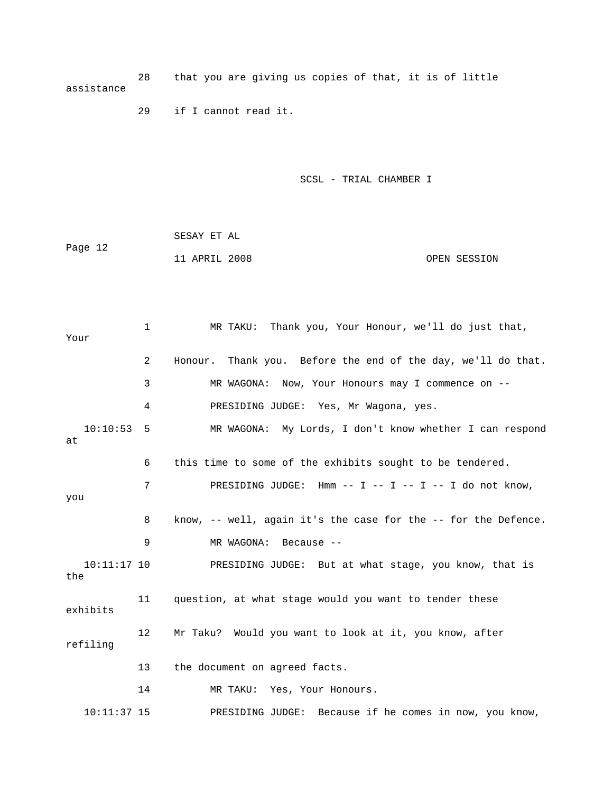28 that you are giving us copies of that, it is of little assistance

29 if I cannot read it.

SCSL - TRIAL CHAMBER I

 SESAY ET AL Page 12 11 APRIL 2008 OPEN SESSION

 1 MR TAKU: Thank you, Your Honour, we'll do just that, Your 2 Honour. Thank you. Before the end of the day, we'll do that. 3 MR WAGONA: Now, Your Honours may I commence on -- 4 PRESIDING JUDGE: Yes, Mr Wagona, yes. 10:10:53 5 MR WAGONA: My Lords, I don't know whether I can respond at 6 this time to some of the exhibits sought to be tendered. 7 PRESIDING JUDGE: Hmm -- I -- I -- I -- I do not know, you 8 know, -- well, again it's the case for the -- for the Defence. 9 MR WAGONA: Because -- 10:11:17 10 PRESIDING JUDGE: But at what stage, you know, that is the 11 question, at what stage would you want to tender these exhibits 12 Mr Taku? Would you want to look at it, you know, after refiling 13 the document on agreed facts. 14 MR TAKU: Yes, Your Honours. 10:11:37 15 PRESIDING JUDGE: Because if he comes in now, you know,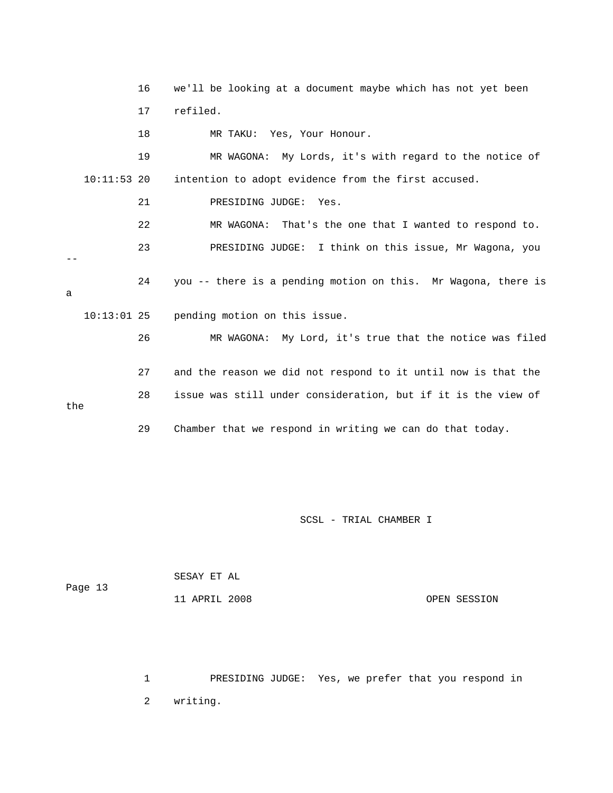16 we'll be looking at a document maybe which has not yet been 17 refiled. 18 MR TAKU: Yes, Your Honour. 19 MR WAGONA: My Lords, it's with regard to the notice of 10:11:53 20 intention to adopt evidence from the first accused. 21 PRESIDING JUDGE: Yes. 22 MR WAGONA: That's the one that I wanted to respond to. 23 PRESIDING JUDGE: I think on this issue, Mr Wagona, you -- 24 you -- there is a pending motion on this. Mr Wagona, there is a 10:13:01 25 pending motion on this issue. 26 MR WAGONA: My Lord, it's true that the notice was filed 27 and the reason we did not respond to it until now is that the 28 issue was still under consideration, but if it is the view of the 29 Chamber that we respond in writing we can do that today.

SCSL - TRIAL CHAMBER I

| Page 13 | SESAY ET AL   |              |
|---------|---------------|--------------|
|         | 11 APRIL 2008 | OPEN SESSION |

 1 PRESIDING JUDGE: Yes, we prefer that you respond in 2 writing.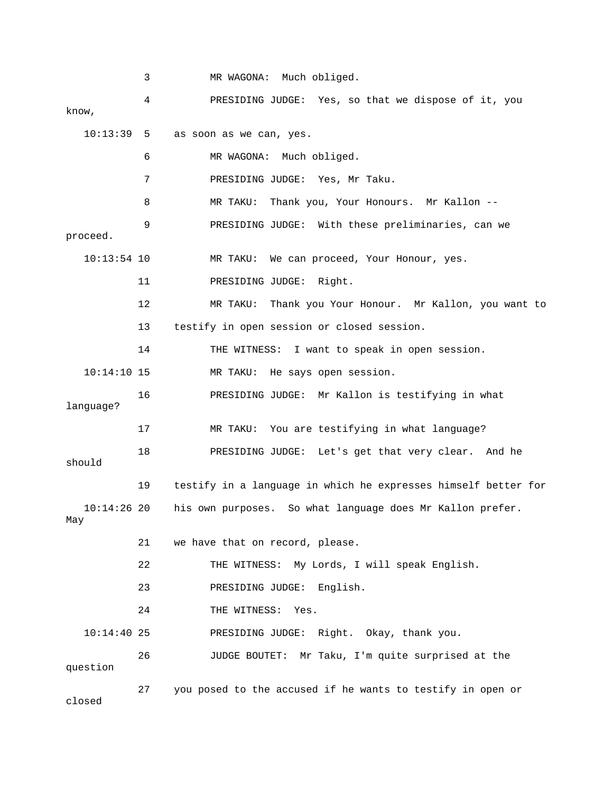3 MR WAGONA: Much obliged. 4 PRESIDING JUDGE: Yes, so that we dispose of it, you know, 10:13:39 5 as soon as we can, yes. 6 MR WAGONA: Much obliged. 7 PRESIDING JUDGE: Yes, Mr Taku. 8 MR TAKU: Thank you, Your Honours. Mr Kallon -- 9 PRESIDING JUDGE: With these preliminaries, can we proceed. 10:13:54 10 MR TAKU: We can proceed, Your Honour, yes. 11 PRESIDING JUDGE: Right. 12 MR TAKU: Thank you Your Honour. Mr Kallon, you want to 13 testify in open session or closed session. 14 THE WITNESS: I want to speak in open session. 10:14:10 15 MR TAKU: He says open session. 16 PRESIDING JUDGE: Mr Kallon is testifying in what language? 17 MR TAKU: You are testifying in what language? 18 PRESIDING JUDGE: Let's get that very clear. And he should 19 testify in a language in which he expresses himself better for 10:14:26 20 his own purposes. So what language does Mr Kallon prefer. May 21 we have that on record, please. 22 THE WITNESS: My Lords, I will speak English. 23 PRESIDING JUDGE: English. 24 THE WITNESS: Yes. 10:14:40 25 PRESIDING JUDGE: Right. Okay, thank you. 26 JUDGE BOUTET: Mr Taku, I'm quite surprised at the question 27 you posed to the accused if he wants to testify in open or closed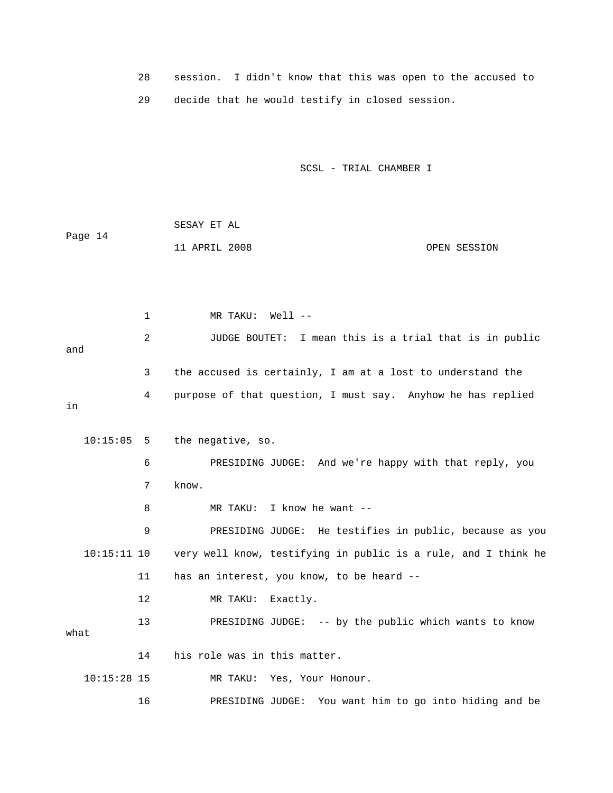28 session. I didn't know that this was open to the accused to 29 decide that he would testify in closed session.

SCSL - TRIAL CHAMBER I

|         | SESAY ET AL   |  |              |
|---------|---------------|--|--------------|
| Page 14 |               |  |              |
|         | 11 APRIL 2008 |  | OPEN SESSION |

 1 MR TAKU: Well -- 2 JUDGE BOUTET: I mean this is a trial that is in public and 3 the accused is certainly, I am at a lost to understand the 4 purpose of that question, I must say. Anyhow he has replied in

```
 10:15:05 5 the negative, so. 
            6 PRESIDING JUDGE: And we're happy with that reply, you 
            7 know. 
            8 MR TAKU: I know he want -- 
            9 PRESIDING JUDGE: He testifies in public, because as you 
   10:15:11 10 very well know, testifying in public is a rule, and I think he 
           11 has an interest, you know, to be heard -- 
           12 MR TAKU: Exactly. 
           13 PRESIDING JUDGE: -- by the public which wants to know 
what 
           14 his role was in this matter. 
   10:15:28 15 MR TAKU: Yes, Your Honour. 
           16 PRESIDING JUDGE: You want him to go into hiding and be
```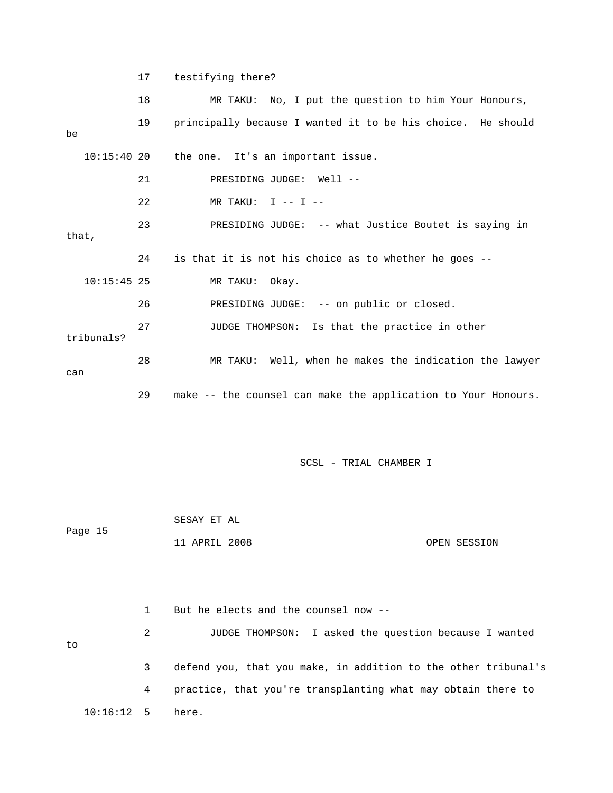17 testifying there?

|               | 18 | MR TAKU: No, I put the question to him Your Honours,        |
|---------------|----|-------------------------------------------------------------|
| be            | 19 | principally because I wanted it to be his choice. He should |
| $10:15:40$ 20 |    | the one. It's an important issue.                           |
|               | 21 | PRESIDING JUDGE: Well --                                    |
|               | 22 | MR TAKU: $I$ -- $I$ --                                      |
| that,         | 23 | PRESIDING JUDGE: -- what Justice Boutet is saying in        |
|               | 24 | is that it is not his choice as to whether he goes --       |
|               |    |                                                             |
| $10:15:45$ 25 |    | MR TAKU: Okay.                                              |
|               | 26 | PRESIDING JUDGE: -- on public or closed.                    |
| tribunals?    | 27 | JUDGE THOMPSON: Is that the practice in other               |
| can           | 28 | MR TAKU: Well, when he makes the indication the lawyer      |

SCSL - TRIAL CHAMBER I

|         | SESAY ET AL   |              |
|---------|---------------|--------------|
| Page 15 |               |              |
|         | 11 APRIL 2008 | OPEN SESSION |

|                    |   | But he elects and the counsel now --                           |
|--------------------|---|----------------------------------------------------------------|
| to                 | 2 | JUDGE THOMPSON: I asked the question because I wanted          |
|                    | 3 | defend you, that you make, in addition to the other tribunal's |
|                    | 4 | practice, that you're transplanting what may obtain there to   |
| $10:16:12$ 5 here. |   |                                                                |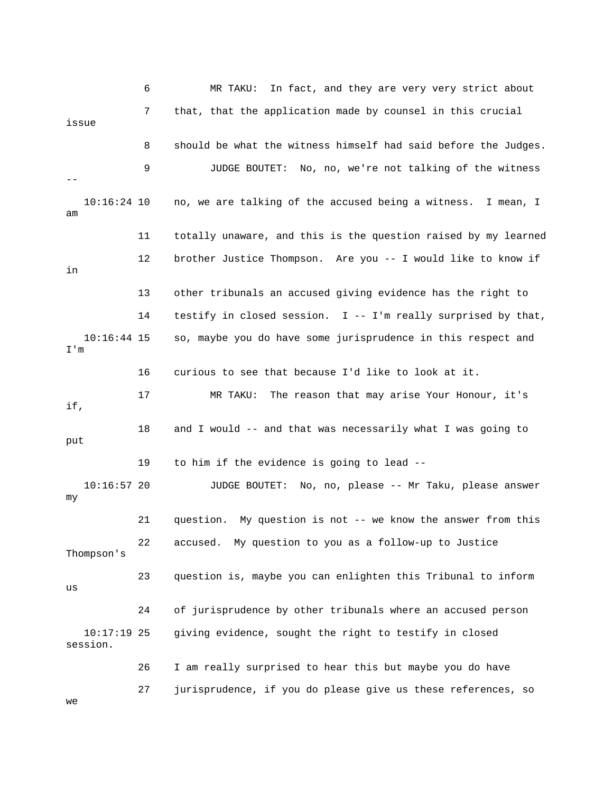6 MR TAKU: In fact, and they are very very strict about 7 that, that the application made by counsel in this crucial issue 8 should be what the witness himself had said before the Judges. 9 JUDGE BOUTET: No, no, we're not talking of the witness -- 10:16:24 10 no, we are talking of the accused being a witness. I mean, I am 11 totally unaware, and this is the question raised by my learned 12 brother Justice Thompson. Are you -- I would like to know if in 13 other tribunals an accused giving evidence has the right to 14 testify in closed session. I -- I'm really surprised by that, 10:16:44 15 so, maybe you do have some jurisprudence in this respect and I'm 16 curious to see that because I'd like to look at it. 17 MR TAKU: The reason that may arise Your Honour, it's if, 18 and I would -- and that was necessarily what I was going to put 19 to him if the evidence is going to lead -- 10:16:57 20 JUDGE BOUTET: No, no, please -- Mr Taku, please answer my 21 question. My question is not -- we know the answer from this 22 accused. My question to you as a follow-up to Justice Thompson's 23 question is, maybe you can enlighten this Tribunal to inform  $_{11S}$  24 of jurisprudence by other tribunals where an accused person 10:17:19 25 giving evidence, sought the right to testify in closed session. 26 I am really surprised to hear this but maybe you do have 27 jurisprudence, if you do please give us these references, so we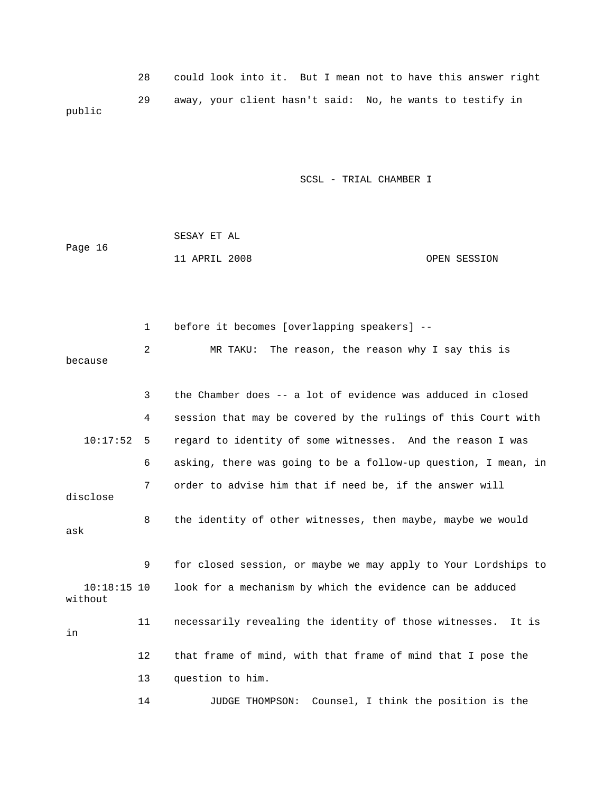28 could look into it. But I mean not to have this answer right 29 away, your client hasn't said: No, he wants to testify in public

SCSL - TRIAL CHAMBER I

| Page 16 | SESAY ET AL   |  |              |
|---------|---------------|--|--------------|
|         | 11 APRIL 2008 |  | OPEN SESSION |

 1 before it becomes [overlapping speakers] -- 2 MR TAKU: The reason, the reason why I say this is because 3 the Chamber does -- a lot of evidence was adduced in closed 4 session that may be covered by the rulings of this Court with 10:17:52 5 regard to identity of some witnesses. And the reason I was 6 asking, there was going to be a follow-up question, I mean, in 7 order to advise him that if need be, if the answer will disclose 8 the identity of other witnesses, then maybe, maybe we would ask 9 for closed session, or maybe we may apply to Your Lordships to 10:18:15 10 look for a mechanism by which the evidence can be adduced without 11 necessarily revealing the identity of those witnesses. It is in 12 that frame of mind, with that frame of mind that I pose the 13 question to him. 14 JUDGE THOMPSON: Counsel, I think the position is the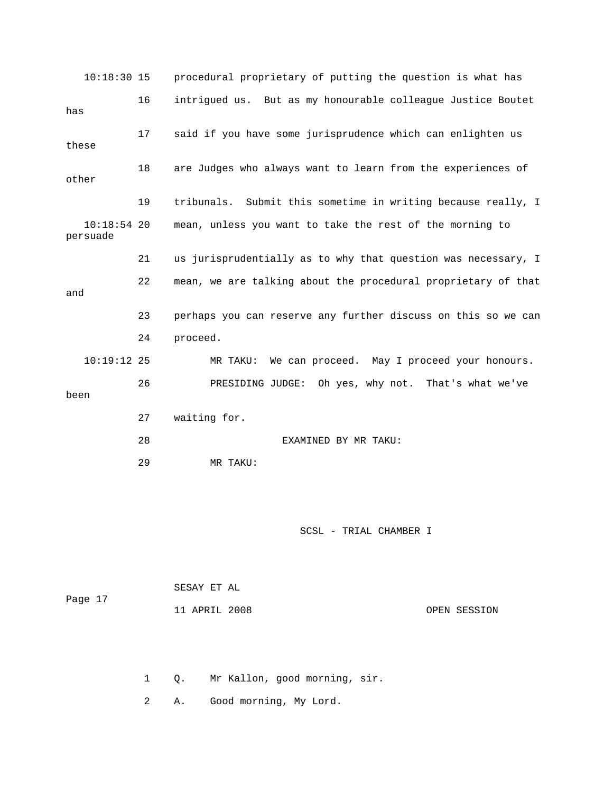| $10:18:30$ 15             |    | procedural proprietary of putting the question is what has    |
|---------------------------|----|---------------------------------------------------------------|
| has                       | 16 | intrigued us. But as my honourable colleague Justice Boutet   |
| these                     | 17 | said if you have some jurisprudence which can enlighten us    |
| other                     | 18 | are Judges who always want to learn from the experiences of   |
|                           | 19 | tribunals. Submit this sometime in writing because really, I  |
| $10:18:54$ 20<br>persuade |    | mean, unless you want to take the rest of the morning to      |
|                           | 21 | us jurisprudentially as to why that question was necessary, I |
| and                       | 22 | mean, we are talking about the procedural proprietary of that |
|                           | 23 | perhaps you can reserve any further discuss on this so we can |
|                           | 24 | proceed.                                                      |
| $10:19:12$ 25             |    | We can proceed. May I proceed your honours.<br>MR TAKU:       |
| been                      | 26 | PRESIDING JUDGE: Oh yes, why not. That's what we've           |
|                           | 27 | waiting for.                                                  |
|                           | 28 | EXAMINED BY MR TAKU:                                          |
|                           | 29 | MR TAKU:                                                      |

| Page 17 | SESAY ET AL   |              |
|---------|---------------|--------------|
|         | 11 APRIL 2008 | OPEN SESSION |

1 Q. Mr Kallon, good morning, sir.

2 A. Good morning, My Lord.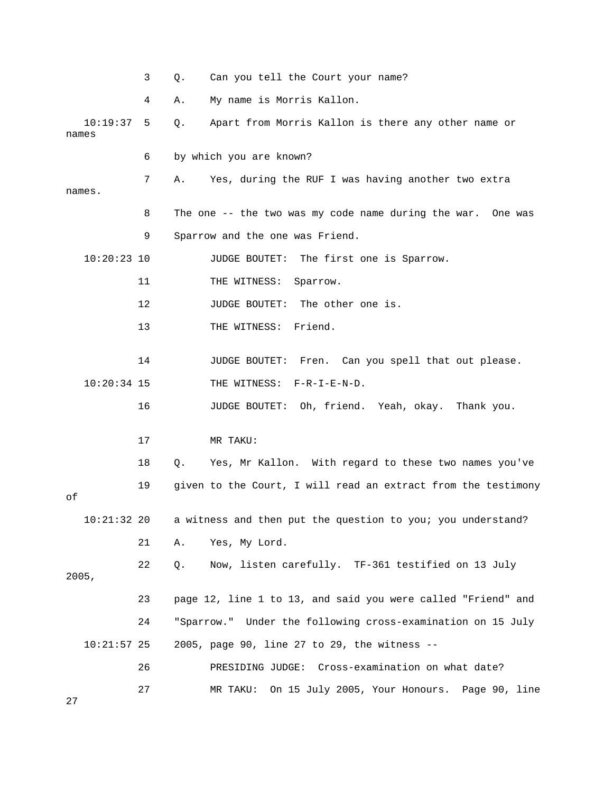|       |               | 3  | Q. | Can you tell the Court your name?                             |
|-------|---------------|----|----|---------------------------------------------------------------|
|       |               | 4  | Α. | My name is Morris Kallon.                                     |
| names | 10:19:37      | 5  | Q. | Apart from Morris Kallon is there any other name or           |
|       |               | 6  |    | by which you are known?                                       |
|       | names.        | 7  | Α. | Yes, during the RUF I was having another two extra            |
|       |               | 8  |    | The one -- the two was my code name during the war. One was   |
|       |               | 9  |    | Sparrow and the one was Friend.                               |
|       | $10:20:23$ 10 |    |    | The first one is Sparrow.<br><b>JUDGE BOUTET:</b>             |
|       |               | 11 |    | Sparrow.<br>THE WITNESS:                                      |
|       |               | 12 |    | The other one is.<br>JUDGE BOUTET:                            |
|       |               | 13 |    | Friend.<br>THE WITNESS:                                       |
|       |               | 14 |    | <b>JUDGE BOUTET:</b><br>Fren. Can you spell that out please.  |
|       | $10:20:34$ 15 |    |    | THE WITNESS: F-R-I-E-N-D.                                     |
|       |               | 16 |    | JUDGE BOUTET: Oh, friend. Yeah, okay. Thank you.              |
|       |               | 17 |    | MR TAKU:                                                      |
|       |               | 18 | Q. | Yes, Mr Kallon. With regard to these two names you've         |
| оf    |               | 19 |    | given to the Court, I will read an extract from the testimony |
|       | $10:21:32$ 20 |    |    | a witness and then put the question to you; you understand?   |
|       |               | 21 | Α. | Yes, My Lord.                                                 |
| 2005, |               | 22 | Q. | Now, listen carefully. TF-361 testified on 13 July            |
|       |               | 23 |    | page 12, line 1 to 13, and said you were called "Friend" and  |
|       |               | 24 |    | "Sparrow." Under the following cross-examination on 15 July   |
|       | $10:21:57$ 25 |    |    | 2005, page 90, line 27 to 29, the witness --                  |
|       |               | 26 |    | PRESIDING JUDGE: Cross-examination on what date?              |
| 27    |               | 27 |    | MR TAKU:<br>On 15 July 2005, Your Honours. Page 90, line      |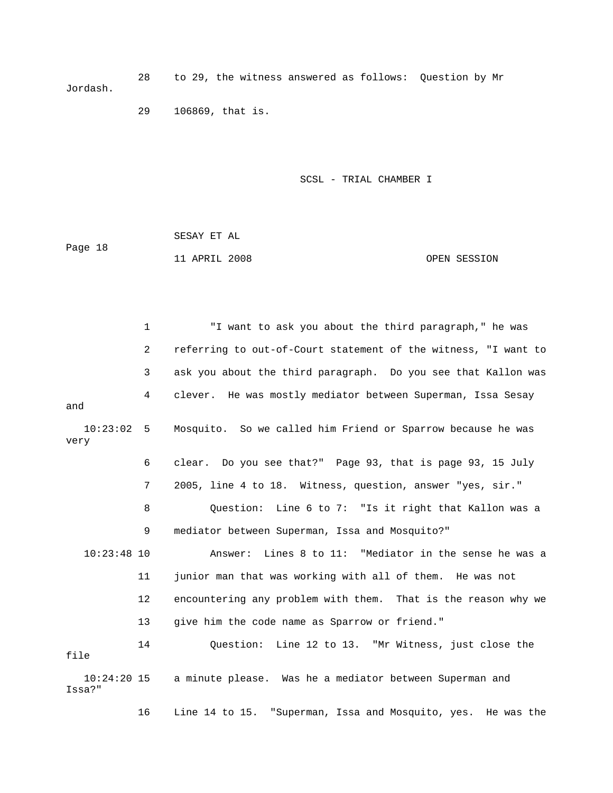28 to 29, the witness answered as follows: Question by Mr Jordash.

29 106869, that is.

SCSL - TRIAL CHAMBER I

 SESAY ET AL Page 18 11 APRIL 2008 OPEN SESSION

 1 "I want to ask you about the third paragraph," he was 2 referring to out-of-Court statement of the witness, "I want to 3 ask you about the third paragraph. Do you see that Kallon was 4 clever. He was mostly mediator between Superman, Issa Sesay and 10:23:02 5 Mosquito. So we called him Friend or Sparrow because he was very 6 clear. Do you see that?" Page 93, that is page 93, 15 July 7 2005, line 4 to 18. Witness, question, answer "yes, sir." 8 Question: Line 6 to 7: "Is it right that Kallon was a 9 mediator between Superman, Issa and Mosquito?" 10:23:48 10 Answer: Lines 8 to 11: "Mediator in the sense he was a 11 junior man that was working with all of them. He was not 12 encountering any problem with them. That is the reason why we 13 give him the code name as Sparrow or friend." 14 Question: Line 12 to 13. "Mr Witness, just close the file 10:24:20 15 a minute please. Was he a mediator between Superman and Issa?" 16 Line 14 to 15. "Superman, Issa and Mosquito, yes. He was the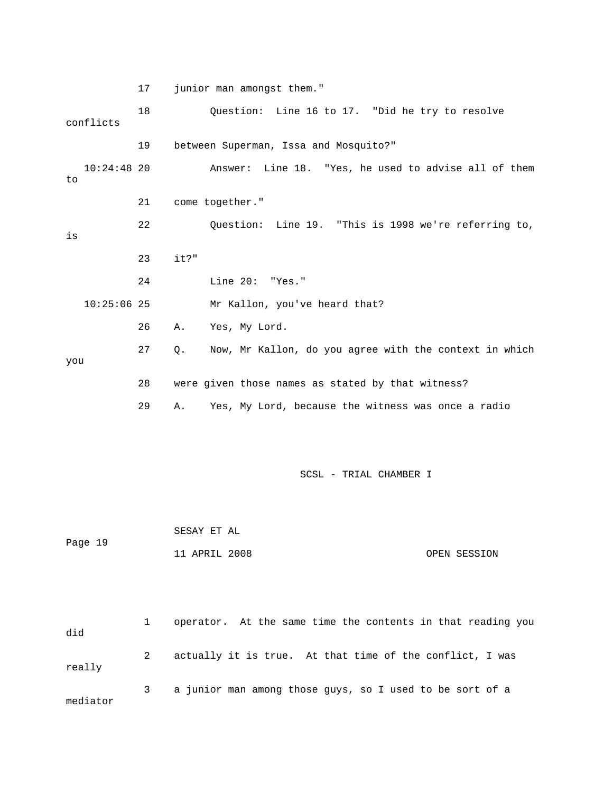|                     | 17 | junior man amongst them."                                    |
|---------------------|----|--------------------------------------------------------------|
| conflicts           | 18 | Question: Line 16 to 17. "Did he try to resolve              |
|                     | 19 | between Superman, Issa and Mosquito?"                        |
| $10:24:48$ 20<br>to |    | Line 18. "Yes, he used to advise all of them<br>Answer:      |
|                     | 21 | come together."                                              |
| is                  | 22 | Question: Line 19. "This is 1998 we're referring to,         |
|                     | 23 | it?"                                                         |
|                     | 24 | Line 20: "Yes."                                              |
| $10:25:06$ 25       |    | Mr Kallon, you've heard that?                                |
|                     | 26 | Yes, My Lord.<br>Α.                                          |
| you                 | 27 | Now, Mr Kallon, do you agree with the context in which<br>Q. |
|                     | 28 | were given those names as stated by that witness?            |
|                     | 29 | Yes, My Lord, because the witness was once a radio<br>Α.     |
|                     |    | SCSL - TRIAL CHAMBER I                                       |
|                     |    | SESAY ET AL                                                  |
| Page 19             |    | 11 APRIL 2008<br>OPEN SESSION                                |
|                     |    |                                                              |
| did                 | 1  | operator. At the same time the contents in that reading you  |
| really              | 2  | actually it is true. At that time of the conflict, I was     |
| mediator            | 3  | a junior man among those guys, so I used to be sort of a     |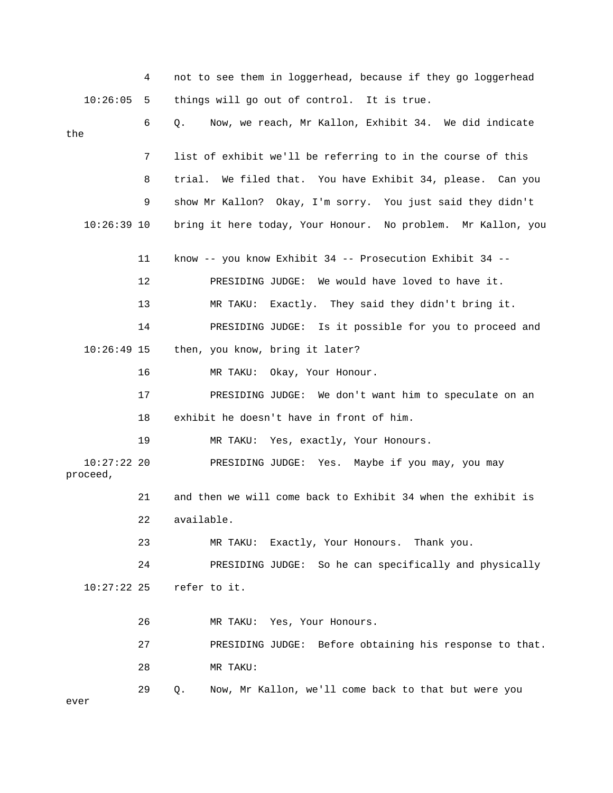|                           | 4  | not to see them in loggerhead, because if they go loggerhead  |
|---------------------------|----|---------------------------------------------------------------|
| 10:26:05                  | 5  | things will go out of control. It is true.                    |
| the                       | 6  | Now, we reach, Mr Kallon, Exhibit 34. We did indicate<br>О.   |
|                           | 7  | list of exhibit we'll be referring to in the course of this   |
|                           | 8  | trial.<br>We filed that. You have Exhibit 34, please. Can you |
|                           | 9  | show Mr Kallon? Okay, I'm sorry. You just said they didn't    |
| $10:26:39$ 10             |    | bring it here today, Your Honour. No problem. Mr Kallon, you  |
|                           | 11 | know -- you know Exhibit 34 -- Prosecution Exhibit 34 --      |
|                           | 12 | PRESIDING JUDGE: We would have loved to have it.              |
|                           | 13 | Exactly. They said they didn't bring it.<br>MR TAKU:          |
|                           | 14 | PRESIDING JUDGE: Is it possible for you to proceed and        |
| $10:26:49$ 15             |    | then, you know, bring it later?                               |
|                           | 16 | Okay, Your Honour.<br>MR TAKU:                                |
|                           | 17 | PRESIDING JUDGE: We don't want him to speculate on an         |
|                           | 18 | exhibit he doesn't have in front of him.                      |
|                           | 19 | MR TAKU: Yes, exactly, Your Honours.                          |
| $10:27:22$ 20<br>proceed, |    | PRESIDING JUDGE: Yes. Maybe if you may, you may               |
|                           | 21 | and then we will come back to Exhibit 34 when the exhibit is  |
|                           | 22 | available.                                                    |
|                           | 23 | Exactly, Your Honours.<br>Thank you.<br>MR TAKU:              |
|                           | 24 | PRESIDING JUDGE: So he can specifically and physically        |
| $10:27:22$ 25             |    | refer to it.                                                  |
|                           | 26 | MR TAKU: Yes, Your Honours.                                   |
|                           | 27 | PRESIDING JUDGE: Before obtaining his response to that.       |
|                           | 28 | MR TAKU:                                                      |
| ever                      | 29 | Now, Mr Kallon, we'll come back to that but were you<br>Q.    |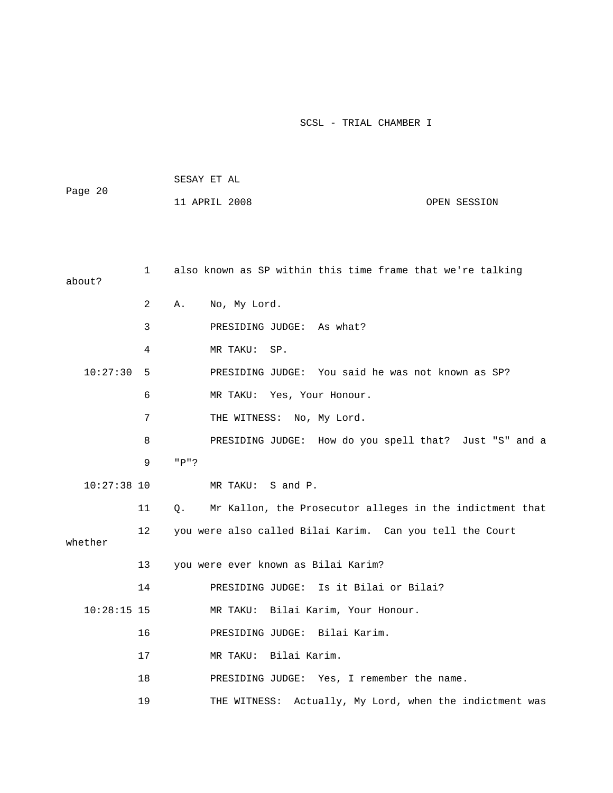| Page 20 | SESAY ET AL   |  |              |  |  |
|---------|---------------|--|--------------|--|--|
|         | 11 APRIL 2008 |  | OPEN SESSION |  |  |
|         |               |  |              |  |  |
|         |               |  |              |  |  |

| about?        | $\mathbf{1}$ | also known as SP within this time frame that we're talking            |
|---------------|--------------|-----------------------------------------------------------------------|
|               | 2            | Α.<br>No, My Lord.                                                    |
|               | 3            | PRESIDING JUDGE: As what?                                             |
|               | 4            | MR TAKU:<br>SP.                                                       |
| 10:27:30      | 5            | PRESIDING JUDGE: You said he was not known as SP?                     |
|               | 6            | MR TAKU: Yes, Your Honour.                                            |
|               | 7            | THE WITNESS: No, My Lord.                                             |
|               | 8            | PRESIDING JUDGE: How do you spell that? Just "S" and a                |
|               | 9            | "P"?                                                                  |
| $10:27:38$ 10 |              | MR TAKU: S and P.                                                     |
|               | 11           | Mr Kallon, the Prosecutor alleges in the indictment that<br>$\circ$ . |
| whether       | 12           | you were also called Bilai Karim. Can you tell the Court              |
|               | 13           | you were ever known as Bilai Karim?                                   |
|               | 14           | PRESIDING JUDGE: Is it Bilai or Bilai?                                |
| $10:28:15$ 15 |              | MR TAKU: Bilai Karim, Your Honour.                                    |
|               | 16           | PRESIDING JUDGE: Bilai Karim.                                         |
|               | 17           | MR TAKU: Bilai Karim.                                                 |
|               | 18           | PRESIDING JUDGE: Yes, I remember the name.                            |
|               | 19           | THE WITNESS: Actually, My Lord, when the indictment was               |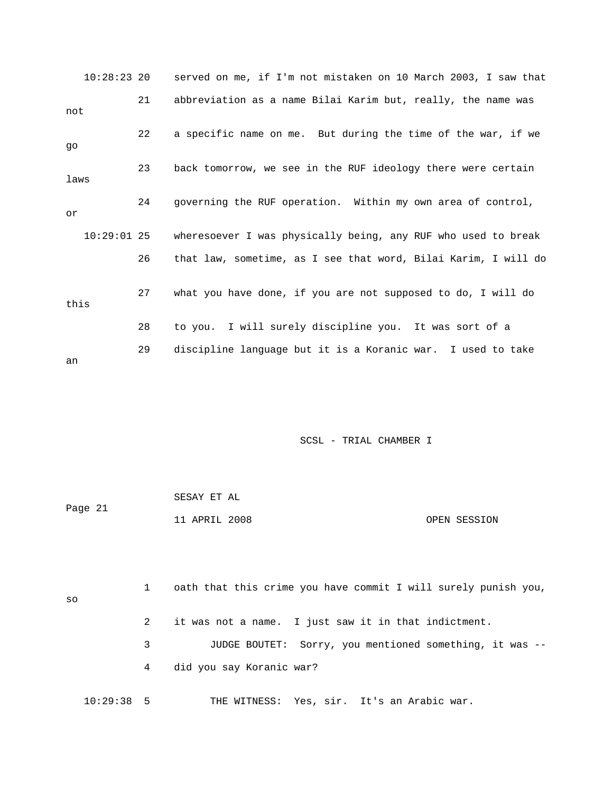|      | $10:28:23$ 20 |    | served on me, if I'm not mistaken on 10 March 2003, I saw that |
|------|---------------|----|----------------------------------------------------------------|
| not  |               | 21 | abbreviation as a name Bilai Karim but, really, the name was   |
| qo   |               | 22 | a specific name on me. But during the time of the war, if we   |
| laws |               | 23 | back tomorrow, we see in the RUF ideology there were certain   |
| or   |               | 24 | governing the RUF operation. Within my own area of control,    |
|      | $10:29:01$ 25 |    | wheresoever I was physically being, any RUF who used to break  |
|      |               | 26 | that law, sometime, as I see that word, Bilai Karim, I will do |
| this |               | 27 | what you have done, if you are not supposed to do, I will do   |
|      |               | 28 | to you. I will surely discipline you. It was sort of a         |
| an   |               | 29 | discipline language but it is a Koranic war. I used to take    |

|         | SESAY ET AL   |              |
|---------|---------------|--------------|
| Page 21 |               |              |
|         | 11 APRIL 2008 | OPEN SESSION |

| SO           | $\mathbf{1}$ | oath that this crime you have commit I will surely punish you, |
|--------------|--------------|----------------------------------------------------------------|
|              | 2            | it was not a name. I just saw it in that indictment.           |
|              | 3            | JUDGE BOUTET: Sorry, you mentioned something, it was --        |
|              | 4            | did you say Koranic war?                                       |
| $10:29:38$ 5 |              | THE WITNESS: Yes, sir. It's an Arabic war.                     |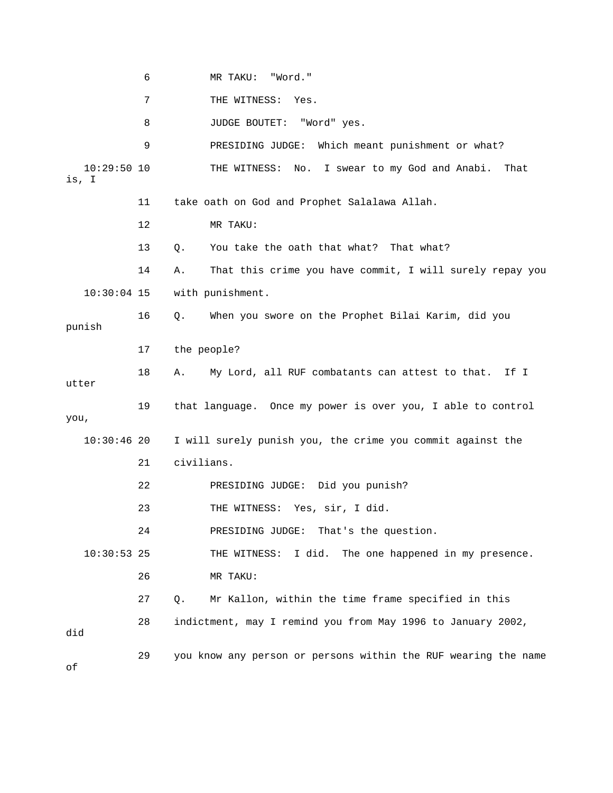6 MR TAKU: "Word." 7 THE WITNESS: Yes. 8 JUDGE BOUTET: "Word" yes. 9 PRESIDING JUDGE: Which meant punishment or what? 10:29:50 10 THE WITNESS: No. I swear to my God and Anabi. That is, I 11 take oath on God and Prophet Salalawa Allah. 12 MR TAKU: 13 Q. You take the oath that what? That what? 14 A. That this crime you have commit, I will surely repay you 10:30:04 15 with punishment. 16 Q. When you swore on the Prophet Bilai Karim, did you punish 17 the people? 18 A. My Lord, all RUF combatants can attest to that. If I utter 19 that language. Once my power is over you, I able to control you, 10:30:46 20 I will surely punish you, the crime you commit against the 21 civilians. 22 PRESIDING JUDGE: Did you punish? 23 THE WITNESS: Yes, sir, I did. 24 PRESIDING JUDGE: That's the question. 10:30:53 25 THE WITNESS: I did. The one happened in my presence. 26 MR TAKU: 27 Q. Mr Kallon, within the time frame specified in this 28 indictment, may I remind you from May 1996 to January 2002, did 29 you know any person or persons within the RUF wearing the name of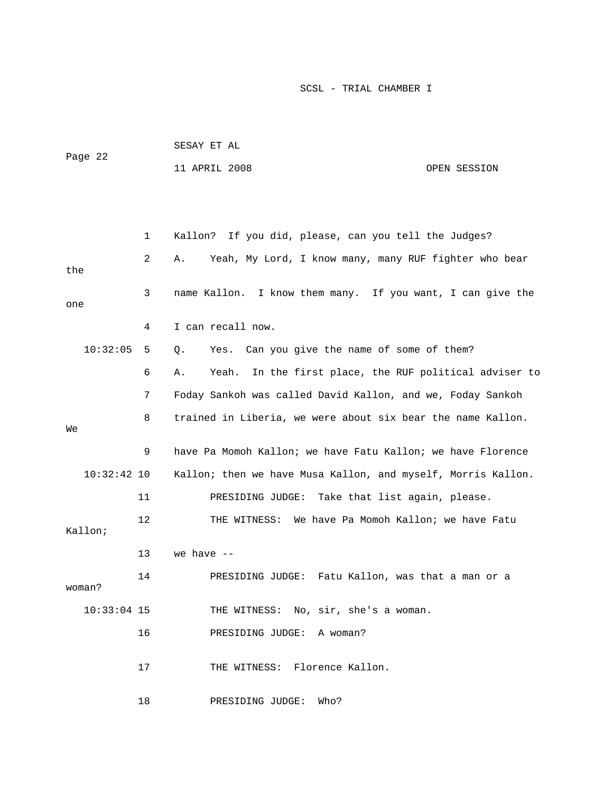| Page 22       |              | SESAY ET AL                                                     |              |  |
|---------------|--------------|-----------------------------------------------------------------|--------------|--|
|               |              | 11 APRIL 2008                                                   | OPEN SESSION |  |
|               |              |                                                                 |              |  |
|               |              |                                                                 |              |  |
|               |              |                                                                 |              |  |
|               | $\mathbf{1}$ | Kallon? If you did, please, can you tell the Judges?            |              |  |
| the           | 2            | Yeah, My Lord, I know many, many RUF fighter who bear<br>Α.     |              |  |
| one           | 3            | name Kallon. I know them many. If you want, I can give the      |              |  |
|               | 4            | I can recall now.                                               |              |  |
| 10:32:05      | 5            | Can you give the name of some of them?<br>Yes.<br>Q.            |              |  |
|               | 6            | In the first place, the RUF political adviser to<br>Yeah.<br>Α. |              |  |
|               | 7            | Foday Sankoh was called David Kallon, and we, Foday Sankoh      |              |  |
| Wе            | 8            | trained in Liberia, we were about six bear the name Kallon.     |              |  |
|               | 9            | have Pa Momoh Kallon; we have Fatu Kallon; we have Florence     |              |  |
| $10:32:42$ 10 |              | Kallon; then we have Musa Kallon, and myself, Morris Kallon.    |              |  |
|               | 11           | Take that list again, please.<br>PRESIDING JUDGE:               |              |  |
| Kallon;       | 12           | We have Pa Momoh Kallon; we have Fatu<br>THE WITNESS:           |              |  |
|               | 13           | we have $-$                                                     |              |  |

14 PRESIDING JUDGE: Fatu Kallon, was that a man or a

woman?

10:33:04 15 THE WITNESS: No, sir, she's a woman.

16 PRESIDING JUDGE: A woman?

17 THE WITNESS: Florence Kallon.

18 PRESIDING JUDGE: Who?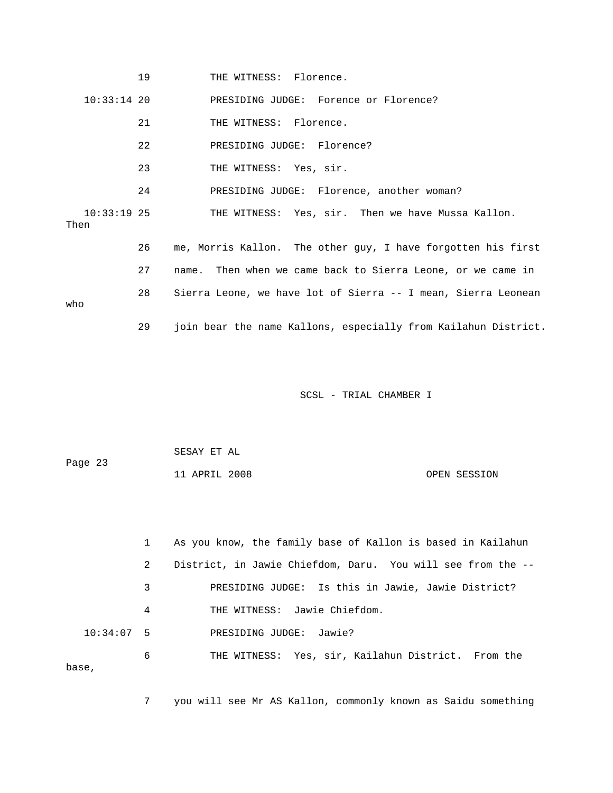|                       | 19 | THE WITNESS: Florence.                                         |
|-----------------------|----|----------------------------------------------------------------|
| $10:33:14$ 20         |    | PRESIDING JUDGE: Forence or Florence?                          |
|                       | 21 | THE WITNESS: Florence.                                         |
|                       | 22 | PRESIDING JUDGE: Florence?                                     |
|                       | 23 | THE WITNESS: Yes, sir.                                         |
|                       | 24 | PRESIDING JUDGE: Florence, another woman?                      |
| $10:33:19$ 25<br>Then |    | THE WITNESS: Yes, sir. Then we have Mussa Kallon.              |
|                       | 26 | me, Morris Kallon. The other guy, I have forgotten his first   |
|                       | 27 | name. Then when we came back to Sierra Leone, or we came in    |
| who                   | 28 | Sierra Leone, we have lot of Sierra -- I mean, Sierra Leonean  |
|                       | 29 | join bear the name Kallons, especially from Kailahun District. |

| Page 23 | SESAY ET AL   |              |
|---------|---------------|--------------|
|         | 11 APRIL 2008 | OPEN SESSION |

|              | As you know, the family base of Kallon is based in Kailahun      |
|--------------|------------------------------------------------------------------|
|              | 2<br>District, in Jawie Chiefdom, Daru. You will see from the -- |
|              | PRESIDING JUDGE: Is this in Jawie, Jawie District?<br>3          |
|              | 4<br>THE WITNESS: Jawie Chiefdom.                                |
| $10:34:07$ 5 | PRESIDING JUDGE:<br>Jawie?                                       |
| 6<br>base,   | THE WITNESS: Yes, sir, Kailahun District. From the               |

7 you will see Mr AS Kallon, commonly known as Saidu something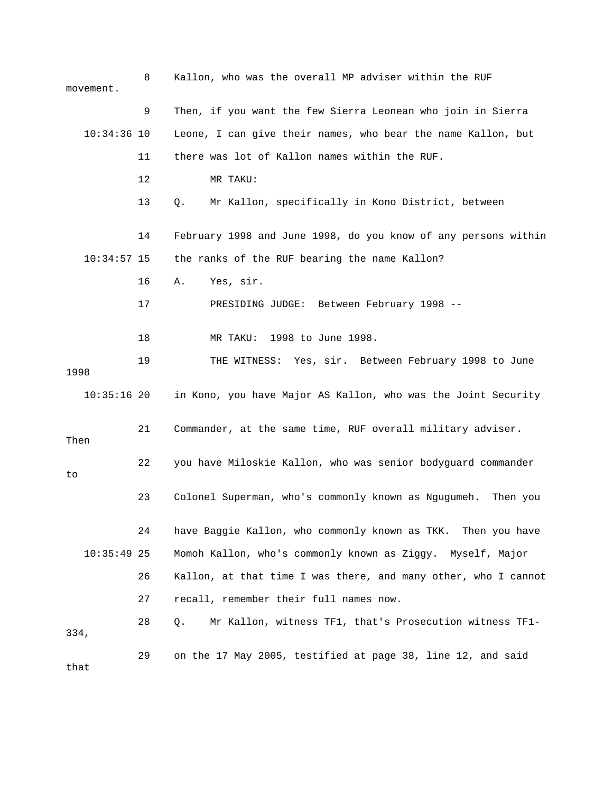| movement.     | 8  | Kallon, who was the overall MP adviser within the RUF           |
|---------------|----|-----------------------------------------------------------------|
|               | 9  | Then, if you want the few Sierra Leonean who join in Sierra     |
| $10:34:36$ 10 |    | Leone, I can give their names, who bear the name Kallon, but    |
|               | 11 | there was lot of Kallon names within the RUF.                   |
|               | 12 | MR TAKU:                                                        |
|               | 13 | Mr Kallon, specifically in Kono District, between<br>Q.         |
|               | 14 | February 1998 and June 1998, do you know of any persons within  |
| $10:34:57$ 15 |    | the ranks of the RUF bearing the name Kallon?                   |
|               | 16 | Yes, sir.<br>Α.                                                 |
|               | 17 | PRESIDING JUDGE: Between February 1998 --                       |
|               | 18 | MR TAKU: 1998 to June 1998.                                     |
| 1998          | 19 | THE WITNESS: Yes, sir. Between February 1998 to June            |
| $10:35:16$ 20 |    | in Kono, you have Major AS Kallon, who was the Joint Security   |
| Then          | 21 | Commander, at the same time, RUF overall military adviser.      |
| to            | 22 | you have Miloskie Kallon, who was senior bodyguard commander    |
|               | 23 | Colonel Superman, who's commonly known as Ngugumeh.<br>Then you |
|               | 24 | have Baggie Kallon, who commonly known as TKK.<br>Then you have |
| $10:35:49$ 25 |    | Momoh Kallon, who's commonly known as Ziggy.<br>Myself, Major   |
|               | 26 | Kallon, at that time I was there, and many other, who I cannot  |
|               | 27 | recall, remember their full names now.                          |
| 334,          | 28 | Mr Kallon, witness TF1, that's Prosecution witness TF1-<br>Q.   |
| that          | 29 | on the 17 May 2005, testified at page 38, line 12, and said     |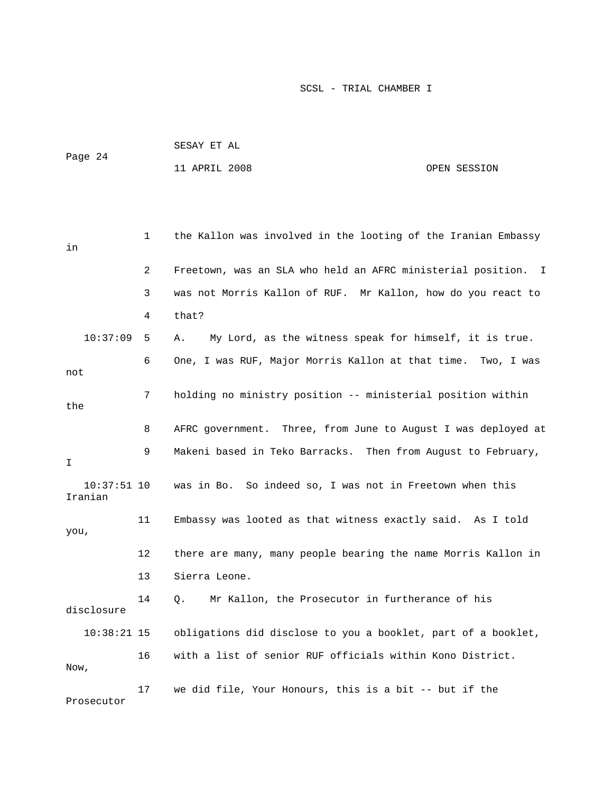| Page 24 |          |              | SESAY ET AL                                                   |              |  |
|---------|----------|--------------|---------------------------------------------------------------|--------------|--|
|         |          |              | 11 APRIL 2008                                                 | OPEN SESSION |  |
|         |          |              |                                                               |              |  |
|         |          |              |                                                               |              |  |
| in      |          | $\mathbf{1}$ | the Kallon was involved in the looting of the Iranian Embassy |              |  |
|         |          | $\mathbf{2}$ | Freetown, was an SLA who held an AFRC ministerial position. I |              |  |
|         |          | 3            | was not Morris Kallon of RUF. Mr Kallon, how do you react to  |              |  |
|         |          | 4            | that?                                                         |              |  |
|         | 10:37:09 | 5            | My Lord, as the witness speak for himself, it is true.<br>Α.  |              |  |
| not     |          | 6            | One, I was RUF, Major Morris Kallon at that time. Two, I was  |              |  |

| the           |    |                                                                      |
|---------------|----|----------------------------------------------------------------------|
|               | 8  | AFRC government. Three, from June to August I was deployed at        |
| I             | 9  | Makeni based in Teko Barracks. Then from August to February,         |
| Iranian       |    | 10:37:51 10 was in Bo. So indeed so, I was not in Freetown when this |
| you,          | 11 | Embassy was looted as that witness exactly said. As I told           |
|               | 12 | there are many, many people bearing the name Morris Kallon in        |
|               | 13 | Sierra Leone.                                                        |
| disclosure    | 14 | Q. Mr Kallon, the Prosecutor in furtherance of his                   |
| $10:38:21$ 15 |    | obligations did disclose to you a booklet, part of a booklet,        |
| Now,          | 16 | with a list of senior RUF officials within Kono District.            |
| Prosecutor    | 17 | we did file, Your Honours, this is a bit -- but if the               |

7 holding no ministry position -- ministerial position within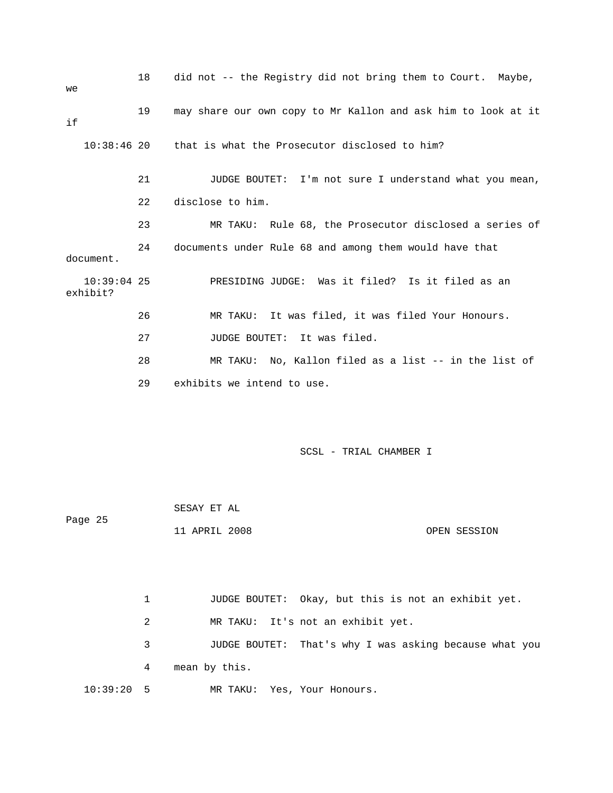| we                        | 18 | did not -- the Registry did not bring them to Court. Maybe,   |  |  |
|---------------------------|----|---------------------------------------------------------------|--|--|
| if                        | 19 | may share our own copy to Mr Kallon and ask him to look at it |  |  |
| $10:38:46$ 20             |    | that is what the Prosecutor disclosed to him?                 |  |  |
|                           | 21 | JUDGE BOUTET: I'm not sure I understand what you mean,        |  |  |
|                           | 22 | disclose to him.                                              |  |  |
|                           | 23 | MR TAKU: Rule 68, the Prosecutor disclosed a series of        |  |  |
| 24<br>document.           |    | documents under Rule 68 and among them would have that        |  |  |
| $10:39:04$ 25<br>exhibit? |    | PRESIDING JUDGE: Was it filed? Is it filed as an              |  |  |
|                           | 26 | It was filed, it was filed Your Honours.<br>MR TAKU:          |  |  |
|                           | 27 | JUDGE BOUTET: It was filed.                                   |  |  |
|                           | 28 | MR TAKU: No, Kallon filed as a list -- in the list of         |  |  |
|                           | 29 | exhibits we intend to use.                                    |  |  |
|                           |    |                                                               |  |  |
|                           |    |                                                               |  |  |

| Page 25 | SESAY ET AL   |              |
|---------|---------------|--------------|
|         | 11 APRIL 2008 | OPEN SESSION |

 1 JUDGE BOUTET: Okay, but this is not an exhibit yet. 2 MR TAKU: It's not an exhibit yet. 3 JUDGE BOUTET: That's why I was asking because what you 4 mean by this. 10:39:20 5 MR TAKU: Yes, Your Honours.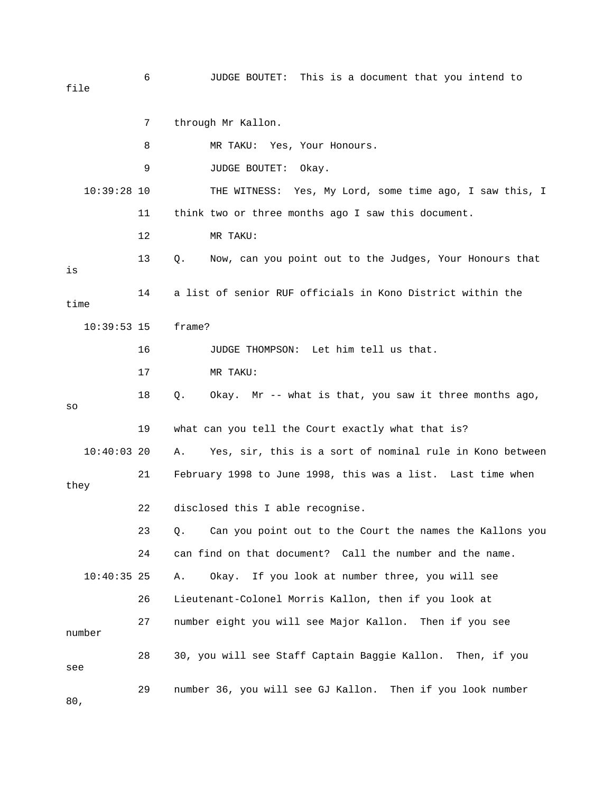file

 7 through Mr Kallon. 8 MR TAKU: Yes, Your Honours. 9 JUDGE BOUTET: Okay. 10:39:28 10 THE WITNESS: Yes, My Lord, some time ago, I saw this, I 11 think two or three months ago I saw this document. 12 MR TAKU: 13 Q. Now, can you point out to the Judges, Your Honours that is 14 a list of senior RUF officials in Kono District within the time 10:39:53 15 frame? 16 JUDGE THOMPSON: Let him tell us that. 17 MR TAKU: 18 Q. Okay. Mr -- what is that, you saw it three months ago, so 19 what can you tell the Court exactly what that is? 10:40:03 20 A. Yes, sir, this is a sort of nominal rule in Kono between 21 February 1998 to June 1998, this was a list. Last time when they 22 disclosed this I able recognise. 23 Q. Can you point out to the Court the names the Kallons you 24 can find on that document? Call the number and the name. 10:40:35 25 A. Okay. If you look at number three, you will see 26 Lieutenant-Colonel Morris Kallon, then if you look at 27 number eight you will see Major Kallon. Then if you see number 28 30, you will see Staff Captain Baggie Kallon. Then, if you see 29 number 36, you will see GJ Kallon. Then if you look number 80,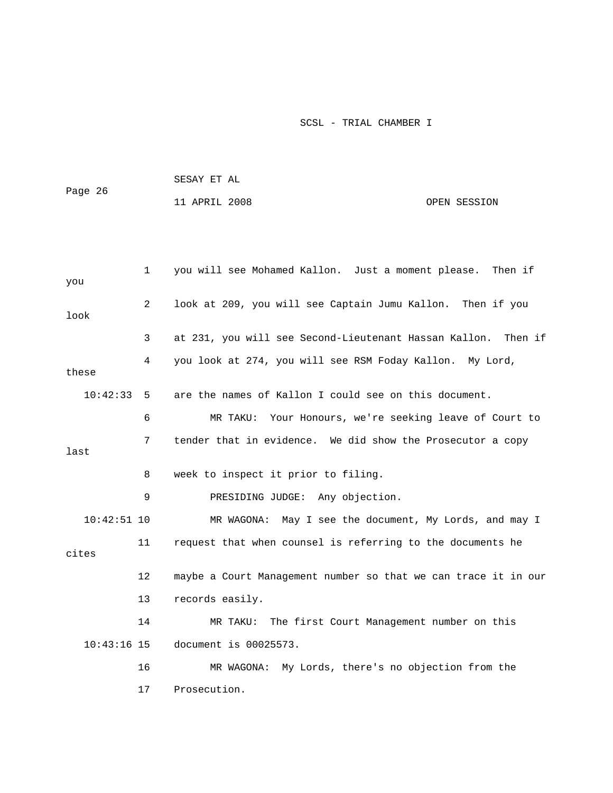| Page 26  |              | SESAY ET AL                                                   |              |
|----------|--------------|---------------------------------------------------------------|--------------|
|          |              | 11 APRIL 2008                                                 | OPEN SESSION |
|          |              |                                                               |              |
|          |              |                                                               |              |
| you      | $\mathbf{1}$ | you will see Mohamed Kallon. Just a moment please. Then if    |              |
| look     | 2            | look at 209, you will see Captain Jumu Kallon. Then if you    |              |
|          | 3            | at 231, you will see Second-Lieutenant Hassan Kallon. Then if |              |
| these    | 4            | you look at 274, you will see RSM Foday Kallon. My Lord,      |              |
| 10:42:33 | 5            | are the names of Kallon I could see on this document.         |              |
|          | 6            | MR TAKU: Your Honours, we're seeking leave of Court to        |              |

last

8 week to inspect it prior to filing.

9 PRESIDING JUDGE: Any objection.

 10:42:51 10 MR WAGONA: May I see the document, My Lords, and may I 11 request that when counsel is referring to the documents he cites 12 maybe a Court Management number so that we can trace it in our 13 records easily. 14 MR TAKU: The first Court Management number on this 10:43:16 15 document is 00025573. 16 MR WAGONA: My Lords, there's no objection from the

7 tender that in evidence. We did show the Prosecutor a copy

17 Prosecution.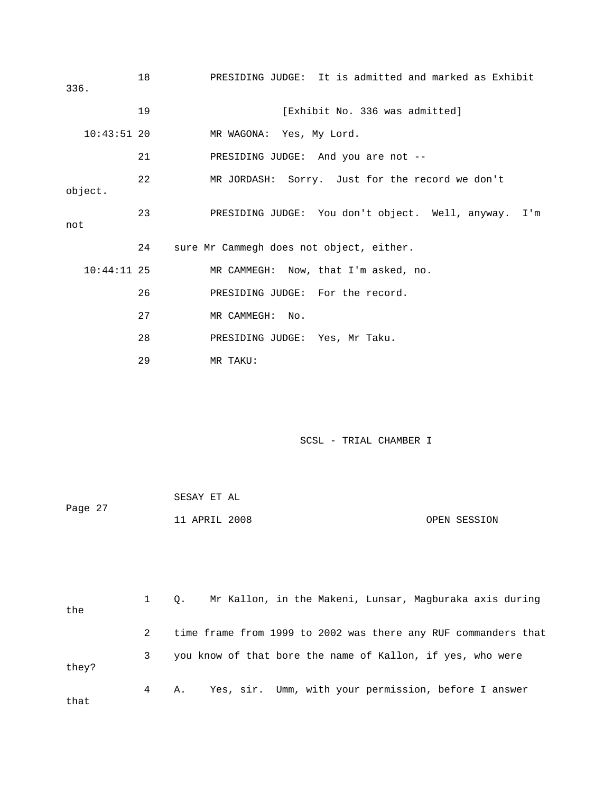| 336.          | 18 | PRESIDING JUDGE: It is admitted and marked as Exhibit |
|---------------|----|-------------------------------------------------------|
|               | 19 | [Exhibit No. 336 was admitted]                        |
| $10:43:51$ 20 |    | MR WAGONA: Yes, My Lord.                              |
|               | 21 | PRESIDING JUDGE: And you are not --                   |
| object.       | 22 | MR JORDASH: Sorry. Just for the record we don't       |
| not           | 23 | PRESIDING JUDGE: You don't object. Well, anyway. I'm  |
|               | 24 | sure Mr Cammegh does not object, either.              |
| $10:44:11$ 25 |    | MR CAMMEGH: Now, that I'm asked, no.                  |
|               | 26 | PRESIDING JUDGE: For the record.                      |
|               | 27 | MR CAMMEGH: No.                                       |
|               | 28 | PRESIDING JUDGE: Yes, Mr Taku.                        |
|               | 29 | MR TAKU:                                              |

| Page 27 | SESAY ET AL   |  |              |
|---------|---------------|--|--------------|
|         | 11 APRIL 2008 |  | OPEN SESSION |

| the   |   | Mr Kallon, in the Makeni, Lunsar, Magburaka axis during<br>$\circ$ . |
|-------|---|----------------------------------------------------------------------|
|       |   | time frame from 1999 to 2002 was there any RUF commanders that       |
| they? |   | you know of that bore the name of Kallon, if yes, who were           |
| that  | 4 | Yes, sir. Umm, with your permission, before I answer<br>А.           |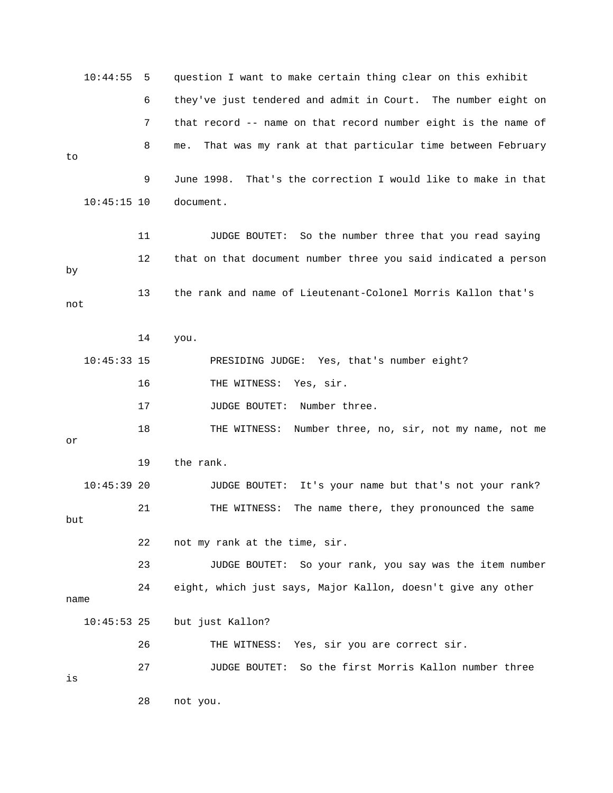|      | 10:44:55      | 5  | question I want to make certain thing clear on this exhibit      |
|------|---------------|----|------------------------------------------------------------------|
|      |               | 6  | they've just tendered and admit in Court. The number eight on    |
|      |               | 7  | that record -- name on that record number eight is the name of   |
| to   |               | 8  | That was my rank at that particular time between February<br>me. |
|      |               | 9  | That's the correction I would like to make in that<br>June 1998. |
|      | $10:45:15$ 10 |    | document.                                                        |
|      |               | 11 | <b>JUDGE BOUTET:</b><br>So the number three that you read saying |
| by   |               | 12 | that on that document number three you said indicated a person   |
| not  |               | 13 | the rank and name of Lieutenant-Colonel Morris Kallon that's     |
|      |               | 14 | you.                                                             |
|      | $10:45:33$ 15 |    | PRESIDING JUDGE: Yes, that's number eight?                       |
|      |               | 16 | THE WITNESS:<br>Yes, sir.                                        |
|      |               | 17 | <b>JUDGE BOUTET:</b><br>Number three.                            |
| or   |               | 18 | THE WITNESS:<br>Number three, no, sir, not my name, not me       |
|      |               | 19 | the rank.                                                        |
|      | $10:45:39$ 20 |    | It's your name but that's not your rank?<br>JUDGE BOUTET:        |
| but  |               | 21 | The name there, they pronounced the same<br>THE WITNESS:         |
|      |               | 22 | not my rank at the time, sir.                                    |
|      |               | 23 | JUDGE BOUTET:<br>So your rank, you say was the item number       |
| name |               | 24 | eight, which just says, Major Kallon, doesn't give any other     |
|      | $10:45:53$ 25 |    | but just Kallon?                                                 |
|      |               | 26 | THE WITNESS: Yes, sir you are correct sir.                       |
| is   |               | 27 | So the first Morris Kallon number three<br>JUDGE BOUTET:         |
|      |               | 28 | not you.                                                         |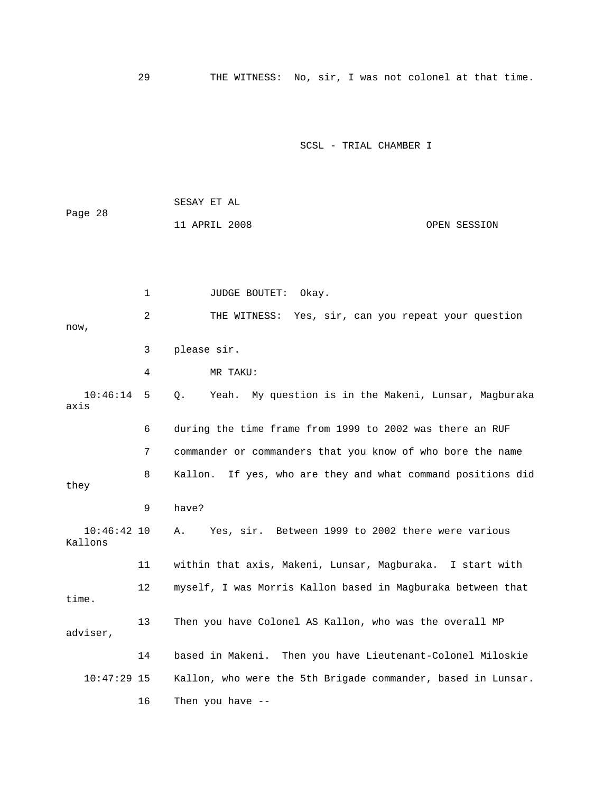29 THE WITNESS: No, sir, I was not colonel at that time.

SCSL - TRIAL CHAMBER I

|         | SESAY ET AL   |              |
|---------|---------------|--------------|
| Page 28 |               |              |
|         | 11 APRIL 2008 | OPEN SESSION |

1 JUDGE BOUTET: Okay. 2 THE WITNESS: Yes, sir, can you repeat your question now, 3 please sir. 4 MR TAKU: 10:46:14 5 Q. Yeah. My question is in the Makeni, Lunsar, Magburaka axis 6 during the time frame from 1999 to 2002 was there an RUF 7 commander or commanders that you know of who bore the name 8 Kallon. If yes, who are they and what command positions did they 9 have? 10:46:42 10 A. Yes, sir. Between 1999 to 2002 there were various Kallons 11 within that axis, Makeni, Lunsar, Magburaka. I start with 12 myself, I was Morris Kallon based in Magburaka between that time. 13 Then you have Colonel AS Kallon, who was the overall MP adviser, 14 based in Makeni. Then you have Lieutenant-Colonel Miloskie 10:47:29 15 Kallon, who were the 5th Brigade commander, based in Lunsar. 16 Then you have --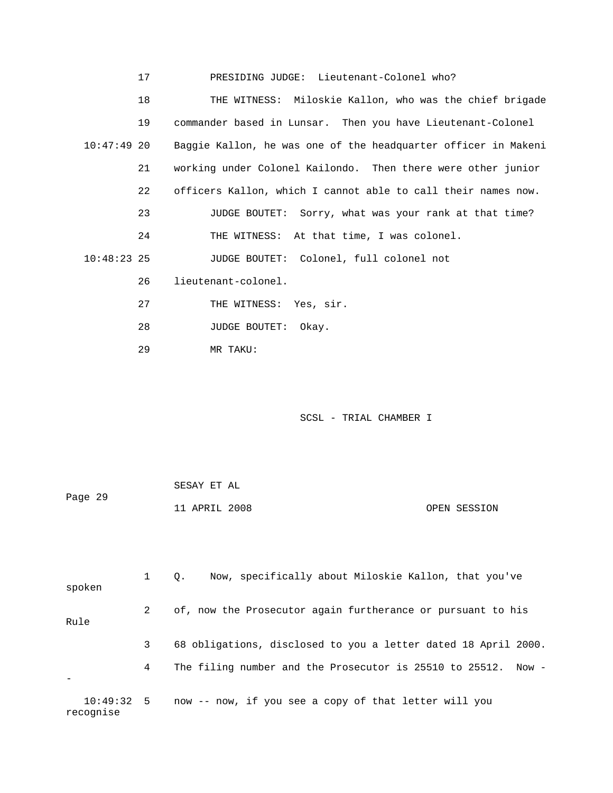|  | PRESIDING JUDGE: Lieutenant-Colonel who? |  |
|--|------------------------------------------|--|
|  |                                          |  |

 18 THE WITNESS: Miloskie Kallon, who was the chief brigade 19 commander based in Lunsar. Then you have Lieutenant-Colonel 10:47:49 20 Baggie Kallon, he was one of the headquarter officer in Makeni 21 working under Colonel Kailondo. Then there were other junior 22 officers Kallon, which I cannot able to call their names now. 23 JUDGE BOUTET: Sorry, what was your rank at that time? 24 THE WITNESS: At that time, I was colonel. 10:48:23 25 JUDGE BOUTET: Colonel, full colonel not 26 lieutenant-colonel. 27 THE WITNESS: Yes, sir.

- 28 JUDGE BOUTET: Okay.
- 29 MR TAKU:

| Page 29 | SESAY ET AL   |              |
|---------|---------------|--------------|
|         | 11 APRIL 2008 | OPEN SESSION |

| spoken                  |   | Now, specifically about Miloskie Kallon, that you've<br>$\circ$ . |
|-------------------------|---|-------------------------------------------------------------------|
| Rule                    | 2 | of, now the Prosecutor again furtherance or pursuant to his       |
|                         | 3 | 68 obligations, disclosed to you a letter dated 18 April 2000.    |
|                         | 4 | The filing number and the Prosecutor is 25510 to 25512. Now -     |
| 10:49:32:5<br>recognise |   | now -- now, if you see a copy of that letter will you             |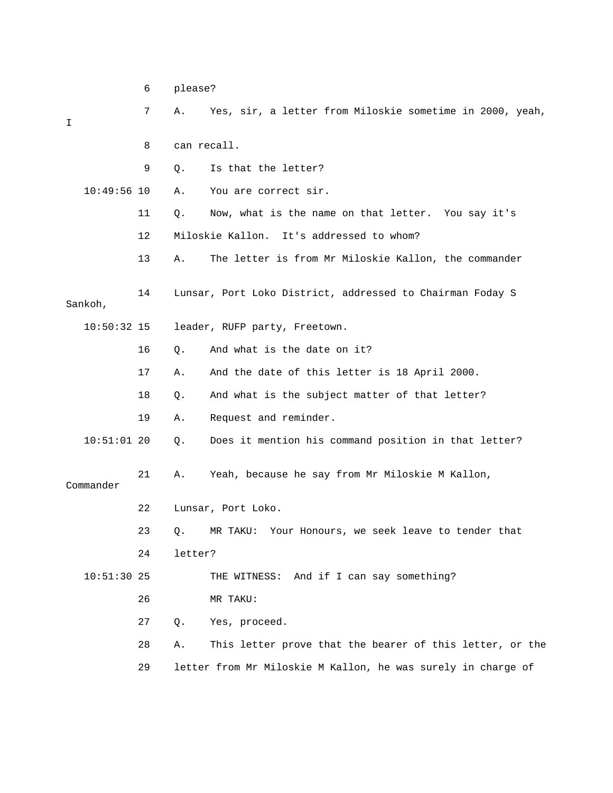|           |               | 6  | please? |                                                           |
|-----------|---------------|----|---------|-----------------------------------------------------------|
| I         |               | 7  | Α.      | Yes, sir, a letter from Miloskie sometime in 2000, yeah,  |
|           |               | 8  |         | can recall.                                               |
|           |               | 9  | Q.      | Is that the letter?                                       |
|           | $10:49:56$ 10 |    | Α.      | You are correct sir.                                      |
|           |               | 11 | Q.      | Now, what is the name on that letter. You say it's        |
|           |               | 12 |         | Miloskie Kallon.<br>It's addressed to whom?               |
|           |               | 13 | Α.      | The letter is from Mr Miloskie Kallon, the commander      |
| Sankoh,   |               | 14 |         | Lunsar, Port Loko District, addressed to Chairman Foday S |
|           | $10:50:32$ 15 |    |         | leader, RUFP party, Freetown.                             |
|           |               | 16 | Q.      | And what is the date on it?                               |
|           |               | 17 | Α.      | And the date of this letter is 18 April 2000.             |
|           |               | 18 | Q.      | And what is the subject matter of that letter?            |
|           |               | 19 | Α.      | Request and reminder.                                     |
|           | $10:51:01$ 20 |    | Q.      | Does it mention his command position in that letter?      |
| Commander |               | 21 | Α.      | Yeah, because he say from Mr Miloskie M Kallon,           |
|           |               | 22 |         | Lunsar, Port Loko.                                        |
|           |               | 23 | Q.      | Your Honours, we seek leave to tender that<br>MR TAKU:    |
|           |               | 24 | letter? |                                                           |
|           | $10:51:30$ 25 |    |         | THE WITNESS: And if I can say something?                  |
|           |               | 26 |         | MR TAKU:                                                  |
|           |               | 27 | Q.      | Yes, proceed.                                             |

 28 A. This letter prove that the bearer of this letter, or the 29 letter from Mr Miloskie M Kallon, he was surely in charge of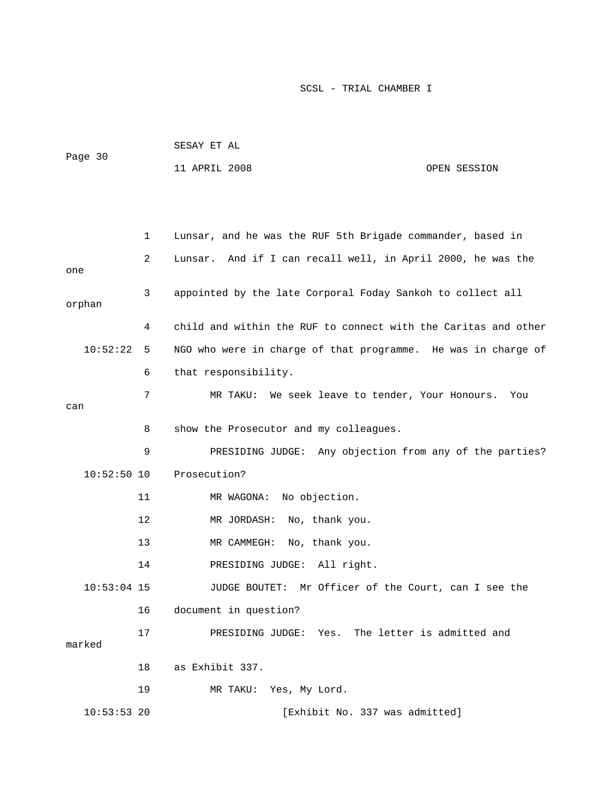| Page 30       |                | SESAY ET AL                                                    |              |
|---------------|----------------|----------------------------------------------------------------|--------------|
|               |                | 11 APRIL 2008                                                  | OPEN SESSION |
|               |                |                                                                |              |
|               |                |                                                                |              |
|               | $\mathbf{1}$   | Lunsar, and he was the RUF 5th Brigade commander, based in     |              |
| one           | $\overline{a}$ | Lunsar. And if I can recall well, in April 2000, he was the    |              |
| orphan        | 3              | appointed by the late Corporal Foday Sankoh to collect all     |              |
|               | 4              | child and within the RUF to connect with the Caritas and other |              |
| 10:52:22      | 5              | NGO who were in charge of that programme. He was in charge of  |              |
|               | 6              | that responsibility.                                           |              |
|               | 7              | MR TAKU: We seek leave to tender, Your Honours.                | You          |
| can           |                |                                                                |              |
|               | 8              | show the Prosecutor and my colleagues.                         |              |
|               | 9              | PRESIDING JUDGE: Any objection from any of the parties?        |              |
| $10:52:50$ 10 |                | Prosecution?                                                   |              |
|               | 11             | MR WAGONA: No objection.                                       |              |
|               | 12             | MR JORDASH:<br>No, thank you.                                  |              |
|               | 13             | No, thank you.<br>MR CAMMEGH:                                  |              |
|               | 14             | PRESIDING JUDGE: All right.                                    |              |

 10:53:04 15 JUDGE BOUTET: Mr Officer of the Court, can I see the 16 document in question?

 17 PRESIDING JUDGE: Yes. The letter is admitted and marked 18 as Exhibit 337. 19 MR TAKU: Yes, My Lord.

10:53:53 20 [Exhibit No. 337 was admitted]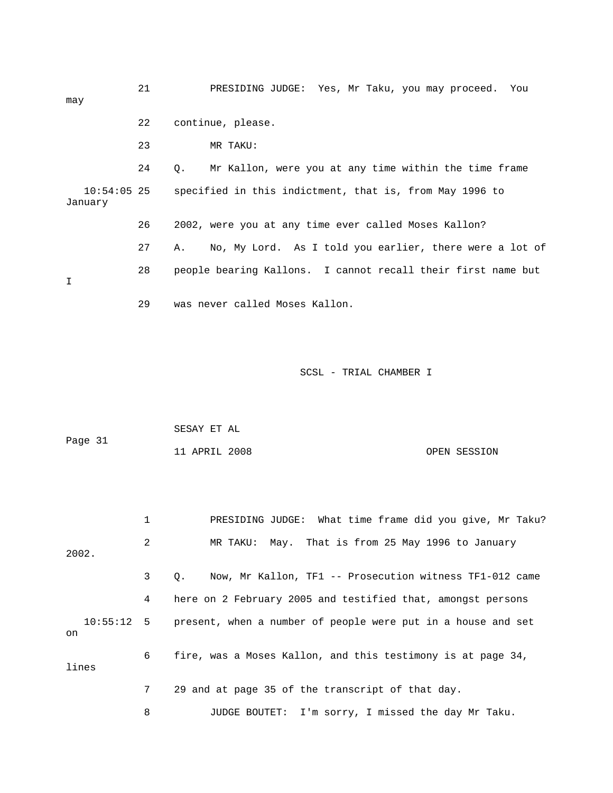21 PRESIDING JUDGE: Yes, Mr Taku, you may proceed. You may 22 continue, please. 23 MR TAKU: 24 Q. Mr Kallon, were you at any time within the time frame 10:54:05 25 specified in this indictment, that is, from May 1996 to January 26 2002, were you at any time ever called Moses Kallon? 27 A. No, My Lord. As I told you earlier, there were a lot of 28 people bearing Kallons. I cannot recall their first name but I 29 was never called Moses Kallon.

SCSL - TRIAL CHAMBER I

| Page 31 | SESAY ET AL   |  |              |
|---------|---------------|--|--------------|
|         | 11 APRIL 2008 |  | OPEN SESSION |

 1 PRESIDING JUDGE: What time frame did you give, Mr Taku? 2 MR TAKU: May. That is from 25 May 1996 to January 2002. 3 Q. Now, Mr Kallon, TF1 -- Prosecution witness TF1-012 came 4 here on 2 February 2005 and testified that, amongst persons 10:55:12 5 present, when a number of people were put in a house and set on 6 fire, was a Moses Kallon, and this testimony is at page 34, lines 7 29 and at page 35 of the transcript of that day. 8 JUDGE BOUTET: I'm sorry, I missed the day Mr Taku.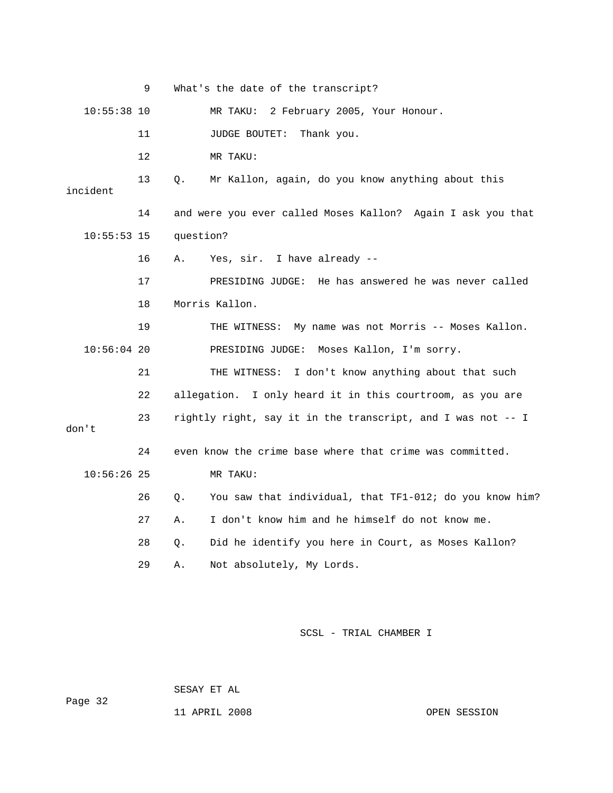|               | 9                                                             | What's the date of the transcript?                            |  |  |  |  |
|---------------|---------------------------------------------------------------|---------------------------------------------------------------|--|--|--|--|
| $10:55:38$ 10 |                                                               | MR TAKU: 2 February 2005, Your Honour.                        |  |  |  |  |
|               | 11                                                            | JUDGE BOUTET:<br>Thank you.                                   |  |  |  |  |
|               | 12                                                            | MR TAKU:                                                      |  |  |  |  |
| incident      | 13                                                            | О.<br>Mr Kallon, again, do you know anything about this       |  |  |  |  |
|               | 14                                                            | and were you ever called Moses Kallon? Again I ask you that   |  |  |  |  |
| $10:55:53$ 15 |                                                               | question?                                                     |  |  |  |  |
|               | 16                                                            | Yes, sir. I have already --<br>Α.                             |  |  |  |  |
|               | 17                                                            | He has answered he was never called<br>PRESIDING JUDGE:       |  |  |  |  |
|               | 18                                                            | Morris Kallon.                                                |  |  |  |  |
|               | 19<br>My name was not Morris -- Moses Kallon.<br>THE WITNESS: |                                                               |  |  |  |  |
| $10:56:04$ 20 |                                                               | PRESIDING JUDGE:<br>Moses Kallon, I'm sorry.                  |  |  |  |  |
|               | 21                                                            | I don't know anything about that such<br>THE WITNESS:         |  |  |  |  |
|               | 22                                                            | allegation. I only heard it in this courtroom, as you are     |  |  |  |  |
| don't         | rightly right, say it in the transcript, and I was not -- I   |                                                               |  |  |  |  |
|               | 24                                                            | even know the crime base where that crime was committed.      |  |  |  |  |
| $10:56:26$ 25 |                                                               | MR TAKU:                                                      |  |  |  |  |
|               | 26                                                            | You saw that individual, that TF1-012; do you know him?<br>О. |  |  |  |  |
|               | 27                                                            | I don't know him and he himself do not know me.<br>Α.         |  |  |  |  |
|               | 28                                                            | Did he identify you here in Court, as Moses Kallon?<br>Q.     |  |  |  |  |
|               | 29                                                            | Not absolutely, My Lords.<br>Α.                               |  |  |  |  |

SESAY ET AL

Page 32

11 APRIL 2008 OPEN SESSION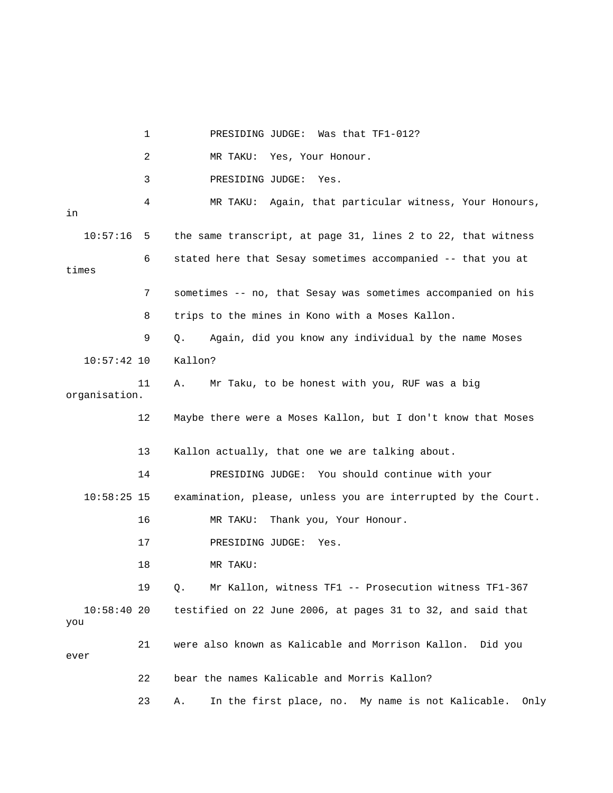|                      | 1  | Was that TF1-012?<br>PRESIDING JUDGE:                           |
|----------------------|----|-----------------------------------------------------------------|
|                      | 2  | MR TAKU: Yes, Your Honour.                                      |
|                      | 3  | PRESIDING JUDGE:<br>Yes.                                        |
| in                   | 4  | MR TAKU: Again, that particular witness, Your Honours,          |
| 10:57:16             | 5  | the same transcript, at page 31, lines 2 to 22, that witness    |
| times                | 6  | stated here that Sesay sometimes accompanied -- that you at     |
|                      | 7  | sometimes -- no, that Sesay was sometimes accompanied on his    |
|                      | 8  | trips to the mines in Kono with a Moses Kallon.                 |
|                      | 9  | Again, did you know any individual by the name Moses<br>Q.      |
| $10:57:42$ 10        |    | Kallon?                                                         |
| organisation.        | 11 | Mr Taku, to be honest with you, RUF was a big<br>Α.             |
|                      | 12 | Maybe there were a Moses Kallon, but I don't know that Moses    |
|                      | 13 | Kallon actually, that one we are talking about.                 |
|                      | 14 | PRESIDING JUDGE: You should continue with your                  |
| $10:58:25$ 15        |    | examination, please, unless you are interrupted by the Court.   |
|                      | 16 | Thank you, Your Honour.<br>MR TAKU:                             |
|                      | 17 | PRESIDING JUDGE:<br>Yes.                                        |
|                      | 18 | MR TAKU:                                                        |
|                      | 19 | Mr Kallon, witness TF1 -- Prosecution witness TF1-367<br>Q.     |
| $10:58:40$ 20<br>you |    | testified on 22 June 2006, at pages 31 to 32, and said that     |
| ever                 | 21 | were also known as Kalicable and Morrison Kallon. Did you       |
|                      | 22 | bear the names Kalicable and Morris Kallon?                     |
|                      | 23 | In the first place, no. My name is not Kalicable.<br>Only<br>Α. |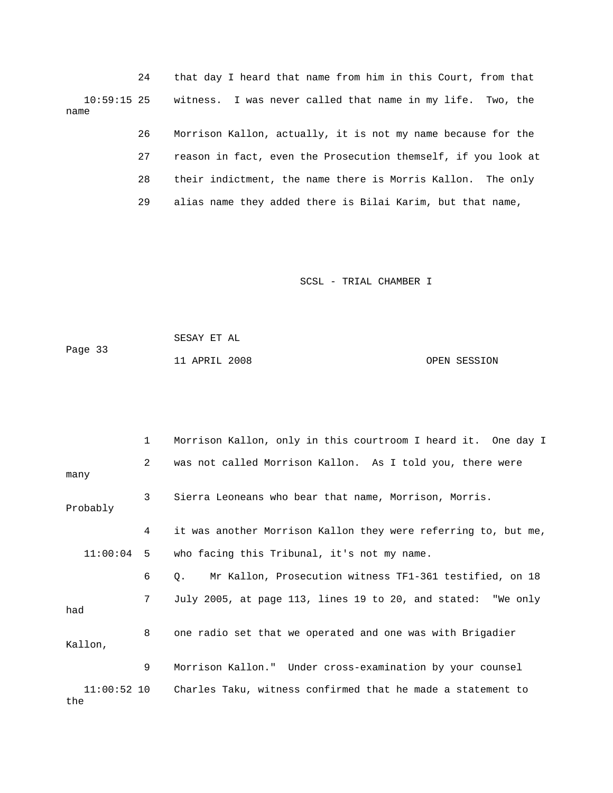24 that day I heard that name from him in this Court, from that 10:59:15 25 witness. I was never called that name in my life. Two, the name

> 26 Morrison Kallon, actually, it is not my name because for the 27 reason in fact, even the Prosecution themself, if you look at 28 their indictment, the name there is Morris Kallon. The only 29 alias name they added there is Bilai Karim, but that name,

> > SCSL - TRIAL CHAMBER I

 SESAY ET AL Page 33 11 APRIL 2008 OPEN SESSION

 1 Morrison Kallon, only in this courtroom I heard it. One day I 2 was not called Morrison Kallon. As I told you, there were many 3 Sierra Leoneans who bear that name, Morrison, Morris. Probably 4 it was another Morrison Kallon they were referring to, but me, 11:00:04 5 who facing this Tribunal, it's not my name. 6 Q. Mr Kallon, Prosecution witness TF1-361 testified, on 18 7 July 2005, at page 113, lines 19 to 20, and stated: "We only had 8 one radio set that we operated and one was with Brigadier Kallon, 9 Morrison Kallon." Under cross-examination by your counsel 11:00:52 10 Charles Taku, witness confirmed that he made a statement to the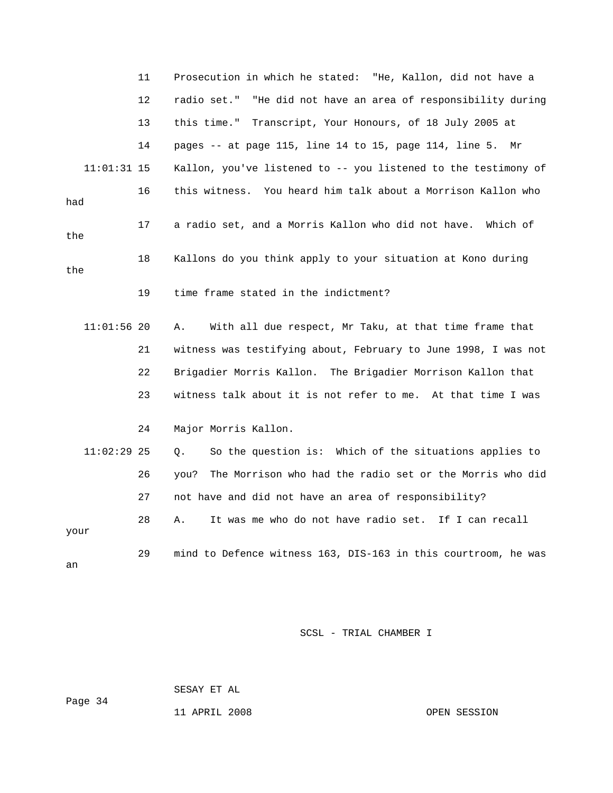|               | 11 | Prosecution in which he stated: "He, Kallon, did not have a      |
|---------------|----|------------------------------------------------------------------|
|               | 12 | radio set." "He did not have an area of responsibility during    |
|               | 13 | this time." Transcript, Your Honours, of 18 July 2005 at         |
|               | 14 | pages -- at page 115, line 14 to 15, page 114, line 5. Mr        |
| $11:01:31$ 15 |    | Kallon, you've listened to -- you listened to the testimony of   |
| had           | 16 | this witness. You heard him talk about a Morrison Kallon who     |
| the           | 17 | a radio set, and a Morris Kallon who did not have. Which of      |
| the           | 18 | Kallons do you think apply to your situation at Kono during      |
|               | 19 | time frame stated in the indictment?                             |
| $11:01:56$ 20 |    | With all due respect, Mr Taku, at that time frame that<br>Α.     |
|               | 21 | witness was testifying about, February to June 1998, I was not   |
|               | 22 | Brigadier Morris Kallon. The Brigadier Morrison Kallon that      |
|               | 23 | witness talk about it is not refer to me. At that time I was     |
|               | 24 | Major Morris Kallon.                                             |
| $11:02:29$ 25 |    | So the question is: Which of the situations applies to<br>Q.     |
|               | 26 | The Morrison who had the radio set or the Morris who did<br>you? |
|               | 27 | not have and did not have an area of responsibility?             |
| your          | 28 | It was me who do not have radio set. If I can recall<br>Α.       |
| an            | 29 | mind to Defence witness 163, DIS-163 in this courtroom, he was   |

SESAY ET AL

Page 34

11 APRIL 2008 OPEN SESSION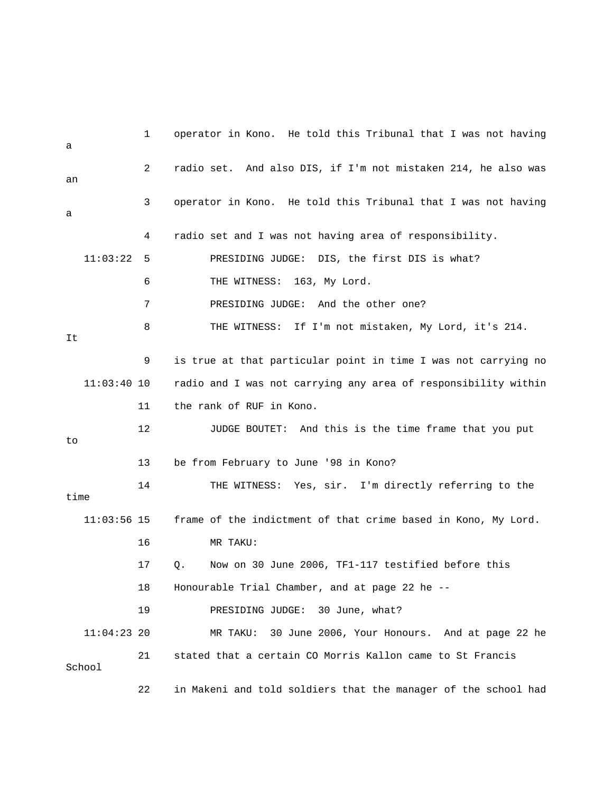1 operator in Kono. He told this Tribunal that I was not having a 2 radio set. And also DIS, if I'm not mistaken 214, he also was an 3 operator in Kono. He told this Tribunal that I was not having a 4 radio set and I was not having area of responsibility. 11:03:22 5 PRESIDING JUDGE: DIS, the first DIS is what? 6 THE WITNESS: 163, My Lord. 7 PRESIDING JUDGE: And the other one? 8 THE WITNESS: If I'm not mistaken, My Lord, it's 214. It 9 is true at that particular point in time I was not carrying no 11:03:40 10 radio and I was not carrying any area of responsibility within 11 the rank of RUF in Kono. 12 JUDGE BOUTET: And this is the time frame that you put to 13 be from February to June '98 in Kono? 14 THE WITNESS: Yes, sir. I'm directly referring to the time 11:03:56 15 frame of the indictment of that crime based in Kono, My Lord. 16 MR TAKU: 17 Q. Now on 30 June 2006, TF1-117 testified before this 18 Honourable Trial Chamber, and at page 22 he -- 19 PRESIDING JUDGE: 30 June, what? 11:04:23 20 MR TAKU: 30 June 2006, Your Honours. And at page 22 he 21 stated that a certain CO Morris Kallon came to St Francis School 22 in Makeni and told soldiers that the manager of the school had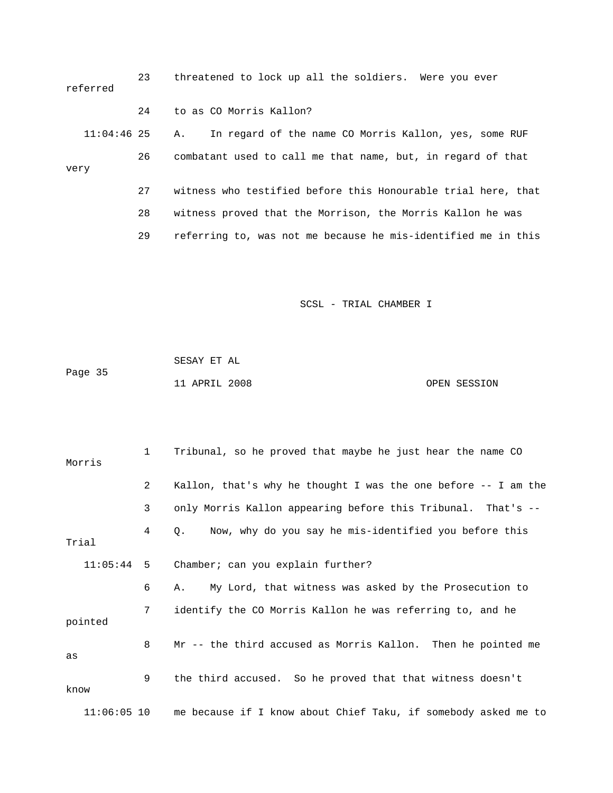| referred      | 23 | threatened to lock up all the soldiers. Were you ever         |
|---------------|----|---------------------------------------------------------------|
|               | 24 | to as CO Morris Kallon?                                       |
| $11:04:46$ 25 |    | In regard of the name CO Morris Kallon, yes, some RUF<br>А.   |
| 26<br>very    |    | combatant used to call me that name, but, in regard of that   |
|               | 27 | witness who testified before this Honourable trial here, that |
|               | 28 | witness proved that the Morrison, the Morris Kallon he was    |
|               | 29 | referring to, was not me because he mis-identified me in this |

|         | SESAY ET AL   |              |
|---------|---------------|--------------|
| Page 35 |               |              |
|         | 11 APRIL 2008 | OPEN SESSION |

| Morris        | $\mathbf{1}$   | Tribunal, so he proved that maybe he just hear the name CO           |
|---------------|----------------|----------------------------------------------------------------------|
|               | $\overline{2}$ | Kallon, that's why he thought I was the one before -- I am the       |
|               | 3              | only Morris Kallon appearing before this Tribunal. That's --         |
| Trial         | 4              | Now, why do you say he mis-identified you before this<br>$Q_{\star}$ |
| $11:05:44$ 5  |                | Chamber; can you explain further?                                    |
|               | 6              | My Lord, that witness was asked by the Prosecution to<br>Α.          |
| pointed       | 7              | identify the CO Morris Kallon he was referring to, and he            |
| as            | 8              | Mr -- the third accused as Morris Kallon. Then he pointed me         |
| know          | 9              | the third accused. So he proved that that witness doesn't            |
| $11:06:05$ 10 |                | me because if I know about Chief Taku, if somebody asked me to       |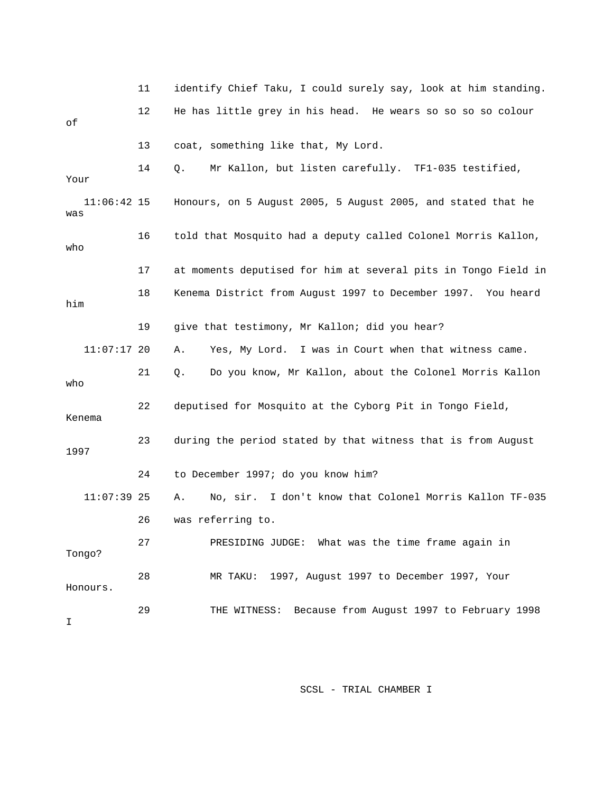|                      | 11 | identify Chief Taku, I could surely say, look at him standing. |
|----------------------|----|----------------------------------------------------------------|
| оf                   | 12 | He has little grey in his head. He wears so so so so colour    |
|                      | 13 | coat, something like that, My Lord.                            |
| Your                 | 14 | Mr Kallon, but listen carefully. TF1-035 testified,<br>Q.      |
| $11:06:42$ 15<br>was |    | Honours, on 5 August 2005, 5 August 2005, and stated that he   |
| who                  | 16 | told that Mosquito had a deputy called Colonel Morris Kallon,  |
|                      | 17 | at moments deputised for him at several pits in Tongo Field in |
| him                  | 18 | Kenema District from August 1997 to December 1997. You heard   |
|                      | 19 | give that testimony, Mr Kallon; did you hear?                  |
| $11:07:17$ 20        |    | Yes, My Lord. I was in Court when that witness came.<br>Α.     |
| who                  | 21 | Do you know, Mr Kallon, about the Colonel Morris Kallon<br>Q.  |
| Kenema               | 22 | deputised for Mosquito at the Cyborg Pit in Tongo Field,       |
| 1997                 | 23 | during the period stated by that witness that is from August   |
|                      | 24 | to December 1997; do you know him?                             |
| $11:07:39$ 25        |    | No, sir. I don't know that Colonel Morris Kallon TF-035<br>Α.  |
|                      | 26 | was referring to.                                              |
| Tongo?               | 27 | PRESIDING JUDGE: What was the time frame again in              |
| Honours.             | 28 | MR TAKU: 1997, August 1997 to December 1997, Your              |
| I                    | 29 | THE WITNESS: Because from August 1997 to February 1998         |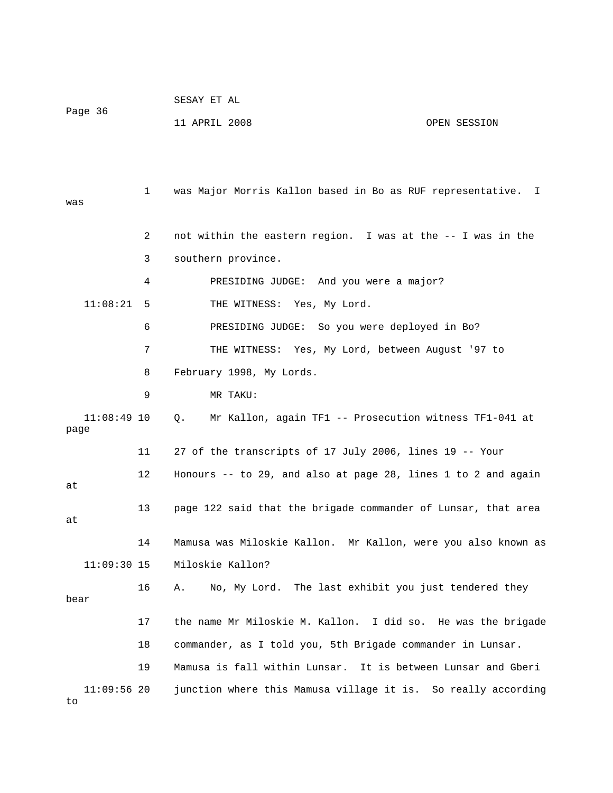|         | SESAY ET AL   |              |
|---------|---------------|--------------|
| Page 36 |               |              |
|         | 11 APRIL 2008 | OPEN SESSION |

 1 was Major Morris Kallon based in Bo as RUF representative. I was 2 not within the eastern region. I was at the -- I was in the 3 southern province. 4 PRESIDING JUDGE: And you were a major? 11:08:21 5 THE WITNESS: Yes, My Lord. 6 PRESIDING JUDGE: So you were deployed in Bo? 7 THE WITNESS: Yes, My Lord, between August '97 to 8 February 1998, My Lords. 9 MR TAKU: 11:08:49 10 Q. Mr Kallon, again TF1 -- Prosecution witness TF1-041 at page 11 27 of the transcripts of 17 July 2006, lines 19 -- Your 12 Honours -- to 29, and also at page 28, lines 1 to 2 and again at 13 page 122 said that the brigade commander of Lunsar, that area at 14 Mamusa was Miloskie Kallon. Mr Kallon, were you also known as 11:09:30 15 Miloskie Kallon? 16 A. No, My Lord. The last exhibit you just tendered they bear 17 the name Mr Miloskie M. Kallon. I did so. He was the brigade 18 commander, as I told you, 5th Brigade commander in Lunsar. 19 Mamusa is fall within Lunsar. It is between Lunsar and Gberi 11:09:56 20 junction where this Mamusa village it is. So really according

to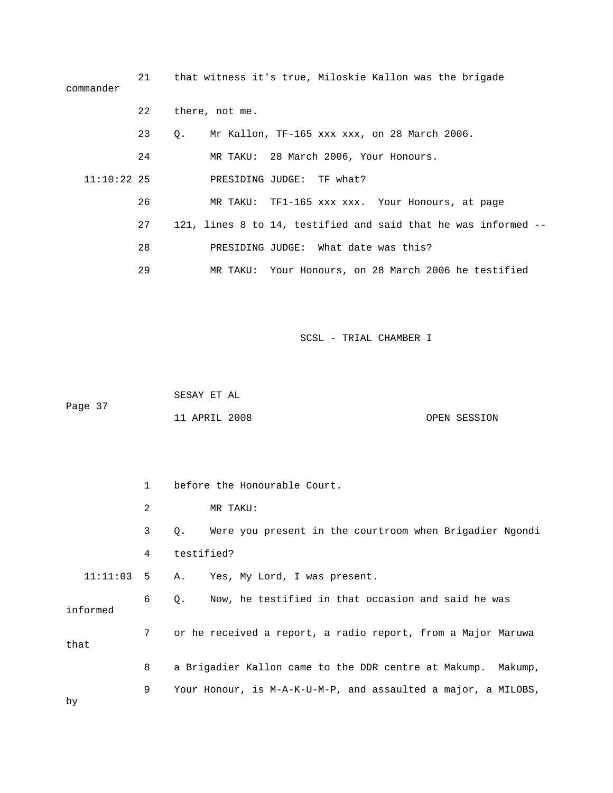| commander     |    | 21 that witness it's true, Miloskie Kallon was the brigade     |  |  |  |  |
|---------------|----|----------------------------------------------------------------|--|--|--|--|
|               | 22 | there, not me.                                                 |  |  |  |  |
|               | 23 | Mr Kallon, TF-165 xxx xxx, on 28 March 2006.<br>О.             |  |  |  |  |
|               | 24 | MR TAKU: 28 March 2006, Your Honours.                          |  |  |  |  |
| $11:10:22$ 25 |    | PRESIDING JUDGE: TF what?                                      |  |  |  |  |
|               | 26 | MR TAKU: TF1-165 xxx xxx. Your Honours, at page                |  |  |  |  |
|               | 27 | 121, lines 8 to 14, testified and said that he was informed -- |  |  |  |  |
|               | 28 | PRESIDING JUDGE: What date was this?                           |  |  |  |  |
|               | 29 | MR TAKU: Your Honours, on 28 March 2006 he testified           |  |  |  |  |
|               |    |                                                                |  |  |  |  |

 SESAY ET AL Page 37 11 APRIL 2008 OPEN SESSION

|              | $\mathbf{1}$ | before the Honourable Court.                                         |  |  |
|--------------|--------------|----------------------------------------------------------------------|--|--|
|              | 2            | MR TAKU:                                                             |  |  |
|              | 3            | Were you present in the courtroom when Brigadier Ngondi<br>$\circ$ . |  |  |
|              | 4            | testified?                                                           |  |  |
| $11:11:03$ 5 |              | A. Yes, My Lord, I was present.                                      |  |  |
| informed     | 6            | Now, he testified in that occasion and said he was<br>Q.             |  |  |
| that         | 7            | or he received a report, a radio report, from a Major Maruwa         |  |  |
|              | 8            | a Brigadier Kallon came to the DDR centre at Makump. Makump,         |  |  |
| by           | 9            | Your Honour, is M-A-K-U-M-P, and assaulted a major, a MILOBS,        |  |  |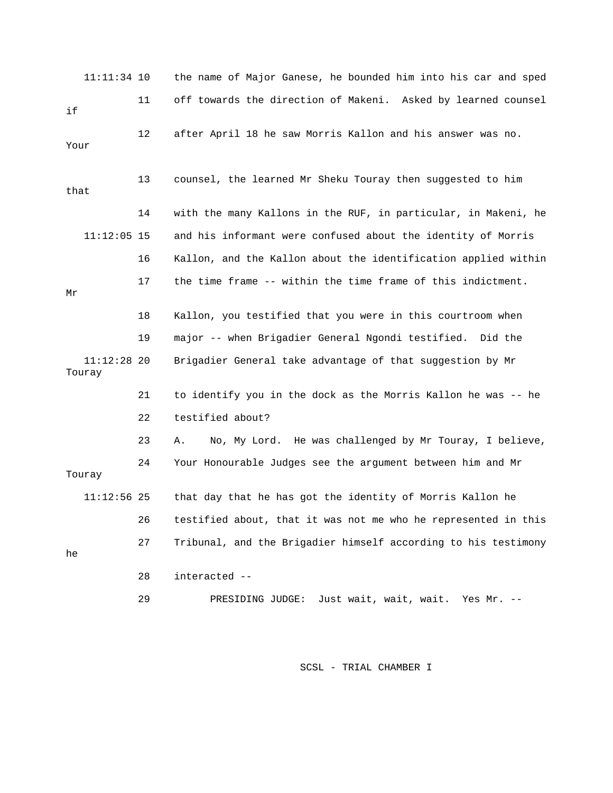|        | $11:11:34$ 10 |    | the name of Major Ganese, he bounded him into his car and sped |
|--------|---------------|----|----------------------------------------------------------------|
| if     |               | 11 | off towards the direction of Makeni. Asked by learned counsel  |
| Your   |               | 12 | after April 18 he saw Morris Kallon and his answer was no.     |
| that   |               | 13 | counsel, the learned Mr Sheku Touray then suggested to him     |
|        |               | 14 | with the many Kallons in the RUF, in particular, in Makeni, he |
|        | $11:12:05$ 15 |    | and his informant were confused about the identity of Morris   |
|        |               | 16 | Kallon, and the Kallon about the identification applied within |
| Μr     |               | 17 | the time frame -- within the time frame of this indictment.    |
|        |               | 18 | Kallon, you testified that you were in this courtroom when     |
|        |               | 19 | major -- when Brigadier General Ngondi testified. Did the      |
| Touray | $11:12:28$ 20 |    | Brigadier General take advantage of that suggestion by Mr      |
|        |               | 21 | to identify you in the dock as the Morris Kallon he was -- he  |
|        |               | 22 | testified about?                                               |
|        |               | 23 | No, My Lord. He was challenged by Mr Touray, I believe,<br>Α.  |
| Touray |               | 24 | Your Honourable Judges see the argument between him and Mr     |
|        | $11:12:56$ 25 |    | that day that he has got the identity of Morris Kallon he      |
|        |               | 26 | testified about, that it was not me who he represented in this |
| he     |               | 27 | Tribunal, and the Brigadier himself according to his testimony |
|        |               | 28 | interacted --                                                  |
|        |               | 29 | Just wait, wait, wait. Yes Mr. --<br>PRESIDING JUDGE:          |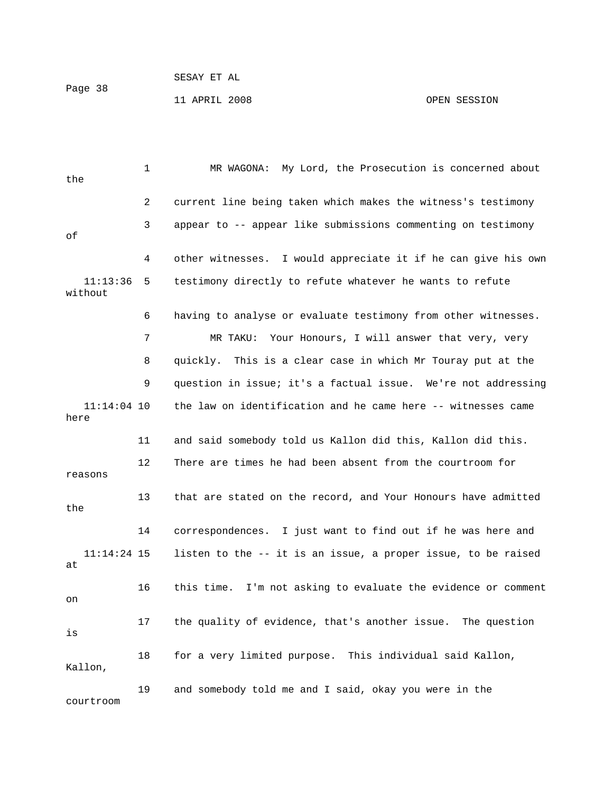11 APRIL 2008 OPEN SESSION

 1 MR WAGONA: My Lord, the Prosecution is concerned about the 2 current line being taken which makes the witness's testimony 3 appear to -- appear like submissions commenting on testimony of 4 other witnesses. I would appreciate it if he can give his own 11:13:36 5 testimony directly to refute whatever he wants to refute without 6 having to analyse or evaluate testimony from other witnesses. 7 MR TAKU: Your Honours, I will answer that very, very 8 quickly. This is a clear case in which Mr Touray put at the 9 question in issue; it's a factual issue. We're not addressing 11:14:04 10 the law on identification and he came here -- witnesses came here 11 and said somebody told us Kallon did this, Kallon did this. 12 There are times he had been absent from the courtroom for reasons 13 that are stated on the record, and Your Honours have admitted the 14 correspondences. I just want to find out if he was here and 11:14:24 15 listen to the -- it is an issue, a proper issue, to be raised at 16 this time. I'm not asking to evaluate the evidence or comment on 17 the quality of evidence, that's another issue. The question is 18 for a very limited purpose. This individual said Kallon, Kallon, 19 and somebody told me and I said, okay you were in the courtroom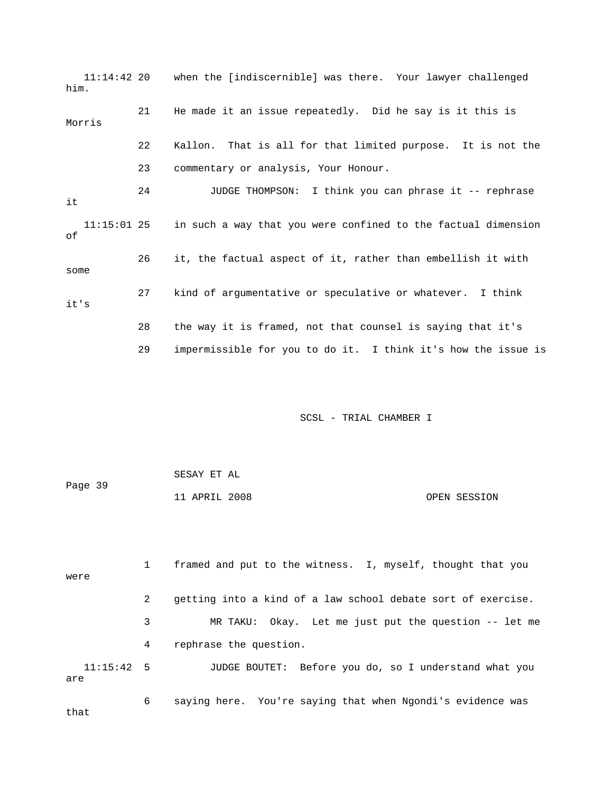11:14:42 20 when the [indiscernible] was there. Your lawyer challenged him. 21 He made it an issue repeatedly. Did he say is it this is Morris 22 Kallon. That is all for that limited purpose. It is not the 23 commentary or analysis, Your Honour. 24 JUDGE THOMPSON: I think you can phrase it -- rephrase it 11:15:01 25 in such a way that you were confined to the factual dimension of 26 it, the factual aspect of it, rather than embellish it with some 27 kind of argumentative or speculative or whatever. I think it's 28 the way it is framed, not that counsel is saying that it's 29 impermissible for you to do it. I think it's how the issue is

SCSL - TRIAL CHAMBER I

| Page 39 | SESAY ET AL   |  |              |
|---------|---------------|--|--------------|
|         | 11 APRIL 2008 |  | OPEN SESSION |

 1 framed and put to the witness. I, myself, thought that you were 2 getting into a kind of a law school debate sort of exercise. 3 MR TAKU: Okay. Let me just put the question -- let me 4 rephrase the question. 11:15:42 5 JUDGE BOUTET: Before you do, so I understand what you are 6 saying here. You're saying that when Ngondi's evidence was that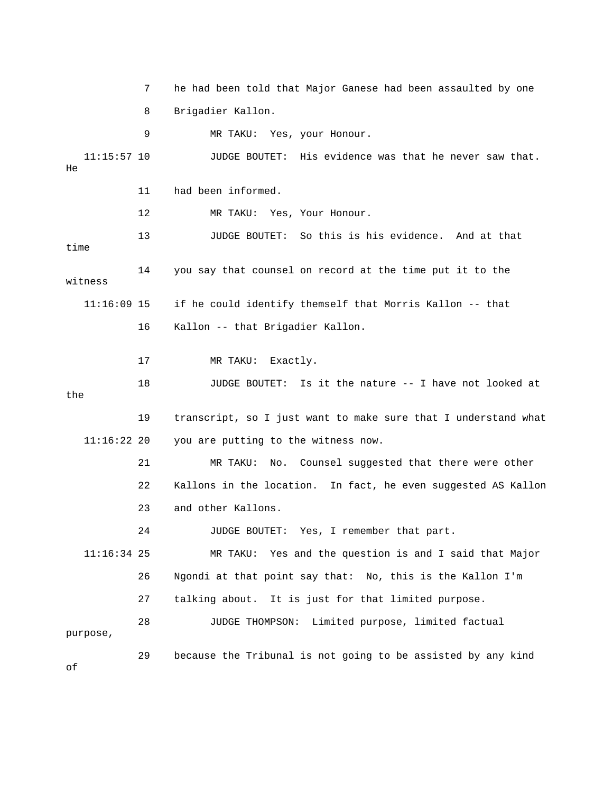7 he had been told that Major Ganese had been assaulted by one 8 Brigadier Kallon. 9 MR TAKU: Yes, your Honour. 11:15:57 10 JUDGE BOUTET: His evidence was that he never saw that. He 11 had been informed. 12 MR TAKU: Yes, Your Honour. 13 JUDGE BOUTET: So this is his evidence. And at that time 14 you say that counsel on record at the time put it to the witness 11:16:09 15 if he could identify themself that Morris Kallon -- that 16 Kallon -- that Brigadier Kallon. 17 MR TAKU: Exactly. 18 JUDGE BOUTET: Is it the nature -- I have not looked at the 19 transcript, so I just want to make sure that I understand what 11:16:22 20 you are putting to the witness now. 21 MR TAKU: No. Counsel suggested that there were other 22 Kallons in the location. In fact, he even suggested AS Kallon 23 and other Kallons. 24 JUDGE BOUTET: Yes, I remember that part. 11:16:34 25 MR TAKU: Yes and the question is and I said that Major 26 Ngondi at that point say that: No, this is the Kallon I'm 27 talking about. It is just for that limited purpose. 28 JUDGE THOMPSON: Limited purpose, limited factual purpose, 29 because the Tribunal is not going to be assisted by any kind of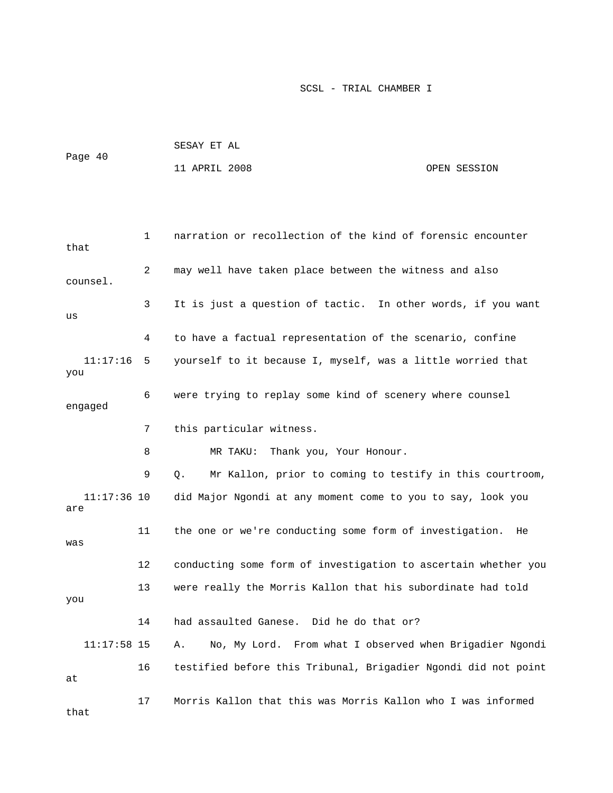| Page 40 | SESAY ET AL   |  |              |
|---------|---------------|--|--------------|
|         | 11 APRIL 2008 |  | OPEN SESSION |

```
 1 narration or recollection of the kind of forensic encounter 
that 
              2 may well have taken place between the witness and also 
counsel. 
              3 It is just a question of tactic. In other words, if you want 
us 
              4 to have a factual representation of the scenario, confine 
   11:17:16 5 yourself to it because I, myself, was a little worried that 
you 
              6 were trying to replay some kind of scenery where counsel 
engaged 
              7 this particular witness. 
              8 MR TAKU: Thank you, Your Honour. 
              9 Q. Mr Kallon, prior to coming to testify in this courtroom, 
    11:17:36 10 did Major Ngondi at any moment come to you to say, look you 
are 
            11 the one or we're conducting some form of investigation. He 
was 
             12 conducting some form of investigation to ascertain whether you 
            13 were really the Morris Kallon that his subordinate had told 
you 
            14 had assaulted Ganese. Did he do that or? 
    11:17:58 15 A. No, My Lord. From what I observed when Brigadier Ngondi 
            16 testified before this Tribunal, Brigadier Ngondi did not point 
at 
            17 Morris Kallon that this was Morris Kallon who I was informed 
that
```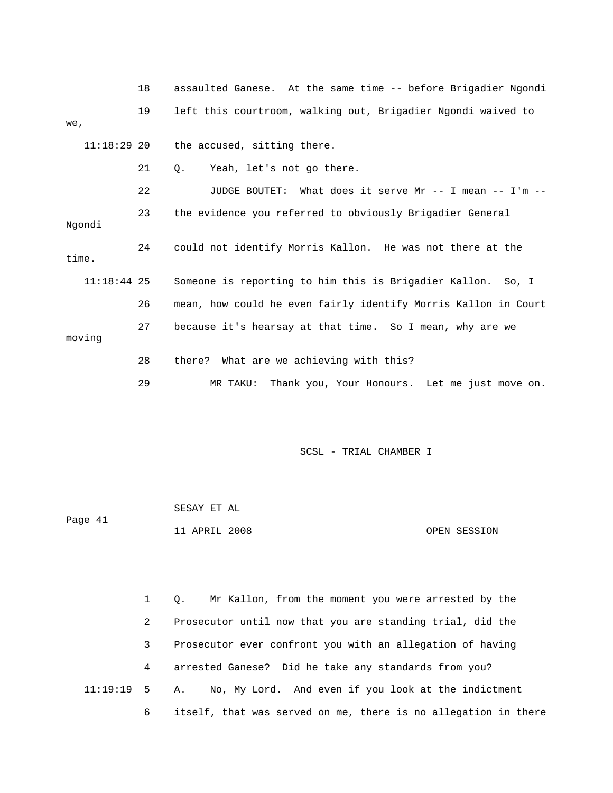|               | 18 | assaulted Ganese. At the same time -- before Brigadier Ngondi  |
|---------------|----|----------------------------------------------------------------|
| we,           | 19 | left this courtroom, walking out, Brigadier Ngondi waived to   |
| $11:18:29$ 20 |    | the accused, sitting there.                                    |
|               | 21 | Yeah, let's not go there.<br>$\circ$ .                         |
|               | 22 | JUDGE BOUTET: What does it serve Mr -- I mean -- I'm --        |
| Ngondi        | 23 | the evidence you referred to obviously Brigadier General       |
| time.         | 24 | could not identify Morris Kallon. He was not there at the      |
| $11:18:44$ 25 |    | Someone is reporting to him this is Brigadier Kallon. So, I    |
|               | 26 | mean, how could he even fairly identify Morris Kallon in Court |
| moving        | 27 | because it's hearsay at that time. So I mean, why are we       |
|               | 28 | there? What are we achieving with this?                        |
|               | 29 | Thank you, Your Honours. Let me just move on.<br>MR TAKU:      |

| Page 41 | SESAY ET AL   |  |              |
|---------|---------------|--|--------------|
|         | 11 APRIL 2008 |  | OPEN SESSION |

 1 Q. Mr Kallon, from the moment you were arrested by the 2 Prosecutor until now that you are standing trial, did the 3 Prosecutor ever confront you with an allegation of having 4 arrested Ganese? Did he take any standards from you? 11:19:19 5 A. No, My Lord. And even if you look at the indictment 6 itself, that was served on me, there is no allegation in there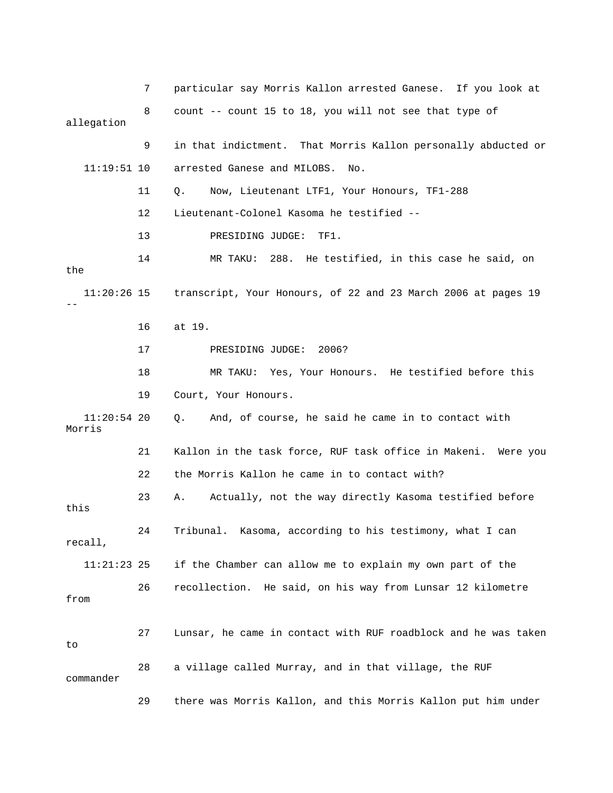7 particular say Morris Kallon arrested Ganese. If you look at 8 count -- count 15 to 18, you will not see that type of allegation 9 in that indictment. That Morris Kallon personally abducted or 11:19:51 10 arrested Ganese and MILOBS. No. 11 Q. Now, Lieutenant LTF1, Your Honours, TF1-288 12 Lieutenant-Colonel Kasoma he testified -- 13 PRESIDING JUDGE: TF1. 14 MR TAKU: 288. He testified, in this case he said, on the 11:20:26 15 transcript, Your Honours, of 22 and 23 March 2006 at pages 19 -- 16 at 19. 17 PRESIDING JUDGE: 2006? 18 MR TAKU: Yes, Your Honours. He testified before this 19 Court, Your Honours. 11:20:54 20 Q. And, of course, he said he came in to contact with Morris 21 Kallon in the task force, RUF task office in Makeni. Were you 22 the Morris Kallon he came in to contact with? 23 A. Actually, not the way directly Kasoma testified before this 24 Tribunal. Kasoma, according to his testimony, what I can recall, 11:21:23 25 if the Chamber can allow me to explain my own part of the 26 recollection. He said, on his way from Lunsar 12 kilometre from 27 Lunsar, he came in contact with RUF roadblock and he was taken to 28 a village called Murray, and in that village, the RUF commander 29 there was Morris Kallon, and this Morris Kallon put him under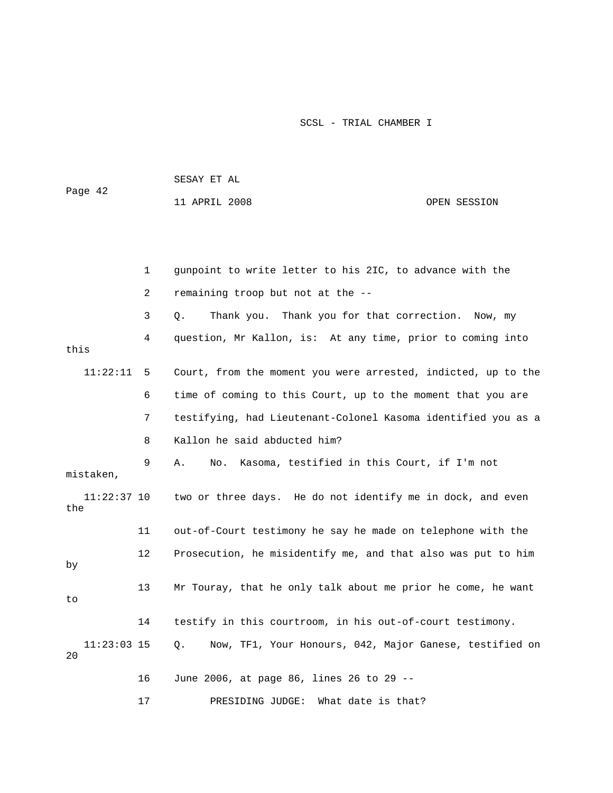| Page 42              |    | 11 APRIL 2008                                                 | OPEN SESSION |
|----------------------|----|---------------------------------------------------------------|--------------|
|                      |    |                                                               |              |
|                      | 1  | gunpoint to write letter to his 2IC, to advance with the      |              |
|                      | 2  | remaining troop but not at the --                             |              |
|                      | 3  | Thank you for that correction.<br>О.<br>Thank you.            | Now, my      |
| this                 | 4  | question, Mr Kallon, is: At any time, prior to coming into    |              |
| 11:22:11             | 5  | Court, from the moment you were arrested, indicted, up to the |              |
|                      | 6  | time of coming to this Court, up to the moment that you are   |              |
|                      | 7  | testifying, had Lieutenant-Colonel Kasoma identified you as a |              |
|                      | 8  | Kallon he said abducted him?                                  |              |
| mistaken,            | 9  | Kasoma, testified in this Court, if I'm not<br>Α.<br>No.      |              |
| $11:22:37$ 10<br>the |    | two or three days. He do not identify me in dock, and even    |              |
|                      | 11 | out-of-Court testimony he say he made on telephone with the   |              |
| by                   | 12 | Prosecution, he misidentify me, and that also was put to him  |              |
| to                   | 13 | Mr Touray, that he only talk about me prior he come, he want  |              |
|                      | 14 | testify in this courtroom, in his out-of-court testimony.     |              |
| $11:23:03$ 15<br>20  |    | Q.<br>Now, TF1, Your Honours, 042, Major Ganese, testified on |              |
|                      | 16 | June 2006, at page 86, lines 26 to 29 --                      |              |
|                      | 17 | PRESIDING JUDGE:<br>What date is that?                        |              |

SESAY ET AL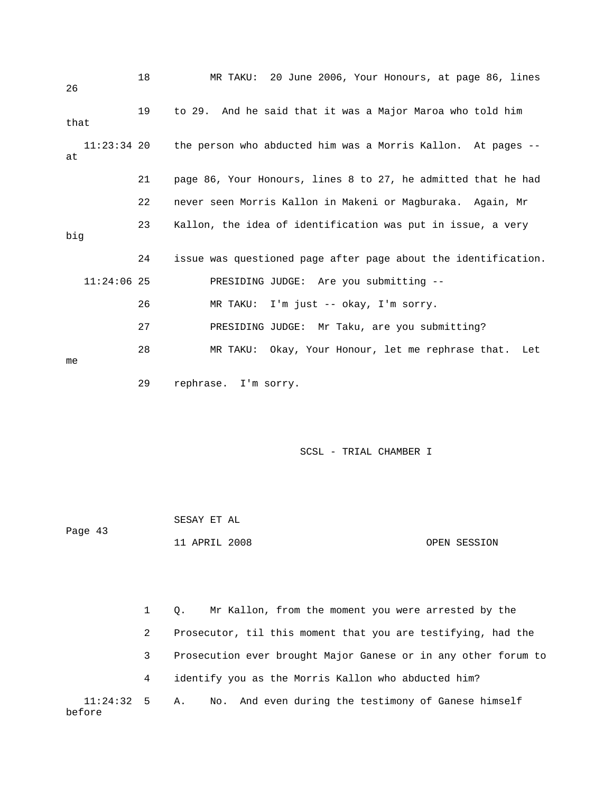| 26            | 18 | MR TAKU: 20 June 2006, Your Honours, at page 86, lines                      |
|---------------|----|-----------------------------------------------------------------------------|
| that          | 19 | to 29. And he said that it was a Major Maroa who told him                   |
| at            |    | $11:23:34$ 20 the person who abducted him was a Morris Kallon. At pages $-$ |
|               | 21 | page 86, Your Honours, lines 8 to 27, he admitted that he had               |
|               | 22 | never seen Morris Kallon in Makeni or Magburaka. Again, Mr                  |
| big           | 23 | Kallon, the idea of identification was put in issue, a very                 |
|               | 24 | issue was questioned page after page about the identification.              |
| $11:24:06$ 25 |    | PRESIDING JUDGE: Are you submitting --                                      |
|               | 26 | MR TAKU: I'm just -- okay, I'm sorry.                                       |
|               | 27 | PRESIDING JUDGE: Mr Taku, are you submitting?                               |
| me            | 28 | MR TAKU: Okay, Your Honour, let me rephrase that. Let                       |
|               | 29 | rephrase. I'm sorry.                                                        |

 SESAY ET AL Page 43 11 APRIL 2008 OPEN SESSION

 1 Q. Mr Kallon, from the moment you were arrested by the 2 Prosecutor, til this moment that you are testifying, had the 3 Prosecution ever brought Major Ganese or in any other forum to 4 identify you as the Morris Kallon who abducted him? 11:24:32 5 A. No. And even during the testimony of Ganese himself before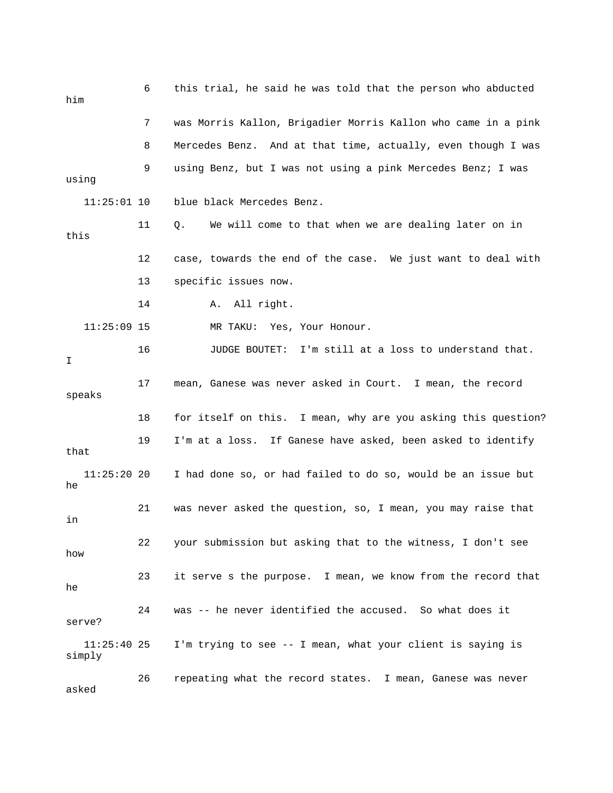| him                     | 6  | this trial, he said he was told that the person who abducted  |
|-------------------------|----|---------------------------------------------------------------|
|                         | 7  | was Morris Kallon, Brigadier Morris Kallon who came in a pink |
|                         | 8  | Mercedes Benz. And at that time, actually, even though I was  |
| using                   | 9  | using Benz, but I was not using a pink Mercedes Benz; I was   |
| $11:25:01$ 10           |    | blue black Mercedes Benz.                                     |
| this                    | 11 | We will come to that when we are dealing later on in<br>Q.    |
|                         | 12 | case, towards the end of the case. We just want to deal with  |
|                         | 13 | specific issues now.                                          |
|                         | 14 | All right.<br>Α.                                              |
| $11:25:09$ 15           |    | Yes, Your Honour.<br>MR TAKU:                                 |
| I.                      | 16 | JUDGE BOUTET: I'm still at a loss to understand that.         |
| speaks                  | 17 | mean, Ganese was never asked in Court. I mean, the record     |
|                         | 18 | for itself on this. I mean, why are you asking this question? |
| that                    | 19 | I'm at a loss. If Ganese have asked, been asked to identify   |
| $11:25:20$ 20<br>he     |    | I had done so, or had failed to do so, would be an issue but  |
| in                      | 21 | was never asked the question, so, I mean, you may raise that  |
| how                     | 22 | your submission but asking that to the witness, I don't see   |
| he                      | 23 | it serve s the purpose. I mean, we know from the record that  |
| serve?                  | 24 | was -- he never identified the accused. So what does it       |
| $11:25:40$ 25<br>simply |    | I'm trying to see -- I mean, what your client is saying is    |
| asked                   | 26 | repeating what the record states. I mean, Ganese was never    |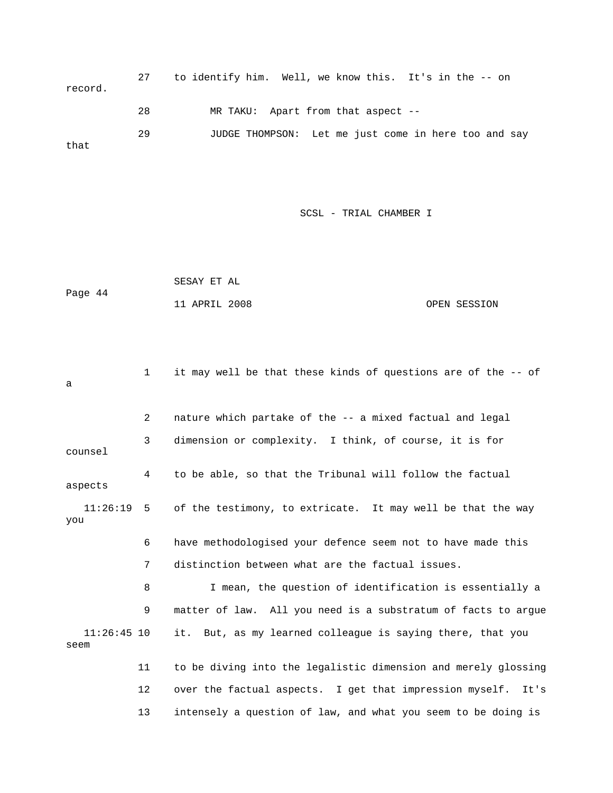27 to identify him. Well, we know this. It's in the -- on record. 28 MR TAKU: Apart from that aspect -- 29 JUDGE THOMPSON: Let me just come in here too and say that

SCSL - TRIAL CHAMBER I

 SESAY ET AL Page 44 11 APRIL 2008 OPEN SESSION

 1 it may well be that these kinds of questions are of the -- of a 2 nature which partake of the -- a mixed factual and legal 3 dimension or complexity. I think, of course, it is for counsel 4 to be able, so that the Tribunal will follow the factual aspects 11:26:19 5 of the testimony, to extricate. It may well be that the way you 6 have methodologised your defence seem not to have made this 7 distinction between what are the factual issues. 8 I mean, the question of identification is essentially a 9 matter of law. All you need is a substratum of facts to argue 11:26:45 10 it. But, as my learned colleague is saying there, that you seem 11 to be diving into the legalistic dimension and merely glossing 12 over the factual aspects. I get that impression myself. It's 13 intensely a question of law, and what you seem to be doing is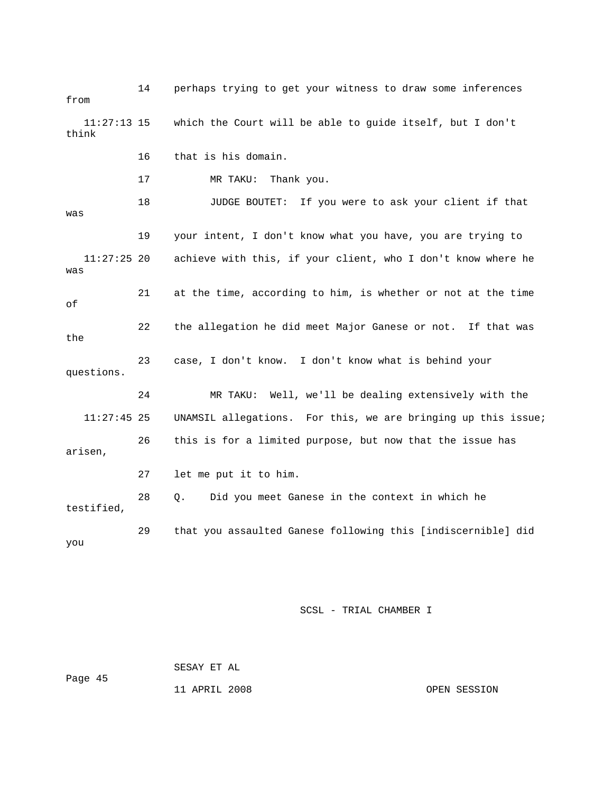14 perhaps trying to get your witness to draw some inferences from 11:27:13 15 which the Court will be able to guide itself, but I don't think 16 that is his domain. 17 MR TAKU: Thank you. 18 JUDGE BOUTET: If you were to ask your client if that was 19 your intent, I don't know what you have, you are trying to 11:27:25 20 achieve with this, if your client, who I don't know where he was 21 at the time, according to him, is whether or not at the time of 22 the allegation he did meet Major Ganese or not. If that was the 23 case, I don't know. I don't know what is behind your questions. 24 MR TAKU: Well, we'll be dealing extensively with the 11:27:45 25 UNAMSIL allegations. For this, we are bringing up this issue; 26 this is for a limited purpose, but now that the issue has arisen, 27 let me put it to him. 28 Q. Did you meet Ganese in the context in which he testified, 29 that you assaulted Ganese following this [indiscernible] did you

SCSL - TRIAL CHAMBER I

 SESAY ET AL Page 45

11 APRIL 2008 OPEN SESSION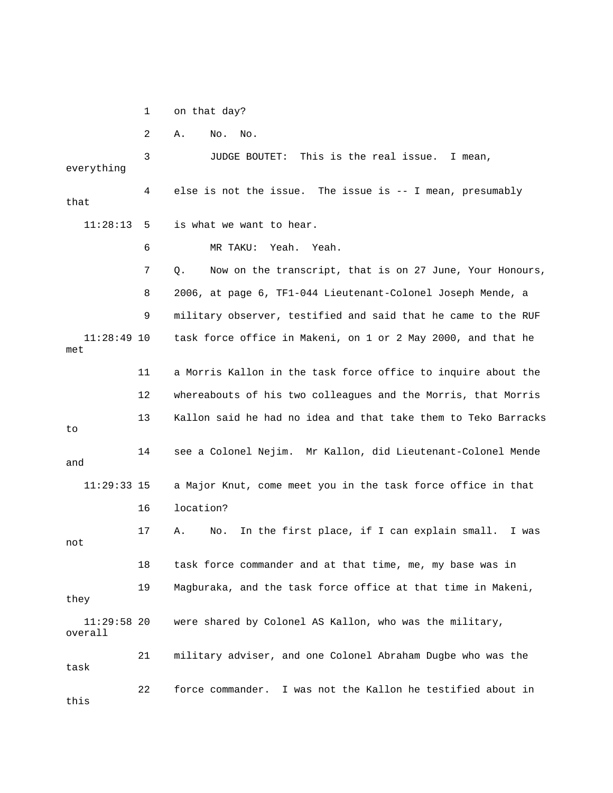1 on that day?

2 A. No. No.

 3 JUDGE BOUTET: This is the real issue. I mean, everything 4 else is not the issue. The issue is -- I mean, presumably that 11:28:13 5 is what we want to hear. 6 MR TAKU: Yeah. Yeah. 7 Q. Now on the transcript, that is on 27 June, Your Honours, 8 2006, at page 6, TF1-044 Lieutenant-Colonel Joseph Mende, a 9 military observer, testified and said that he came to the RUF 11:28:49 10 task force office in Makeni, on 1 or 2 May 2000, and that he met 11 a Morris Kallon in the task force office to inquire about the 12 whereabouts of his two colleagues and the Morris, that Morris 13 Kallon said he had no idea and that take them to Teko Barracks to 14 see a Colonel Nejim. Mr Kallon, did Lieutenant-Colonel Mende and 11:29:33 15 a Major Knut, come meet you in the task force office in that 16 location? 17 A. No. In the first place, if I can explain small. I was not 18 task force commander and at that time, me, my base was in 19 Magburaka, and the task force office at that time in Makeni, they 11:29:58 20 were shared by Colonel AS Kallon, who was the military, overall 21 military adviser, and one Colonel Abraham Dugbe who was the task 22 force commander. I was not the Kallon he testified about in this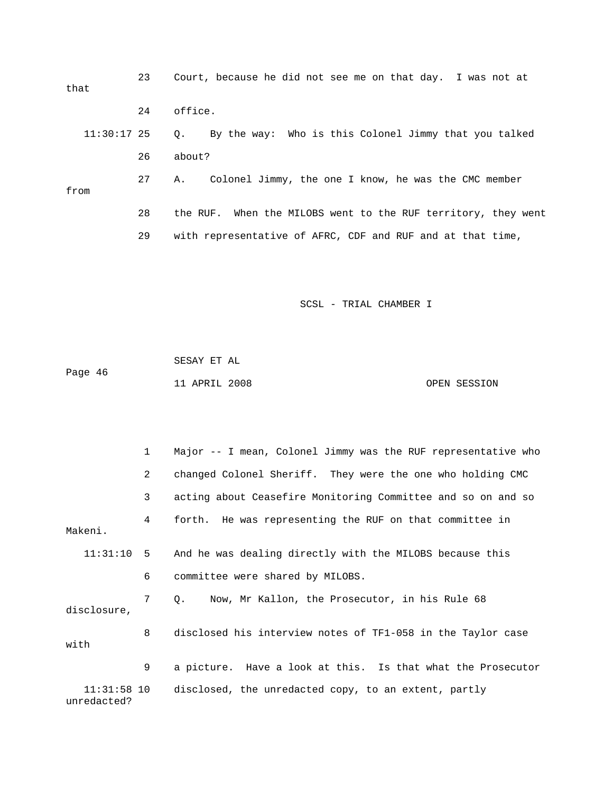23 Court, because he did not see me on that day. I was not at that 24 office. 11:30:17 25 Q. By the way: Who is this Colonel Jimmy that you talked 26 about? 27 A. Colonel Jimmy, the one I know, he was the CMC member from 28 the RUF. When the MILOBS went to the RUF territory, they went 29 with representative of AFRC, CDF and RUF and at that time,

|         | SESAY ET AL   |  |              |
|---------|---------------|--|--------------|
| Page 46 |               |  |              |
|         | 11 APRIL 2008 |  | OPEN SESSION |

|                              | $\mathbf{1}$   | Major -- I mean, Colonel Jimmy was the RUF representative who |
|------------------------------|----------------|---------------------------------------------------------------|
|                              | $\overline{a}$ | changed Colonel Sheriff. They were the one who holding CMC    |
|                              | 3              | acting about Ceasefire Monitoring Committee and so on and so  |
| Makeni.                      | 4              | forth. He was representing the RUF on that committee in       |
| 11:31:10 5                   |                | And he was dealing directly with the MILOBS because this      |
|                              | 6              | committee were shared by MILOBS.                              |
| disclosure,                  | $7^{\circ}$    | Q. Now, Mr Kallon, the Prosecutor, in his Rule 68             |
| with                         | 8              | disclosed his interview notes of TF1-058 in the Taylor case   |
|                              | 9              | a picture. Have a look at this. Is that what the Prosecutor   |
| $11:31:58$ 10<br>unredacted? |                | disclosed, the unredacted copy, to an extent, partly          |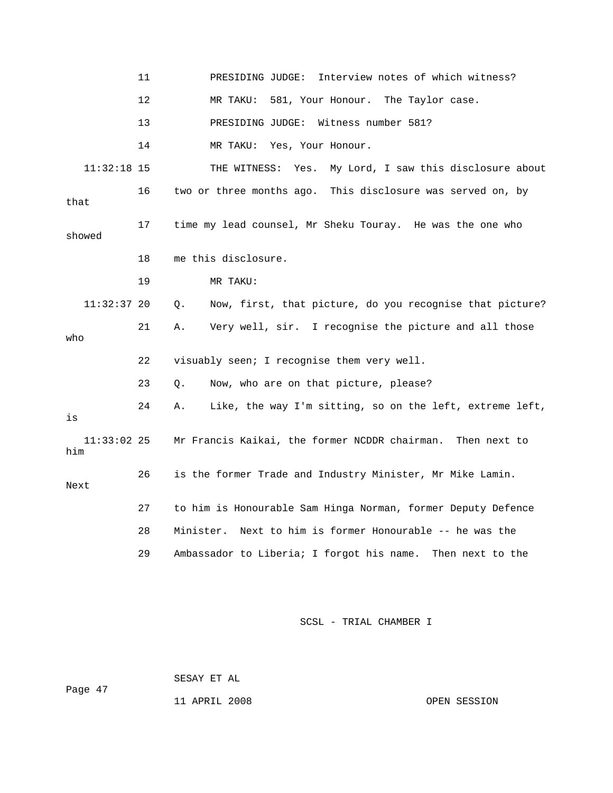|                      | 11 | Interview notes of which witness?<br>PRESIDING JUDGE:          |
|----------------------|----|----------------------------------------------------------------|
|                      | 12 | 581, Your Honour. The Taylor case.<br>MR TAKU:                 |
|                      | 13 | Witness number 581?<br>PRESIDING JUDGE:                        |
|                      | 14 | MR TAKU: Yes, Your Honour.                                     |
| $11:32:18$ 15        |    | My Lord, I saw this disclosure about<br>THE WITNESS:<br>Yes.   |
| that                 | 16 | two or three months ago. This disclosure was served on, by     |
| showed               | 17 | time my lead counsel, Mr Sheku Touray. He was the one who      |
|                      | 18 | me this disclosure.                                            |
|                      | 19 | MR TAKU:                                                       |
| $11:32:37$ 20        |    | Now, first, that picture, do you recognise that picture?<br>Q. |
| who                  | 21 | Very well, sir. I recognise the picture and all those<br>Α.    |
|                      | 22 | visuably seen; I recognise them very well.                     |
|                      | 23 | Now, who are on that picture, please?<br>О.                    |
| is                   | 24 | Like, the way I'm sitting, so on the left, extreme left,<br>Α. |
| $11:33:02$ 25<br>him |    | Mr Francis Kaikai, the former NCDDR chairman.<br>Then next to  |
| Next                 | 26 | is the former Trade and Industry Minister, Mr Mike Lamin.      |
|                      | 27 | to him is Honourable Sam Hinga Norman, former Deputy Defence   |
|                      | 28 | Next to him is former Honourable -- he was the<br>Minister.    |
|                      | 29 | Ambassador to Liberia; I forgot his name. Then next to the     |
|                      |    |                                                                |

 SESAY ET AL Page 47

11 APRIL 2008 CPEN SESSION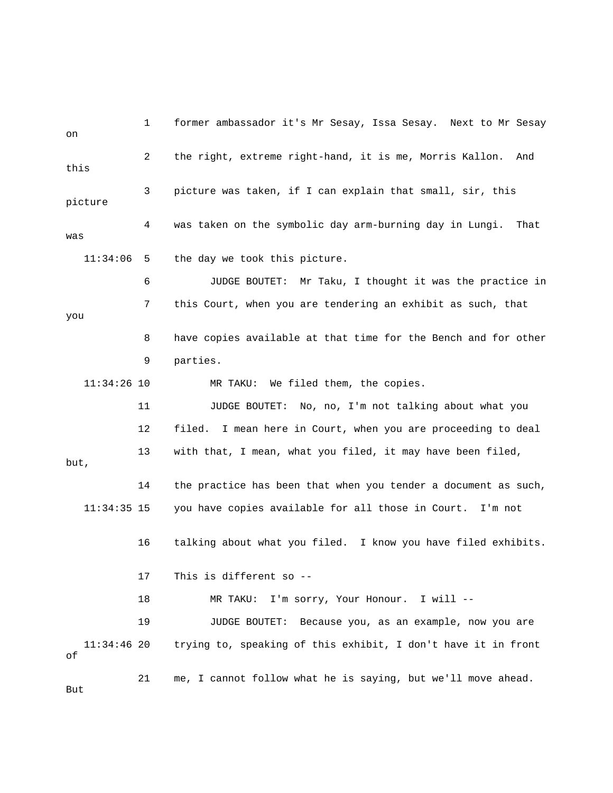1 former ambassador it's Mr Sesay, Issa Sesay. Next to Mr Sesay on 2 the right, extreme right-hand, it is me, Morris Kallon. And this 3 picture was taken, if I can explain that small, sir, this picture 4 was taken on the symbolic day arm-burning day in Lungi. That was 11:34:06 5 the day we took this picture. 6 JUDGE BOUTET: Mr Taku, I thought it was the practice in 7 this Court, when you are tendering an exhibit as such, that you 8 have copies available at that time for the Bench and for other 9 parties. 11:34:26 10 MR TAKU: We filed them, the copies. 11 JUDGE BOUTET: No, no, I'm not talking about what you 12 filed. I mean here in Court, when you are proceeding to deal 13 with that, I mean, what you filed, it may have been filed, but, 14 the practice has been that when you tender a document as such, 11:34:35 15 you have copies available for all those in Court. I'm not 16 talking about what you filed. I know you have filed exhibits. 17 This is different so -- 18 MR TAKU: I'm sorry, Your Honour. I will -- 19 JUDGE BOUTET: Because you, as an example, now you are 11:34:46 20 trying to, speaking of this exhibit, I don't have it in front of 21 me, I cannot follow what he is saying, but we'll move ahead. But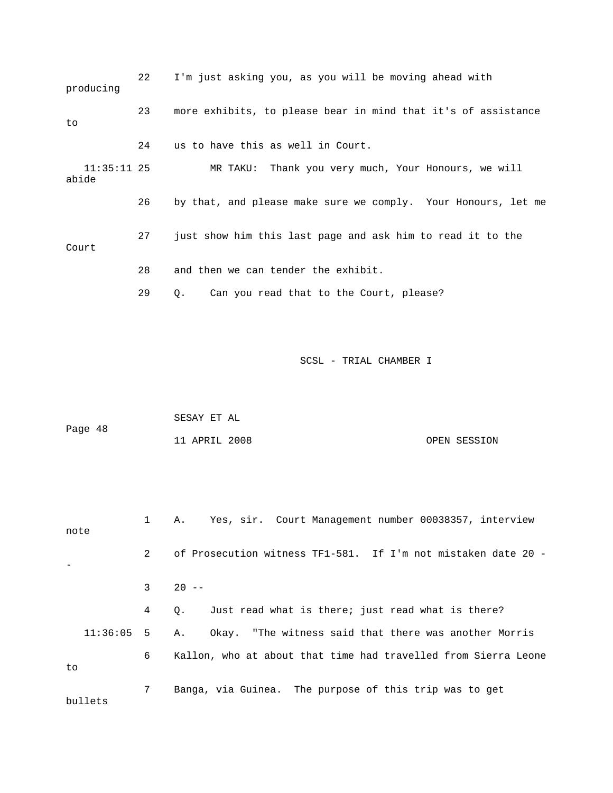| producing              | 22 | I'm just asking you, as you will be moving ahead with         |
|------------------------|----|---------------------------------------------------------------|
| to                     | 23 | more exhibits, to please bear in mind that it's of assistance |
|                        | 24 | us to have this as well in Court.                             |
| $11:35:11$ 25<br>abide |    | MR TAKU: Thank you very much, Your Honours, we will           |
|                        | 26 | by that, and please make sure we comply. Your Honours, let me |
| Court                  | 27 | just show him this last page and ask him to read it to the    |
|                        | 28 | and then we can tender the exhibit.                           |
|                        | 29 | Can you read that to the Court, please?<br>Q.                 |
|                        |    |                                                               |

|         | SESAY ET AL   |              |  |
|---------|---------------|--------------|--|
| Page 48 |               |              |  |
|         | 11 APRIL 2008 | OPEN SESSION |  |

 1 A. Yes, sir. Court Management number 00038357, interview note 2 of Prosecution witness TF1-581. If I'm not mistaken date 20 - -  $3 \t 20 - -$  4 Q. Just read what is there; just read what is there? 11:36:05 5 A. Okay. "The witness said that there was another Morris

6 Kallon, who at about that time had travelled from Sierra Leone

to

 7 Banga, via Guinea. The purpose of this trip was to get bullets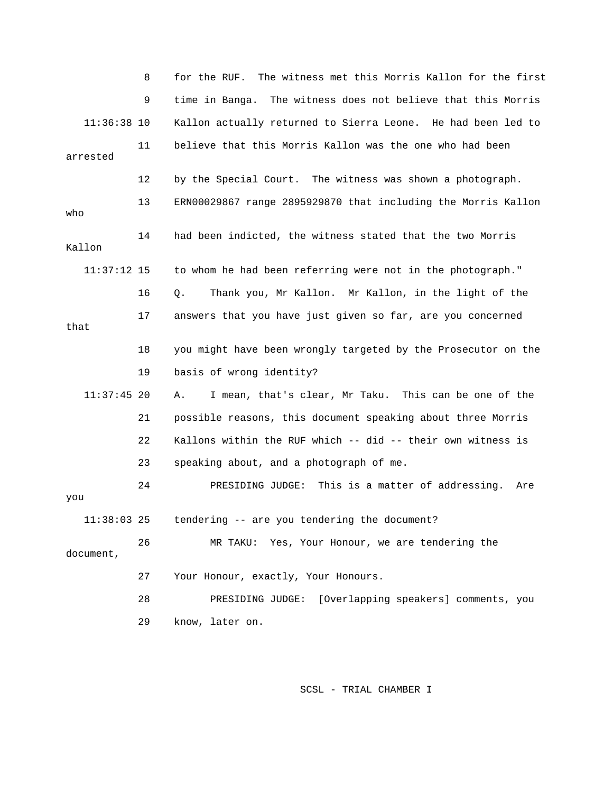8 for the RUF. The witness met this Morris Kallon for the first 9 time in Banga. The witness does not believe that this Morris 11:36:38 10 Kallon actually returned to Sierra Leone. He had been led to 11 believe that this Morris Kallon was the one who had been arrested 12 by the Special Court. The witness was shown a photograph. 13 ERN00029867 range 2895929870 that including the Morris Kallon who 14 had been indicted, the witness stated that the two Morris Kallon 11:37:12 15 to whom he had been referring were not in the photograph." 16 Q. Thank you, Mr Kallon. Mr Kallon, in the light of the 17 answers that you have just given so far, are you concerned that 18 you might have been wrongly targeted by the Prosecutor on the 19 basis of wrong identity? 11:37:45 20 A. I mean, that's clear, Mr Taku. This can be one of the 21 possible reasons, this document speaking about three Morris 22 Kallons within the RUF which -- did -- their own witness is 23 speaking about, and a photograph of me. 24 PRESIDING JUDGE: This is a matter of addressing. Are you 11:38:03 25 tendering -- are you tendering the document? 26 MR TAKU: Yes, Your Honour, we are tendering the document, 27 Your Honour, exactly, Your Honours. 28 PRESIDING JUDGE: [Overlapping speakers] comments, you 29 know, later on.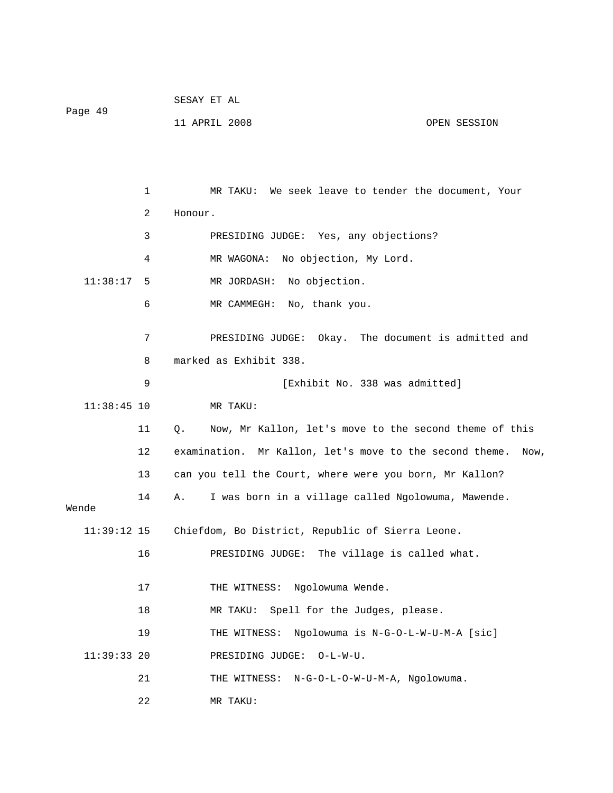| Page 49 | SESAY ET AL   |              |
|---------|---------------|--------------|
|         | 11 APRIL 2008 | OPEN SESSION |

 1 MR TAKU: We seek leave to tender the document, Your 2 Honour. 3 PRESIDING JUDGE: Yes, any objections? 4 MR WAGONA: No objection, My Lord. 11:38:17 5 MR JORDASH: No objection. 6 MR CAMMEGH: No, thank you. 7 PRESIDING JUDGE: Okay. The document is admitted and 8 marked as Exhibit 338. 9 **Exhibit No. 338 was admitted**] 11:38:45 10 MR TAKU: 11 Q. Now, Mr Kallon, let's move to the second theme of this 12 examination. Mr Kallon, let's move to the second theme. Now, 13 can you tell the Court, where were you born, Mr Kallon? 14 A. I was born in a village called Ngolowuma, Mawende. Wende 11:39:12 15 Chiefdom, Bo District, Republic of Sierra Leone. 16 PRESIDING JUDGE: The village is called what. 17 THE WITNESS: Ngolowuma Wende. 18 MR TAKU: Spell for the Judges, please. 19 THE WITNESS: Ngolowuma is N-G-O-L-W-U-M-A [sic] 11:39:33 20 PRESIDING JUDGE: O-L-W-U. 21 THE WITNESS: N-G-O-L-O-W-U-M-A, Ngolowuma. 22 MR TAKU: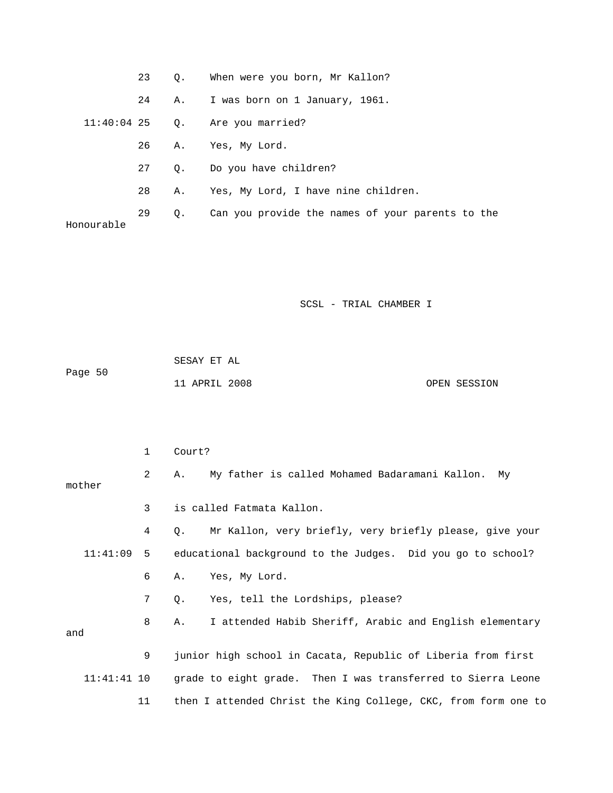|            | 23 | $\circ$ . | When were you born, Mr Kallon?                   |
|------------|----|-----------|--------------------------------------------------|
|            | 24 | A.,       | I was born on 1 January, 1961.                   |
|            |    |           | $11:40:04$ 25 Q. Are you married?                |
|            | 26 | Α.        | Yes, My Lord.                                    |
|            | 27 | 0.        | Do you have children?                            |
|            | 28 | Α.        | Yes, My Lord, I have nine children.              |
| Honourable | 29 | $\circ$ . | Can you provide the names of your parents to the |

| Page 50 | SESAY ET AL   |              |
|---------|---------------|--------------|
|         | 11 APRIL 2008 | OPEN SESSION |

|               | 1              | Court?                                                                 |  |  |
|---------------|----------------|------------------------------------------------------------------------|--|--|
| mother        | $\overline{2}$ | My father is called Mohamed Badaramani Kallon. My<br>Α.                |  |  |
|               |                |                                                                        |  |  |
|               | $\mathbf{3}$   | is called Fatmata Kallon.                                              |  |  |
|               | 4              | Mr Kallon, very briefly, very briefly please, give your<br>$\circ$ .   |  |  |
|               |                | 11:41:09 5 educational background to the Judges. Did you go to school? |  |  |
|               | 6              | Yes, My Lord.<br>Α.                                                    |  |  |
|               | 7              | Yes, tell the Lordships, please?<br>Q.                                 |  |  |
| and           | 8              | I attended Habib Sheriff, Arabic and English elementary<br>Α.          |  |  |
|               | 9              | junior high school in Cacata, Republic of Liberia from first           |  |  |
| $11:41:41$ 10 |                | grade to eight grade. Then I was transferred to Sierra Leone           |  |  |
|               | 11             | then I attended Christ the King College, CKC, from form one to         |  |  |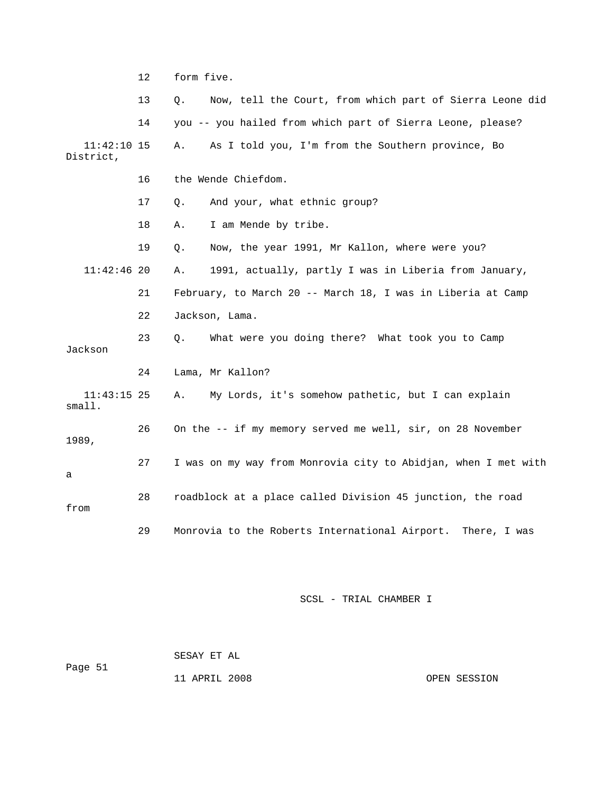12 form five.

 13 Q. Now, tell the Court, from which part of Sierra Leone did 14 you -- you hailed from which part of Sierra Leone, please? 11:42:10 15 A. As I told you, I'm from the Southern province, Bo District, 16 the Wende Chiefdom. 17 Q. And your, what ethnic group? 18 A. I am Mende by tribe. 19 Q. Now, the year 1991, Mr Kallon, where were you? 11:42:46 20 A. 1991, actually, partly I was in Liberia from January, 21 February, to March 20 -- March 18, I was in Liberia at Camp 22 Jackson, Lama. 23 Q. What were you doing there? What took you to Camp Jackson 24 Lama, Mr Kallon? 11:43:15 25 A. My Lords, it's somehow pathetic, but I can explain small. 26 On the -- if my memory served me well, sir, on 28 November 1989, 27 I was on my way from Monrovia city to Abidjan, when I met with a 28 roadblock at a place called Division 45 junction, the road from 29 Monrovia to the Roberts International Airport. There, I was

SCSL - TRIAL CHAMBER I

 SESAY ET AL Page 51 11 APRIL 2008 OPEN SESSION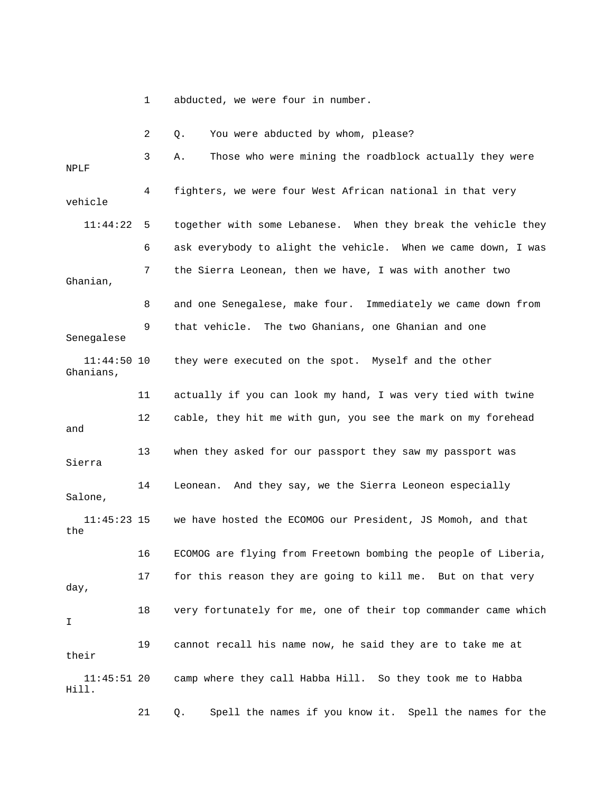1 abducted, we were four in number.

|                            | 2  | You were abducted by whom, please?<br>Q.                       |
|----------------------------|----|----------------------------------------------------------------|
| NPLF                       | 3  | Those who were mining the roadblock actually they were<br>Α.   |
| vehicle                    | 4  | fighters, we were four West African national in that very      |
| 11:44:22                   | 5  | together with some Lebanese. When they break the vehicle they  |
|                            | 6  | ask everybody to alight the vehicle. When we came down, I was  |
| Ghanian,                   | 7  | the Sierra Leonean, then we have, I was with another two       |
|                            | 8  | and one Senegalese, make four. Immediately we came down from   |
| Senegalese                 | 9  | that vehicle. The two Ghanians, one Ghanian and one            |
| $11:44:50$ 10<br>Ghanians, |    | they were executed on the spot. Myself and the other           |
|                            | 11 | actually if you can look my hand, I was very tied with twine   |
| and                        | 12 | cable, they hit me with gun, you see the mark on my forehead   |
| Sierra                     | 13 | when they asked for our passport they saw my passport was      |
| Salone,                    | 14 | And they say, we the Sierra Leoneon especially<br>Leonean.     |
| $11:45:23$ 15<br>the       |    | we have hosted the ECOMOG our President, JS Momoh, and that    |
|                            | 16 | ECOMOG are flying from Freetown bombing the people of Liberia, |
| day,                       | 17 | for this reason they are going to kill me. But on that very    |
| I                          | 18 | very fortunately for me, one of their top commander came which |
| their                      | 19 | cannot recall his name now, he said they are to take me at     |
| $11:45:51$ 20<br>Hill.     |    | camp where they call Habba Hill. So they took me to Habba      |
|                            | 21 | Spell the names if you know it. Spell the names for the<br>Q.  |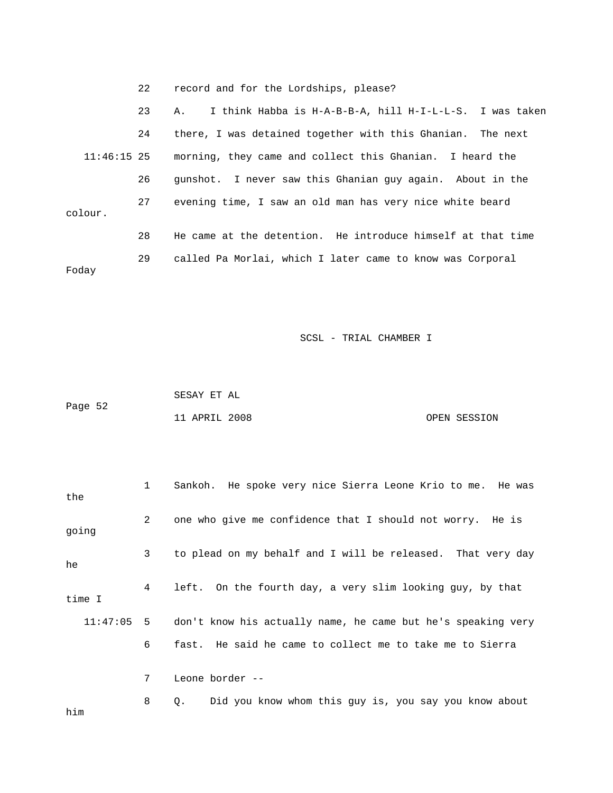22 record and for the Lordships, please?

 23 A. I think Habba is H-A-B-B-A, hill H-I-L-L-S. I was taken 24 there, I was detained together with this Ghanian. The next 11:46:15 25 morning, they came and collect this Ghanian. I heard the 26 gunshot. I never saw this Ghanian guy again. About in the 27 evening time, I saw an old man has very nice white beard colour. 28 He came at the detention. He introduce himself at that time 29 called Pa Morlai, which I later came to know was Corporal Foday

|         | SESAY ET AL   |              |
|---------|---------------|--------------|
| Page 52 |               |              |
|         | 11 APRIL 2008 | OPEN SESSION |

| the      | 1 | Sankoh. He spoke very nice Sierra Leone Krio to me. He was   |
|----------|---|--------------------------------------------------------------|
| going    | 2 | one who give me confidence that I should not worry. He is    |
| he       | 3 | to plead on my behalf and I will be released. That very day  |
| time I   | 4 | left. On the fourth day, a very slim looking guy, by that    |
| 11:47:05 | 5 | don't know his actually name, he came but he's speaking very |
|          | 6 | fast. He said he came to collect me to take me to Sierra     |
|          | 7 | Leone border --                                              |
| him      | 8 | Did you know whom this guy is, you say you know about<br>Q.  |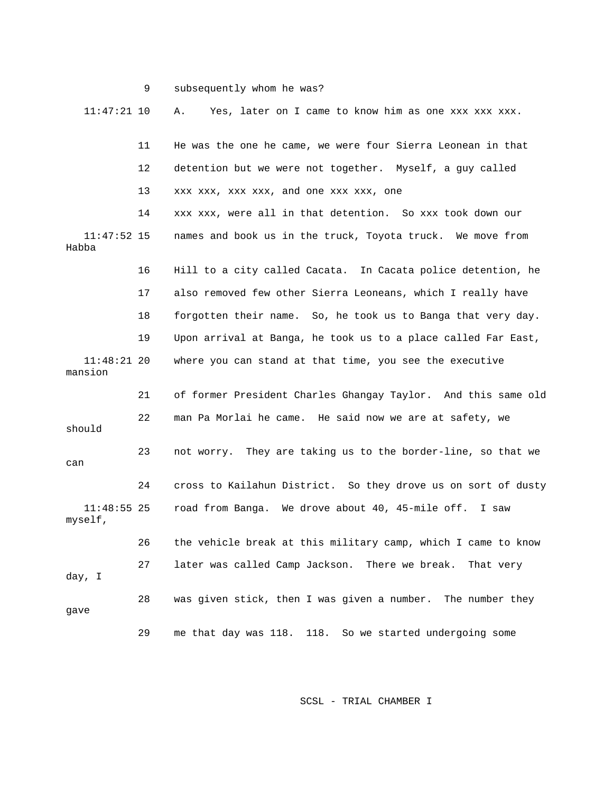|                          | 9  | subsequently whom he was?                                     |
|--------------------------|----|---------------------------------------------------------------|
| $11:47:21$ 10            |    | Yes, later on I came to know him as one xxx xxx xxx.<br>Α.    |
|                          | 11 | He was the one he came, we were four Sierra Leonean in that   |
|                          | 12 | detention but we were not together. Myself, a guy called      |
|                          | 13 | xxx xxx, xxx xxx, and one xxx xxx, one                        |
|                          | 14 | xxx xxx, were all in that detention. So xxx took down our     |
| $11:47:52$ 15<br>Habba   |    | names and book us in the truck, Toyota truck. We move from    |
|                          | 16 | Hill to a city called Cacata. In Cacata police detention, he  |
|                          | 17 | also removed few other Sierra Leoneans, which I really have   |
|                          | 18 | forgotten their name. So, he took us to Banga that very day.  |
|                          | 19 | Upon arrival at Banga, he took us to a place called Far East, |
| $11:48:21$ 20<br>mansion |    | where you can stand at that time, you see the executive       |
|                          | 21 | of former President Charles Ghangay Taylor. And this same old |
| should                   | 22 | man Pa Morlai he came. He said now we are at safety, we       |
| can                      | 23 | not worry. They are taking us to the border-line, so that we  |
|                          | 24 | cross to Kailahun District. So they drove us on sort of dusty |
| $11:48:55$ 25<br>myself, |    | road from Banga. We drove about 40, 45-mile off.<br>I saw     |
|                          | 26 | the vehicle break at this military camp, which I came to know |
| day, I                   | 27 | later was called Camp Jackson. There we break.<br>That very   |
| gave                     | 28 | was given stick, then I was given a number. The number they   |
|                          | 29 | me that day was 118. 118. So we started undergoing some       |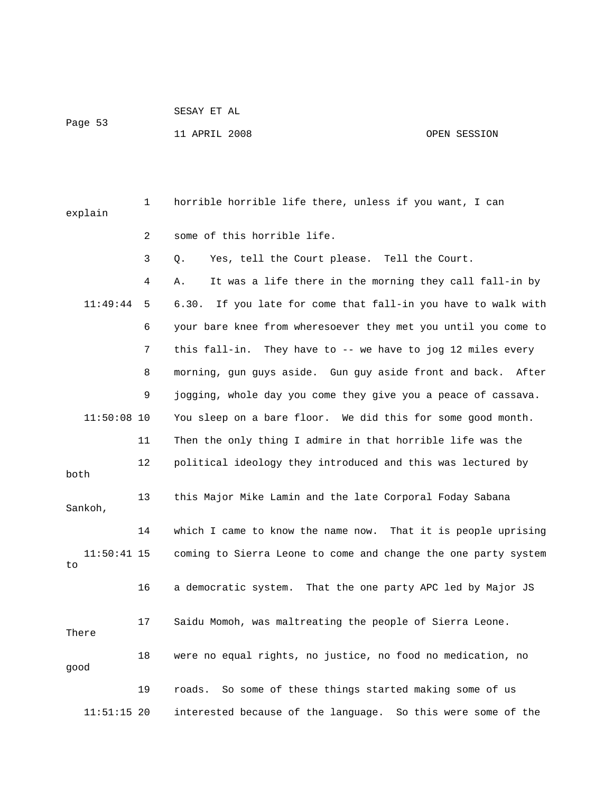Page 53

11 APRIL 2008 OPEN SESSION

| explain             | 1  | horrible horrible life there, unless if you want, I can          |
|---------------------|----|------------------------------------------------------------------|
|                     | 2  | some of this horrible life.                                      |
|                     | 3  | Yes, tell the Court please. Tell the Court.<br>Q.                |
|                     | 4  | It was a life there in the morning they call fall-in by<br>Α.    |
| 11:49:44            | 5  | 6.30.<br>If you late for come that fall-in you have to walk with |
|                     | 6  | your bare knee from wheresoever they met you until you come to   |
|                     | 7  | this fall-in. They have to -- we have to jog 12 miles every      |
|                     | 8  | morning, gun guys aside. Gun guy aside front and back. After     |
|                     | 9  | jogging, whole day you come they give you a peace of cassava.    |
| $11:50:08$ 10       |    | You sleep on a bare floor. We did this for some good month.      |
|                     | 11 | Then the only thing I admire in that horrible life was the       |
| both                | 12 | political ideology they introduced and this was lectured by      |
| Sankoh,             | 13 | this Major Mike Lamin and the late Corporal Foday Sabana         |
|                     | 14 | which I came to know the name now. That it is people uprising    |
| $11:50:41$ 15<br>to |    | coming to Sierra Leone to come and change the one party system   |
|                     | 16 | a democratic system. That the one party APC led by Major JS      |
| There               | 17 | Saidu Momoh, was maltreating the people of Sierra Leone.         |
| qood                | 18 | were no equal rights, no justice, no food no medication, no      |
|                     | 19 | So some of these things started making some of us<br>roads.      |
| $11:51:15$ 20       |    | interested because of the language. So this were some of the     |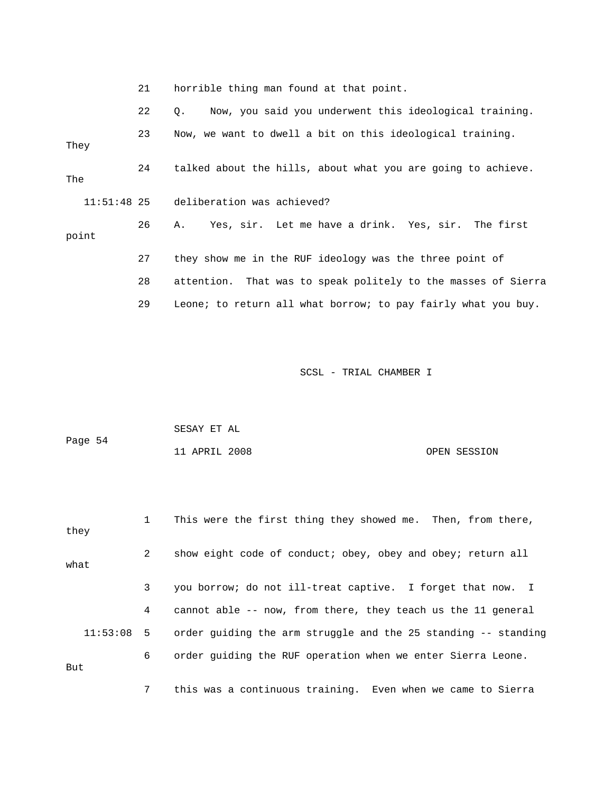|               | 21 | horrible thing man found at that point.                       |
|---------------|----|---------------------------------------------------------------|
|               | 22 | Now, you said you underwent this ideological training.<br>Q.  |
| They          | 23 | Now, we want to dwell a bit on this ideological training.     |
| The           | 24 | talked about the hills, about what you are going to achieve.  |
| $11:51:48$ 25 |    | deliberation was achieved?                                    |
| point         | 26 | Yes, sir. Let me have a drink. Yes, sir. The first<br>Α.      |
|               | 27 | they show me in the RUF ideology was the three point of       |
|               | 28 | attention. That was to speak politely to the masses of Sierra |
|               | 29 | Leone; to return all what borrow; to pay fairly what you buy. |

| Page 54 | SESAY ET AL   |  |              |
|---------|---------------|--|--------------|
|         | 11 APRIL 2008 |  | OPEN SESSION |

 1 This were the first thing they showed me. Then, from there, they 2 show eight code of conduct; obey, obey and obey; return all what 3 you borrow; do not ill-treat captive. I forget that now. I 4 cannot able -- now, from there, they teach us the 11 general 11:53:08 5 order guiding the arm struggle and the 25 standing -- standing 6 order guiding the RUF operation when we enter Sierra Leone. But

7 this was a continuous training. Even when we came to Sierra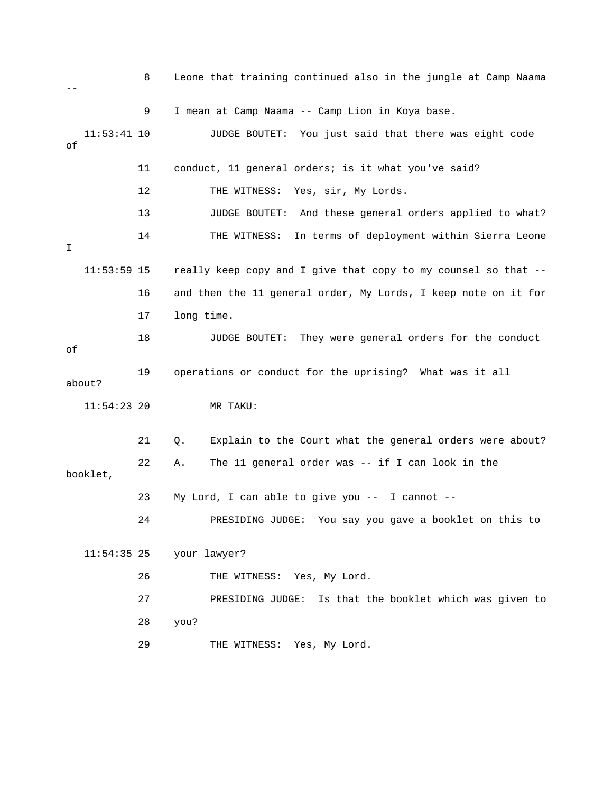8 Leone that training continued also in the jungle at Camp Naama -- 9 I mean at Camp Naama -- Camp Lion in Koya base. 11:53:41 10 JUDGE BOUTET: You just said that there was eight code of 11 conduct, 11 general orders; is it what you've said? 12 THE WITNESS: Yes, sir, My Lords. 13 JUDGE BOUTET: And these general orders applied to what? 14 THE WITNESS: In terms of deployment within Sierra Leone I 11:53:59 15 really keep copy and I give that copy to my counsel so that -- 16 and then the 11 general order, My Lords, I keep note on it for 17 long time. 18 JUDGE BOUTET: They were general orders for the conduct of 19 operations or conduct for the uprising? What was it all about? 11:54:23 20 MR TAKU: 21 Q. Explain to the Court what the general orders were about? 22 A. The 11 general order was -- if I can look in the booklet, 23 My Lord, I can able to give you -- I cannot -- 24 PRESIDING JUDGE: You say you gave a booklet on this to 11:54:35 25 your lawyer? 26 THE WITNESS: Yes, My Lord. 27 PRESIDING JUDGE: Is that the booklet which was given to 28 you? 29 THE WITNESS: Yes, My Lord.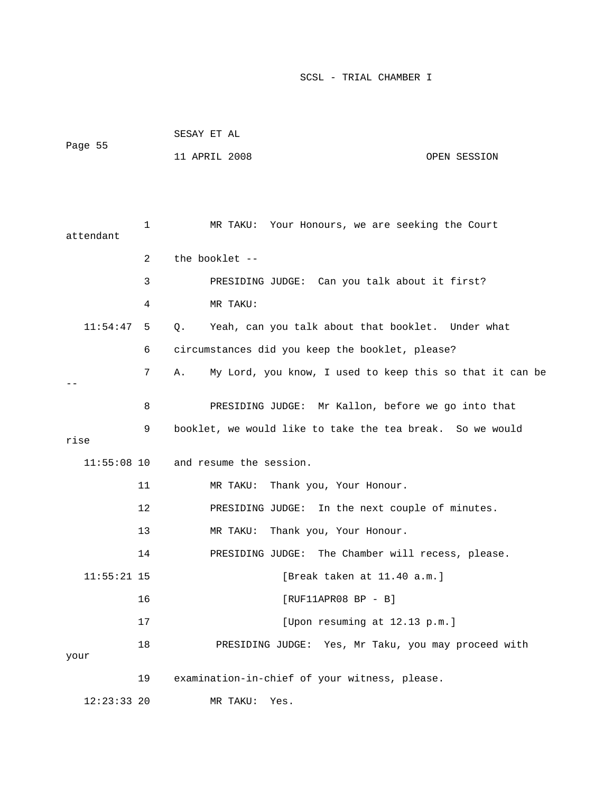| Page 55       |    | SESAY ET AL                                                    |
|---------------|----|----------------------------------------------------------------|
|               |    | 11 APRIL 2008<br>OPEN SESSION                                  |
|               |    |                                                                |
|               |    |                                                                |
| attendant     | 1  | Your Honours, we are seeking the Court<br>MR TAKU:             |
|               | 2  | the booklet --                                                 |
|               | 3  | PRESIDING JUDGE: Can you talk about it first?                  |
|               | 4  | MR TAKU:                                                       |
| 11:54:47      | 5  | Yeah, can you talk about that booklet. Under what<br>Q.        |
|               | 6  | circumstances did you keep the booklet, please?                |
|               | 7  | My Lord, you know, I used to keep this so that it can be<br>Α. |
|               |    |                                                                |
|               | 8  | PRESIDING JUDGE: Mr Kallon, before we go into that             |
| rise          | 9  | booklet, we would like to take the tea break. So we would      |
| $11:55:08$ 10 |    | and resume the session.                                        |
|               | 11 | Thank you, Your Honour.<br>MR TAKU:                            |
|               | 12 | PRESIDING JUDGE: In the next couple of minutes.                |
|               | 13 | Thank you, Your Honour.<br>MR TAKU:                            |
|               | 14 | PRESIDING JUDGE: The Chamber will recess, please.              |
| $11:55:21$ 15 |    | [Break taken at 11.40 a.m.]                                    |
|               | 16 | $[RUF11APR08 BP - B]$                                          |
|               | 17 | [Upon resuming at 12.13 p.m.]                                  |
|               | 18 | PRESIDING JUDGE: Yes, Mr Taku, you may proceed with            |
| your          |    |                                                                |
|               | 19 | examination-in-chief of your witness, please.                  |
| $12:23:33$ 20 |    | MR TAKU:<br>Yes.                                               |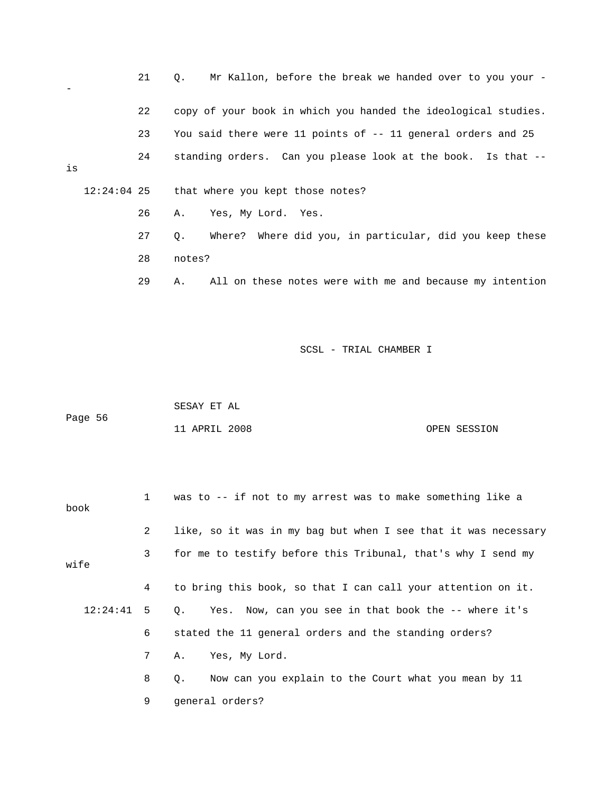|    |  | 21 | Mr Kallon, before the break we handed over to you your -<br>$\circ$ . |
|----|--|----|-----------------------------------------------------------------------|
|    |  | 22 | copy of your book in which you handed the ideological studies.        |
|    |  | 23 | You said there were 11 points of -- 11 general orders and 25          |
| is |  | 24 | standing orders. Can you please look at the book. Is that --          |
|    |  |    | 12:24:04 25 that where you kept those notes?                          |
|    |  | 26 | Yes, My Lord. Yes.<br>Α.                                              |
|    |  | 27 | Where? Where did you, in particular, did you keep these<br>Q.         |
|    |  | 28 | notes?                                                                |
|    |  | 29 | All on these notes were with me and because my intention<br>Α.        |
|    |  |    |                                                                       |

|         | SESAY ET AL   |  |              |
|---------|---------------|--|--------------|
| Page 56 |               |  |              |
|         | 11 APRIL 2008 |  | OPEN SESSION |

| book         |                                                              | 1 was to -- if not to my arrest was to make something like a      |
|--------------|--------------------------------------------------------------|-------------------------------------------------------------------|
|              | $\mathbf{2}$                                                 | like, so it was in my bag but when I see that it was necessary    |
| wife         | for me to testify before this Tribunal, that's why I send my |                                                                   |
|              | $\overline{4}$                                               | to bring this book, so that I can call your attention on it.      |
| $12:24:41$ 5 |                                                              | Q. Yes. Now, can you see in that book the -- where it's           |
|              | 6                                                            | stated the 11 general orders and the standing orders?             |
|              | 7 <sup>7</sup>                                               | A. Yes, My Lord.                                                  |
|              | 8                                                            | Now can you explain to the Court what you mean by 11<br>$\circ$ . |
|              | 9                                                            | qeneral orders?                                                   |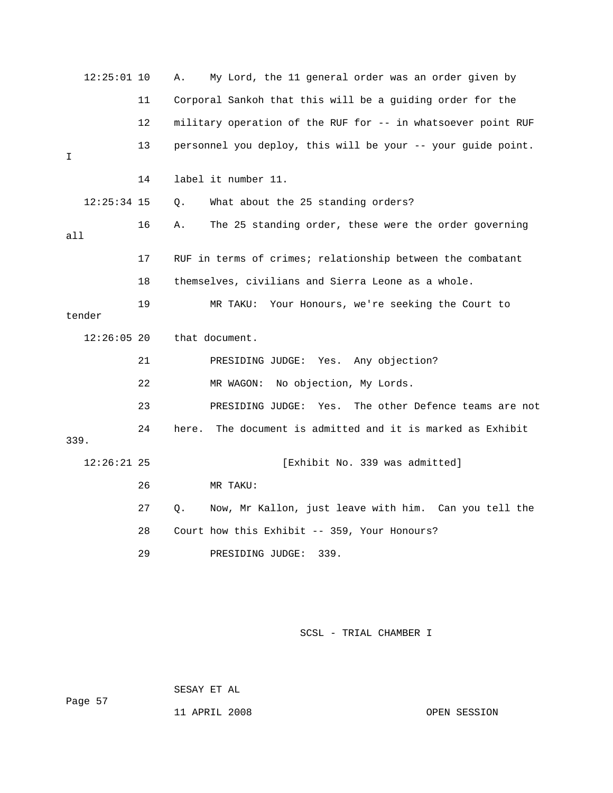| $12:25:01$ 10 |    | My Lord, the 11 general order was an order given by<br>Α.     |
|---------------|----|---------------------------------------------------------------|
|               | 11 | Corporal Sankoh that this will be a guiding order for the     |
|               | 12 | military operation of the RUF for -- in whatsoever point RUF  |
| I             | 13 | personnel you deploy, this will be your -- your guide point.  |
|               | 14 | label it number 11.                                           |
| $12:25:34$ 15 |    | What about the 25 standing orders?<br>Q.                      |
| all           | 16 | The 25 standing order, these were the order governing<br>Α.   |
|               | 17 | RUF in terms of crimes; relationship between the combatant    |
|               | 18 | themselves, civilians and Sierra Leone as a whole.            |
| tender        | 19 | MR TAKU: Your Honours, we're seeking the Court to             |
| $12:26:05$ 20 |    | that document.                                                |
|               | 21 | PRESIDING JUDGE: Yes. Any objection?                          |
|               | 22 | MR WAGON: No objection, My Lords.                             |
|               | 23 | PRESIDING JUDGE: Yes.<br>The other Defence teams are not      |
| 339.          | 24 | The document is admitted and it is marked as Exhibit<br>here. |
| $12:26:21$ 25 |    | [Exhibit No. 339 was admitted]                                |
|               | 26 | MR TAKU:                                                      |
|               | 27 | Now, Mr Kallon, just leave with him. Can you tell the<br>О.   |
|               | 28 | Court how this Exhibit -- 359, Your Honours?                  |
|               | 29 | PRESIDING JUDGE:<br>339.                                      |

SESAY ET AL

11 APRIL 2008 OPEN SESSION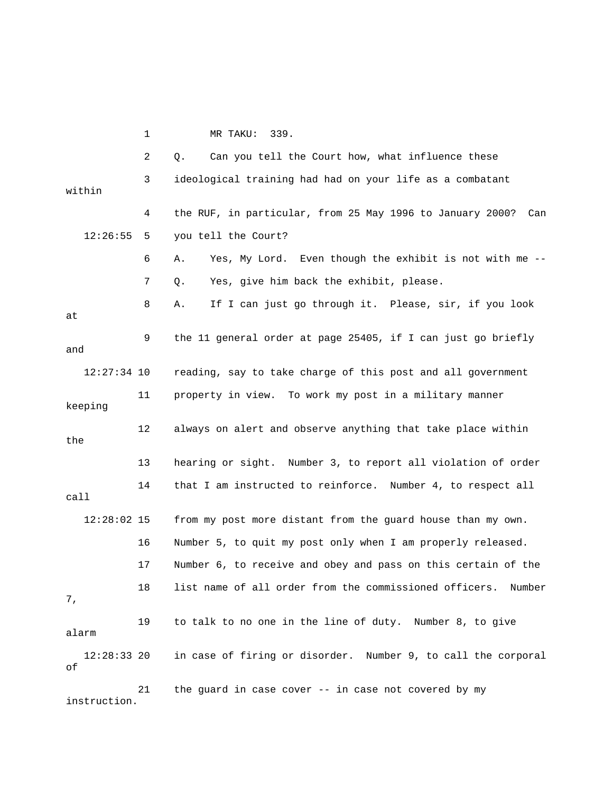1 MR TAKU: 339. 2 Q. Can you tell the Court how, what influence these 3 ideological training had had on your life as a combatant within 4 the RUF, in particular, from 25 May 1996 to January 2000? Can 12:26:55 5 you tell the Court? 6 A. Yes, My Lord. Even though the exhibit is not with me -- 7 Q. Yes, give him back the exhibit, please. 8 A. If I can just go through it. Please, sir, if you look at 9 the 11 general order at page 25405, if I can just go briefly and 12:27:34 10 reading, say to take charge of this post and all government 11 property in view. To work my post in a military manner keeping 12 always on alert and observe anything that take place within the 13 hearing or sight. Number 3, to report all violation of order 14 that I am instructed to reinforce. Number 4, to respect all call 12:28:02 15 from my post more distant from the guard house than my own. 16 Number 5, to quit my post only when I am properly released. 17 Number 6, to receive and obey and pass on this certain of the 18 list name of all order from the commissioned officers. Number 7, 19 to talk to no one in the line of duty. Number 8, to give alarm 12:28:33 20 in case of firing or disorder. Number 9, to call the corporal of

 21 the guard in case cover -- in case not covered by my instruction.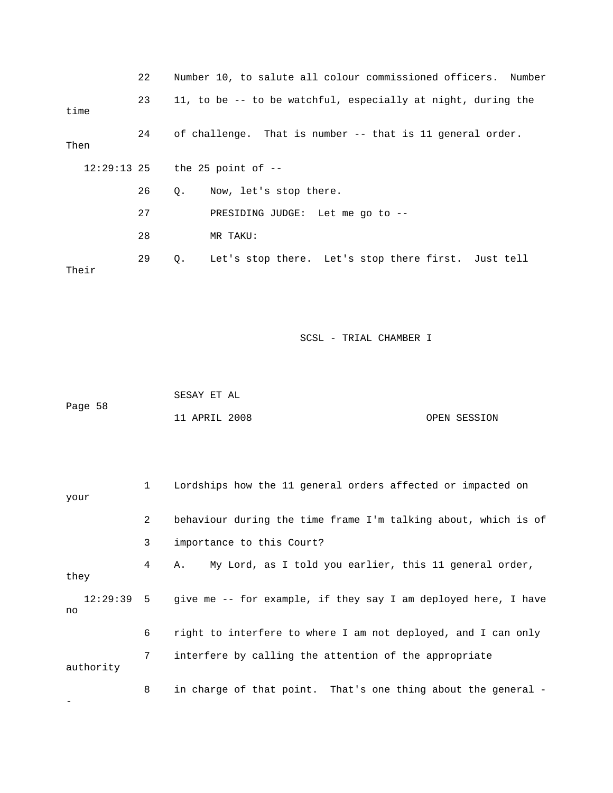|       | 22 |           | Number 10, to salute all colour commissioned officers. Number |  |  |  |  |
|-------|----|-----------|---------------------------------------------------------------|--|--|--|--|
| time  | 23 |           | 11, to be -- to be watchful, especially at night, during the  |  |  |  |  |
| Then  | 24 |           | of challenge. That is number -- that is 11 general order.     |  |  |  |  |
|       |    |           | $12:29:13$ 25 the 25 point of $-$                             |  |  |  |  |
|       | 26 | $\circ$ . | Now, let's stop there.                                        |  |  |  |  |
|       | 27 |           | PRESIDING JUDGE: Let me go to --                              |  |  |  |  |
|       | 28 |           | MR TAKU:                                                      |  |  |  |  |
| Their | 29 | $\circ$ . | Let's stop there. Let's stop there first. Just tell           |  |  |  |  |

|         | SESAY ET AL   |              |  |
|---------|---------------|--------------|--|
| Page 58 |               |              |  |
|         | 11 APRIL 2008 | OPEN SESSION |  |

| your      | $\mathbf{1}$   | Lordships how the 11 general orders affected or impacted on               |
|-----------|----------------|---------------------------------------------------------------------------|
|           | $\overline{a}$ | behaviour during the time frame I'm talking about, which is of            |
|           | 3              | importance to this Court?                                                 |
| they      | 4              | A. My Lord, as I told you earlier, this 11 general order,                 |
| no        |                | 12:29:39 5 give me -- for example, if they say I am deployed here, I have |
|           | 6              | right to interfere to where I am not deployed, and I can only             |
| authority | 7              | interfere by calling the attention of the appropriate                     |
|           | 8              | in charge of that point. That's one thing about the general -             |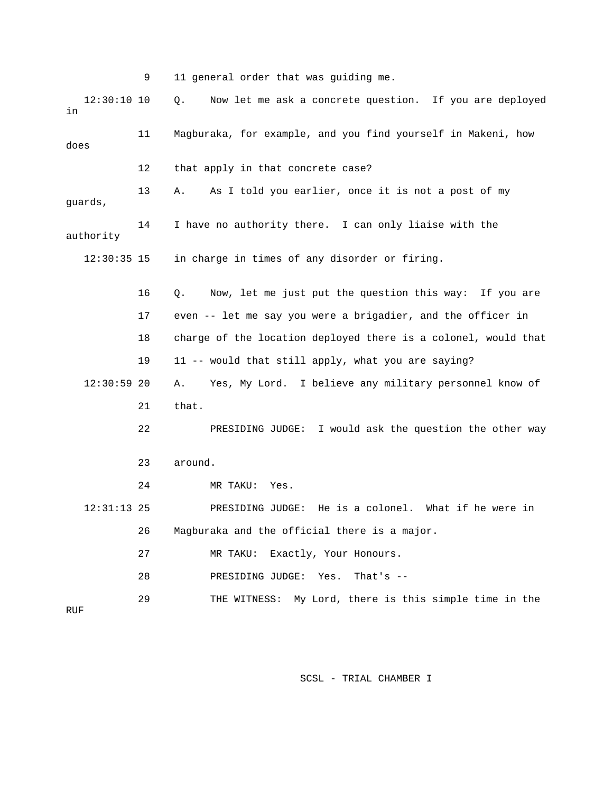9 11 general order that was guiding me. 12:30:10 10 Q. Now let me ask a concrete question. If you are deployed in 11 Magburaka, for example, and you find yourself in Makeni, how does 12 that apply in that concrete case? 13 A. As I told you earlier, once it is not a post of my guards, 14 I have no authority there. I can only liaise with the authority 12:30:35 15 in charge in times of any disorder or firing. 16 Q. Now, let me just put the question this way: If you are 17 even -- let me say you were a brigadier, and the officer in 18 charge of the location deployed there is a colonel, would that 19 11 -- would that still apply, what you are saying? 12:30:59 20 A. Yes, My Lord. I believe any military personnel know of 21 that. 22 PRESIDING JUDGE: I would ask the question the other way 23 around. 24 MR TAKU: Yes. 12:31:13 25 PRESIDING JUDGE: He is a colonel. What if he were in 26 Magburaka and the official there is a major. 27 MR TAKU: Exactly, Your Honours. 28 PRESIDING JUDGE: Yes. That's -- 29 THE WITNESS: My Lord, there is this simple time in the

RUF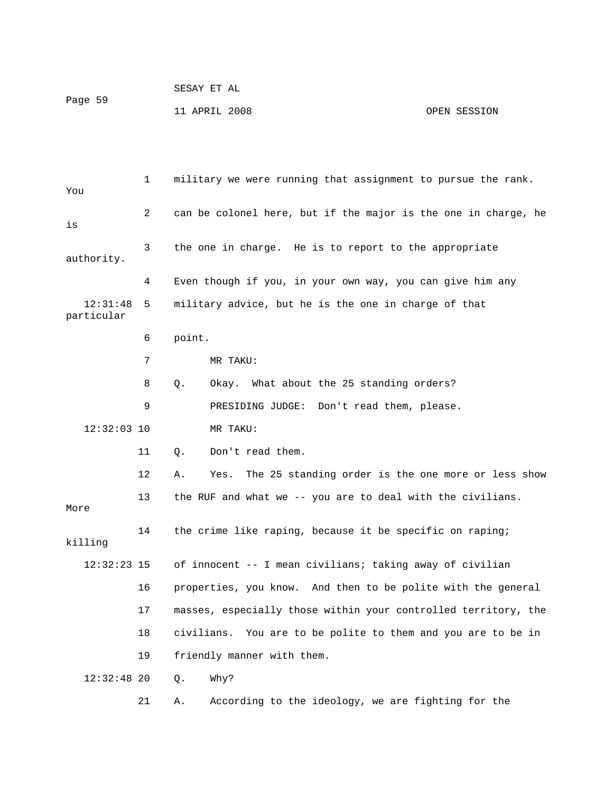| Page 59 | SESAY ET AL   |              |
|---------|---------------|--------------|
|         | 11 APRIL 2008 | OPEN SESSION |

 1 military we were running that assignment to pursue the rank. You 2 can be colonel here, but if the major is the one in charge, he is 3 the one in charge. He is to report to the appropriate authority. 4 Even though if you, in your own way, you can give him any 12:31:48 5 military advice, but he is the one in charge of that particular 6 point. 7 MR TAKU: 8 Q. Okay. What about the 25 standing orders? 9 PRESIDING JUDGE: Don't read them, please. 12:32:03 10 MR TAKU: 11 Q. Don't read them. 12 A. Yes. The 25 standing order is the one more or less show 13 the RUF and what we -- you are to deal with the civilians. More 14 the crime like raping, because it be specific on raping; killing 12:32:23 15 of innocent -- I mean civilians; taking away of civilian 16 properties, you know. And then to be polite with the general 17 masses, especially those within your controlled territory, the 18 civilians. You are to be polite to them and you are to be in 19 friendly manner with them. 12:32:48 20 Q. Why? 21 A. According to the ideology, we are fighting for the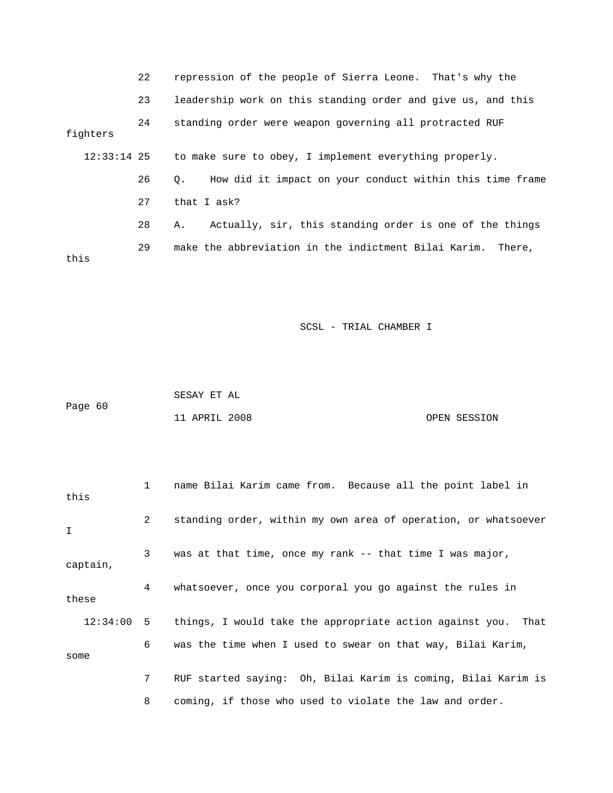|               | 22 | repression of the people of Sierra Leone. That's why the              |
|---------------|----|-----------------------------------------------------------------------|
|               | 23 | leadership work on this standing order and give us, and this          |
| fighters      | 24 | standing order were weapon governing all protracted RUF               |
| $12:33:14$ 25 |    | to make sure to obey, I implement everything properly.                |
|               | 26 | How did it impact on your conduct within this time frame<br>$\circ$ . |
|               | 27 | that I ask?                                                           |
|               | 28 | Actually, sir, this standing order is one of the things<br>А.         |
|               | 29 | make the abbreviation in the indictment Bilai Karim. There,           |

this

|         | SESAY ET AL   |  |              |
|---------|---------------|--|--------------|
| Page 60 |               |  |              |
|         | 11 APRIL 2008 |  | OPEN SESSION |

| this  |          | 1            | name Bilai Karim came from. Because all the point label in      |
|-------|----------|--------------|-----------------------------------------------------------------|
| I     |          | $\mathbf{2}$ | standing order, within my own area of operation, or whatsoever  |
|       | captain, | 3            | was at that time, once my rank $-$ that time I was major,       |
| these |          | 4            | whatsoever, once you corporal you go against the rules in       |
|       | 12:34:00 |              | 5 things, I would take the appropriate action against you. That |
| some  |          | 6            | was the time when I used to swear on that way, Bilai Karim,     |
|       |          | $7^{\circ}$  | RUF started saying: Oh, Bilai Karim is coming, Bilai Karim is   |
|       |          | 8            | coming, if those who used to violate the law and order.         |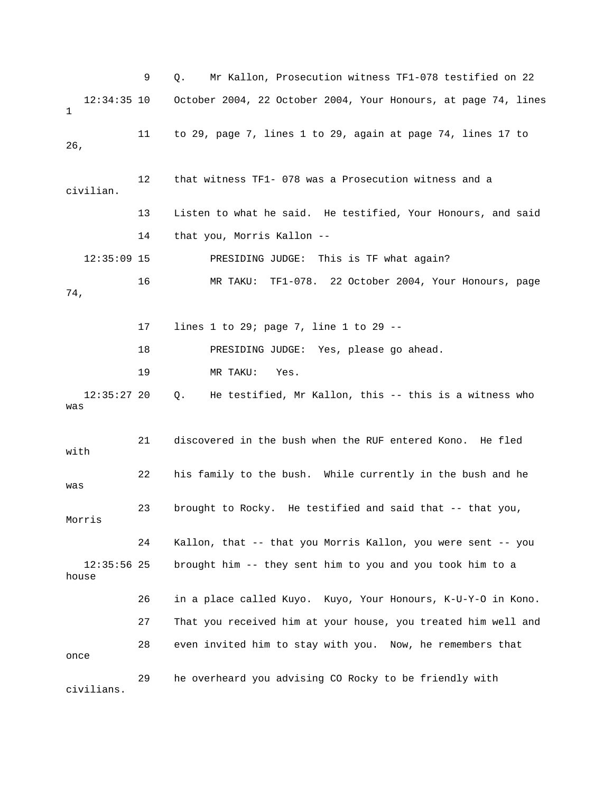9 Q. Mr Kallon, Prosecution witness TF1-078 testified on 22 12:34:35 10 October 2004, 22 October 2004, Your Honours, at page 74, lines 1 11 to 29, page 7, lines 1 to 29, again at page 74, lines 17 to 26, 12 that witness TF1- 078 was a Prosecution witness and a civilian. 13 Listen to what he said. He testified, Your Honours, and said 14 that you, Morris Kallon -- 12:35:09 15 PRESIDING JUDGE: This is TF what again? 16 MR TAKU: TF1-078. 22 October 2004, Your Honours, page 74, 17 lines 1 to 29; page 7, line 1 to 29 -- 18 PRESIDING JUDGE: Yes, please go ahead. 19 MR TAKU: Yes. 12:35:27 20 Q. He testified, Mr Kallon, this -- this is a witness who was 21 discovered in the bush when the RUF entered Kono. He fled with 22 his family to the bush. While currently in the bush and he was 23 brought to Rocky. He testified and said that -- that you, Morris 24 Kallon, that -- that you Morris Kallon, you were sent -- you 12:35:56 25 brought him -- they sent him to you and you took him to a house 26 in a place called Kuyo. Kuyo, Your Honours, K-U-Y-O in Kono. 27 That you received him at your house, you treated him well and 28 even invited him to stay with you. Now, he remembers that once 29 he overheard you advising CO Rocky to be friendly with civilians.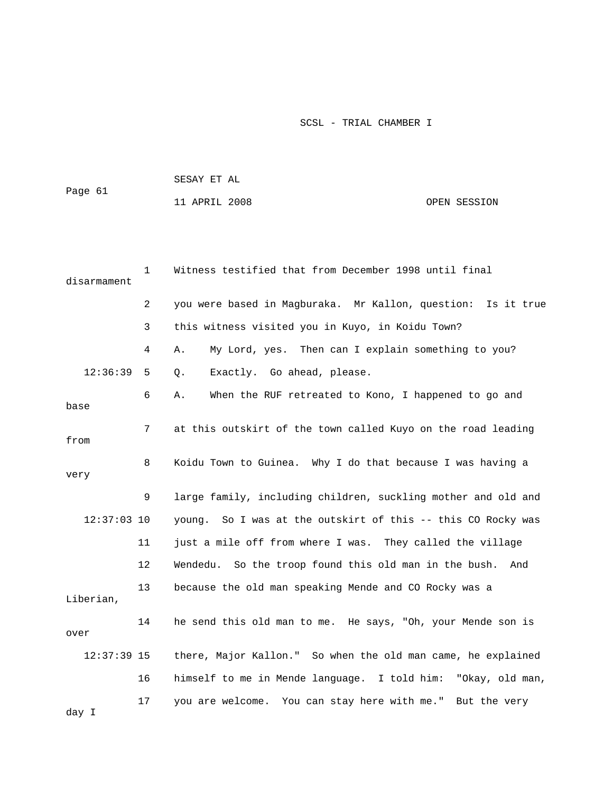| Page 61 | SESAY ET AL   |              |  |  |  |
|---------|---------------|--------------|--|--|--|
|         | 11 APRIL 2008 | OPEN SESSION |  |  |  |
|         |               |              |  |  |  |

| disarmament   | $\mathbf{1}$   | Witness testified that from December 1998 until final         |  |  |
|---------------|----------------|---------------------------------------------------------------|--|--|
|               | $\overline{2}$ | you were based in Magburaka. Mr Kallon, question: Is it true  |  |  |
|               | 3              | this witness visited you in Kuyo, in Koidu Town?              |  |  |
|               | 4              | My Lord, yes. Then can I explain something to you?<br>Α.      |  |  |
| 12:36:39      | 5              | Exactly. Go ahead, please.<br>$Q$ .                           |  |  |
| base          | 6              | When the RUF retreated to Kono, I happened to go and<br>Α.    |  |  |
| from          | 7              | at this outskirt of the town called Kuyo on the road leading  |  |  |
| 8<br>very     |                | Koidu Town to Guinea. Why I do that because I was having a    |  |  |
|               | 9              | large family, including children, suckling mother and old and |  |  |
| $12:37:03$ 10 |                | young. So I was at the outskirt of this -- this CO Rocky was  |  |  |
|               | 11             | just a mile off from where I was. They called the village     |  |  |
|               | 12             | Wendedu. So the troop found this old man in the bush. And     |  |  |
| Liberian,     | 13             | because the old man speaking Mende and CO Rocky was a         |  |  |
| over          | 14             | he send this old man to me. He says, "Oh, your Mende son is   |  |  |
| $12:37:39$ 15 |                | there, Major Kallon." So when the old man came, he explained  |  |  |
|               | 16             | himself to me in Mende language. I told him: "Okay, old man,  |  |  |
| day I         | 17             | you are welcome. You can stay here with me." But the very     |  |  |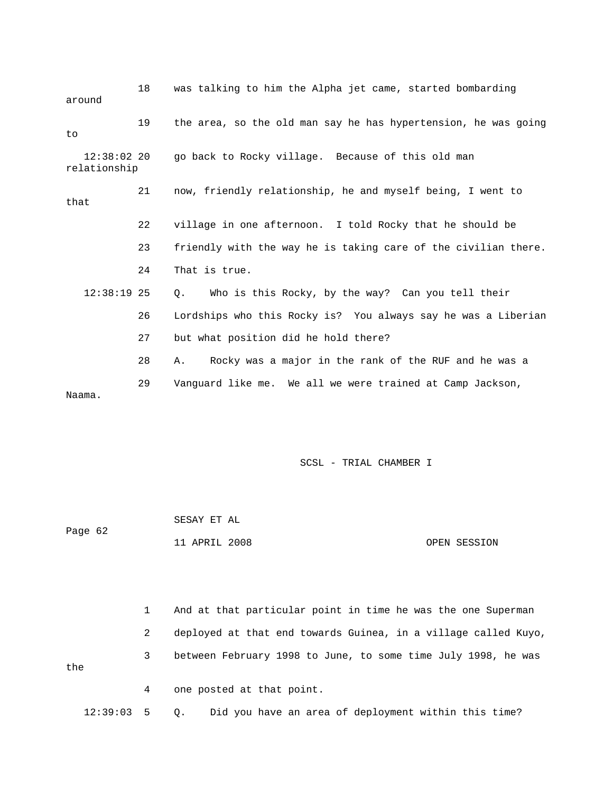| around                        | 18 | was talking to him the Alpha jet came, started bombarding      |
|-------------------------------|----|----------------------------------------------------------------|
| to                            | 19 | the area, so the old man say he has hypertension, he was going |
| $12:38:02$ 20<br>relationship |    | go back to Rocky village. Because of this old man              |
| that                          | 21 | now, friendly relationship, he and myself being, I went to     |
|                               | 22 | village in one afternoon. I told Rocky that he should be       |
|                               | 23 | friendly with the way he is taking care of the civilian there. |
|                               | 24 | That is true.                                                  |
| $12:38:19$ 25                 |    | Who is this Rocky, by the way? Can you tell their<br>О.        |
|                               | 26 | Lordships who this Rocky is? You always say he was a Liberian  |
|                               | 27 | but what position did he hold there?                           |
|                               | 28 | Rocky was a major in the rank of the RUF and he was a<br>Α.    |
| Naama.                        | 29 | Vanquard like me. We all we were trained at Camp Jackson,      |

|         | SESAY ET AL   |              |
|---------|---------------|--------------|
| Page 62 |               |              |
|         | 11 APRIL 2008 | OPEN SESSION |

|     |   | And at that particular point in time he was the one Superman   |
|-----|---|----------------------------------------------------------------|
|     | 2 | deployed at that end towards Guinea, in a village called Kuyo, |
| the | 3 | between February 1998 to June, to some time July 1998, he was  |
|     | 4 | one posted at that point.                                      |

12:39:03 5 Q. Did you have an area of deployment within this time?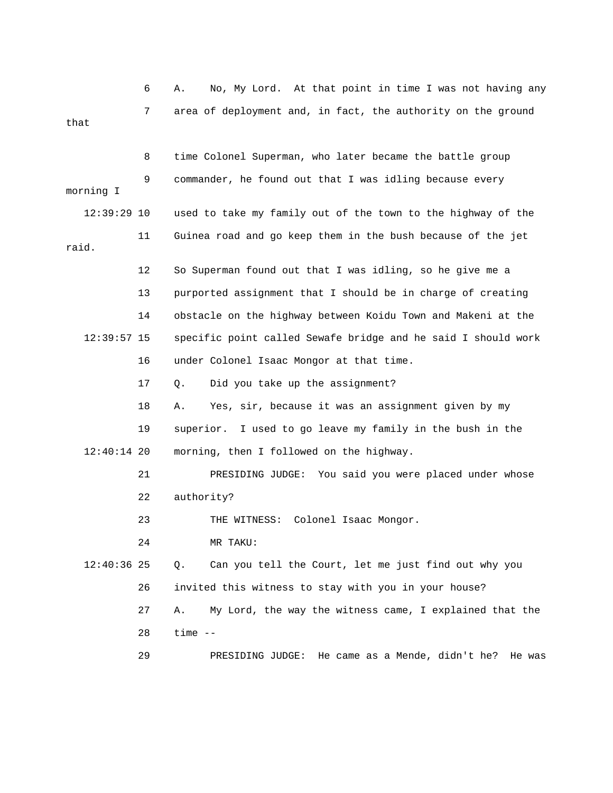6 A. No, My Lord. At that point in time I was not having any 7 area of deployment and, in fact, the authority on the ground that

 8 time Colonel Superman, who later became the battle group 9 commander, he found out that I was idling because every morning I 12:39:29 10 used to take my family out of the town to the highway of the 11 Guinea road and go keep them in the bush because of the jet raid. 12 So Superman found out that I was idling, so he give me a 13 purported assignment that I should be in charge of creating 14 obstacle on the highway between Koidu Town and Makeni at the 12:39:57 15 specific point called Sewafe bridge and he said I should work 16 under Colonel Isaac Mongor at that time. 17 Q. Did you take up the assignment? 18 A. Yes, sir, because it was an assignment given by my 19 superior. I used to go leave my family in the bush in the 12:40:14 20 morning, then I followed on the highway. 21 PRESIDING JUDGE: You said you were placed under whose 22 authority? 23 THE WITNESS: Colonel Isaac Mongor. 24 MR TAKU: 12:40:36 25 Q. Can you tell the Court, let me just find out why you 26 invited this witness to stay with you in your house? 27 A. My Lord, the way the witness came, I explained that the 28 time -- 29 PRESIDING JUDGE: He came as a Mende, didn't he? He was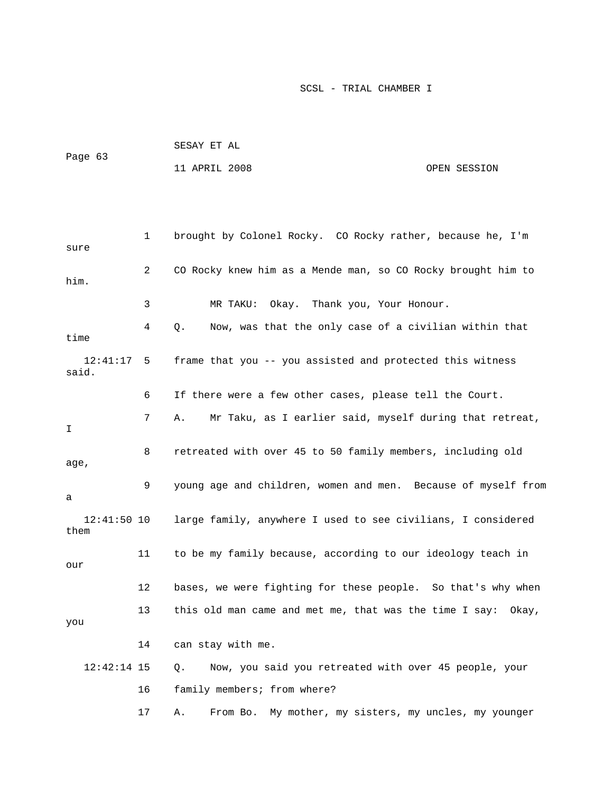|         | SESAY ET AL   |              |
|---------|---------------|--------------|
| Page 63 |               |              |
|         | 11 APRIL 2008 | OPEN SESSION |

| sure                  | 1  | brought by Colonel Rocky. CO Rocky rather, because he, I'm     |
|-----------------------|----|----------------------------------------------------------------|
| him.                  | 2  | CO Rocky knew him as a Mende man, so CO Rocky brought him to   |
|                       | 3  | Okay. Thank you, Your Honour.<br>MR TAKU:                      |
| time                  | 4  | Now, was that the only case of a civilian within that<br>Q.    |
| 12:41:17<br>said.     | 5  | frame that you -- you assisted and protected this witness      |
|                       | 6  | If there were a few other cases, please tell the Court.        |
| I                     | 7  | Mr Taku, as I earlier said, myself during that retreat,<br>Α.  |
| age,                  | 8  | retreated with over 45 to 50 family members, including old     |
| а                     | 9  | young age and children, women and men. Because of myself from  |
| $12:41:50$ 10<br>them |    | large family, anywhere I used to see civilians, I considered   |
| our                   | 11 | to be my family because, according to our ideology teach in    |
|                       | 12 | bases, we were fighting for these people. So that's why when   |
| you                   | 13 | this old man came and met me, that was the time I say: Okay,   |
|                       | 14 | can stay with me.                                              |
| $12:42:14$ 15         |    | Now, you said you retreated with over 45 people, your<br>Q.    |
|                       | 16 | family members; from where?                                    |
|                       | 17 | My mother, my sisters, my uncles, my younger<br>Α.<br>From Bo. |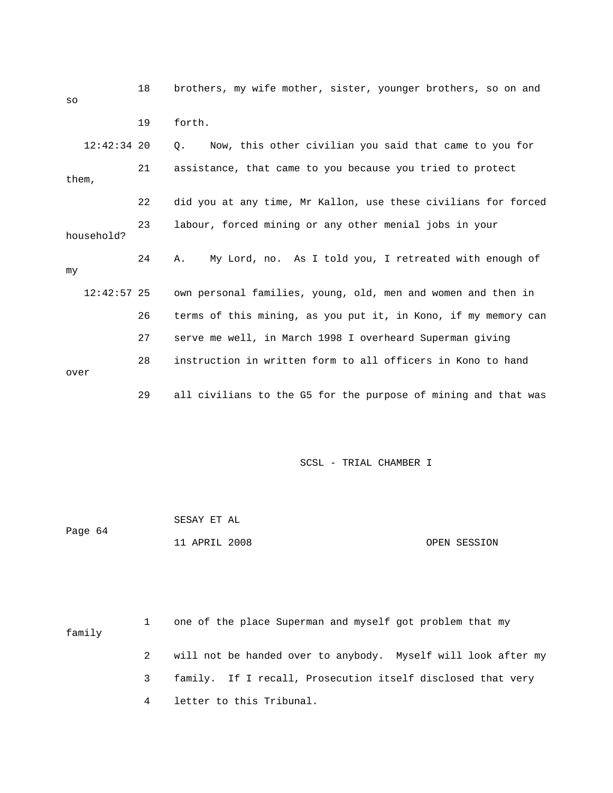| SO            | 18 | brothers, my wife mother, sister, younger brothers, so on and  |
|---------------|----|----------------------------------------------------------------|
|               | 19 | forth.                                                         |
| $12:42:34$ 20 |    | Now, this other civilian you said that came to you for<br>О.   |
| them,         | 21 | assistance, that came to you because you tried to protect      |
|               | 22 | did you at any time, Mr Kallon, use these civilians for forced |
| household?    | 23 | labour, forced mining or any other menial jobs in your         |
| my            | 24 | My Lord, no. As I told you, I retreated with enough of<br>Α.   |
| $12:42:57$ 25 |    | own personal families, young, old, men and women and then in   |
|               | 26 | terms of this mining, as you put it, in Kono, if my memory can |
|               | 27 | serve me well, in March 1998 I overheard Superman giving       |
| over          | 28 | instruction in written form to all officers in Kono to hand    |
|               | 29 | all civilians to the G5 for the purpose of mining and that was |

|         | SESAY ET AL   |              |
|---------|---------------|--------------|
| Page 64 |               |              |
|         | 11 APRIL 2008 | OPEN SESSION |

 1 one of the place Superman and myself got problem that my family 2 will not be handed over to anybody. Myself will look after my 3 family. If I recall, Prosecution itself disclosed that very 4 letter to this Tribunal.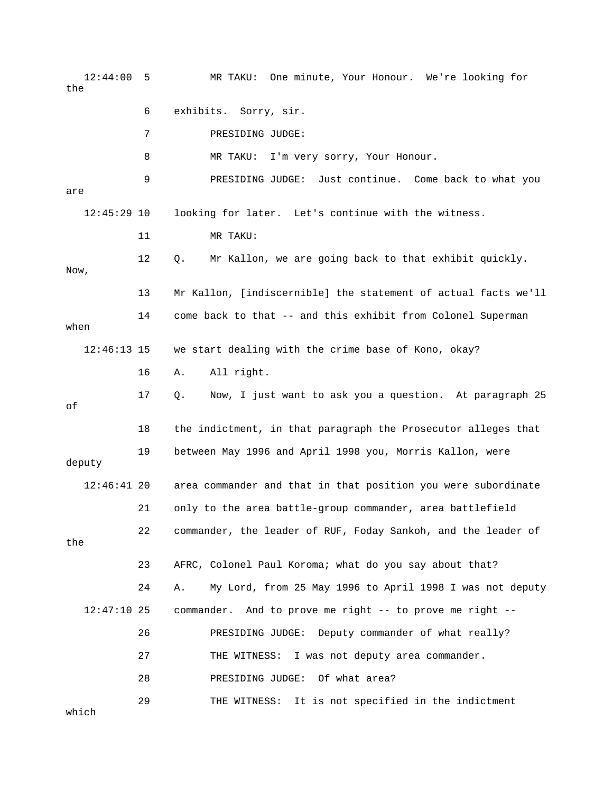12:44:00 5 MR TAKU: One minute, Your Honour. We're looking for the 6 exhibits. Sorry, sir. 7 PRESIDING JUDGE: 8 MR TAKU: I'm very sorry, Your Honour. 9 PRESIDING JUDGE: Just continue. Come back to what you are 12:45:29 10 looking for later. Let's continue with the witness. 11 MR TAKU: 12 Q. Mr Kallon, we are going back to that exhibit quickly. Now, 13 Mr Kallon, [indiscernible] the statement of actual facts we'll 14 come back to that -- and this exhibit from Colonel Superman when 12:46:13 15 we start dealing with the crime base of Kono, okay? 16 A. All right. 17 Q. Now, I just want to ask you a question. At paragraph 25 of 18 the indictment, in that paragraph the Prosecutor alleges that 19 between May 1996 and April 1998 you, Morris Kallon, were deputy 12:46:41 20 area commander and that in that position you were subordinate 21 only to the area battle-group commander, area battlefield 22 commander, the leader of RUF, Foday Sankoh, and the leader of the 23 AFRC, Colonel Paul Koroma; what do you say about that? 24 A. My Lord, from 25 May 1996 to April 1998 I was not deputy 12:47:10 25 commander. And to prove me right -- to prove me right -- 26 PRESIDING JUDGE: Deputy commander of what really? 27 THE WITNESS: I was not deputy area commander. 28 PRESIDING JUDGE: Of what area? 29 THE WITNESS: It is not specified in the indictment which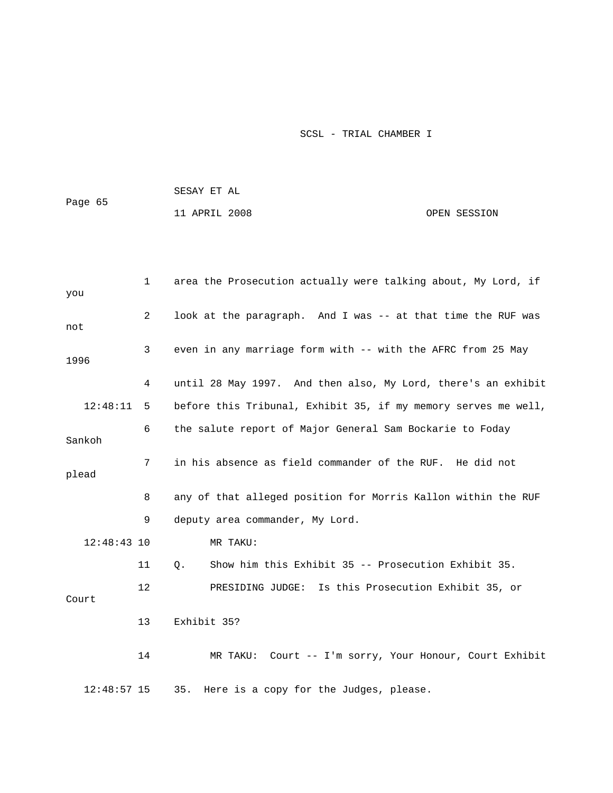|         | SESAY ET AL   |  |              |
|---------|---------------|--|--------------|
| Page 65 |               |  |              |
|         | 11 APRIL 2008 |  | OPEN SESSION |

| you                     | $\mathbf 1$    | area the Prosecution actually were talking about, My Lord, if  |  |  |  |
|-------------------------|----------------|----------------------------------------------------------------|--|--|--|
| not                     | $\overline{2}$ | look at the paragraph. And I was -- at that time the RUF was   |  |  |  |
| 1996                    | 3              | even in any marriage form with -- with the AFRC from 25 May    |  |  |  |
|                         | 4              | until 28 May 1997. And then also, My Lord, there's an exhibit  |  |  |  |
| 12:48:11                | 5              | before this Tribunal, Exhibit 35, if my memory serves me well, |  |  |  |
| Sankoh                  | 6              | the salute report of Major General Sam Bockarie to Foday       |  |  |  |
| $7\phantom{.}$<br>plead |                | in his absence as field commander of the RUF. He did not       |  |  |  |
|                         | 8              | any of that alleged position for Morris Kallon within the RUF  |  |  |  |
|                         | 9              | deputy area commander, My Lord.                                |  |  |  |
| $12:48:43$ 10           |                | MR TAKU:                                                       |  |  |  |
|                         | 11             | Show him this Exhibit 35 -- Prosecution Exhibit 35.<br>Q.      |  |  |  |
| Court                   | 12             | PRESIDING JUDGE: Is this Prosecution Exhibit 35, or            |  |  |  |
|                         | 13             | Exhibit 35?                                                    |  |  |  |
|                         | 14             | Court -- I'm sorry, Your Honour, Court Exhibit<br>MR TAKU:     |  |  |  |
| $12:48:57$ 15           |                | 35.<br>Here is a copy for the Judges, please.                  |  |  |  |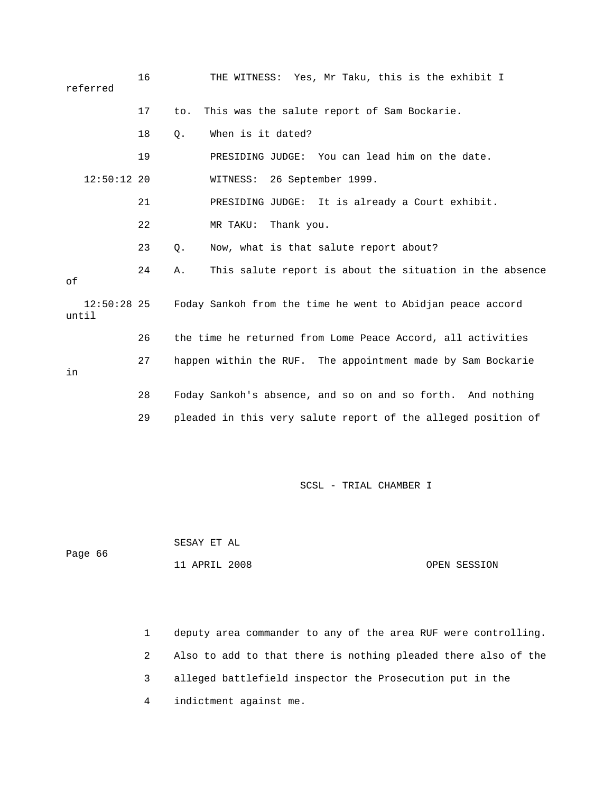|       | referred      | 16 |       | THE WITNESS: Yes, Mr Taku, this is the exhibit I              |
|-------|---------------|----|-------|---------------------------------------------------------------|
|       |               | 17 | to.   | This was the salute report of Sam Bockarie.                   |
|       |               | 18 | $Q$ . | When is it dated?                                             |
|       |               | 19 |       | PRESIDING JUDGE: You can lead him on the date.                |
|       | $12:50:12$ 20 |    |       | 26 September 1999.<br>WITNESS:                                |
|       |               | 21 |       | PRESIDING JUDGE: It is already a Court exhibit.               |
|       |               | 22 |       | MR TAKU:<br>Thank you.                                        |
|       |               | 23 | $Q$ . | Now, what is that salute report about?                        |
| оf    |               | 24 | Α.    | This salute report is about the situation in the absence      |
| until | $12:50:28$ 25 |    |       | Foday Sankoh from the time he went to Abidjan peace accord    |
|       |               | 26 |       | the time he returned from Lome Peace Accord, all activities   |
| in    |               | 27 |       | happen within the RUF. The appointment made by Sam Bockarie   |
|       |               | 28 |       | Foday Sankoh's absence, and so on and so forth. And nothing   |
|       |               | 29 |       | pleaded in this very salute report of the alleged position of |

SESAY ET AL

11 APRIL 2008 OPEN SESSION

Page 66

 1 deputy area commander to any of the area RUF were controlling. 2 Also to add to that there is nothing pleaded there also of the 3 alleged battlefield inspector the Prosecution put in the 4 indictment against me.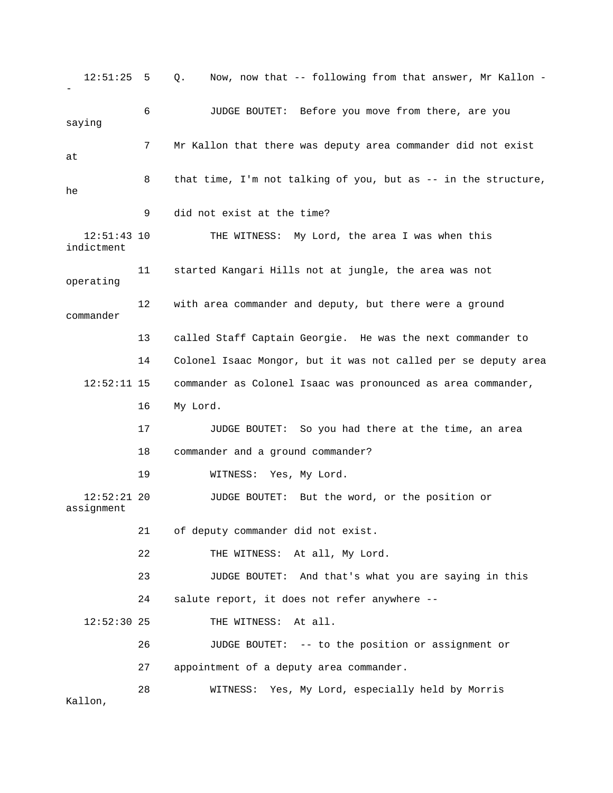12:51:25 5 Q. Now, now that -- following from that answer, Mr Kallon - - 6 JUDGE BOUTET: Before you move from there, are you saying 7 Mr Kallon that there was deputy area commander did not exist at 8 that time, I'm not talking of you, but as -- in the structure, he 9 did not exist at the time? 12:51:43 10 THE WITNESS: My Lord, the area I was when this indictment 11 started Kangari Hills not at jungle, the area was not operating 12 with area commander and deputy, but there were a ground commander 13 called Staff Captain Georgie. He was the next commander to 14 Colonel Isaac Mongor, but it was not called per se deputy area 12:52:11 15 commander as Colonel Isaac was pronounced as area commander, 16 My Lord. 17 JUDGE BOUTET: So you had there at the time, an area 18 commander and a ground commander? 19 WITNESS: Yes, My Lord. 12:52:21 20 JUDGE BOUTET: But the word, or the position or assignment 21 of deputy commander did not exist. 22 THE WITNESS: At all, My Lord. 23 JUDGE BOUTET: And that's what you are saying in this 24 salute report, it does not refer anywhere -- 12:52:30 25 THE WITNESS: At all. 26 JUDGE BOUTET: -- to the position or assignment or 27 appointment of a deputy area commander. 28 WITNESS: Yes, My Lord, especially held by Morris Kallon,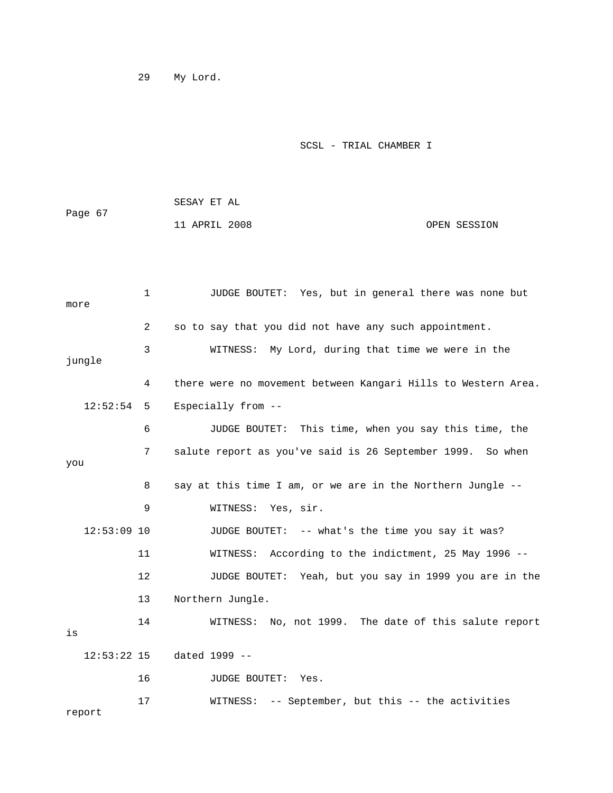29 My Lord.

SCSL - TRIAL CHAMBER I

| Page 67 | SESAY ET AL   |              |
|---------|---------------|--------------|
|         | 11 APRIL 2008 | OPEN SESSION |

| more |                              | $\mathbf 1$ | JUDGE BOUTET: Yes, but in general there was none but           |
|------|------------------------------|-------------|----------------------------------------------------------------|
|      |                              | 2           | so to say that you did not have any such appointment.          |
|      | jungle                       | 3           | WITNESS: My Lord, during that time we were in the              |
|      |                              | 4           | there were no movement between Kangari Hills to Western Area.  |
|      | 12:52:54                     | 5           | Especially from --                                             |
|      |                              | 6           | This time, when you say this time, the<br><b>JUDGE BOUTET:</b> |
| you  |                              | 7           | salute report as you've said is 26 September 1999. So when     |
|      |                              | 8           | say at this time I am, or we are in the Northern Jungle --     |
|      |                              | 9           | WITNESS: Yes, sir.                                             |
|      | $12:53:09$ 10                |             | JUDGE BOUTET: -- what's the time you say it was?               |
|      |                              | 11          | According to the indictment, 25 May 1996 --<br>WITNESS:        |
|      |                              | 12          | JUDGE BOUTET: Yeah, but you say in 1999 you are in the         |
|      |                              | 13          | Northern Jungle.                                               |
| is   |                              | 14          | No, not 1999. The date of this salute report<br>WITNESS:       |
|      | $12:53:22$ 15                |             | dated 1999 --                                                  |
|      |                              | 16          | <b>JUDGE BOUTET:</b><br>Yes.                                   |
|      | $r$ $\sim$ $\sim$ $\sim$ $+$ | 17          | -- September, but this -- the activities<br>WITNESS:           |

report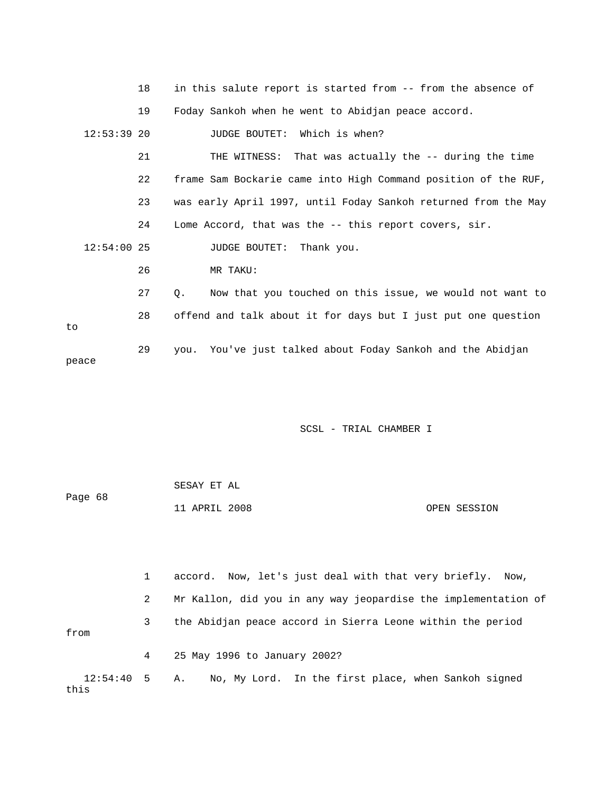|               | 18 | in this salute report is started from -- from the absence of          |
|---------------|----|-----------------------------------------------------------------------|
|               | 19 | Foday Sankoh when he went to Abidjan peace accord.                    |
| $12:53:39$ 20 |    | JUDGE BOUTET: Which is when?                                          |
|               | 21 | THE WITNESS: That was actually the -- during the time                 |
|               | 22 | frame Sam Bockarie came into High Command position of the RUF,        |
|               | 23 | was early April 1997, until Foday Sankoh returned from the May        |
|               | 24 | Lome Accord, that was the -- this report covers, sir.                 |
| $12:54:00$ 25 |    | JUDGE BOUTET: Thank you.                                              |
|               | 26 | MR TAKU:                                                              |
|               | 27 | Now that you touched on this issue, we would not want to<br>$\circ$ . |
| to            | 28 | offend and talk about it for days but I just put one question         |
| peace         | 29 | you. You've just talked about Foday Sankoh and the Abidjan            |
|               |    |                                                                       |

|         | SESAY ET AL   |  |              |
|---------|---------------|--|--------------|
| Page 68 |               |  |              |
|         | 11 APRIL 2008 |  | OPEN SESSION |

 1 accord. Now, let's just deal with that very briefly. Now, 2 Mr Kallon, did you in any way jeopardise the implementation of 3 the Abidjan peace accord in Sierra Leone within the period from 4 25 May 1996 to January 2002? 12:54:40 5 A. No, My Lord. In the first place, when Sankoh signed this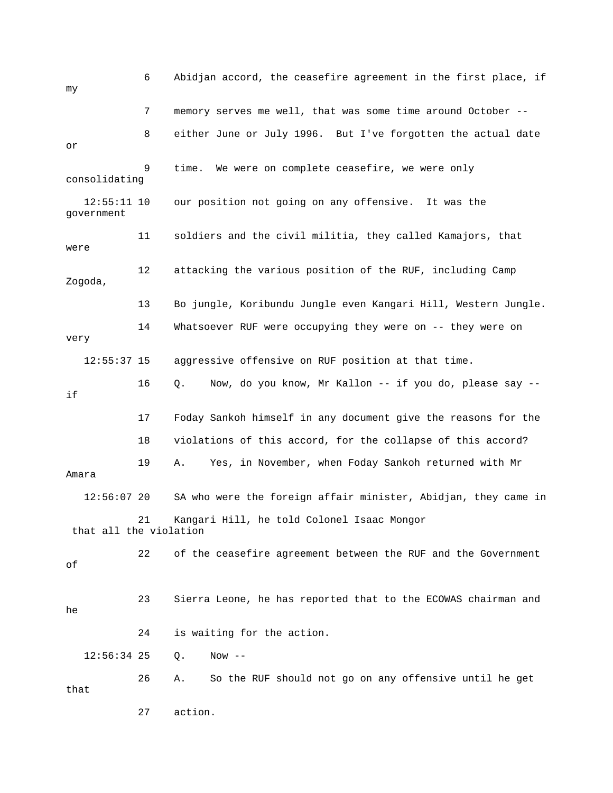6 Abidjan accord, the ceasefire agreement in the first place, if my 7 memory serves me well, that was some time around October -- 8 either June or July 1996. But I've forgotten the actual date or 9 time. We were on complete ceasefire, we were only consolidating 12:55:11 10 our position not going on any offensive. It was the government 11 soldiers and the civil militia, they called Kamajors, that were 12 attacking the various position of the RUF, including Camp Zogoda, 13 Bo jungle, Koribundu Jungle even Kangari Hill, Western Jungle. 14 Whatsoever RUF were occupying they were on -- they were on very 12:55:37 15 aggressive offensive on RUF position at that time. 16 Q. Now, do you know, Mr Kallon -- if you do, please say - if 17 Foday Sankoh himself in any document give the reasons for the 18 violations of this accord, for the collapse of this accord? 19 A. Yes, in November, when Foday Sankoh returned with Mr Amara 12:56:07 20 SA who were the foreign affair minister, Abidjan, they came in 21 Kangari Hill, he told Colonel Isaac Mongor that all the violation 22 of the ceasefire agreement between the RUF and the Government of 23 Sierra Leone, he has reported that to the ECOWAS chairman and he 24 is waiting for the action. 12:56:34 25 Q. Now -- 26 A. So the RUF should not go on any offensive until he get that 27 action.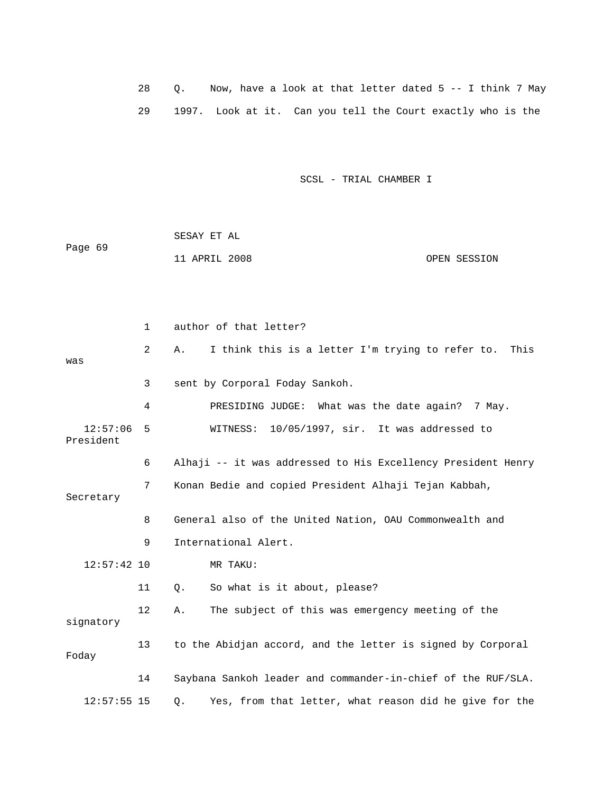28 Q. Now, have a look at that letter dated 5 -- I think 7 May 29 1997. Look at it. Can you tell the Court exactly who is the

SCSL - TRIAL CHAMBER I

 SESAY ET AL Page 69 11 APRIL 2008 OPEN SESSION

 1 author of that letter? 2 A. I think this is a letter I'm trying to refer to. This was 3 sent by Corporal Foday Sankoh. 4 PRESIDING JUDGE: What was the date again? 7 May. 12:57:06 5 WITNESS: 10/05/1997, sir. It was addressed to President 6 Alhaji -- it was addressed to His Excellency President Henry 7 Konan Bedie and copied President Alhaji Tejan Kabbah, Secretary 8 General also of the United Nation, OAU Commonwealth and 9 International Alert. 12:57:42 10 MR TAKU: 11 Q. So what is it about, please? 12 A. The subject of this was emergency meeting of the signatory 13 to the Abidjan accord, and the letter is signed by Corporal Foday 14 Saybana Sankoh leader and commander-in-chief of the RUF/SLA. 12:57:55 15 Q. Yes, from that letter, what reason did he give for the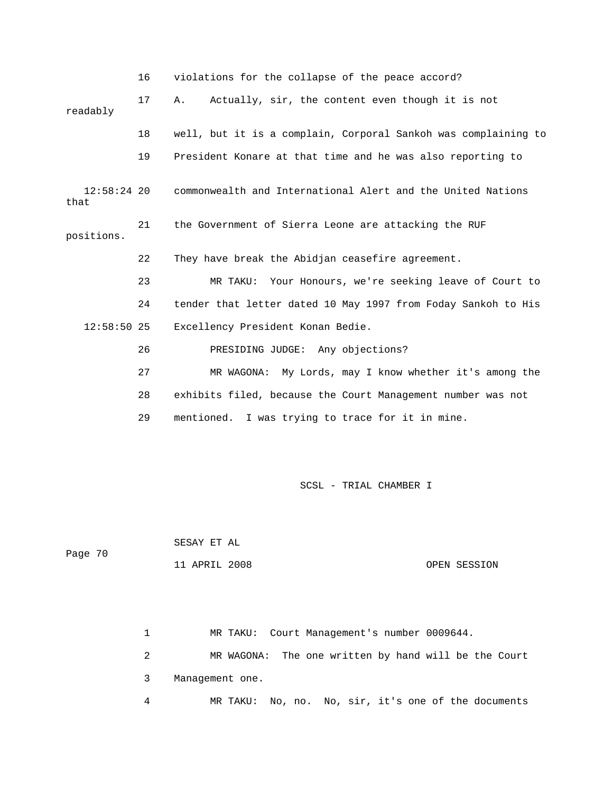|                       | violations for the collapse of the peace accord? |                                                                |
|-----------------------|--------------------------------------------------|----------------------------------------------------------------|
| readably              | 17                                               | Actually, sir, the content even though it is not<br>Α.         |
|                       | 18                                               | well, but it is a complain, Corporal Sankoh was complaining to |
|                       | 19                                               | President Konare at that time and he was also reporting to     |
| $12:58:24$ 20<br>that |                                                  | commonwealth and International Alert and the United Nations    |
| positions.            | 21                                               | the Government of Sierra Leone are attacking the RUF           |
|                       | 22                                               | They have break the Abidjan ceasefire agreement.               |
|                       | 23                                               | MR TAKU: Your Honours, we're seeking leave of Court to         |
|                       | 24                                               | tender that letter dated 10 May 1997 from Foday Sankoh to His  |
| $12:58:50$ 25         |                                                  | Excellency President Konan Bedie.                              |
|                       | 26                                               | PRESIDING JUDGE: Any objections?                               |
|                       | 27                                               | MR WAGONA: My Lords, may I know whether it's among the         |
|                       | 28                                               | exhibits filed, because the Court Management number was not    |
|                       | 29                                               | mentioned. I was trying to trace for it in mine.               |

 SESAY ET AL Page 70

11 APRIL 2008 OPEN SESSION

 1 MR TAKU: Court Management's number 0009644. 2 MR WAGONA: The one written by hand will be the Court 3 Management one. 4 MR TAKU: No, no. No, sir, it's one of the documents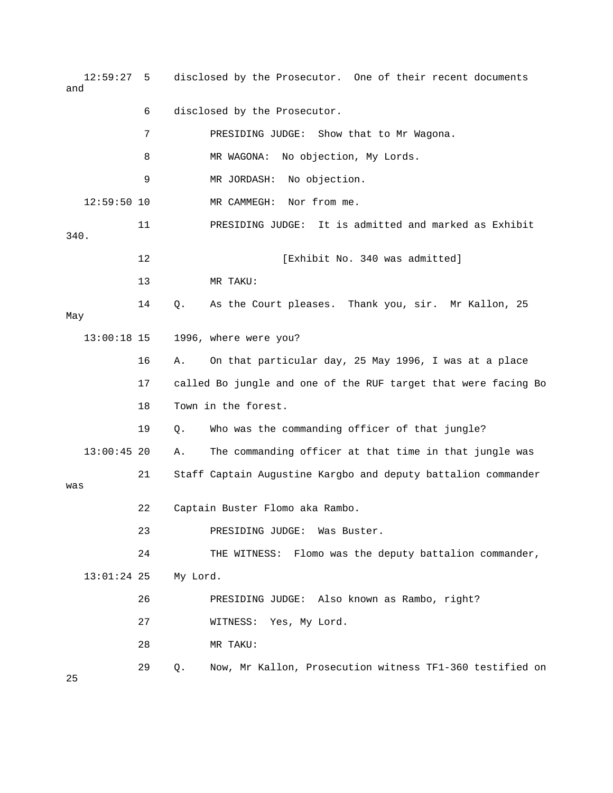| $12:59:27$ 5<br>and                   |    | disclosed by the Prosecutor. One of their recent documents     |  |  |
|---------------------------------------|----|----------------------------------------------------------------|--|--|
|                                       | 6  | disclosed by the Prosecutor.                                   |  |  |
|                                       | 7  | PRESIDING JUDGE:<br>Show that to Mr Wagona.                    |  |  |
|                                       | 8  | MR WAGONA:<br>No objection, My Lords.                          |  |  |
|                                       | 9  | No objection.<br>MR JORDASH:                                   |  |  |
| $12:59:50$ 10                         |    | Nor from me.<br>MR CAMMEGH:                                    |  |  |
| 340.                                  | 11 | PRESIDING JUDGE: It is admitted and marked as Exhibit          |  |  |
|                                       | 12 | [Exhibit No. 340 was admitted]                                 |  |  |
|                                       | 13 | MR TAKU:                                                       |  |  |
| May                                   | 14 | $Q$ .<br>As the Court pleases. Thank you, sir. Mr Kallon, 25   |  |  |
| $13:00:18$ 15                         |    | 1996, where were you?                                          |  |  |
|                                       | 16 | On that particular day, 25 May 1996, I was at a place<br>Α.    |  |  |
|                                       | 17 | called Bo jungle and one of the RUF target that were facing Bo |  |  |
|                                       | 18 | Town in the forest.                                            |  |  |
|                                       | 19 | Who was the commanding officer of that jungle?<br>Q.           |  |  |
| $13:00:45$ 20                         |    | The commanding officer at that time in that jungle was<br>Α.   |  |  |
| was                                   | 21 | Staff Captain Augustine Kargbo and deputy battalion commander  |  |  |
| 22<br>Captain Buster Flomo aka Rambo. |    |                                                                |  |  |
|                                       | 23 | PRESIDING JUDGE:<br>Was Buster.                                |  |  |
|                                       | 24 | THE WITNESS: Flomo was the deputy battalion commander,         |  |  |
| $13:01:24$ 25                         |    | My Lord.                                                       |  |  |
|                                       | 26 | PRESIDING JUDGE: Also known as Rambo, right?                   |  |  |
|                                       | 27 | Yes, My Lord.<br>WITNESS:                                      |  |  |
|                                       | 28 | MR TAKU:                                                       |  |  |
| 25                                    | 29 | Now, Mr Kallon, Prosecution witness TF1-360 testified on<br>Q. |  |  |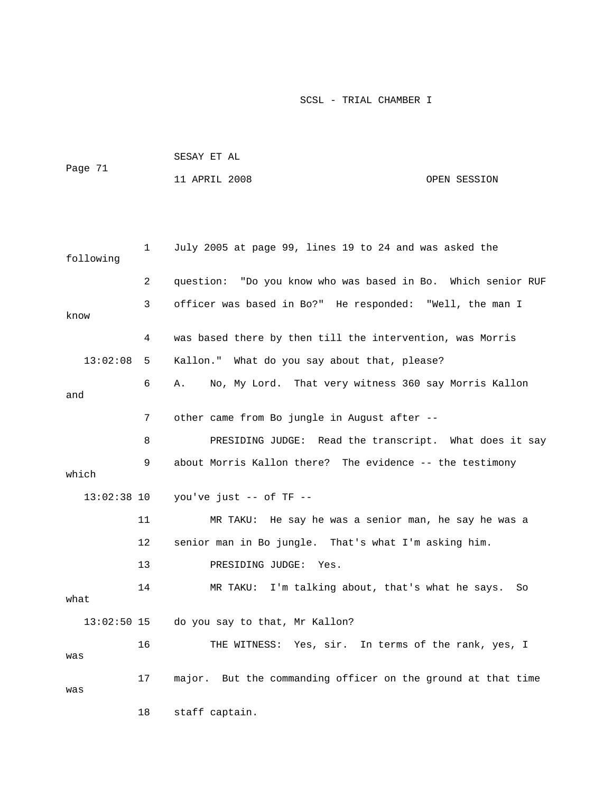|               |    | SESAY ET AL                                                  |              |  |  |
|---------------|----|--------------------------------------------------------------|--------------|--|--|
| Page 71       |    | 11 APRIL 2008                                                | OPEN SESSION |  |  |
|               |    |                                                              |              |  |  |
|               |    |                                                              |              |  |  |
| following     | 1  | July 2005 at page 99, lines 19 to 24 and was asked the       |              |  |  |
|               | 2  | question: "Do you know who was based in Bo. Which senior RUF |              |  |  |
| know          | 3  | officer was based in Bo?" He responded: "Well, the man I     |              |  |  |
|               | 4  | was based there by then till the intervention, was Morris    |              |  |  |
| 13:02:08      | 5  | Kallon." What do you say about that, please?                 |              |  |  |
| and           | 6  | No, My Lord. That very witness 360 say Morris Kallon<br>Α.   |              |  |  |
|               | 7  | other came from Bo jungle in August after --                 |              |  |  |
|               | 8  | PRESIDING JUDGE: Read the transcript. What does it say       |              |  |  |
| which         | 9  | about Morris Kallon there? The evidence -- the testimony     |              |  |  |
| $13:02:38$ 10 |    | you've just -- of TF --                                      |              |  |  |
|               | 11 | MR TAKU: He say he was a senior man, he say he was a         |              |  |  |
|               | 12 | senior man in Bo jungle. That's what I'm asking him.         |              |  |  |
|               | 13 | PRESIDING JUDGE:<br>Yes.                                     |              |  |  |
| what          | 14 | I'm talking about, that's what he says.<br>MR TAKU:          | So.          |  |  |
| $13:02:50$ 15 |    | do you say to that, Mr Kallon?                               |              |  |  |
| was           | 16 | THE WITNESS: Yes, sir. In terms of the rank, yes, I          |              |  |  |
| was           | 17 | major. But the commanding officer on the ground at that time |              |  |  |
|               | 18 | staff captain.                                               |              |  |  |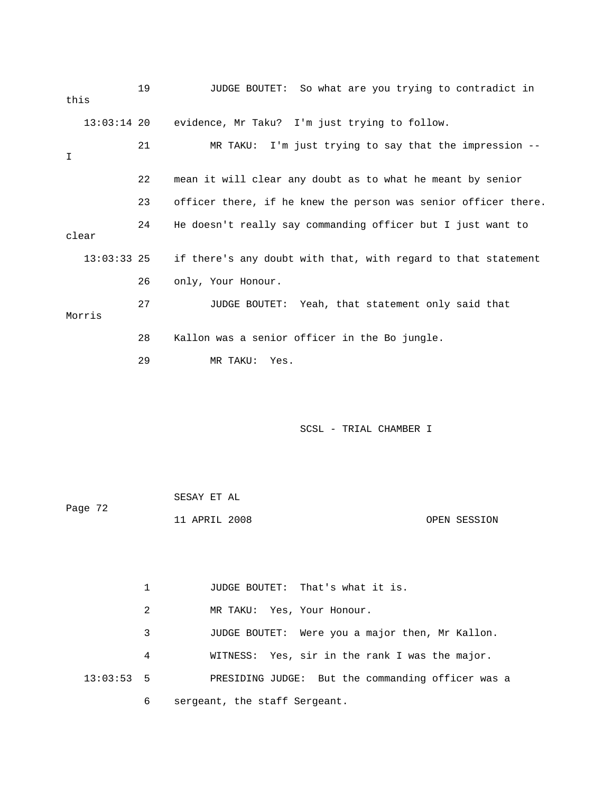| this          | 19 | JUDGE BOUTET: So what are you trying to contradict in          |
|---------------|----|----------------------------------------------------------------|
| $13:03:14$ 20 |    | evidence, Mr Taku? I'm just trying to follow.                  |
| I             | 21 | MR TAKU: I'm just trying to say that the impression --         |
|               | 22 | mean it will clear any doubt as to what he meant by senior     |
|               | 23 | officer there, if he knew the person was senior officer there. |
| clear         | 24 | He doesn't really say commanding officer but I just want to    |
| $13:03:33$ 25 |    | if there's any doubt with that, with regard to that statement  |
|               | 26 | only, Your Honour.                                             |
| Morris        | 27 | JUDGE BOUTET: Yeah, that statement only said that              |
|               | 28 | Kallon was a senior officer in the Bo jungle.                  |
|               | 29 | MR TAKU:<br>Yes.                                               |
|               |    |                                                                |

|         | SESAY ET AL   |              |
|---------|---------------|--------------|
| Page 72 |               |              |
|         | 11 APRIL 2008 | OPEN SESSION |

 1 JUDGE BOUTET: That's what it is. 2 MR TAKU: Yes, Your Honour. 3 JUDGE BOUTET: Were you a major then, Mr Kallon. 4 WITNESS: Yes, sir in the rank I was the major. 13:03:53 5 PRESIDING JUDGE: But the commanding officer was a 6 sergeant, the staff Sergeant.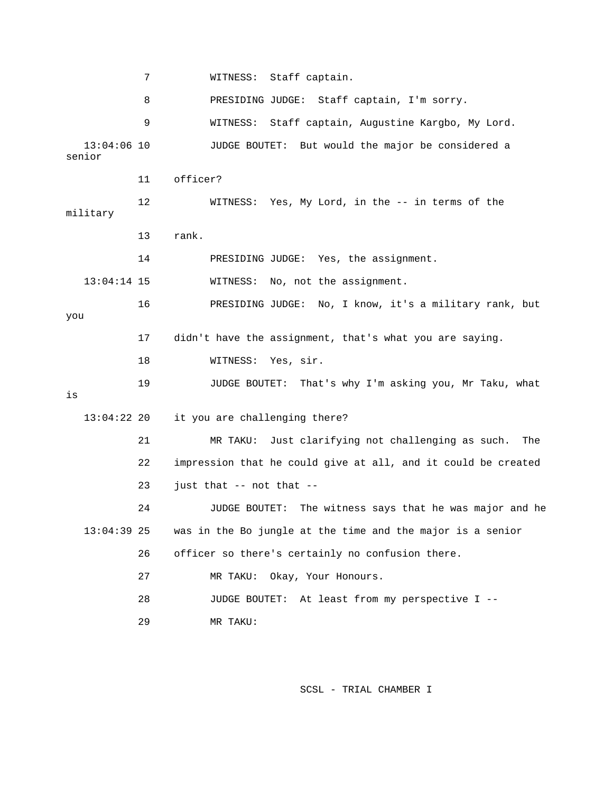7 WITNESS: Staff captain. 8 PRESIDING JUDGE: Staff captain, I'm sorry. 9 WITNESS: Staff captain, Augustine Kargbo, My Lord. 13:04:06 10 JUDGE BOUTET: But would the major be considered a senior 11 officer? 12 WITNESS: Yes, My Lord, in the -- in terms of the military 13 rank. 14 PRESIDING JUDGE: Yes, the assignment. 13:04:14 15 WITNESS: No, not the assignment. 16 PRESIDING JUDGE: No, I know, it's a military rank, but you 17 didn't have the assignment, that's what you are saying. 18 WITNESS: Yes, sir. 19 JUDGE BOUTET: That's why I'm asking you, Mr Taku, what is 13:04:22 20 it you are challenging there? 21 MR TAKU: Just clarifying not challenging as such. The 22 impression that he could give at all, and it could be created 23 just that -- not that -- 24 JUDGE BOUTET: The witness says that he was major and he 13:04:39 25 was in the Bo jungle at the time and the major is a senior 26 officer so there's certainly no confusion there. 27 MR TAKU: Okay, Your Honours. 28 JUDGE BOUTET: At least from my perspective I -- 29 MR TAKU: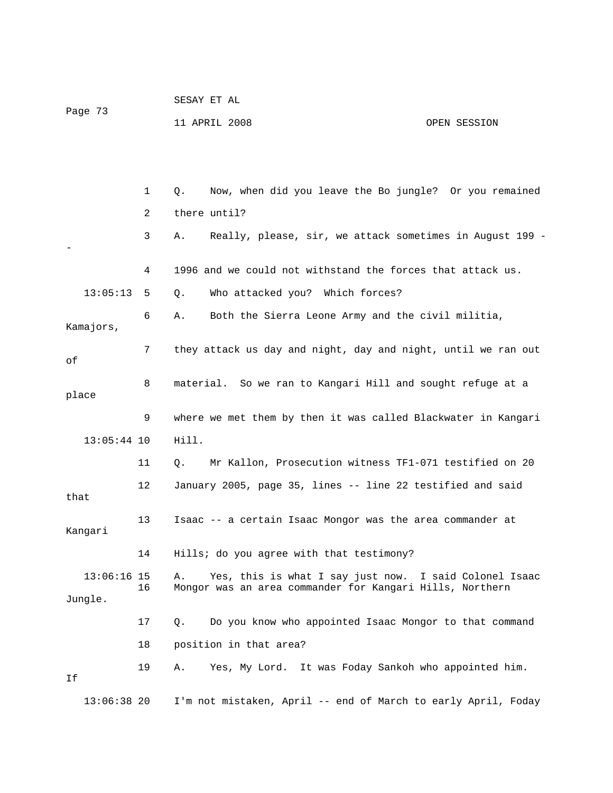| Page 73 | SESAY ET AL   |  |              |
|---------|---------------|--|--------------|
|         | 11 APRIL 2008 |  | OPEN SESSION |

 1 Q. Now, when did you leave the Bo jungle? Or you remained 2 there until? 3 A. Really, please, sir, we attack sometimes in August 199 - - 4 1996 and we could not withstand the forces that attack us. 13:05:13 5 Q. Who attacked you? Which forces? 6 A. Both the Sierra Leone Army and the civil militia, Kamajors, 7 they attack us day and night, day and night, until we ran out of 8 material. So we ran to Kangari Hill and sought refuge at a place 9 where we met them by then it was called Blackwater in Kangari 13:05:44 10 Hill. 11 Q. Mr Kallon, Prosecution witness TF1-071 testified on 20 12 January 2005, page 35, lines -- line 22 testified and said that 13 Isaac -- a certain Isaac Mongor was the area commander at Kangari 14 Hills; do you agree with that testimony? 13:06:16 15 A. Yes, this is what I say just now. I said Colonel Isaac 16 Mongor was an area commander for Kangari Hills, Northern Jungle. 17 Q. Do you know who appointed Isaac Mongor to that command 18 position in that area? 19 A. Yes, My Lord. It was Foday Sankoh who appointed him. If 13:06:38 20 I'm not mistaken, April -- end of March to early April, Foday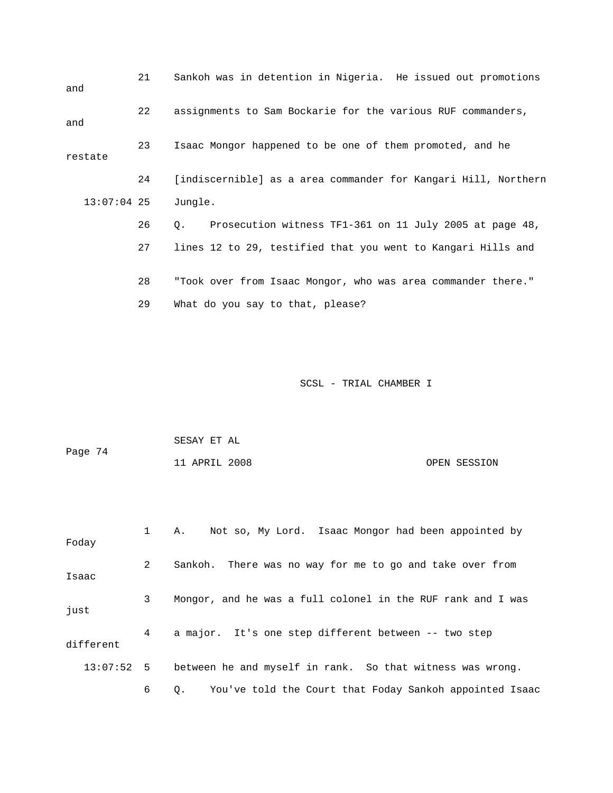| and           | 21 |             | Sankoh was in detention in Nigeria. He issued out promotions   |
|---------------|----|-------------|----------------------------------------------------------------|
| and           | 22 |             | assignments to Sam Bockarie for the various RUF commanders,    |
| restate       | 23 |             | Isaac Mongor happened to be one of them promoted, and he       |
|               | 24 |             | [indiscernible] as a area commander for Kangari Hill, Northern |
| $13:07:04$ 25 |    | Jungle.     |                                                                |
|               | 26 | $Q_{\star}$ | Prosecution witness TF1-361 on 11 July 2005 at page 48,        |
|               | 27 |             | lines 12 to 29, testified that you went to Kangari Hills and   |
|               | 28 |             | "Took over from Isaac Mongor, who was area commander there."   |
|               | 29 |             | What do you say to that, please?                               |

| Page 74 | SESAY ET AL   |  |              |
|---------|---------------|--|--------------|
|         | 11 APRIL 2008 |  | OPEN SESSION |

| Foday        | $1 \quad \Box$ | A. Not so, My Lord. Isaac Mongor had been appointed by        |
|--------------|----------------|---------------------------------------------------------------|
| Isaac        | $\overline{a}$ | Sankoh. There was no way for me to go and take over from      |
| just         | 3              | Mongor, and he was a full colonel in the RUF rank and I was   |
| different    | 4              | a major. It's one step different between -- two step          |
| $13:07:52$ 5 |                | between he and myself in rank. So that witness was wrong.     |
|              | 6              | You've told the Court that Foday Sankoh appointed Isaac<br>Q. |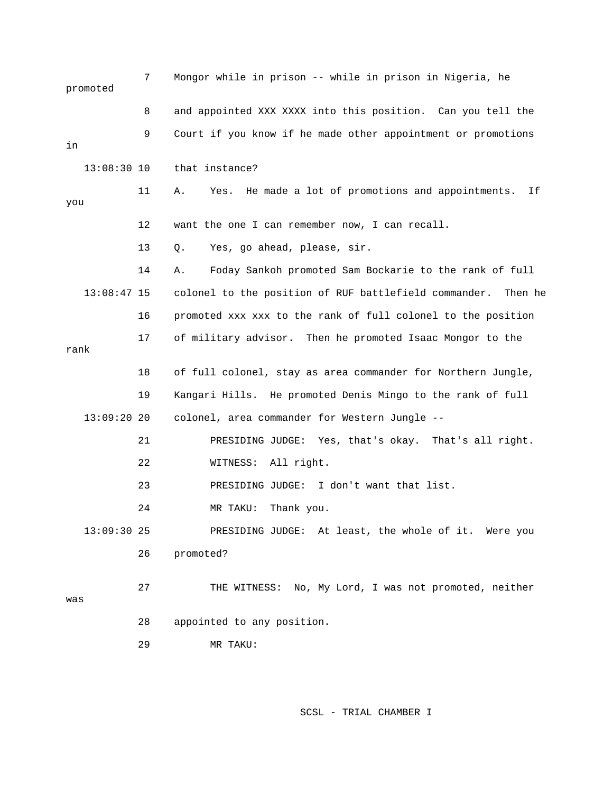|      | promoted      | 7  | Mongor while in prison -- while in prison in Nigeria, he          |
|------|---------------|----|-------------------------------------------------------------------|
|      |               | 8  | and appointed XXX XXXX into this position. Can you tell the       |
| in   |               | 9  | Court if you know if he made other appointment or promotions      |
|      | $13:08:30$ 10 |    | that instance?                                                    |
| you  |               | 11 | He made a lot of promotions and appointments.<br>Ιf<br>Α.<br>Yes. |
|      |               | 12 | want the one I can remember now, I can recall.                    |
|      |               | 13 | Yes, go ahead, please, sir.<br>Q.                                 |
|      |               | 14 | Foday Sankoh promoted Sam Bockarie to the rank of full<br>Α.      |
|      | $13:08:47$ 15 |    | colonel to the position of RUF battlefield commander.<br>Then he  |
|      |               | 16 | promoted xxx xxx to the rank of full colonel to the position      |
| rank |               | 17 | of military advisor. Then he promoted Isaac Mongor to the         |
|      |               | 18 | of full colonel, stay as area commander for Northern Jungle,      |
|      |               | 19 | Kangari Hills. He promoted Denis Mingo to the rank of full        |
|      | $13:09:20$ 20 |    | colonel, area commander for Western Jungle --                     |
|      |               | 21 | PRESIDING JUDGE: Yes, that's okay. That's all right.              |
|      |               | 22 | All right.<br>WITNESS:                                            |
|      |               | 23 | PRESIDING JUDGE:<br>I don't want that list.                       |
|      |               | 24 | Thank you.<br>MR TAKU:                                            |
|      | 13:09:30 25   |    | PRESIDING JUDGE: At least, the whole of it. Were you              |
|      |               | 26 | promoted?                                                         |
| was  |               | 27 | THE WITNESS: No, My Lord, I was not promoted, neither             |
|      |               | 28 | appointed to any position.                                        |
|      |               | 29 | MR TAKU:                                                          |
|      |               |    |                                                                   |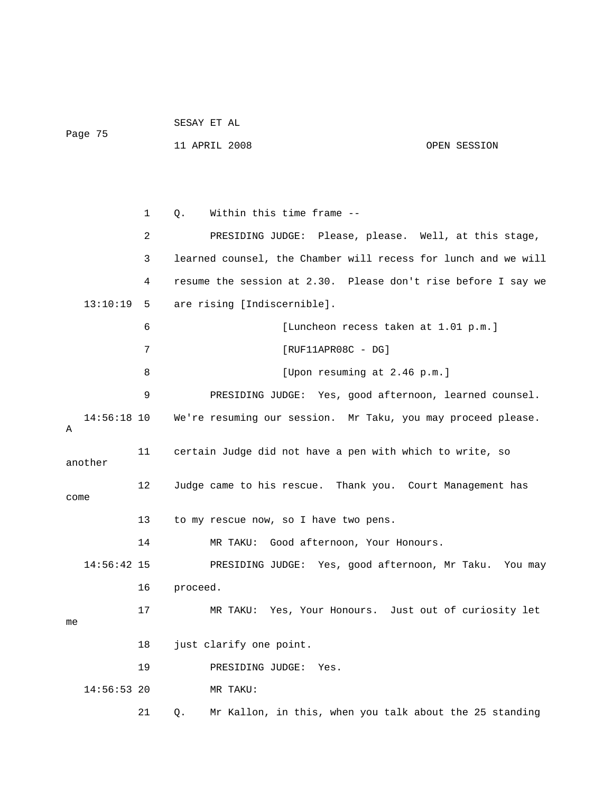SESAY ET AL Page 75

11 APRIL 2008 OPEN SESSION

 1 Q. Within this time frame -- 2 PRESIDING JUDGE: Please, please. Well, at this stage, 3 learned counsel, the Chamber will recess for lunch and we will 4 resume the session at 2.30. Please don't rise before I say we 13:10:19 5 are rising [Indiscernible]. 6 [Luncheon recess taken at 1.01 p.m.] 7 [RUF11APR08C - DG] 8 [Upon resuming at 2.46 p.m.] 9 PRESIDING JUDGE: Yes, good afternoon, learned counsel. 14:56:18 10 We're resuming our session. Mr Taku, you may proceed please. A 11 certain Judge did not have a pen with which to write, so another 12 Judge came to his rescue. Thank you. Court Management has come 13 to my rescue now, so I have two pens. 14 MR TAKU: Good afternoon, Your Honours. 14:56:42 15 PRESIDING JUDGE: Yes, good afternoon, Mr Taku. You may 16 proceed. 17 MR TAKU: Yes, Your Honours. Just out of curiosity let me 18 just clarify one point. 19 PRESIDING JUDGE: Yes. 14:56:53 20 MR TAKU:

21 Q. Mr Kallon, in this, when you talk about the 25 standing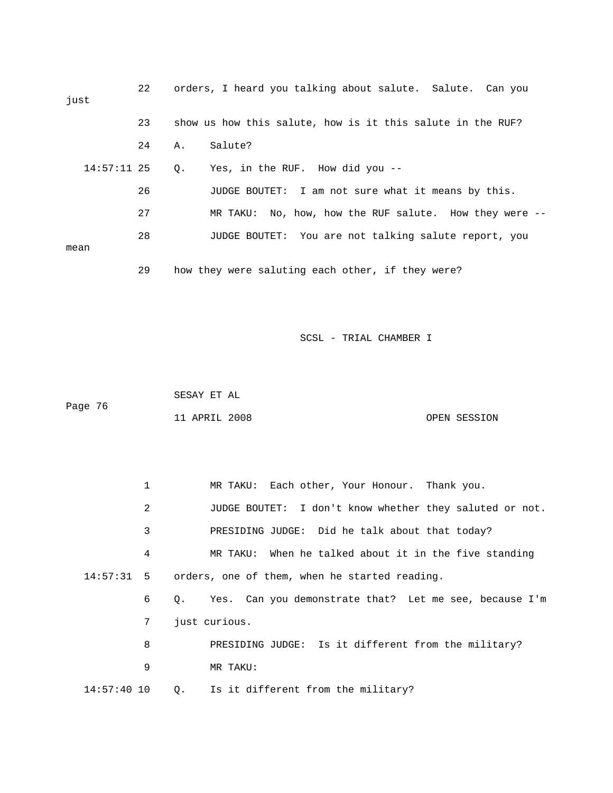| just          | 22 |       | orders, I heard you talking about salute. Salute. Can you  |
|---------------|----|-------|------------------------------------------------------------|
|               | 23 |       | show us how this salute, how is it this salute in the RUF? |
|               | 24 | Α.    | Salute?                                                    |
| $14:57:11$ 25 |    | $Q$ . | Yes, in the RUF. How did you --                            |
|               | 26 |       | JUDGE BOUTET: I am not sure what it means by this.         |
|               | 27 |       | MR TAKU: No, how, how the RUF salute. How they were $-$ -  |
| mean          | 28 |       | JUDGE BOUTET: You are not talking salute report, you       |
|               | 29 |       | how they were saluting each other, if they were?           |

 SESAY ET AL Page 76 11 APRIL 2008 OPEN SESSION

| 1             | MR TAKU: Each other, Your Honour. Thank you.               |
|---------------|------------------------------------------------------------|
| 2             | JUDGE BOUTET: I don't know whether they saluted or not.    |
| 3             | PRESIDING JUDGE: Did he talk about that today?             |
| 4             | MR TAKU: When he talked about it in the five standing      |
|               | $14:57:31$ 5 orders, one of them, when he started reading. |
| 6             | Q. Yes. Can you demonstrate that? Let me see, because I'm  |
| 7             | just curious.                                              |
| 8             | PRESIDING JUDGE: Is it different from the military?        |
| 9             | MR TAKU:                                                   |
| $14:57:40$ 10 | Q. Is it different from the military?                      |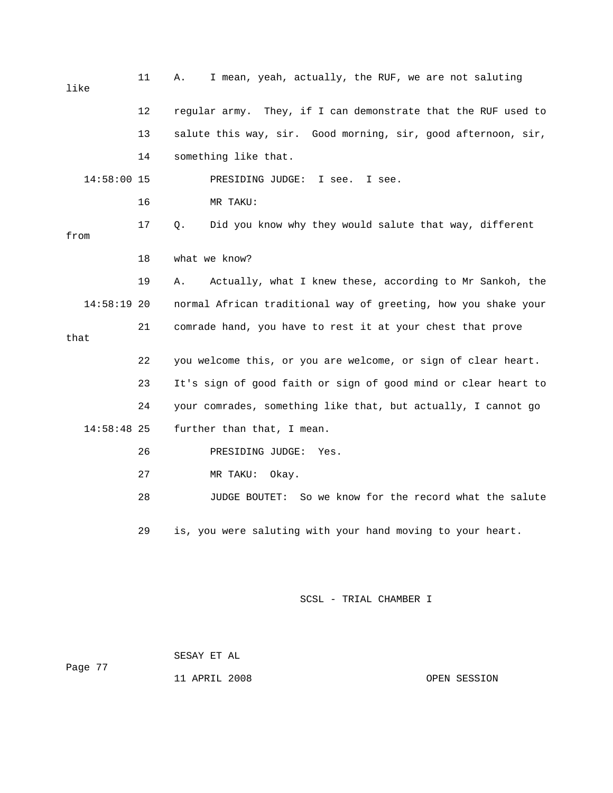| like          | 11 | I mean, yeah, actually, the RUF, we are not saluting<br>Α.     |
|---------------|----|----------------------------------------------------------------|
|               | 12 | regular army. They, if I can demonstrate that the RUF used to  |
|               | 13 | salute this way, sir. Good morning, sir, good afternoon, sir,  |
|               | 14 | something like that.                                           |
| 14:58:00 15   |    | PRESIDING JUDGE:<br>I see.<br>I see.                           |
|               | 16 | MR TAKU:                                                       |
| from          | 17 | Did you know why they would salute that way, different<br>Q.   |
|               | 18 | what we know?                                                  |
|               | 19 | Actually, what I knew these, according to Mr Sankoh, the<br>Α. |
| 14:58:19 20   |    | normal African traditional way of greeting, how you shake your |
| that          | 21 | comrade hand, you have to rest it at your chest that prove     |
|               | 22 | you welcome this, or you are welcome, or sign of clear heart.  |
|               | 23 | It's sign of good faith or sign of good mind or clear heart to |
|               | 24 | your comrades, something like that, but actually, I cannot go  |
| $14:58:48$ 25 |    | further than that, I mean.                                     |
|               | 26 | PRESIDING JUDGE:<br>Yes.                                       |
|               | 27 | MR TAKU:<br>Okay.                                              |
|               | 28 | So we know for the record what the salute<br>JUDGE BOUTET:     |
|               | 29 | is, you were saluting with your hand moving to your heart.     |

 SESAY ET AL Page 77

11 APRIL 2008 OPEN SESSION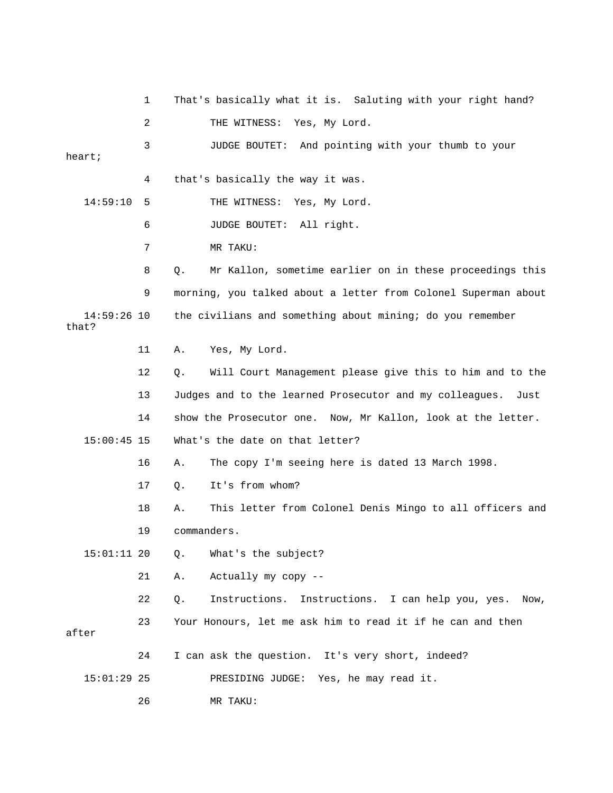1 That's basically what it is. Saluting with your right hand? 2 THE WITNESS: Yes, My Lord. 3 JUDGE BOUTET: And pointing with your thumb to your heart; 4 that's basically the way it was. 14:59:10 5 THE WITNESS: Yes, My Lord. 6 JUDGE BOUTET: All right. 7 MR TAKU: 8 Q. Mr Kallon, sometime earlier on in these proceedings this 9 morning, you talked about a letter from Colonel Superman about 14:59:26 10 the civilians and something about mining; do you remember that? 11 A. Yes, My Lord. 12 Q. Will Court Management please give this to him and to the 13 Judges and to the learned Prosecutor and my colleagues. Just 14 show the Prosecutor one. Now, Mr Kallon, look at the letter. 15:00:45 15 What's the date on that letter? 16 A. The copy I'm seeing here is dated 13 March 1998. 17 Q. It's from whom? 18 A. This letter from Colonel Denis Mingo to all officers and 19 commanders. 15:01:11 20 Q. What's the subject? 21 A. Actually my copy -- 22 Q. Instructions. Instructions. I can help you, yes. Now, 23 Your Honours, let me ask him to read it if he can and then after 24 I can ask the question. It's very short, indeed? 15:01:29 25 PRESIDING JUDGE: Yes, he may read it. 26 MR TAKU: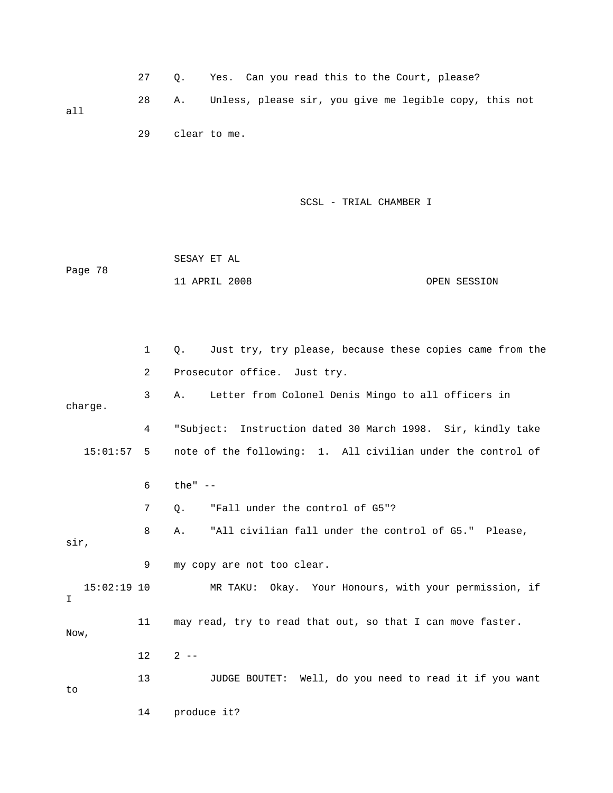|     | 27 O. | Yes. Can you read this to the Court, please?              |
|-----|-------|-----------------------------------------------------------|
| all |       | A. Unless, please sir, you give me legible copy, this not |

29 clear to me.

SCSL - TRIAL CHAMBER I

|         | SESAY ET AL   |  |              |
|---------|---------------|--|--------------|
| Page 78 |               |  |              |
|         | 11 APRIL 2008 |  | OPEN SESSION |

 1 Q. Just try, try please, because these copies came from the 2 Prosecutor office. Just try. 3 A. Letter from Colonel Denis Mingo to all officers in charge. 4 "Subject: Instruction dated 30 March 1998. Sir, kindly take 15:01:57 5 note of the following: 1. All civilian under the control of 6 the" -- 7 0. "Fall under the control of G5"? 8 A. "All civilian fall under the control of G5." Please, sir, 9 my copy are not too clear. 15:02:19 10 MR TAKU: Okay. Your Honours, with your permission, if I 11 may read, try to read that out, so that I can move faster. Now,  $12$   $2$   $-$  13 JUDGE BOUTET: Well, do you need to read it if you want to 14 produce it?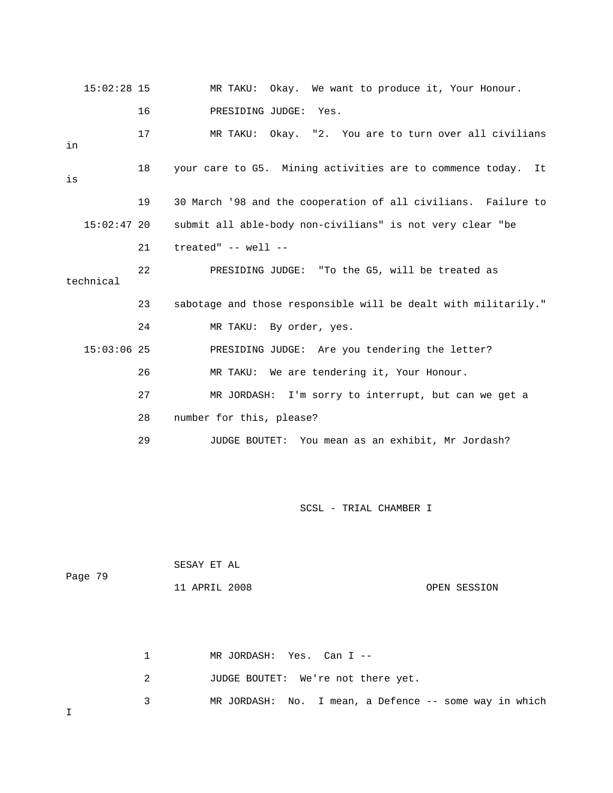| $15:02:28$ 15 |    | MR TAKU: Okay. We want to produce it, Your Honour.             |
|---------------|----|----------------------------------------------------------------|
|               | 16 | PRESIDING JUDGE: Yes.                                          |
| in            | 17 | MR TAKU: Okay. "2. You are to turn over all civilians          |
| is            | 18 | your care to G5. Mining activities are to commence today. It   |
|               | 19 | 30 March '98 and the cooperation of all civilians. Failure to  |
| $15:02:47$ 20 |    | submit all able-body non-civilians" is not very clear "be      |
|               | 21 | treated" -- well --                                            |
| technical     | 22 | PRESIDING JUDGE: "To the G5, will be treated as                |
|               | 23 | sabotage and those responsible will be dealt with militarily." |
|               | 24 | MR TAKU: By order, yes.                                        |
| $15:03:06$ 25 |    | PRESIDING JUDGE: Are you tendering the letter?                 |
|               | 26 | MR TAKU: We are tendering it, Your Honour.                     |
|               | 27 | MR JORDASH: I'm sorry to interrupt, but can we get a           |
|               | 28 | number for this, please?                                       |
|               | 29 | JUDGE BOUTET:<br>You mean as an exhibit, Mr Jordash?           |

| Page 79 | SESAY ET AL   |              |
|---------|---------------|--------------|
|         | 11 APRIL 2008 | OPEN SESSION |

1 MR JORDASH: Yes. Can I --

2 JUDGE BOUTET: We're not there yet.

3 MR JORDASH: No. I mean, a Defence -- some way in which

I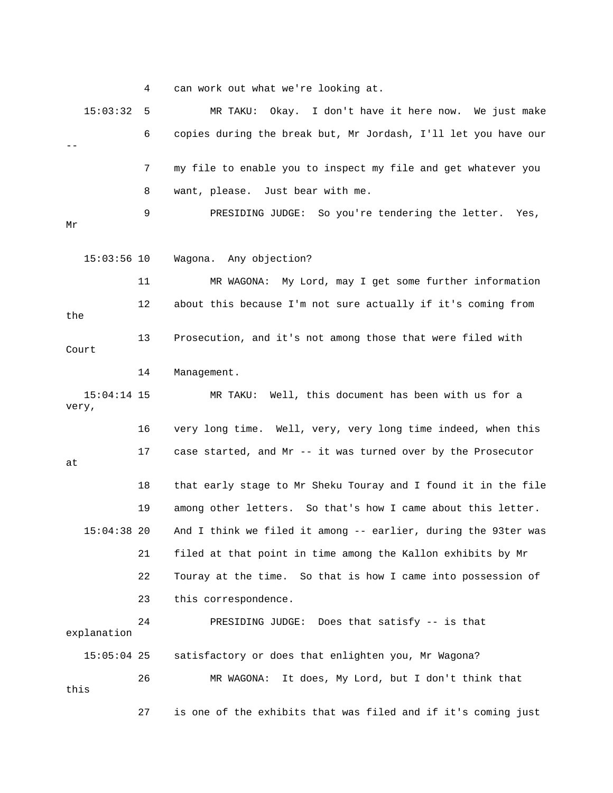4 can work out what we're looking at.

 15:03:32 5 MR TAKU: Okay. I don't have it here now. We just make 6 copies during the break but, Mr Jordash, I'll let you have our -- 7 my file to enable you to inspect my file and get whatever you 8 want, please. Just bear with me. 9 PRESIDING JUDGE: So you're tendering the letter. Yes, Mr 15:03:56 10 Wagona. Any objection? 11 MR WAGONA: My Lord, may I get some further information 12 about this because I'm not sure actually if it's coming from the 13 Prosecution, and it's not among those that were filed with Court 14 Management. 15:04:14 15 MR TAKU: Well, this document has been with us for a very, 16 very long time. Well, very, very long time indeed, when this 17 case started, and Mr -- it was turned over by the Prosecutor at 18 that early stage to Mr Sheku Touray and I found it in the file 19 among other letters. So that's how I came about this letter. 15:04:38 20 And I think we filed it among -- earlier, during the 93ter was 21 filed at that point in time among the Kallon exhibits by Mr 22 Touray at the time. So that is how I came into possession of 23 this correspondence. 24 PRESIDING JUDGE: Does that satisfy -- is that explanation 15:05:04 25 satisfactory or does that enlighten you, Mr Wagona? 26 MR WAGONA: It does, My Lord, but I don't think that this 27 is one of the exhibits that was filed and if it's coming just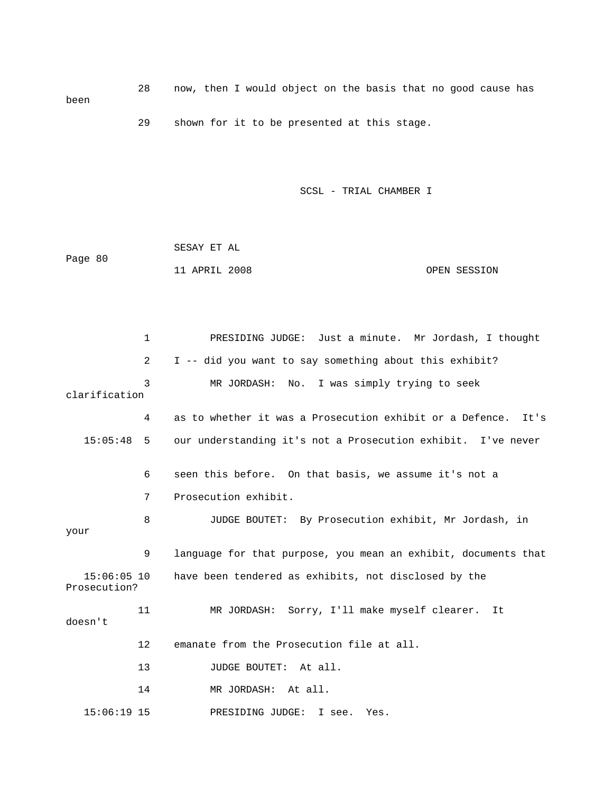28 now, then I would object on the basis that no good cause has been 29 shown for it to be presented at this stage.

SCSL - TRIAL CHAMBER I

|         | SESAY ET AL   |  |              |
|---------|---------------|--|--------------|
| Page 80 |               |  |              |
|         | 11 APRIL 2008 |  | OPEN SESSION |

 1 PRESIDING JUDGE: Just a minute. Mr Jordash, I thought 2 I -- did you want to say something about this exhibit? 3 MR JORDASH: No. I was simply trying to seek clarification 4 as to whether it was a Prosecution exhibit or a Defence. It's 15:05:48 5 our understanding it's not a Prosecution exhibit. I've never 6 seen this before. On that basis, we assume it's not a 7 Prosecution exhibit. 8 JUDGE BOUTET: By Prosecution exhibit, Mr Jordash, in your 9 language for that purpose, you mean an exhibit, documents that 15:06:05 10 have been tendered as exhibits, not disclosed by the Prosecution? 11 MR JORDASH: Sorry, I'll make myself clearer. It doesn't 12 emanate from the Prosecution file at all. 13 JUDGE BOUTET: At all. 14 MR JORDASH: At all. 15:06:19 15 PRESIDING JUDGE: I see. Yes.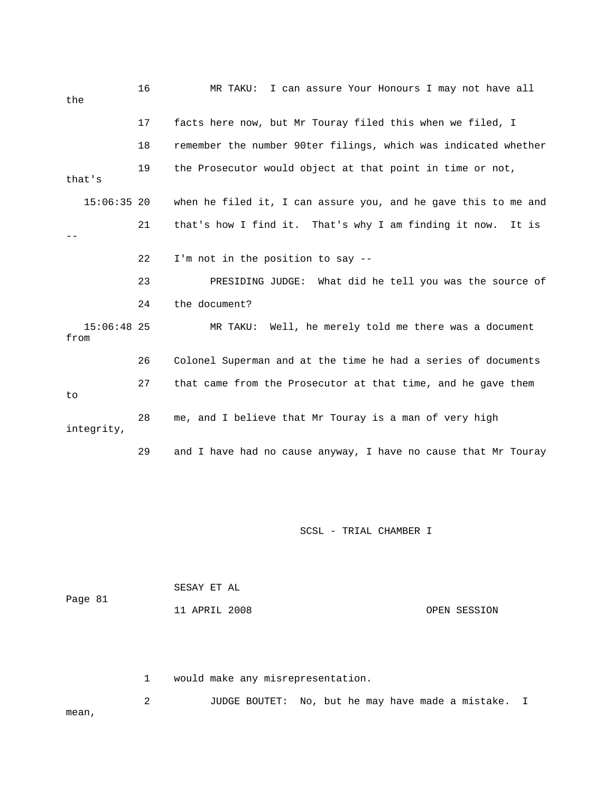| the                   | 16 | I can assure Your Honours I may not have all<br>MR TAKU:       |
|-----------------------|----|----------------------------------------------------------------|
|                       | 17 | facts here now, but Mr Touray filed this when we filed, I      |
|                       | 18 | remember the number 90ter filings, which was indicated whether |
| that's                | 19 | the Prosecutor would object at that point in time or not,      |
| $15:06:35$ 20         |    | when he filed it, I can assure you, and he gave this to me and |
|                       | 21 | that's how I find it. That's why I am finding it now.<br>It is |
|                       | 22 | I'm not in the position to say --                              |
|                       | 23 | PRESIDING JUDGE: What did he tell you was the source of        |
|                       | 24 | the document?                                                  |
| $15:06:48$ 25<br>from |    | MR TAKU: Well, he merely told me there was a document          |
|                       | 26 | Colonel Superman and at the time he had a series of documents  |
| to.                   | 27 | that came from the Prosecutor at that time, and he gave them   |
| integrity,            | 28 | me, and I believe that Mr Touray is a man of very high         |
|                       | 29 | and I have had no cause anyway, I have no cause that Mr Touray |

 SESAY ET AL Page 81 11 APRIL 2008 OPEN SESSION

1 would make any misrepresentation.

 2 JUDGE BOUTET: No, but he may have made a mistake. I mean,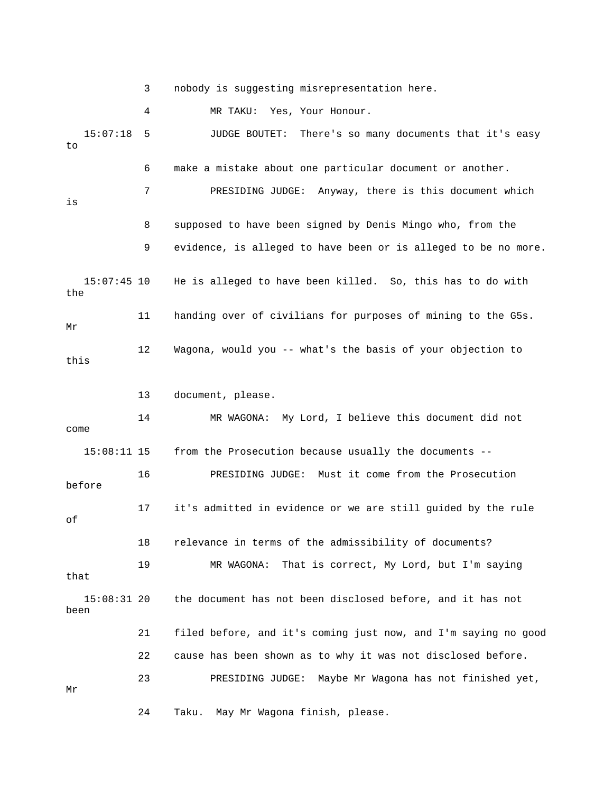3 nobody is suggesting misrepresentation here.

4 MR TAKU: Yes, Your Honour.

 15:07:18 5 JUDGE BOUTET: There's so many documents that it's easy to 6 make a mistake about one particular document or another. 7 PRESIDING JUDGE: Anyway, there is this document which is 8 supposed to have been signed by Denis Mingo who, from the 9 evidence, is alleged to have been or is alleged to be no more. 15:07:45 10 He is alleged to have been killed. So, this has to do with the 11 handing over of civilians for purposes of mining to the G5s. Mr 12 Wagona, would you -- what's the basis of your objection to this 13 document, please. 14 MR WAGONA: My Lord, I believe this document did not come 15:08:11 15 from the Prosecution because usually the documents -- 16 PRESIDING JUDGE: Must it come from the Prosecution before 17 it's admitted in evidence or we are still guided by the rule of 18 relevance in terms of the admissibility of documents? 19 MR WAGONA: That is correct, My Lord, but I'm saying that 15:08:31 20 the document has not been disclosed before, and it has not been 21 filed before, and it's coming just now, and I'm saying no good 22 cause has been shown as to why it was not disclosed before. 23 PRESIDING JUDGE: Maybe Mr Wagona has not finished yet, Mr

24 Taku. May Mr Wagona finish, please.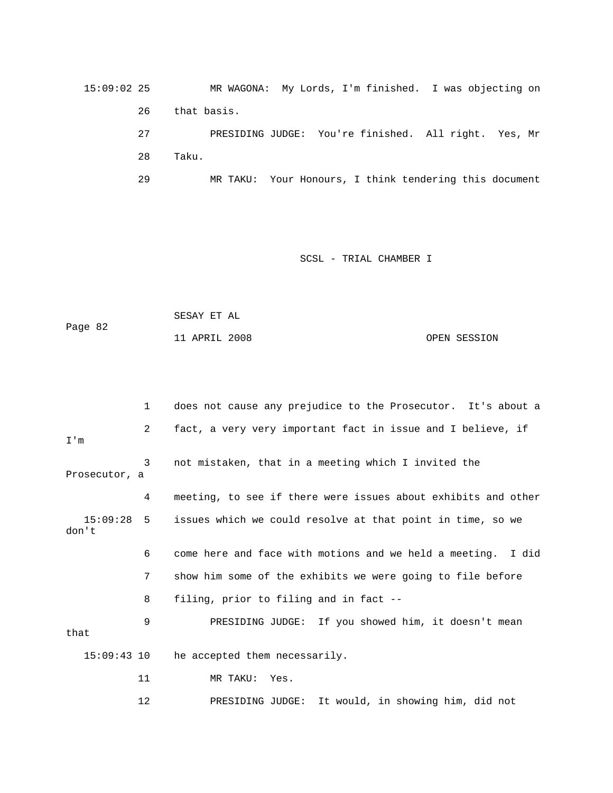15:09:02 25 MR WAGONA: My Lords, I'm finished. I was objecting on 26 that basis. 27 PRESIDING JUDGE: You're finished. All right. Yes, Mr 28 Taku.

29 MR TAKU: Your Honours, I think tendering this document

|         | SESAY ET AL   |              |
|---------|---------------|--------------|
| Page 82 |               |              |
|         | 11 APRIL 2008 | OPEN SESSION |

|                       | $\mathbf{1}$   | does not cause any prejudice to the Prosecutor. It's about a  |
|-----------------------|----------------|---------------------------------------------------------------|
| I'm                   | $\overline{2}$ | fact, a very very important fact in issue and I believe, if   |
| Prosecutor, a         | 3              | not mistaken, that in a meeting which I invited the           |
|                       | 4              | meeting, to see if there were issues about exhibits and other |
| $15:09:28$ 5<br>don't |                | issues which we could resolve at that point in time, so we    |
|                       | 6              | come here and face with motions and we held a meeting. I did  |
|                       | 7              | show him some of the exhibits we were going to file before    |
|                       | 8              | filing, prior to filing and in fact --                        |
| that                  | 9              | PRESIDING JUDGE: If you showed him, it doesn't mean           |
| $15:09:43$ 10         |                | he accepted them necessarily.                                 |
|                       | 11             | MR TAKU: Yes.                                                 |
|                       | 12             | It would, in showing him, did not<br>PRESIDING JUDGE:         |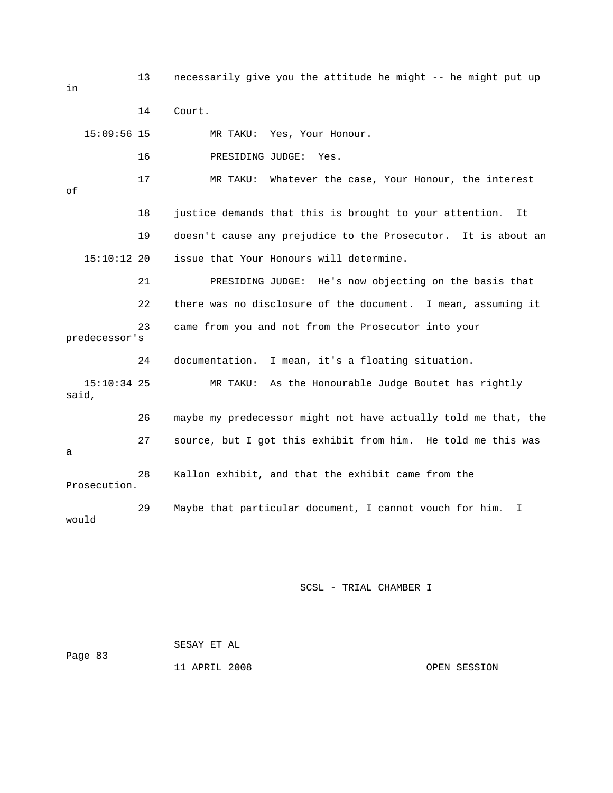13 necessarily give you the attitude he might -- he might put up

|       |               | 14 | Court.                                                                 |
|-------|---------------|----|------------------------------------------------------------------------|
|       | $15:09:56$ 15 |    | MR TAKU: Yes, Your Honour.                                             |
|       |               | 16 | PRESIDING JUDGE:<br>Yes.                                               |
| оf    |               | 17 | Whatever the case, Your Honour, the interest<br>MR TAKU:               |
|       |               | 18 | justice demands that this is brought to your attention.<br>It.         |
|       |               | 19 | doesn't cause any prejudice to the Prosecutor. It is about an          |
|       | $15:10:12$ 20 |    | issue that Your Honours will determine.                                |
|       |               | 21 | PRESIDING JUDGE: He's now objecting on the basis that                  |
|       |               | 22 | there was no disclosure of the document. I mean, assuming it           |
|       | predecessor's | 23 | came from you and not from the Prosecutor into your                    |
|       |               | 24 | I mean, it's a floating situation.<br>documentation.                   |
| said, | $15:10:34$ 25 |    | MR TAKU: As the Honourable Judge Boutet has rightly                    |
|       |               | 26 | maybe my predecessor might not have actually told me that, the         |
| a     |               | 27 | source, but I got this exhibit from him. He told me this was           |
|       | Prosecution.  | 28 | Kallon exhibit, and that the exhibit came from the                     |
| would |               | 29 | Maybe that particular document, I cannot vouch for him.<br>$\mathbf I$ |
|       |               |    |                                                                        |

SCSL - TRIAL CHAMBER I

 SESAY ET AL Page 83 11 APRIL 2008 OPEN SESSION

in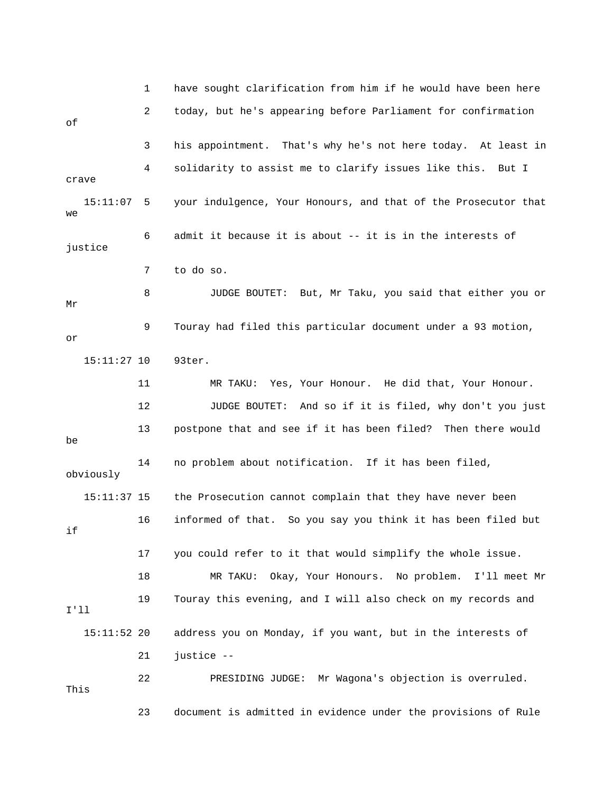1 have sought clarification from him if he would have been here 2 today, but he's appearing before Parliament for confirmation of 3 his appointment. That's why he's not here today. At least in 4 solidarity to assist me to clarify issues like this. But I crave 15:11:07 5 your indulgence, Your Honours, and that of the Prosecutor that we 6 admit it because it is about -- it is in the interests of justice 7 to do so. 8 JUDGE BOUTET: But, Mr Taku, you said that either you or Mr 9 Touray had filed this particular document under a 93 motion, or 15:11:27 10 93ter. 11 MR TAKU: Yes, Your Honour. He did that, Your Honour. 12 JUDGE BOUTET: And so if it is filed, why don't you just 13 postpone that and see if it has been filed? Then there would be 14 no problem about notification. If it has been filed, obviously 15:11:37 15 the Prosecution cannot complain that they have never been 16 informed of that. So you say you think it has been filed but if 17 you could refer to it that would simplify the whole issue. 18 MR TAKU: Okay, Your Honours. No problem. I'll meet Mr 19 Touray this evening, and I will also check on my records and I'll 15:11:52 20 address you on Monday, if you want, but in the interests of 21 justice -- 22 PRESIDING JUDGE: Mr Wagona's objection is overruled. This 23 document is admitted in evidence under the provisions of Rule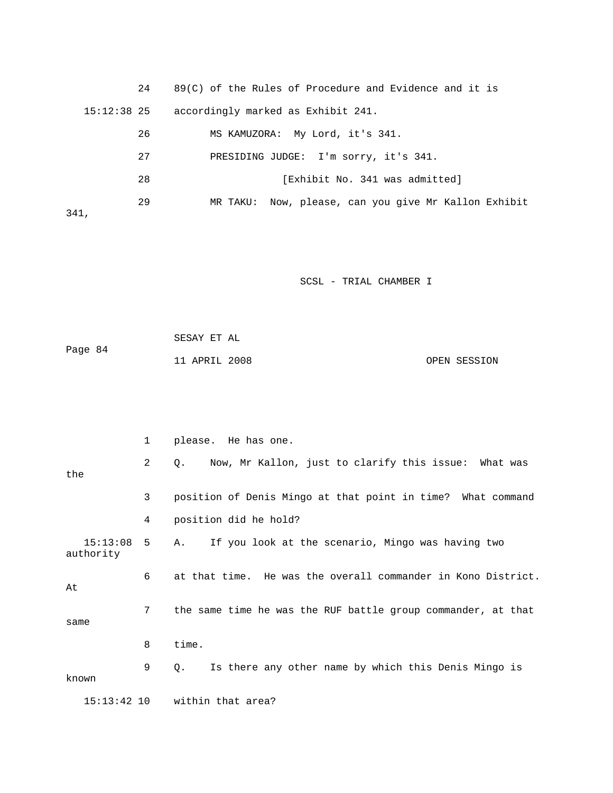| 24            | $89(C)$ of the Rules of Procedure and Evidence and it is |
|---------------|----------------------------------------------------------|
| $15:12:38$ 25 | accordingly marked as Exhibit 241.                       |
| 26            | MS KAMUZORA: My Lord, it's 341.                          |
| 27            | PRESIDING JUDGE: I'm sorry, it's 341.                    |
| 28            | [Exhibit No. 341 was admitted]                           |
| 29<br>341,    | MR TAKU: Now, please, can you give Mr Kallon Exhibit     |

 SESAY ET AL Page 84 11 APRIL 2008 OPEN SESSION

|                           | $\mathbf{1}$ | please. He has one.                                               |
|---------------------------|--------------|-------------------------------------------------------------------|
| the                       | 2            | Now, Mr Kallon, just to clarify this issue: What was<br>$\circ$ . |
|                           | 3            | position of Denis Mingo at that point in time? What command       |
|                           | 4            | position did he hold?                                             |
| $15:13:08$ 5<br>authority |              | If you look at the scenario, Mingo was having two<br>Α.           |
| At                        | 6            | at that time. He was the overall commander in Kono District.      |
| same                      | 7            | the same time he was the RUF battle group commander, at that      |
|                           | 8            | time.                                                             |
| known                     | 9            | Is there any other name by which this Denis Mingo is<br>Ο.        |
| $15:13:42$ 10             |              | within that area?                                                 |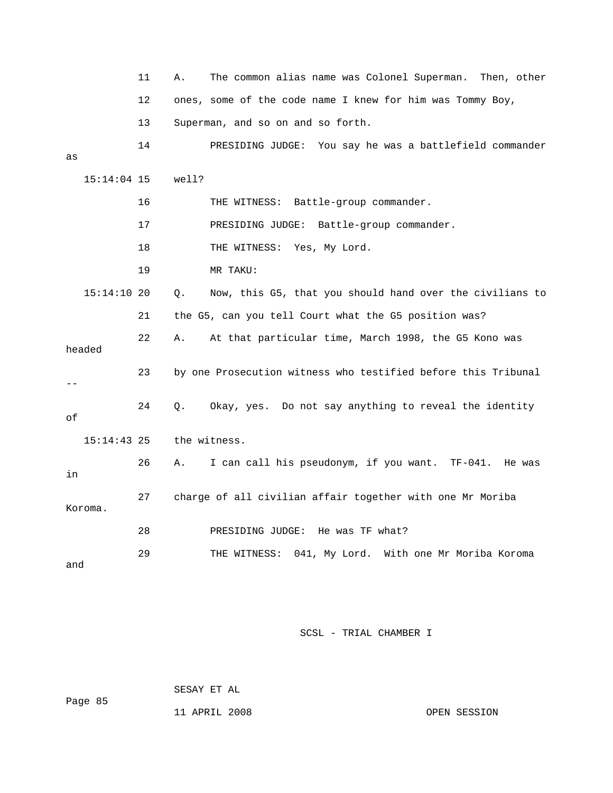|               | 11 | The common alias name was Colonel Superman.<br>Then, other<br>Α. |
|---------------|----|------------------------------------------------------------------|
|               | 12 | ones, some of the code name I knew for him was Tommy Boy,        |
|               | 13 | Superman, and so on and so forth.                                |
|               | 14 | PRESIDING JUDGE: You say he was a battlefield commander          |
| as            |    |                                                                  |
| 15:14:04 15   |    | well?                                                            |
|               | 16 | THE WITNESS: Battle-group commander.                             |
|               | 17 | PRESIDING JUDGE: Battle-group commander.                         |
|               | 18 | THE WITNESS: Yes, My Lord.                                       |
|               | 19 | MR TAKU:                                                         |
| 15:14:10 20   |    | Now, this G5, that you should hand over the civilians to<br>О.   |
|               | 21 | the G5, can you tell Court what the G5 position was?             |
| headed        | 22 | At that particular time, March 1998, the G5 Kono was<br>Α.       |
|               | 23 | by one Prosecution witness who testified before this Tribunal    |
| οf            | 24 | Okay, yes. Do not say anything to reveal the identity<br>Q.      |
| $15:14:43$ 25 |    | the witness.                                                     |
| in            | 26 | I can call his pseudonym, if you want. TF-041.<br>Α.<br>He was   |
| Koroma.       | 27 | charge of all civilian affair together with one Mr Moriba        |
|               | 28 | PRESIDING JUDGE: He was TF what?                                 |
| and           | 29 | 041, My Lord. With one Mr Moriba Koroma<br>THE WITNESS:          |

SESAY ET AL

11 APRIL 2008 OPEN SESSION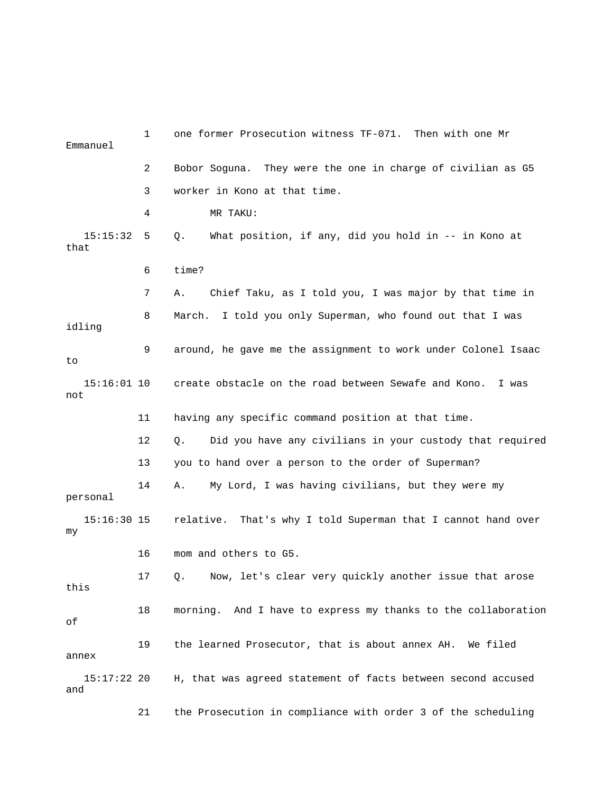| Emmanuel             | 1  | one former Prosecution witness TF-071. Then with one Mr        |
|----------------------|----|----------------------------------------------------------------|
|                      | 2  | Bobor Soguna. They were the one in charge of civilian as G5    |
|                      | 3  | worker in Kono at that time.                                   |
|                      | 4  | MR TAKU:                                                       |
| 15:15:32<br>that     | 5  | What position, if any, did you hold in -- in Kono at<br>О.     |
|                      | 6  | time?                                                          |
|                      | 7  | Chief Taku, as I told you, I was major by that time in<br>Α.   |
| idling               | 8  | March. I told you only Superman, who found out that I was      |
| to                   | 9  | around, he gave me the assignment to work under Colonel Isaac  |
| $15:16:01$ 10<br>not |    | create obstacle on the road between Sewafe and Kono. I was     |
|                      | 11 | having any specific command position at that time.             |
|                      | 12 | Did you have any civilians in your custody that required<br>О. |
|                      | 13 | you to hand over a person to the order of Superman?            |
| personal             | 14 | My Lord, I was having civilians, but they were my<br>Α.        |
| $15:16:30$ 15<br>my  |    | relative. That's why I told Superman that I cannot hand over   |
|                      | 16 | mom and others to G5.                                          |
| this                 | 17 | Now, let's clear very quickly another issue that arose<br>Q.   |
| оf                   | 18 | morning. And I have to express my thanks to the collaboration  |
| annex                | 19 | the learned Prosecutor, that is about annex AH. We filed       |
| 15:17:22 20<br>and   |    | H, that was agreed statement of facts between second accused   |
|                      | 21 | the Prosecution in compliance with order 3 of the scheduling   |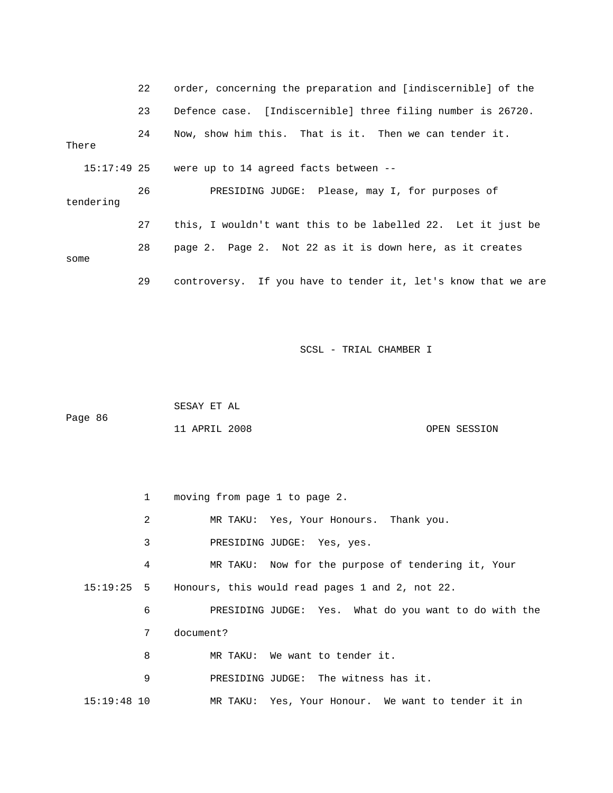|                                                                       |           | 22 | order, concerning the preparation and [indiscernible] of the  |
|-----------------------------------------------------------------------|-----------|----|---------------------------------------------------------------|
|                                                                       |           | 23 | Defence case. [Indiscernible] three filing number is 26720.   |
| Now, show him this. That is it. Then we can tender it.<br>24<br>There |           |    |                                                               |
|                                                                       |           |    | $15:17:49$ 25 were up to 14 agreed facts between --           |
|                                                                       | tendering | 26 | PRESIDING JUDGE: Please, may I, for purposes of               |
|                                                                       |           | 27 | this, I wouldn't want this to be labelled 22. Let it just be  |
| some                                                                  |           | 28 | page 2. Page 2. Not 22 as it is down here, as it creates      |
|                                                                       |           | 29 | controversy. If you have to tender it, let's know that we are |

 SESAY ET AL Page 86 11 APRIL 2008 OPEN SESSION

 1 moving from page 1 to page 2. 2 MR TAKU: Yes, Your Honours. Thank you. 3 PRESIDING JUDGE: Yes, yes. 4 MR TAKU: Now for the purpose of tendering it, Your 15:19:25 5 Honours, this would read pages 1 and 2, not 22. 6 PRESIDING JUDGE: Yes. What do you want to do with the 7 document? 8 MR TAKU: We want to tender it. 9 PRESIDING JUDGE: The witness has it. 15:19:48 10 MR TAKU: Yes, Your Honour. We want to tender it in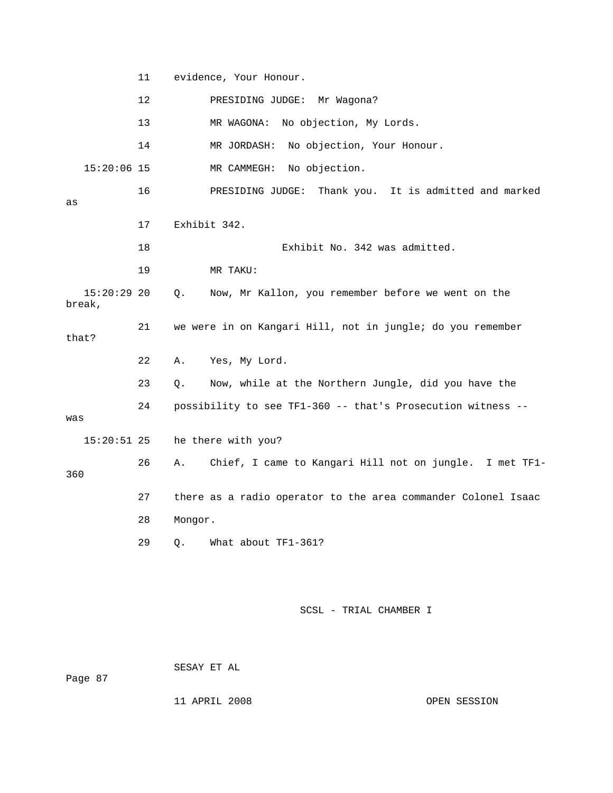11 evidence, Your Honour. 12 PRESIDING JUDGE: Mr Wagona? 13 MR WAGONA: No objection, My Lords. 14 MR JORDASH: No objection, Your Honour. 15:20:06 15 MR CAMMEGH: No objection. 16 PRESIDING JUDGE: Thank you. It is admitted and marked as 17 Exhibit 342. 18 Exhibit No. 342 was admitted. 19 MR TAKU: 15:20:29 20 Q. Now, Mr Kallon, you remember before we went on the break, 21 we were in on Kangari Hill, not in jungle; do you remember that? 22 A. Yes, My Lord. 23 Q. Now, while at the Northern Jungle, did you have the 24 possibility to see TF1-360 -- that's Prosecution witness - was 15:20:51 25 he there with you? 26 A. Chief, I came to Kangari Hill not on jungle. I met TF1- 360 27 there as a radio operator to the area commander Colonel Isaac 28 Mongor. 29 Q. What about TF1-361?

SCSL - TRIAL CHAMBER I

SESAY ET AL

Page 87

11 APRIL 2008 OPEN SESSION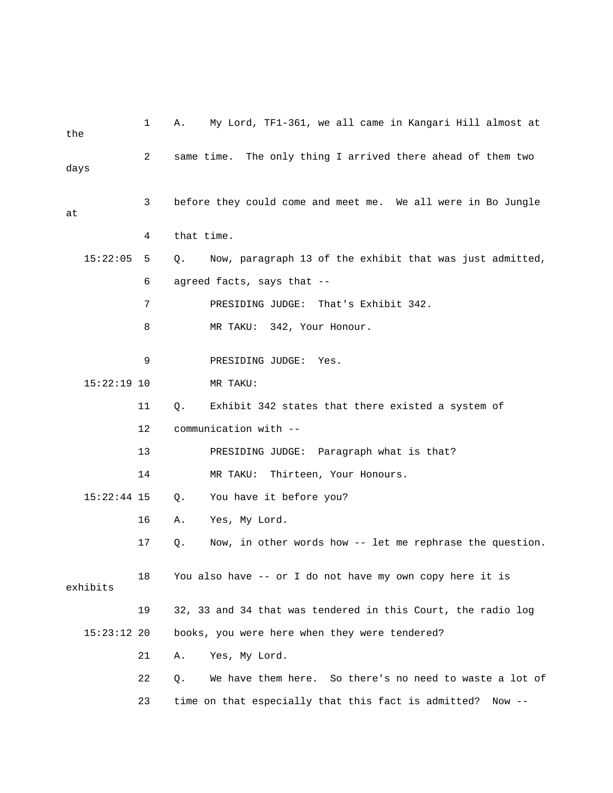| the  |               | $\mathbf{1}$ | Α.         | My Lord, TF1-361, we all came in Kangari Hill almost at      |
|------|---------------|--------------|------------|--------------------------------------------------------------|
| days |               | 2            |            | same time. The only thing I arrived there ahead of them two  |
| at   |               | 3            |            | before they could come and meet me. We all were in Bo Jungle |
|      |               | 4            | that time. |                                                              |
|      | 15:22:05      | 5            | Q.         | Now, paragraph 13 of the exhibit that was just admitted,     |
|      |               | 6            |            | agreed facts, says that --                                   |
|      |               | 7            |            | That's Exhibit 342.<br>PRESIDING JUDGE:                      |
|      |               | 8            |            | MR TAKU: 342, Your Honour.                                   |
|      |               | 9            |            | PRESIDING JUDGE:<br>Yes.                                     |
|      | $15:22:19$ 10 |              |            | MR TAKU:                                                     |
|      |               | 11           | Q.         | Exhibit 342 states that there existed a system of            |
|      |               | 12           |            | communication with --                                        |
|      |               | 13           |            | PRESIDING JUDGE: Paragraph what is that?                     |
|      |               | 14           |            | MR TAKU:<br>Thirteen, Your Honours.                          |
|      |               |              |            |                                                              |
|      | $15:22:44$ 15 |              | Q.         | You have it before you?                                      |
|      |               | 16           | Α.         | Yes, My Lord.                                                |
|      |               | 17           | Q.         | Now, in other words how -- let me rephrase the question.     |
|      | exhibits      | 18           |            | You also have -- or I do not have my own copy here it is     |
|      |               | 19           |            | 32, 33 and 34 that was tendered in this Court, the radio log |
|      | $15:23:12$ 20 |              |            | books, you were here when they were tendered?                |
|      |               | 21           | Α.         | Yes, My Lord.                                                |
|      |               | 22           | Q.         | We have them here. So there's no need to waste a lot of      |
|      |               | 23           |            | time on that especially that this fact is admitted? Now --   |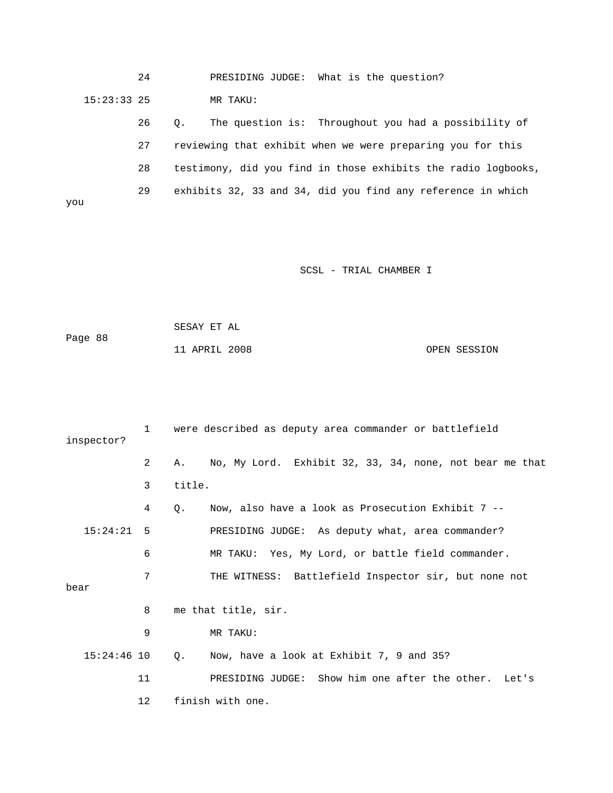24 PRESIDING JUDGE: What is the question? 15:23:33 25 MR TAKU:

> 26 Q. The question is: Throughout you had a possibility of 27 reviewing that exhibit when we were preparing you for this 28 testimony, did you find in those exhibits the radio logbooks, 29 exhibits 32, 33 and 34, did you find any reference in which

you

| Page 88 | SESAY ET AL   |  |              |
|---------|---------------|--|--------------|
|         | 11 APRIL 2008 |  | OPEN SESSION |

| were described as deputy area commander or battlefield<br>$\mathbf{1}$<br>inspector? |     |                                                               |
|--------------------------------------------------------------------------------------|-----|---------------------------------------------------------------|
|                                                                                      | 2   | No, My Lord. Exhibit 32, 33, 34, none, not bear me that<br>Α. |
|                                                                                      | 3   | title.                                                        |
|                                                                                      | 4   | Now, also have a look as Prosecution Exhibit $7$ --<br>Q.     |
| 15:24:21                                                                             | - 5 | PRESIDING JUDGE: As deputy what, area commander?              |
|                                                                                      | 6   | MR TAKU: Yes, My Lord, or battle field commander.             |
| bear                                                                                 | 7   | THE WITNESS: Battlefield Inspector sir, but none not          |
|                                                                                      | 8   | me that title, sir.                                           |
|                                                                                      | 9   | MR TAKU:                                                      |
| $15:24:46$ 10                                                                        |     | Now, have a look at Exhibit 7, 9 and 35?<br>$Q_{\star}$       |
|                                                                                      | 11  | PRESIDING JUDGE: Show him one after the other. Let's          |
|                                                                                      | 12  | finish with one.                                              |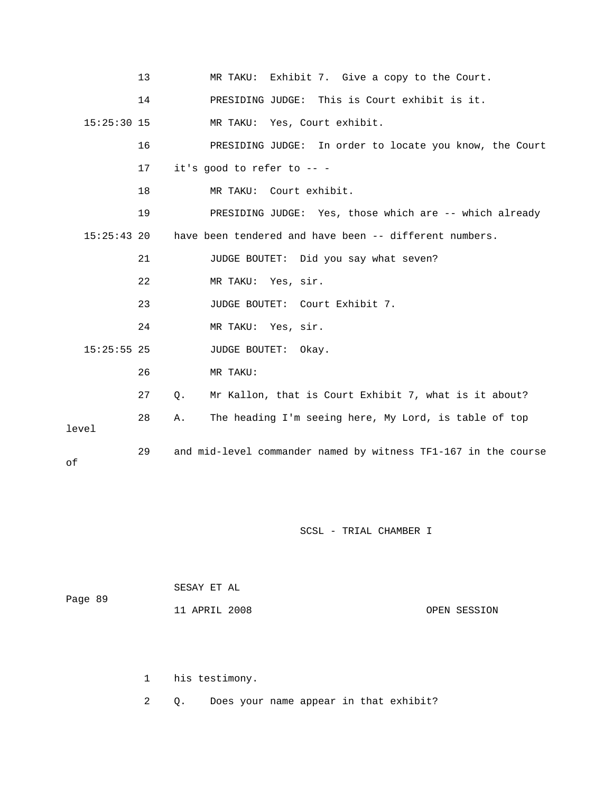|               | 13 | MR TAKU: Exhibit 7. Give a copy to the Court.                  |
|---------------|----|----------------------------------------------------------------|
|               | 14 | PRESIDING JUDGE: This is Court exhibit is it.                  |
| $15:25:30$ 15 |    | MR TAKU: Yes, Court exhibit.                                   |
|               | 16 | PRESIDING JUDGE: In order to locate you know, the Court        |
|               | 17 | it's good to refer to $--$                                     |
|               | 18 | MR TAKU: Court exhibit.                                        |
|               | 19 | PRESIDING JUDGE: Yes, those which are -- which already         |
| $15:25:43$ 20 |    | have been tendered and have been -- different numbers.         |
|               | 21 | JUDGE BOUTET: Did you say what seven?                          |
|               | 22 | MR TAKU: Yes, sir.                                             |
|               | 23 | JUDGE BOUTET: Court Exhibit 7.                                 |
|               | 24 | MR TAKU: Yes, sir.                                             |
| $15:25:55$ 25 |    | JUDGE BOUTET: Okay.                                            |
|               | 26 | MR TAKU:                                                       |
|               | 27 | Mr Kallon, that is Court Exhibit 7, what is it about?<br>Q.    |
| level         | 28 | The heading I'm seeing here, My Lord, is table of top<br>Α.    |
| оf            | 29 | and mid-level commander named by witness TF1-167 in the course |

| Page 89 | SESAY ET AL   |              |  |
|---------|---------------|--------------|--|
|         | 11 APRIL 2008 | OPEN SESSION |  |

1 his testimony.

2 Q. Does your name appear in that exhibit?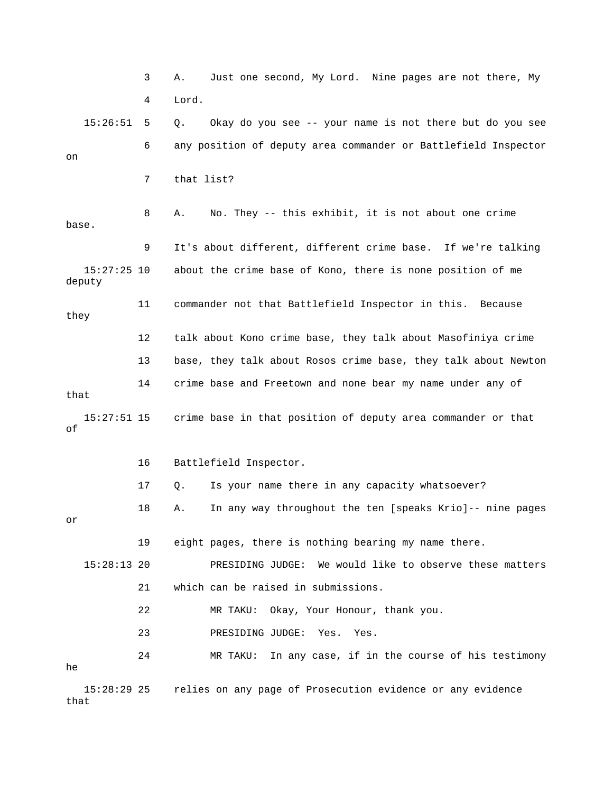3 A. Just one second, My Lord. Nine pages are not there, My 4 Lord. 15:26:51 5 Q. Okay do you see -- your name is not there but do you see 6 any position of deputy area commander or Battlefield Inspector on 7 that list? 8 A. No. They -- this exhibit, it is not about one crime base. 9 It's about different, different crime base. If we're talking 15:27:25 10 about the crime base of Kono, there is none position of me deputy 11 commander not that Battlefield Inspector in this. Because they 12 talk about Kono crime base, they talk about Masofiniya crime 13 base, they talk about Rosos crime base, they talk about Newton 14 crime base and Freetown and none bear my name under any of that 15:27:51 15 crime base in that position of deputy area commander or that of 16 Battlefield Inspector. 17 Q. Is your name there in any capacity whatsoever? 18 A. In any way throughout the ten [speaks Krio]-- nine pages or 19 eight pages, there is nothing bearing my name there. 15:28:13 20 PRESIDING JUDGE: We would like to observe these matters 21 which can be raised in submissions. 22 MR TAKU: Okay, Your Honour, thank you. 23 PRESIDING JUDGE: Yes. Yes. 24 MR TAKU: In any case, if in the course of his testimony he 15:28:29 25 relies on any page of Prosecution evidence or any evidence

that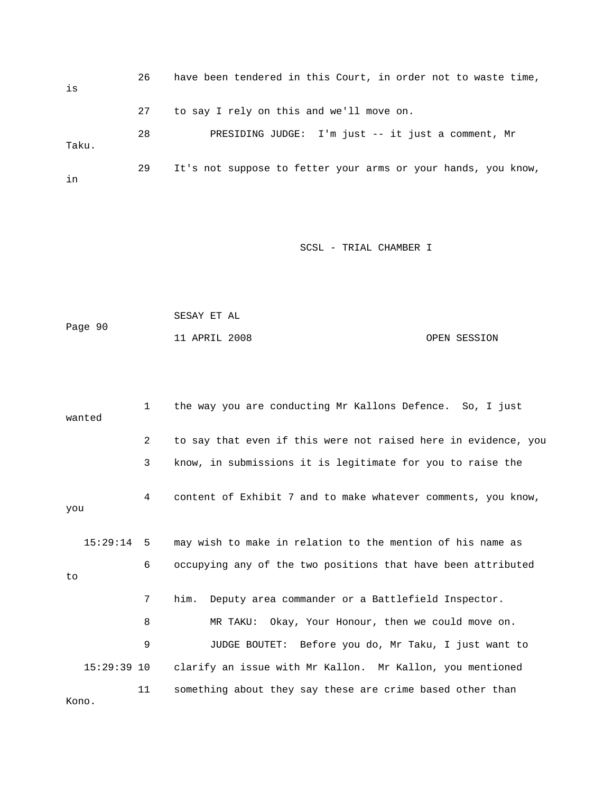| is    | 26 | have been tendered in this Court, in order not to waste time, |
|-------|----|---------------------------------------------------------------|
|       | 27 | to say I rely on this and we'll move on.                      |
| Taku. | 28 | PRESIDING JUDGE: I'm just -- it just a comment, Mr            |
| in    | 29 | It's not suppose to fetter your arms or your hands, you know, |

|         | SESAY ET AL   |              |
|---------|---------------|--------------|
| Page 90 |               |              |
|         | 11 APRIL 2008 | OPEN SESSION |

|       | the way you are conducting Mr Kallons Defence. So, I just<br>$\mathbf{1}$<br>wanted |    |                                                                |  |
|-------|-------------------------------------------------------------------------------------|----|----------------------------------------------------------------|--|
|       |                                                                                     | 2  | to say that even if this were not raised here in evidence, you |  |
|       |                                                                                     | 3  | know, in submissions it is legitimate for you to raise the     |  |
| you   |                                                                                     | 4  | content of Exhibit 7 and to make whatever comments, you know,  |  |
|       | $15:29:14$ 5                                                                        |    | may wish to make in relation to the mention of his name as     |  |
| to    |                                                                                     | 6  | occupying any of the two positions that have been attributed   |  |
|       |                                                                                     | 7  | him. Deputy area commander or a Battlefield Inspector.         |  |
|       |                                                                                     | 8  | MR TAKU: Okay, Your Honour, then we could move on.             |  |
|       |                                                                                     | 9  | JUDGE BOUTET: Before you do, Mr Taku, I just want to           |  |
|       | $15:29:39$ 10                                                                       |    | clarify an issue with Mr Kallon. Mr Kallon, you mentioned      |  |
| Kono. |                                                                                     | 11 | something about they say these are crime based other than      |  |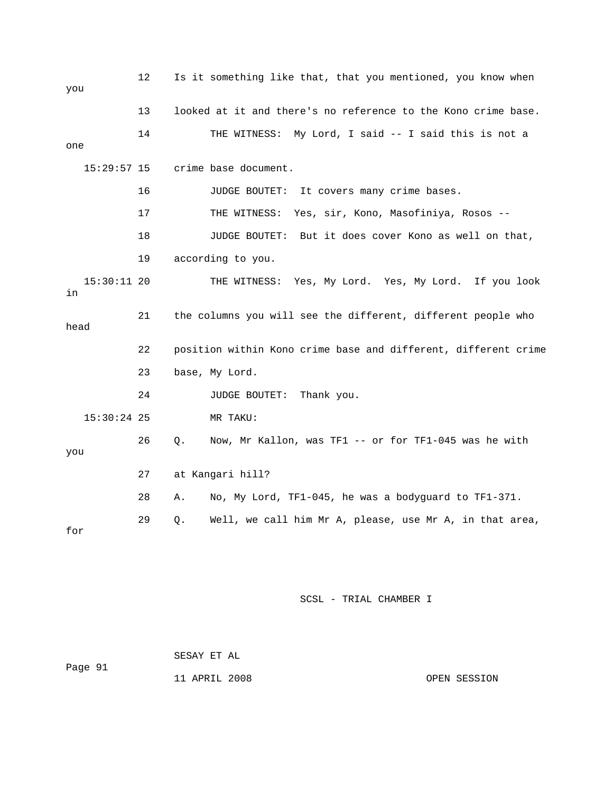| you        |               | 12 | Is it something like that, that you mentioned, you know when |                                                                |  |  |
|------------|---------------|----|--------------------------------------------------------------|----------------------------------------------------------------|--|--|
|            |               | 13 |                                                              | looked at it and there's no reference to the Kono crime base.  |  |  |
| one        |               | 14 |                                                              | THE WITNESS: My Lord, I said -- I said this is not a           |  |  |
|            | $15:29:57$ 15 |    |                                                              | crime base document.                                           |  |  |
|            |               | 16 |                                                              | It covers many crime bases.<br>JUDGE BOUTET:                   |  |  |
|            |               | 17 |                                                              | Yes, sir, Kono, Masofiniya, Rosos --<br>THE WITNESS:           |  |  |
|            |               | 18 |                                                              | But it does cover Kono as well on that,<br>JUDGE BOUTET:       |  |  |
|            |               | 19 |                                                              | according to you.                                              |  |  |
| in         | $15:30:11$ 20 |    |                                                              | THE WITNESS: Yes, My Lord. Yes, My Lord. If you look           |  |  |
| 21<br>head |               |    | the columns you will see the different, different people who |                                                                |  |  |
|            |               | 22 |                                                              | position within Kono crime base and different, different crime |  |  |
|            |               | 23 |                                                              | base, My Lord.                                                 |  |  |
|            |               | 24 |                                                              | JUDGE BOUTET:<br>Thank you.                                    |  |  |
|            | $15:30:24$ 25 |    |                                                              | MR TAKU:                                                       |  |  |
| you        |               | 26 | Q.                                                           | Now, Mr Kallon, was TF1 -- or for TF1-045 was he with          |  |  |
|            |               | 27 |                                                              | at Kangari hill?                                               |  |  |
|            |               | 28 | Α.                                                           | No, My Lord, TF1-045, he was a bodyguard to TF1-371.           |  |  |
| for        |               | 29 | Q.                                                           | Well, we call him Mr A, please, use Mr A, in that area,        |  |  |

| Page 91 | SESAY ET AL   |              |
|---------|---------------|--------------|
|         | 11 APRIL 2008 | OPEN SESSION |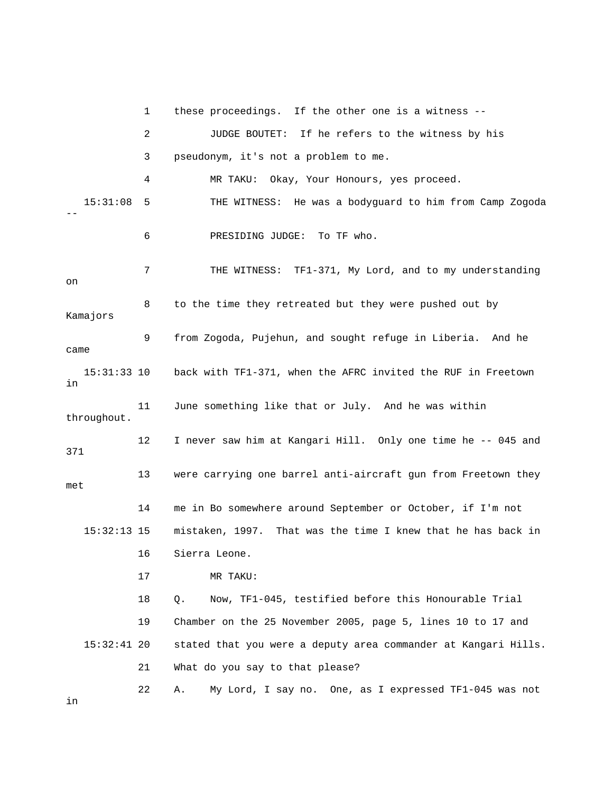1 these proceedings. If the other one is a witness -- 2 JUDGE BOUTET: If he refers to the witness by his 3 pseudonym, it's not a problem to me. 4 MR TAKU: Okay, Your Honours, yes proceed. 15:31:08 5 THE WITNESS: He was a bodyguard to him from Camp Zogoda -- 6 PRESIDING JUDGE: To TF who. 7 THE WITNESS: TF1-371, My Lord, and to my understanding on 8 to the time they retreated but they were pushed out by Kamajors 9 from Zogoda, Pujehun, and sought refuge in Liberia. And he came 15:31:33 10 back with TF1-371, when the AFRC invited the RUF in Freetown in 11 June something like that or July. And he was within throughout. 12 I never saw him at Kangari Hill. Only one time he -- 045 and 371 13 were carrying one barrel anti-aircraft gun from Freetown they met 14 me in Bo somewhere around September or October, if I'm not 15:32:13 15 mistaken, 1997. That was the time I knew that he has back in 16 Sierra Leone. 17 MR TAKU: 18 Q. Now, TF1-045, testified before this Honourable Trial 19 Chamber on the 25 November 2005, page 5, lines 10 to 17 and 15:32:41 20 stated that you were a deputy area commander at Kangari Hills. 21 What do you say to that please? 22 A. My Lord, I say no. One, as I expressed TF1-045 was not

in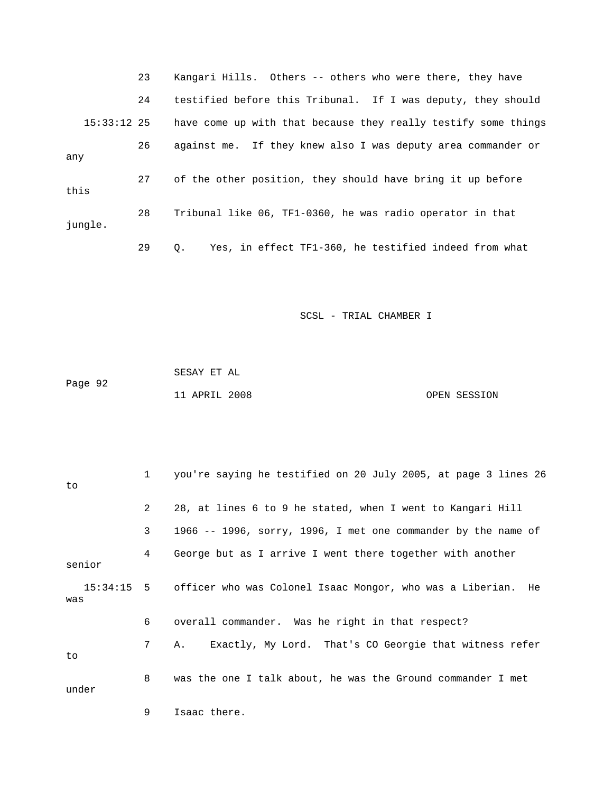|               | 23 | Kangari Hills. Others -- others who were there, they have      |
|---------------|----|----------------------------------------------------------------|
|               | 24 | testified before this Tribunal. If I was deputy, they should   |
| $15:33:12$ 25 |    | have come up with that because they really testify some things |
| any           | 26 | against me. If they knew also I was deputy area commander or   |
| this          | 27 | of the other position, they should have bring it up before     |
| jungle.       | 28 | Tribunal like 06, TF1-0360, he was radio operator in that      |
|               | 29 | Yes, in effect TF1-360, he testified indeed from what<br>О.    |

 SESAY ET AL Page 92 11 APRIL 2008 OPEN SESSION

| to    |        |                | you're saying he testified on 20 July 2005, at page 3 lines 26          |
|-------|--------|----------------|-------------------------------------------------------------------------|
|       |        | $\overline{2}$ | 28, at lines 6 to 9 he stated, when I went to Kangari Hill              |
|       |        | 3              | 1966 -- 1996, sorry, 1996, I met one commander by the name of           |
|       | senior | 4              | George but as I arrive I went there together with another               |
| was   |        |                | 15:34:15 5 officer who was Colonel Isaac Mongor, who was a Liberian. He |
|       |        | 6              | overall commander. Was he right in that respect?                        |
| to    |        | 7              | Exactly, My Lord. That's CO Georgie that witness refer<br>A.,           |
| under |        | 8              | was the one I talk about, he was the Ground commander I met             |
|       |        | 9              | Isaac there.                                                            |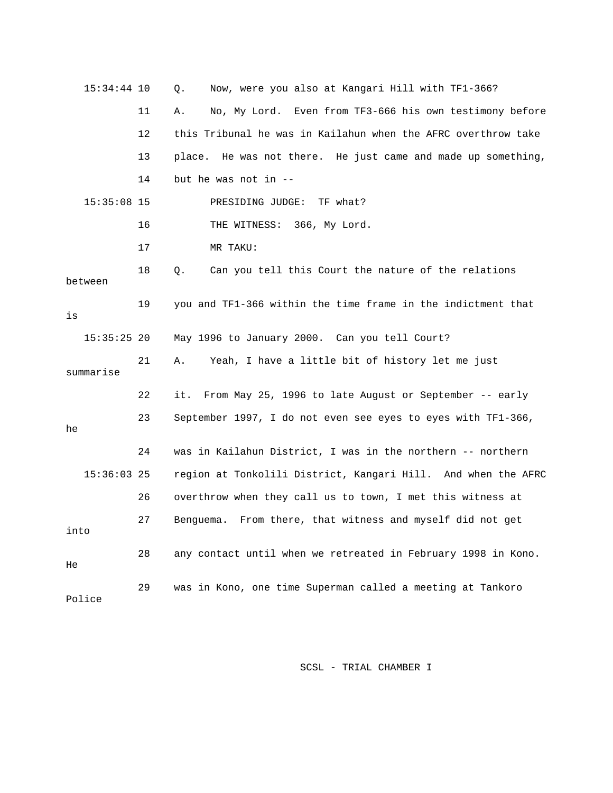| $15:34:44$ 10 |    | Now, were you also at Kangari Hill with TF1-366?<br>Q.        |
|---------------|----|---------------------------------------------------------------|
|               | 11 | No, My Lord. Even from TF3-666 his own testimony before<br>Α. |
|               | 12 | this Tribunal he was in Kailahun when the AFRC overthrow take |
|               | 13 | place. He was not there. He just came and made up something,  |
|               | 14 | but he was not in $-$                                         |
| $15:35:08$ 15 |    | PRESIDING JUDGE:<br>TF what?                                  |
|               | 16 | THE WITNESS: 366, My Lord.                                    |
|               | 17 | MR TAKU:                                                      |
| between       | 18 | Can you tell this Court the nature of the relations<br>О.     |
| is            | 19 | you and TF1-366 within the time frame in the indictment that  |
| $15:35:25$ 20 |    | May 1996 to January 2000. Can you tell Court?                 |
| summarise     | 21 | Yeah, I have a little bit of history let me just<br>Α.        |
|               | 22 | From May 25, 1996 to late August or September -- early<br>it. |
| he            | 23 | September 1997, I do not even see eyes to eyes with TF1-366,  |
|               | 24 | was in Kailahun District, I was in the northern -- northern   |
| $15:36:03$ 25 |    | region at Tonkolili District, Kangari Hill. And when the AFRC |
|               | 26 | overthrow when they call us to town, I met this witness at    |
| into          | 27 | Benquema. From there, that witness and myself did not get     |
| He            | 28 | any contact until when we retreated in February 1998 in Kono. |
| Police        | 29 | was in Kono, one time Superman called a meeting at Tankoro    |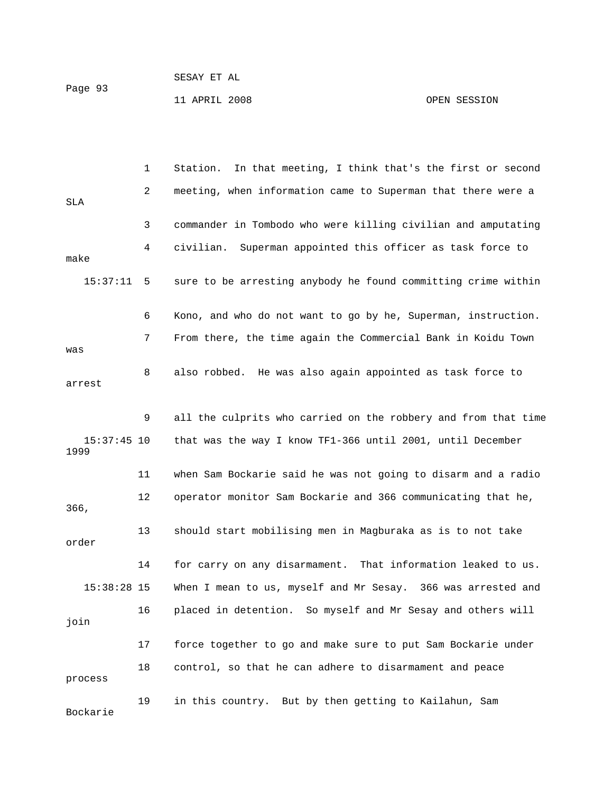|         |  | SESAY ET AL |  |
|---------|--|-------------|--|
| Page 93 |  |             |  |

11 APRIL 2008 OPEN SESSION

|                       | 1  | In that meeting, I think that's the first or second<br>Station. |
|-----------------------|----|-----------------------------------------------------------------|
| <b>SLA</b>            | 2  | meeting, when information came to Superman that there were a    |
|                       | 3  | commander in Tombodo who were killing civilian and amputating   |
| make                  | 4  | Superman appointed this officer as task force to<br>civilian.   |
| 15:37:11              | 5  | sure to be arresting anybody he found committing crime within   |
|                       | 6  | Kono, and who do not want to go by he, Superman, instruction.   |
| was                   | 7  | From there, the time again the Commercial Bank in Koidu Town    |
| arrest                | 8  | also robbed. He was also again appointed as task force to       |
|                       | 9  | all the culprits who carried on the robbery and from that time  |
| $15:37:45$ 10<br>1999 |    | that was the way I know TF1-366 until 2001, until December      |
|                       | 11 | when Sam Bockarie said he was not going to disarm and a radio   |
| 366,                  | 12 | operator monitor Sam Bockarie and 366 communicating that he,    |
| order                 | 13 | should start mobilising men in Magburaka as is to not take      |
|                       | 14 | for carry on any disarmament. That information leaked to us.    |
| $15:38:28$ 15         |    | When I mean to us, myself and Mr Sesay. 366 was arrested and    |
| join                  | 16 | placed in detention. So myself and Mr Sesay and others will     |
|                       | 17 | force together to go and make sure to put Sam Bockarie under    |
| process               | 18 | control, so that he can adhere to disarmament and peace         |
| Bockarie              | 19 | in this country. But by then getting to Kailahun, Sam           |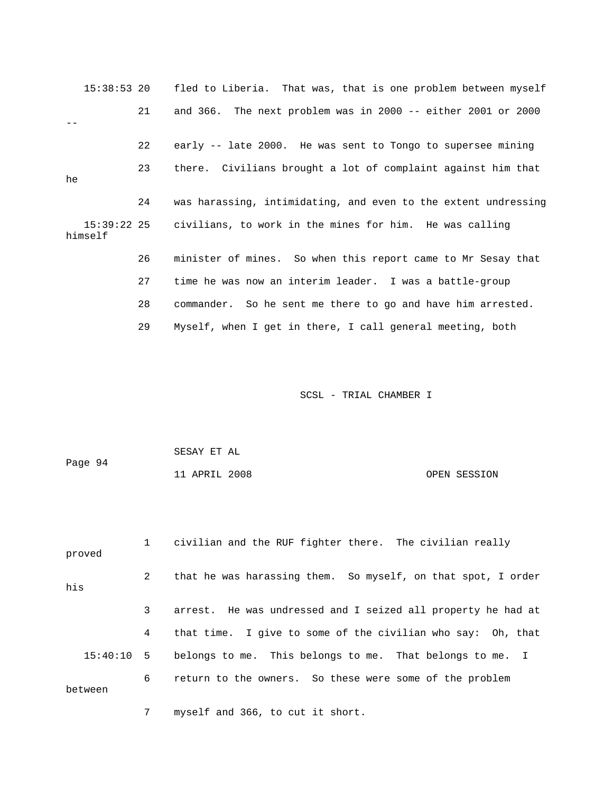|    | 15:38:53 20 |         | fled to Liberia. That was, that is one problem between myself       |
|----|-------------|---------|---------------------------------------------------------------------|
|    |             | 21      | and 366. The next problem was in 2000 -- either 2001 or 2000        |
|    |             |         |                                                                     |
|    |             | $22 \,$ | early -- late 2000. He was sent to Tongo to supersee mining         |
| he |             | 23      | there. Civilians brought a lot of complaint against him that        |
|    |             |         |                                                                     |
|    |             | 24      | was harassing, intimidating, and even to the extent undressing      |
|    | himself     |         | 15:39:22 25 civilians, to work in the mines for him. He was calling |
|    |             | 26      | minister of mines. So when this report came to Mr Sesay that        |
|    |             | 27      | time he was now an interim leader. I was a battle-group             |
|    |             | 28      | commander. So he sent me there to go and have him arrested.         |
|    |             | 29      | Myself, when I get in there, I call general meeting, both           |

| Page 94 | SESAY ET AL   |              |
|---------|---------------|--------------|
|         | 11 APRIL 2008 | OPEN SESSION |

| proved       | $1 \quad$    | civilian and the RUF fighter there. The civilian really      |
|--------------|--------------|--------------------------------------------------------------|
| his          | $2^{\circ}$  | that he was harassing them. So myself, on that spot, I order |
|              | $\mathbf{3}$ | arrest. He was undressed and I seized all property he had at |
|              | 4            | that time. I give to some of the civilian who say: Oh, that  |
| $15:40:10$ 5 |              | belongs to me. This belongs to me. That belongs to me. I     |
| between      | 6            | return to the owners. So these were some of the problem      |

7 myself and 366, to cut it short.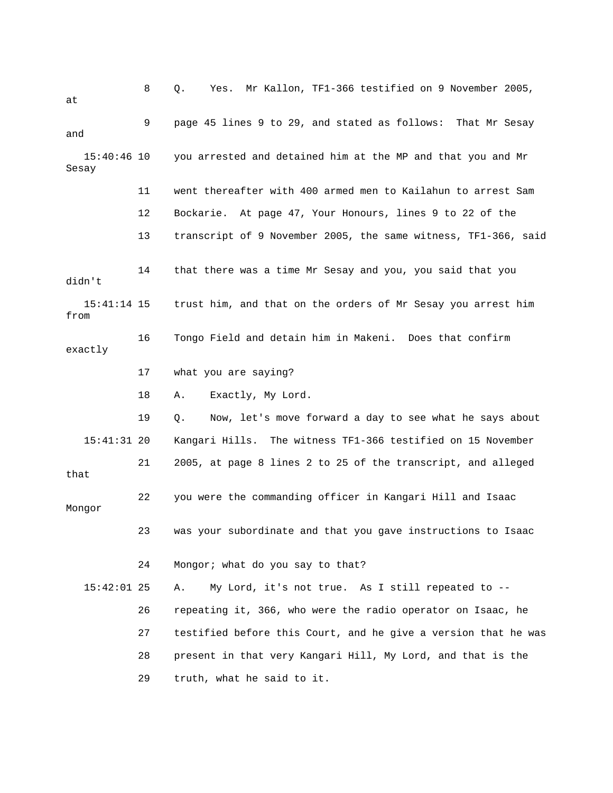| at                     | 8  | Mr Kallon, TF1-366 testified on 9 November 2005,<br>Q.<br>Yes. |
|------------------------|----|----------------------------------------------------------------|
| and                    | 9  | page 45 lines 9 to 29, and stated as follows: That Mr Sesay    |
| $15:40:46$ 10<br>Sesay |    | you arrested and detained him at the MP and that you and Mr    |
|                        | 11 | went thereafter with 400 armed men to Kailahun to arrest Sam   |
|                        | 12 | Bockarie. At page 47, Your Honours, lines 9 to 22 of the       |
|                        | 13 | transcript of 9 November 2005, the same witness, TF1-366, said |
| didn't                 | 14 | that there was a time Mr Sesay and you, you said that you      |
| $15:41:14$ 15<br>from  |    | trust him, and that on the orders of Mr Sesay you arrest him   |
| exactly                | 16 | Tongo Field and detain him in Makeni. Does that confirm        |
|                        | 17 | what you are saying?                                           |
|                        | 18 | Exactly, My Lord.<br>Α.                                        |
|                        | 19 | Now, let's move forward a day to see what he says about<br>Q.  |
| $15:41:31$ 20          |    | Kangari Hills. The witness TF1-366 testified on 15 November    |
| that                   | 21 | 2005, at page 8 lines 2 to 25 of the transcript, and alleged   |
| Mongor                 | 22 | you were the commanding officer in Kangari Hill and Isaac      |
|                        | 23 | was your subordinate and that you gave instructions to Isaac   |
|                        | 24 | Mongor; what do you say to that?                               |
| $15:42:01$ 25          |    | My Lord, it's not true. As I still repeated to --<br>Α.        |
|                        | 26 | repeating it, 366, who were the radio operator on Isaac, he    |
|                        | 27 | testified before this Court, and he give a version that he was |
|                        | 28 | present in that very Kangari Hill, My Lord, and that is the    |
|                        | 29 | truth, what he said to it.                                     |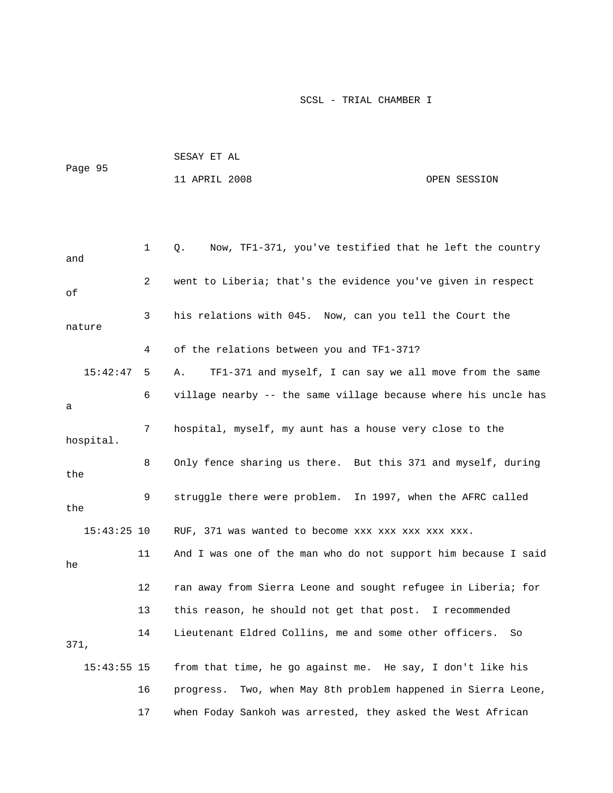| Page 95 | SESAY ET AL   |  |              |
|---------|---------------|--|--------------|
|         | 11 APRIL 2008 |  | OPEN SESSION |

```
 1 Q. Now, TF1-371, you've testified that he left the country 
and 
              2 went to Liberia; that's the evidence you've given in respect 
of 
              3 his relations with 045. Now, can you tell the Court the 
nature 
              4 of the relations between you and TF1-371? 
    15:42:47 5 A. TF1-371 and myself, I can say we all move from the same 
              6 village nearby -- the same village because where his uncle has 
a 
              7 hospital, myself, my aunt has a house very close to the 
hospital. 
             8 Only fence sharing us there. But this 371 and myself, during 
the 
              9 struggle there were problem. In 1997, when the AFRC called 
the 
    15:43:25 10 RUF, 371 was wanted to become xxx xxx xxx xxx xxx. 
             11 And I was one of the man who do not support him because I said 
he 
            12 ran away from Sierra Leone and sought refugee in Liberia; for 
            13 this reason, he should not get that post. I recommended 
            14 Lieutenant Eldred Collins, me and some other officers. So 
371, 
    15:43:55 15 from that time, he go against me. He say, I don't like his 
            16 progress. Two, when May 8th problem happened in Sierra Leone, 
            17 when Foday Sankoh was arrested, they asked the West African
```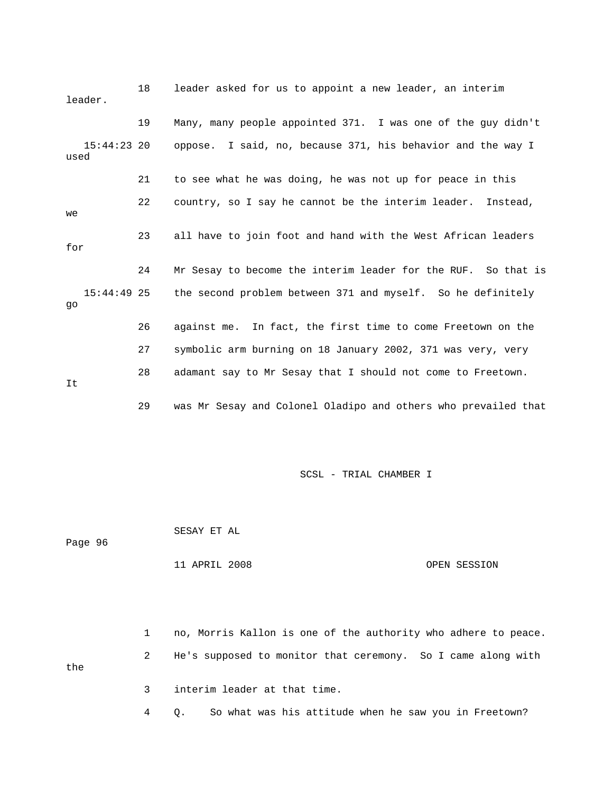|      | leader.       | 18 | leader asked for us to appoint a new leader, an interim        |
|------|---------------|----|----------------------------------------------------------------|
|      |               | 19 | Many, many people appointed 371. I was one of the guy didn't   |
| used | $15:44:23$ 20 |    | oppose. I said, no, because 371, his behavior and the way I    |
|      |               | 21 | to see what he was doing, he was not up for peace in this      |
| we   |               | 22 | country, so I say he cannot be the interim leader. Instead,    |
| for  |               | 23 | all have to join foot and hand with the West African leaders   |
|      |               | 24 | Mr Sesay to become the interim leader for the RUF. So that is  |
| go   | $15:44:49$ 25 |    | the second problem between 371 and myself. So he definitely    |
|      |               | 26 | against me. In fact, the first time to come Freetown on the    |
|      |               | 27 | symbolic arm burning on 18 January 2002, 371 was very, very    |
| It   |               | 28 | adamant say to Mr Sesay that I should not come to Freetown.    |
|      |               | 29 | was Mr Sesay and Colonel Oladipo and others who prevailed that |

 SESAY ET AL Page 96

## 11 APRIL 2008 OPEN SESSION

 1 no, Morris Kallon is one of the authority who adhere to peace. 2 He's supposed to monitor that ceremony. So I came along with the 3 interim leader at that time.

4 Q. So what was his attitude when he saw you in Freetown?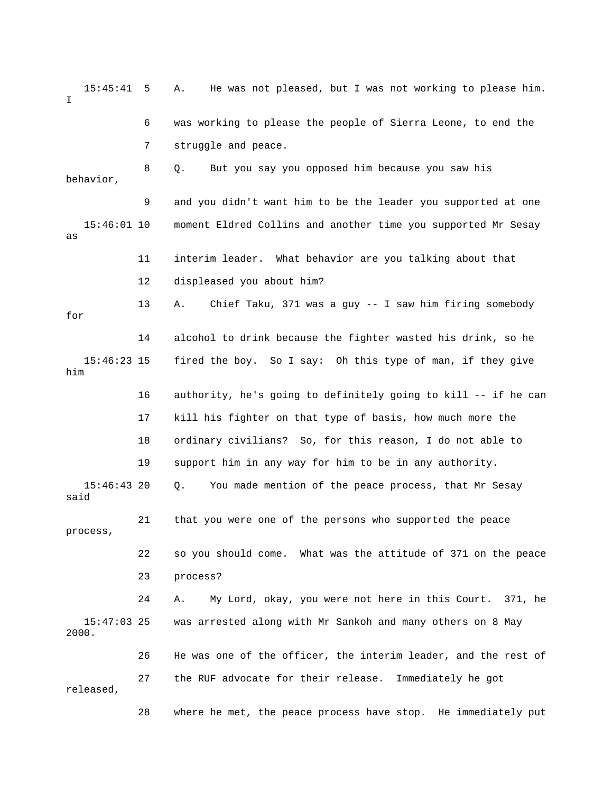15:45:41 5 A. He was not pleased, but I was not working to please him. I 6 was working to please the people of Sierra Leone, to end the 7 struggle and peace. 8 Q. But you say you opposed him because you saw his behavior, 9 and you didn't want him to be the leader you supported at one 15:46:01 10 moment Eldred Collins and another time you supported Mr Sesay as 11 interim leader. What behavior are you talking about that 12 displeased you about him? 13 A. Chief Taku, 371 was a guy -- I saw him firing somebody for 14 alcohol to drink because the fighter wasted his drink, so he 15:46:23 15 fired the boy. So I say: Oh this type of man, if they give him 16 authority, he's going to definitely going to kill -- if he can 17 kill his fighter on that type of basis, how much more the 18 ordinary civilians? So, for this reason, I do not able to 19 support him in any way for him to be in any authority. 15:46:43 20 Q. You made mention of the peace process, that Mr Sesay said 21 that you were one of the persons who supported the peace process, 22 so you should come. What was the attitude of 371 on the peace 23 process? 24 A. My Lord, okay, you were not here in this Court. 371, he 15:47:03 25 was arrested along with Mr Sankoh and many others on 8 May 2000. 26 He was one of the officer, the interim leader, and the rest of 27 the RUF advocate for their release. Immediately he got released, 28 where he met, the peace process have stop. He immediately put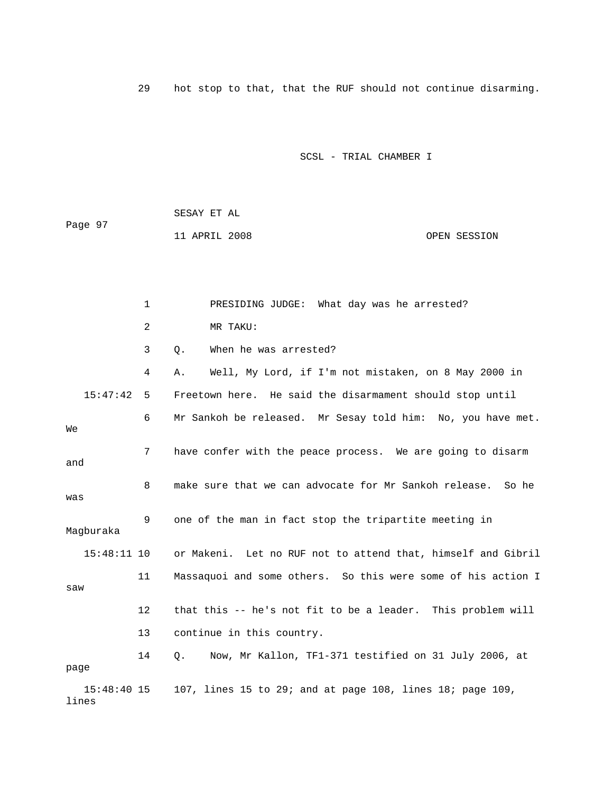29 hot stop to that, that the RUF should not continue disarming.

## SCSL - TRIAL CHAMBER I

 SESAY ET AL Page 97 11 APRIL 2008 OPEN SESSION

 1 PRESIDING JUDGE: What day was he arrested? 2 MR TAKU: 3 Q. When he was arrested? 4 A. Well, My Lord, if I'm not mistaken, on 8 May 2000 in 15:47:42 5 Freetown here. He said the disarmament should stop until 6 Mr Sankoh be released. Mr Sesay told him: No, you have met. We 7 have confer with the peace process. We are going to disarm and 8 make sure that we can advocate for Mr Sankoh release. So he was 9 one of the man in fact stop the tripartite meeting in Magburaka 15:48:11 10 or Makeni. Let no RUF not to attend that, himself and Gibril 11 Massaquoi and some others. So this were some of his action I saw 12 that this -- he's not fit to be a leader. This problem will 13 continue in this country. 14 Q. Now, Mr Kallon, TF1-371 testified on 31 July 2006, at page 15:48:40 15 107, lines 15 to 29; and at page 108, lines 18; page 109, lines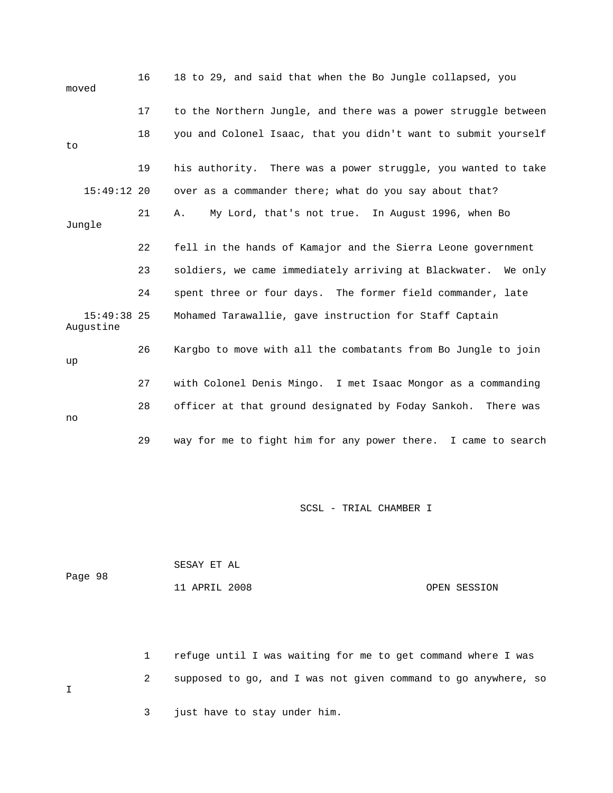| moved                      | 16 | 18 to 29, and said that when the Bo Jungle collapsed, you      |
|----------------------------|----|----------------------------------------------------------------|
|                            | 17 | to the Northern Jungle, and there was a power struggle between |
| to                         | 18 | you and Colonel Isaac, that you didn't want to submit yourself |
|                            | 19 | his authority. There was a power struggle, you wanted to take  |
| $15:49:12$ 20              |    | over as a commander there; what do you say about that?         |
| Jungle                     | 21 | My Lord, that's not true. In August 1996, when Bo<br>Α.        |
|                            | 22 | fell in the hands of Kamajor and the Sierra Leone government   |
|                            | 23 | soldiers, we came immediately arriving at Blackwater. We only  |
|                            | 24 | spent three or four days. The former field commander, late     |
| $15:49:38$ 25<br>Augustine |    | Mohamed Tarawallie, gave instruction for Staff Captain         |
| up                         | 26 | Kargbo to move with all the combatants from Bo Jungle to join  |
|                            | 27 | with Colonel Denis Mingo. I met Isaac Mongor as a commanding   |
| no                         | 28 | officer at that ground designated by Foday Sankoh. There was   |
|                            | 29 | way for me to fight him for any power there. I came to search  |

| Page 98 | SESAY ET AL   |              |
|---------|---------------|--------------|
|         | 11 APRIL 2008 | OPEN SESSION |

 1 refuge until I was waiting for me to get command where I was 2 supposed to go, and I was not given command to go anywhere, so  $I$ 3 just have to stay under him.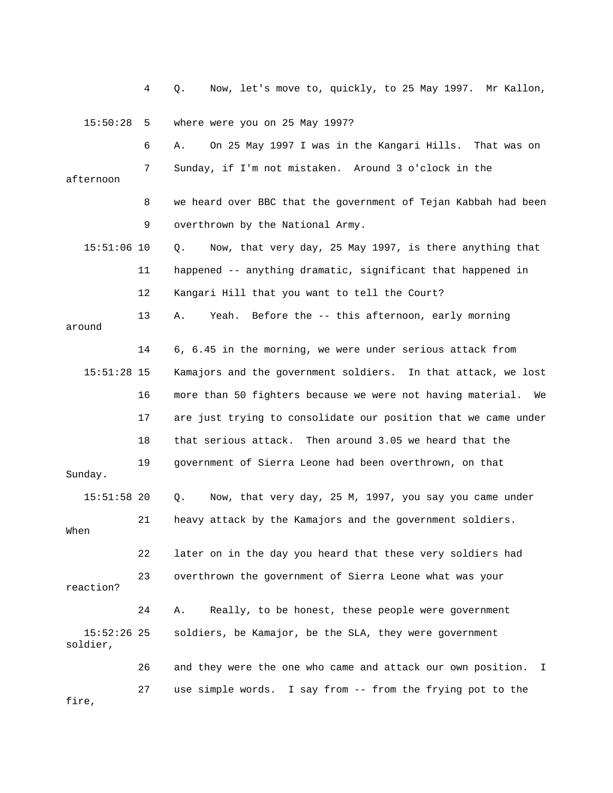4 Q. Now, let's move to, quickly, to 25 May 1997. Mr Kallon,

15:50:28 5 where were you on 25 May 1997?

|                           | 6  | On 25 May 1997 I was in the Kangari Hills. That was on<br>Α.      |
|---------------------------|----|-------------------------------------------------------------------|
| afternoon                 | 7  | Sunday, if I'm not mistaken. Around 3 o'clock in the              |
|                           | 8  | we heard over BBC that the government of Tejan Kabbah had been    |
|                           | 9  | overthrown by the National Army.                                  |
| $15:51:06$ 10             |    | Now, that very day, 25 May 1997, is there anything that<br>Q.     |
|                           | 11 | happened -- anything dramatic, significant that happened in       |
|                           | 12 | Kangari Hill that you want to tell the Court?                     |
| around                    | 13 | Yeah. Before the -- this afternoon, early morning<br>Α.           |
|                           | 14 | 6, 6.45 in the morning, we were under serious attack from         |
| $15:51:28$ 15             |    | Kamajors and the government soldiers. In that attack, we lost     |
|                           | 16 | more than 50 fighters because we were not having material.<br>We  |
|                           | 17 | are just trying to consolidate our position that we came under    |
|                           | 18 | that serious attack. Then around 3.05 we heard that the           |
| Sunday.                   | 19 | government of Sierra Leone had been overthrown, on that           |
| $15:51:58$ 20             |    | Now, that very day, 25 M, 1997, you say you came under<br>Q.      |
| When                      | 21 | heavy attack by the Kamajors and the government soldiers.         |
|                           | 22 | later on in the day you heard that these very soldiers had        |
| reaction?                 | 23 | overthrown the government of Sierra Leone what was your           |
|                           | 24 | Really, to be honest, these people were government<br>Α.          |
| $15:52:26$ 25<br>soldier, |    | soldiers, be Kamajor, be the SLA, they were government            |
|                           | 26 | and they were the one who came and attack our own position.<br>I. |
| fire,                     | 27 | use simple words. I say from -- from the frying pot to the        |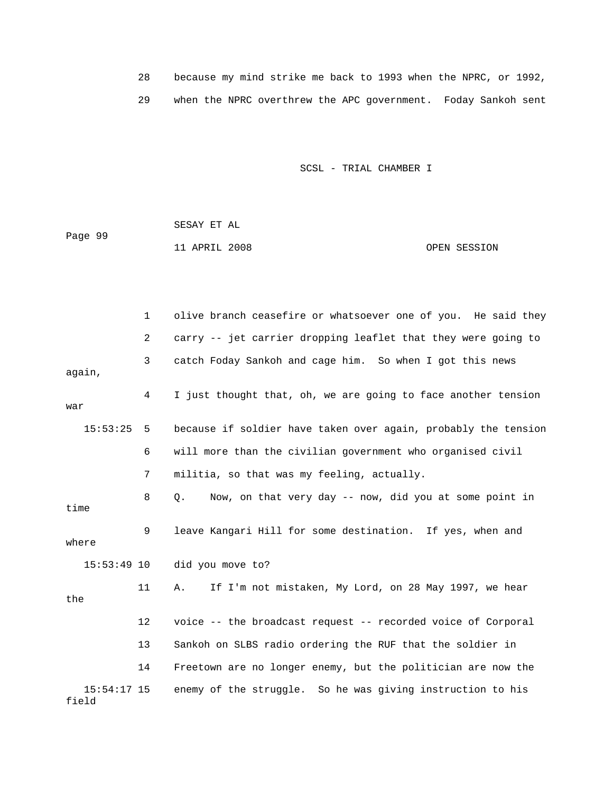28 because my mind strike me back to 1993 when the NPRC, or 1992, 29 when the NPRC overthrew the APC government. Foday Sankoh sent

SCSL - TRIAL CHAMBER I

 SESAY ET AL Page 99 11 APRIL 2008 OPEN SESSION

 1 olive branch ceasefire or whatsoever one of you. He said they 2 carry -- jet carrier dropping leaflet that they were going to 3 catch Foday Sankoh and cage him. So when I got this news again, 4 I just thought that, oh, we are going to face another tension war 15:53:25 5 because if soldier have taken over again, probably the tension 6 will more than the civilian government who organised civil 7 militia, so that was my feeling, actually. 8 Q. Now, on that very day -- now, did you at some point in time 9 leave Kangari Hill for some destination. If yes, when and where 15:53:49 10 did you move to? 11 A. If I'm not mistaken, My Lord, on 28 May 1997, we hear the 12 voice -- the broadcast request -- recorded voice of Corporal 13 Sankoh on SLBS radio ordering the RUF that the soldier in 14 Freetown are no longer enemy, but the politician are now the 15:54:17 15 enemy of the struggle. So he was giving instruction to his field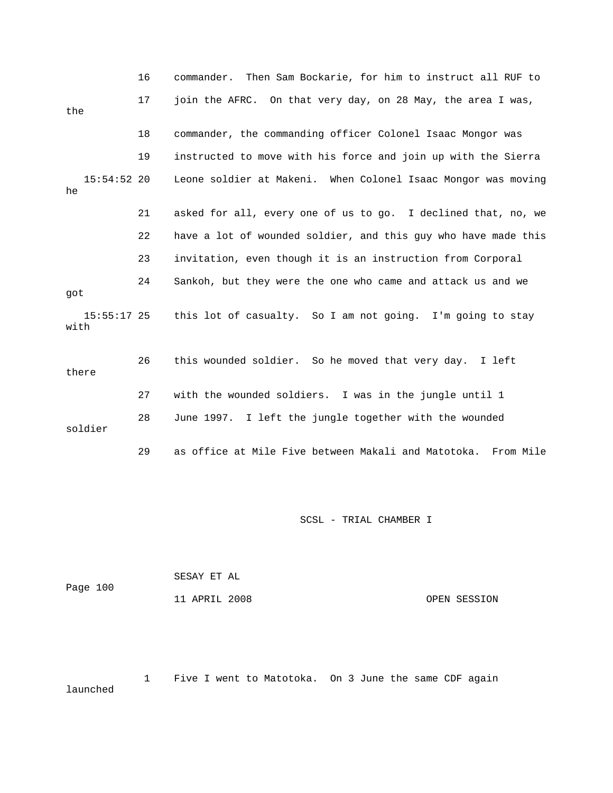|                       | 16 | commander. Then Sam Bockarie, for him to instruct all RUF to   |
|-----------------------|----|----------------------------------------------------------------|
| the                   | 17 | join the AFRC. On that very day, on 28 May, the area I was,    |
|                       | 18 | commander, the commanding officer Colonel Isaac Mongor was     |
|                       | 19 | instructed to move with his force and join up with the Sierra  |
| $15:54:52$ 20<br>he   |    | Leone soldier at Makeni. When Colonel Isaac Mongor was moving  |
|                       | 21 | asked for all, every one of us to go. I declined that, no, we  |
|                       | 22 | have a lot of wounded soldier, and this guy who have made this |
|                       | 23 | invitation, even though it is an instruction from Corporal     |
| qot                   | 24 | Sankoh, but they were the one who came and attack us and we    |
| $15:55:17$ 25<br>with |    | this lot of casualty. So I am not going. I'm going to stay     |
| there                 | 26 | this wounded soldier. So he moved that very day. I left        |
|                       | 27 | with the wounded soldiers. I was in the jungle until 1         |
| soldier               | 28 | June 1997. I left the jungle together with the wounded         |
|                       | 29 | as office at Mile Five between Makali and Matotoka. From Mile  |

| Page 100 | SESAY ET AL   |              |
|----------|---------------|--------------|
|          | 11 APRIL 2008 | OPEN SESSION |

 1 Five I went to Matotoka. On 3 June the same CDF again launched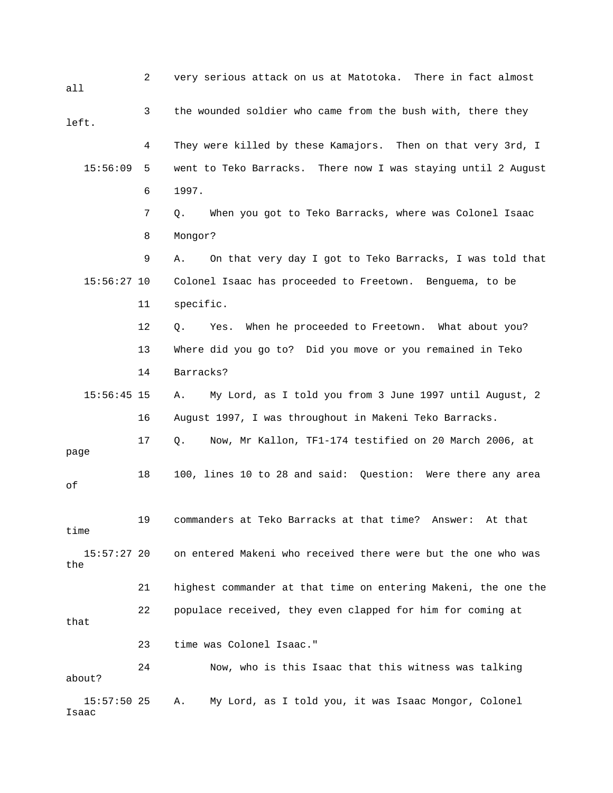2 very serious attack on us at Matotoka. There in fact almost all 3 the wounded soldier who came from the bush with, there they left. 4 They were killed by these Kamajors. Then on that very 3rd, I 15:56:09 5 went to Teko Barracks. There now I was staying until 2 August 6 1997. 7 Q. When you got to Teko Barracks, where was Colonel Isaac 8 Mongor? 9 A. On that very day I got to Teko Barracks, I was told that 15:56:27 10 Colonel Isaac has proceeded to Freetown. Benguema, to be 11 specific. 12 Q. Yes. When he proceeded to Freetown. What about you? 13 Where did you go to? Did you move or you remained in Teko 14 Barracks? 15:56:45 15 A. My Lord, as I told you from 3 June 1997 until August, 2 16 August 1997, I was throughout in Makeni Teko Barracks. 17 Q. Now, Mr Kallon, TF1-174 testified on 20 March 2006, at page 18 100, lines 10 to 28 and said: Question: Were there any area of 19 commanders at Teko Barracks at that time? Answer: At that time 15:57:27 20 on entered Makeni who received there were but the one who was the 21 highest commander at that time on entering Makeni, the one the 22 populace received, they even clapped for him for coming at that 23 time was Colonel Isaac." 24 Now, who is this Isaac that this witness was talking about? 15:57:50 25 A. My Lord, as I told you, it was Isaac Mongor, Colonel Isaac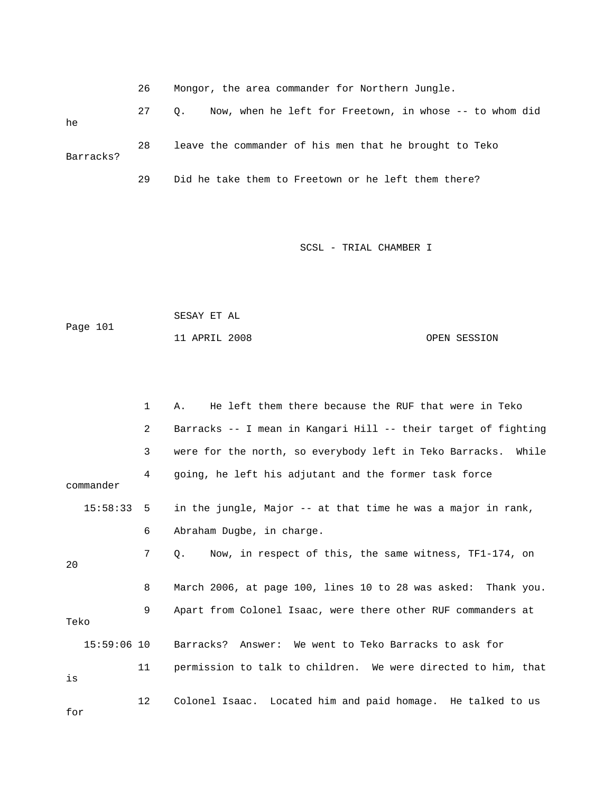|  |  |  |  | Mongor, the area commander for Northern Jungle. |  |  |  |  |
|--|--|--|--|-------------------------------------------------|--|--|--|--|
|--|--|--|--|-------------------------------------------------|--|--|--|--|

 27 Q. Now, when he left for Freetown, in whose -- to whom did he 28 leave the commander of his men that he brought to Teko Barracks? 29 Did he take them to Freetown or he left them there?

```
 SESAY ET AL 
Page 101 
             11 APRIL 2008 OPEN SESSION
```

|               | $\mathbf{1}$ | He left them there because the RUF that were in Teko<br>Α.          |
|---------------|--------------|---------------------------------------------------------------------|
|               | 2            | Barracks -- I mean in Kangari Hill -- their target of fighting      |
|               | 3            | were for the north, so everybody left in Teko Barracks. While       |
| commander     | 4            | going, he left his adjutant and the former task force               |
| $15:58:33$ 5  |              | in the jungle, Major -- at that time he was a major in rank,        |
|               | 6            | Abraham Dugbe, in charge.                                           |
| 20            | 7            | Now, in respect of this, the same witness, TF1-174, on<br>$\circ$ . |
|               | 8            | March 2006, at page 100, lines 10 to 28 was asked: Thank you.       |
| Teko          | 9            | Apart from Colonel Isaac, were there other RUF commanders at        |
| $15:59:06$ 10 |              | Barracks? Answer: We went to Teko Barracks to ask for               |
| is            | 11           | permission to talk to children. We were directed to him, that       |
| for           | 12           | Colonel Isaac. Located him and paid homage. He talked to us         |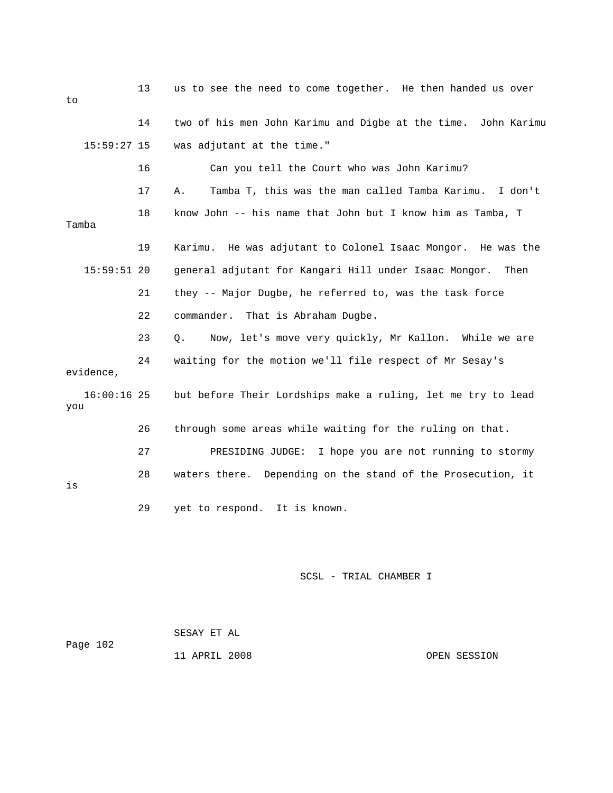| to  |               | 13 | us to see the need to come together. He then handed us over   |
|-----|---------------|----|---------------------------------------------------------------|
|     |               | 14 | two of his men John Karimu and Digbe at the time. John Karimu |
|     | $15:59:27$ 15 |    | was adjutant at the time."                                    |
|     |               | 16 | Can you tell the Court who was John Karimu?                   |
|     |               | 17 | Tamba T, this was the man called Tamba Karimu. I don't<br>Α.  |
|     | Tamba         | 18 | know John -- his name that John but I know him as Tamba, T    |
|     |               | 19 | Karimu. He was adjutant to Colonel Isaac Mongor. He was the   |
|     | $15:59:51$ 20 |    | general adjutant for Kangari Hill under Isaac Mongor.<br>Then |
|     |               | 21 | they -- Major Dugbe, he referred to, was the task force       |
|     |               | 22 | commander. That is Abraham Dugbe.                             |
|     |               | 23 | Now, let's move very quickly, Mr Kallon. While we are<br>Q.   |
|     | evidence,     | 24 | waiting for the motion we'll file respect of Mr Sesay's       |
| you | $16:00:16$ 25 |    | but before Their Lordships make a ruling, let me try to lead  |
|     |               | 26 | through some areas while waiting for the ruling on that.      |
|     |               | 27 | PRESIDING JUDGE:<br>I hope you are not running to stormy      |
| is  |               | 28 | waters there. Depending on the stand of the Prosecution, it   |
|     |               | 29 | yet to respond. It is known.                                  |

 SESAY ET AL Page 102

11 APRIL 2008 OPEN SESSION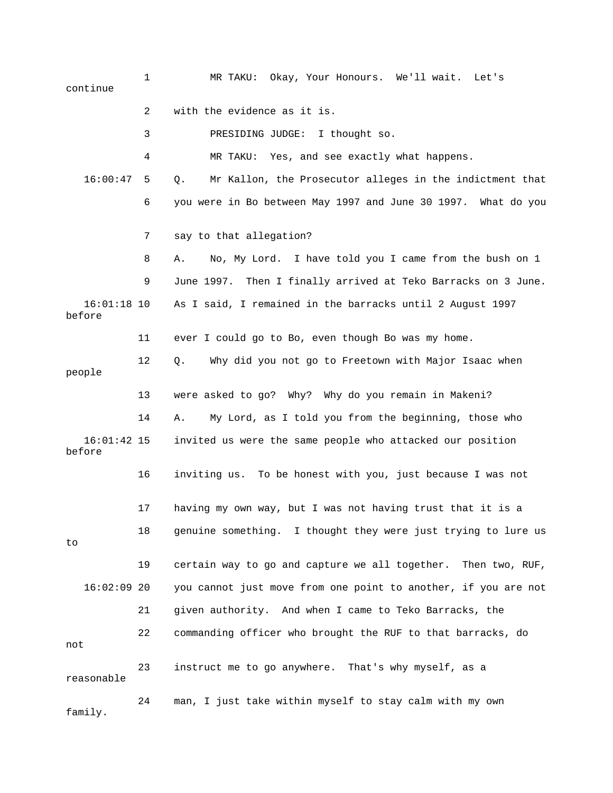1 MR TAKU: Okay, Your Honours. We'll wait. Let's continue 2 with the evidence as it is. 3 PRESIDING JUDGE: I thought so. 4 MR TAKU: Yes, and see exactly what happens. 16:00:47 5 Q. Mr Kallon, the Prosecutor alleges in the indictment that 6 you were in Bo between May 1997 and June 30 1997. What do you 7 say to that allegation? 8 A. No, My Lord. I have told you I came from the bush on 1 9 June 1997. Then I finally arrived at Teko Barracks on 3 June. 16:01:18 10 As I said, I remained in the barracks until 2 August 1997 before 11 ever I could go to Bo, even though Bo was my home. 12 Q. Why did you not go to Freetown with Major Isaac when people 13 were asked to go? Why? Why do you remain in Makeni? 14 A. My Lord, as I told you from the beginning, those who 16:01:42 15 invited us were the same people who attacked our position before 16 inviting us. To be honest with you, just because I was not 17 having my own way, but I was not having trust that it is a 18 genuine something. I thought they were just trying to lure us to 19 certain way to go and capture we all together. Then two, RUF, 16:02:09 20 you cannot just move from one point to another, if you are not 21 given authority. And when I came to Teko Barracks, the 22 commanding officer who brought the RUF to that barracks, do not 23 instruct me to go anywhere. That's why myself, as a reasonable 24 man, I just take within myself to stay calm with my own family.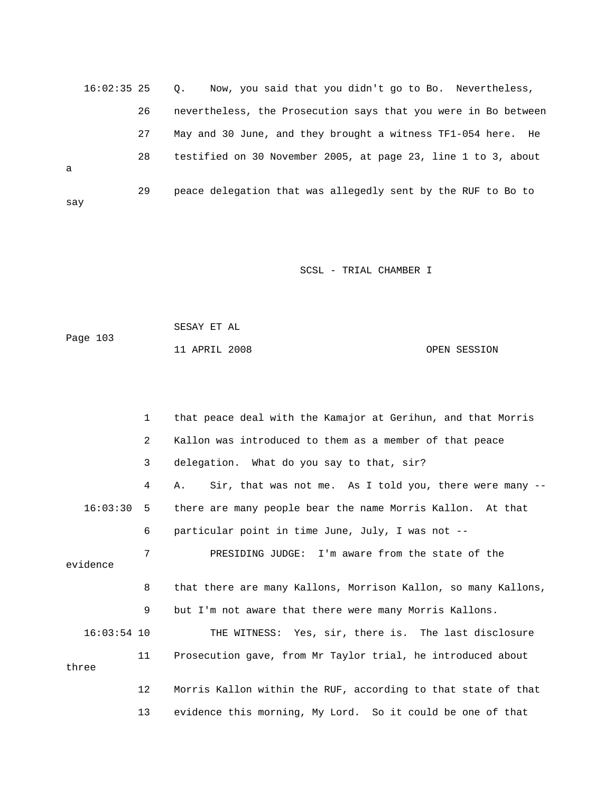16:02:35 25 Q. Now, you said that you didn't go to Bo. Nevertheless, 26 nevertheless, the Prosecution says that you were in Bo between 27 May and 30 June, and they brought a witness TF1-054 here. He 28 testified on 30 November 2005, at page 23, line 1 to 3, about a 29 peace delegation that was allegedly sent by the RUF to Bo to say

| Page 103 | SESAY ET AL   |  |              |
|----------|---------------|--|--------------|
|          | 11 APRIL 2008 |  | OPEN SESSION |

|               | $\mathbf{1}$      | that peace deal with the Kamajor at Gerihun, and that Morris   |
|---------------|-------------------|----------------------------------------------------------------|
|               | 2                 | Kallon was introduced to them as a member of that peace        |
|               | 3                 | delegation. What do you say to that, sir?                      |
|               | 4                 | Sir, that was not me. As I told you, there were many --<br>Α.  |
| 16:03:30 5    |                   | there are many people bear the name Morris Kallon. At that     |
|               | 6                 | particular point in time June, July, I was not --              |
|               | 7                 | PRESIDING JUDGE: I'm aware from the state of the               |
| evidence      |                   |                                                                |
|               | 8                 | that there are many Kallons, Morrison Kallon, so many Kallons, |
|               | 9                 | but I'm not aware that there were many Morris Kallons.         |
| $16:03:54$ 10 |                   | THE WITNESS: Yes, sir, there is. The last disclosure           |
| three         | 11                | Prosecution gave, from Mr Taylor trial, he introduced about    |
|               | $12 \overline{ }$ | Morris Kallon within the RUF, according to that state of that  |
|               | 13                | evidence this morning, My Lord. So it could be one of that     |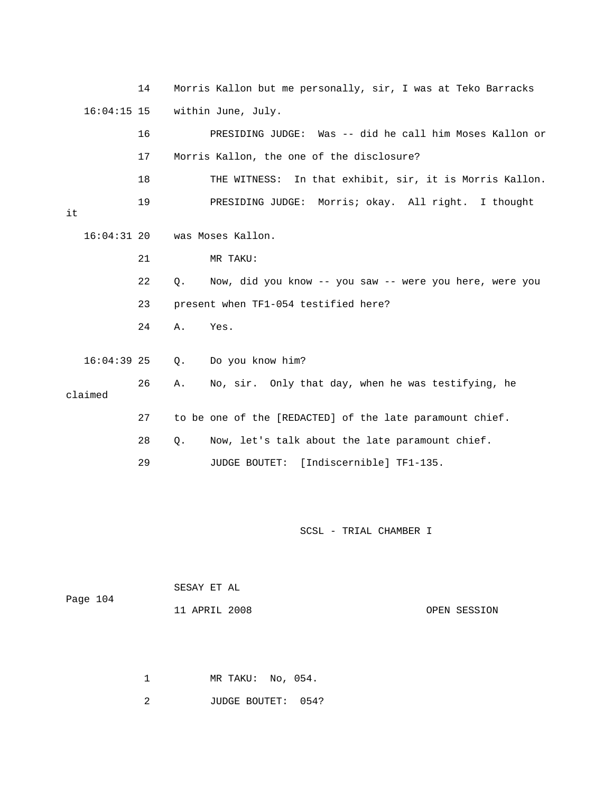14 Morris Kallon but me personally, sir, I was at Teko Barracks 16:04:15 15 within June, July. 16 PRESIDING JUDGE: Was -- did he call him Moses Kallon or 17 Morris Kallon, the one of the disclosure? 18 THE WITNESS: In that exhibit, sir, it is Morris Kallon. 19 PRESIDING JUDGE: Morris; okay. All right. I thought it 16:04:31 20 was Moses Kallon. 21 MR TAKU: 22 Q. Now, did you know -- you saw -- were you here, were you 23 present when TF1-054 testified here? 24 A. Yes. 16:04:39 25 Q. Do you know him? 26 A. No, sir. Only that day, when he was testifying, he claimed 27 to be one of the [REDACTED] of the late paramount chief. 28 Q. Now, let's talk about the late paramount chief. 29 JUDGE BOUTET: [Indiscernible] TF1-135.

SCSL - TRIAL CHAMBER I

| Page 104 | SESAY ET AL   |              |
|----------|---------------|--------------|
|          | 11 APRIL 2008 | OPEN SESSION |

1 MR TAKU: No, 054.

2 JUDGE BOUTET: 054?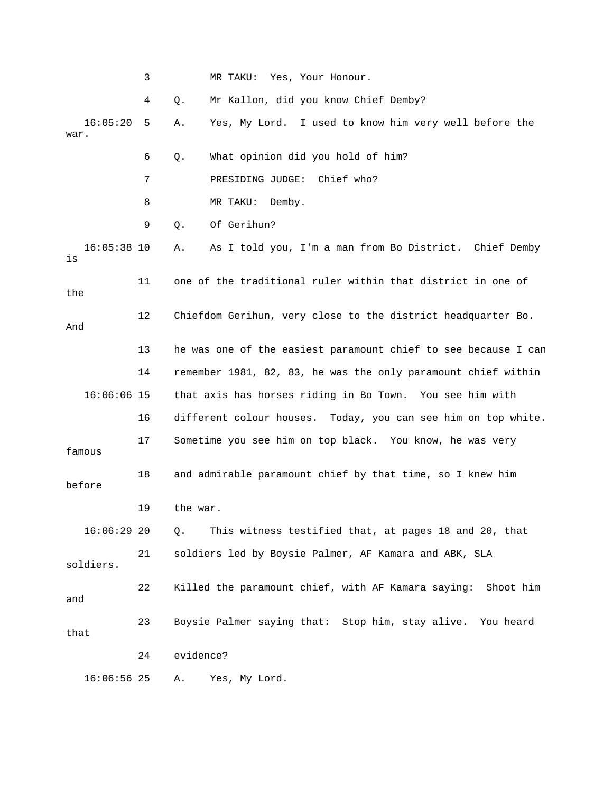|      |               | 3  |                                                               | MR TAKU:<br>Yes, Your Honour.                                  |  |  |  |
|------|---------------|----|---------------------------------------------------------------|----------------------------------------------------------------|--|--|--|
|      |               | 4  | Q.                                                            | Mr Kallon, did you know Chief Demby?                           |  |  |  |
| war. | 16:05:20      | 5  | Α.                                                            | Yes, My Lord. I used to know him very well before the          |  |  |  |
|      |               | 6  | Q.                                                            | What opinion did you hold of him?                              |  |  |  |
|      |               | 7  |                                                               | Chief who?<br>PRESIDING JUDGE:                                 |  |  |  |
|      |               | 8  |                                                               | MR TAKU:<br>Demby.                                             |  |  |  |
|      |               | 9  | $Q$ .                                                         | Of Gerihun?                                                    |  |  |  |
| is   | $16:05:38$ 10 |    | Α.                                                            | As I told you, I'm a man from Bo District. Chief Demby         |  |  |  |
| the  |               | 11 |                                                               | one of the traditional ruler within that district in one of    |  |  |  |
| And  |               | 12 |                                                               | Chiefdom Gerihun, very close to the district headquarter Bo.   |  |  |  |
|      |               | 13 |                                                               | he was one of the easiest paramount chief to see because I can |  |  |  |
|      |               | 14 | remember 1981, 82, 83, he was the only paramount chief within |                                                                |  |  |  |
|      | $16:06:06$ 15 |    | that axis has horses riding in Bo Town. You see him with      |                                                                |  |  |  |
| 16   |               |    |                                                               | different colour houses. Today, you can see him on top white.  |  |  |  |
|      | famous        | 17 |                                                               | Sometime you see him on top black. You know, he was very       |  |  |  |
|      | before        | 18 |                                                               | and admirable paramount chief by that time, so I knew him      |  |  |  |
|      |               | 19 | the war.                                                      |                                                                |  |  |  |
|      | $16:06:29$ 20 |    | $Q$ .                                                         | This witness testified that, at pages 18 and 20, that          |  |  |  |
|      | soldiers.     | 21 |                                                               | soldiers led by Boysie Palmer, AF Kamara and ABK, SLA          |  |  |  |
| and  |               | 22 |                                                               | Killed the paramount chief, with AF Kamara saying: Shoot him   |  |  |  |
| that |               | 23 |                                                               | Boysie Palmer saying that: Stop him, stay alive. You heard     |  |  |  |
|      |               | 24 | evidence?                                                     |                                                                |  |  |  |
|      | $16:06:56$ 25 |    | Α.                                                            | Yes, My Lord.                                                  |  |  |  |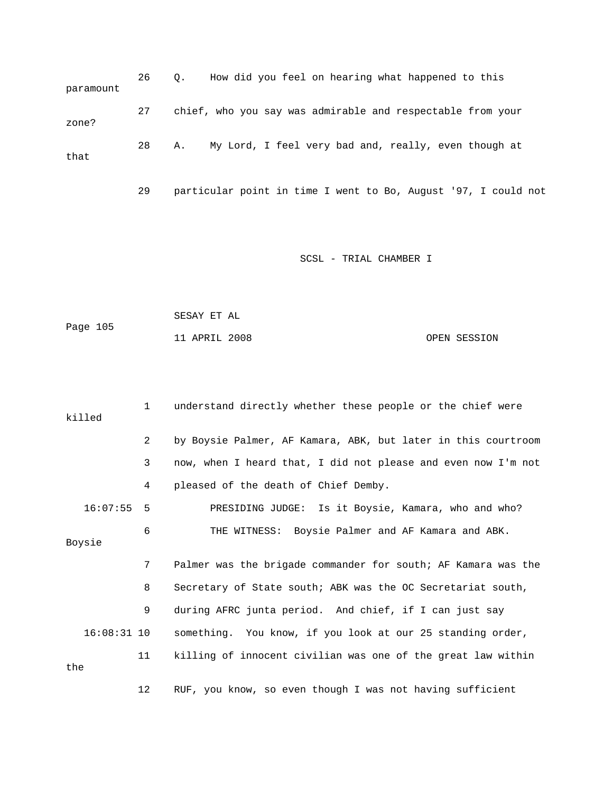26 Q. How did you feel on hearing what happened to this paramount 27 chief, who you say was admirable and respectable from your zone? 28 A. My Lord, I feel very bad and, really, even though at that

29 particular point in time I went to Bo, August '97, I could not

|          | SESAY ET AL   |  |              |
|----------|---------------|--|--------------|
| Page 105 |               |  |              |
|          | 11 APRIL 2008 |  | OPEN SESSION |

|     | killed        | 1              | understand directly whether these people or the chief were    |
|-----|---------------|----------------|---------------------------------------------------------------|
|     |               | $\overline{2}$ | by Boysie Palmer, AF Kamara, ABK, but later in this courtroom |
|     |               | 3              | now, when I heard that, I did not please and even now I'm not |
|     |               | 4              | pleased of the death of Chief Demby.                          |
|     | 16:07:55      | 5              | PRESIDING JUDGE: Is it Boysie, Kamara, who and who?           |
|     | Boysie        | 6              | THE WITNESS: Boysie Palmer and AF Kamara and ABK.             |
|     |               | 7              | Palmer was the brigade commander for south; AF Kamara was the |
|     |               | 8              | Secretary of State south; ABK was the OC Secretariat south,   |
|     |               | 9              | during AFRC junta period. And chief, if I can just say        |
|     | $16:08:31$ 10 |                | something. You know, if you look at our 25 standing order,    |
| the |               | 11             | killing of innocent civilian was one of the great law within  |
|     |               | 12             | RUF, you know, so even though I was not having sufficient     |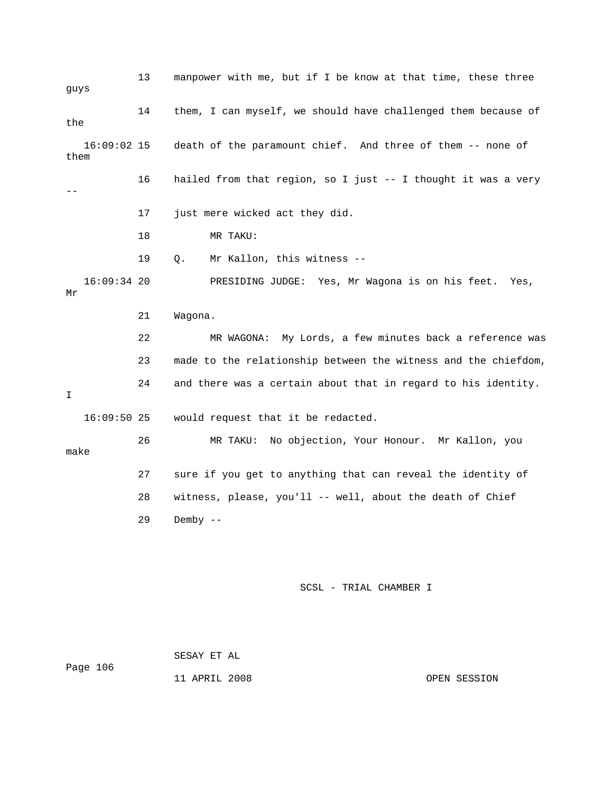13 manpower with me, but if I be know at that time, these three guys 14 them, I can myself, we should have challenged them because of the 16:09:02 15 death of the paramount chief. And three of them -- none of them 16 hailed from that region, so I just -- I thought it was a very -- 17 just mere wicked act they did. 18 MR TAKU: 19 Q. Mr Kallon, this witness -- 16:09:34 20 PRESIDING JUDGE: Yes, Mr Wagona is on his feet. Yes, Mr 21 Wagona. 22 MR WAGONA: My Lords, a few minutes back a reference was 23 made to the relationship between the witness and the chiefdom, 24 and there was a certain about that in regard to his identity. I 16:09:50 25 would request that it be redacted. 26 MR TAKU: No objection, Your Honour. Mr Kallon, you make 27 sure if you get to anything that can reveal the identity of 28 witness, please, you'll -- well, about the death of Chief 29 Demby -- SCSL - TRIAL CHAMBER I

 SESAY ET AL Page 106

11 APRIL 2008 OPEN SESSION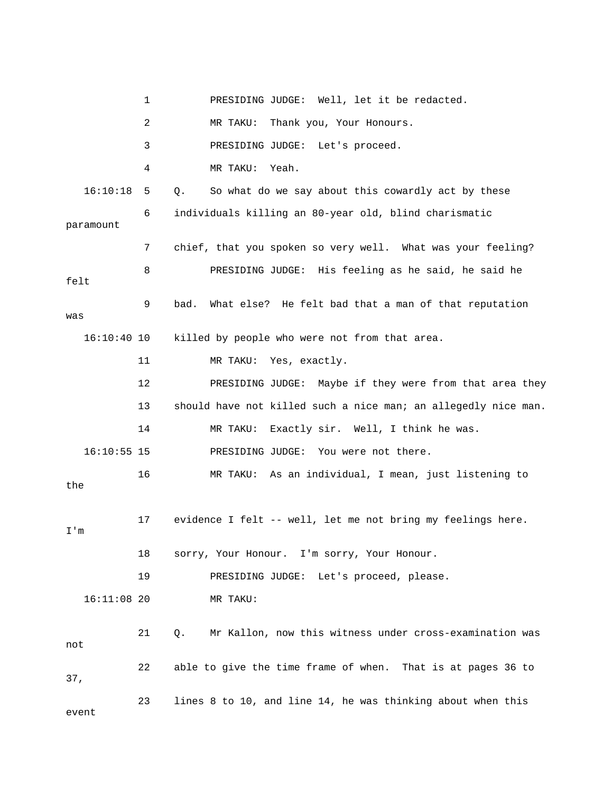|               | 1  | PRESIDING JUDGE: Well, let it be redacted.                       |
|---------------|----|------------------------------------------------------------------|
|               | 2  | MR TAKU:<br>Thank you, Your Honours.                             |
|               | 3  | PRESIDING JUDGE: Let's proceed.                                  |
|               | 4  | Yeah.<br>MR TAKU:                                                |
| 16:10:18      | 5  | So what do we say about this cowardly act by these<br>Q.         |
| paramount     | 6  | individuals killing an 80-year old, blind charismatic            |
|               | 7  | chief, that you spoken so very well. What was your feeling?      |
| felt          | 8  | PRESIDING JUDGE: His feeling as he said, he said he              |
| was           | 9  | bad.<br>What else? He felt bad that a man of that reputation     |
| $16:10:40$ 10 |    | killed by people who were not from that area.                    |
|               | 11 | Yes, exactly.<br>MR TAKU:                                        |
|               | 12 | PRESIDING JUDGE: Maybe if they were from that area they          |
|               | 13 | should have not killed such a nice man; an allegedly nice man.   |
|               | 14 | MR TAKU:<br>Exactly sir. Well, I think he was.                   |
| $16:10:55$ 15 |    | PRESIDING JUDGE: You were not there.                             |
| the           | 16 | MR TAKU: As an individual, I mean, just listening to             |
| I'm           | 17 | evidence I felt -- well, let me not bring my feelings here.      |
|               | 18 | sorry, Your Honour. I'm sorry, Your Honour.                      |
|               | 19 | PRESIDING JUDGE: Let's proceed, please.                          |
| $16:11:08$ 20 |    | MR TAKU:                                                         |
| not           | 21 | Mr Kallon, now this witness under cross-examination was<br>$Q$ . |
| 37,           | 22 | able to give the time frame of when. That is at pages 36 to      |
| event         | 23 | lines 8 to 10, and line 14, he was thinking about when this      |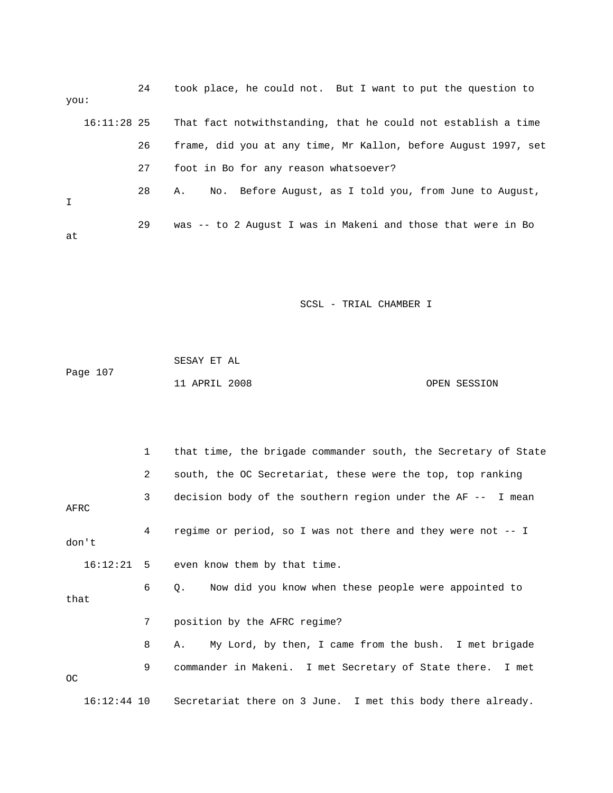| you:        |               | 24 | took place, he could not. But I want to put the question to    |
|-------------|---------------|----|----------------------------------------------------------------|
|             | $16:11:28$ 25 |    | That fact notwithstanding, that he could not establish a time  |
|             |               | 26 | frame, did you at any time, Mr Kallon, before August 1997, set |
|             |               | 27 | foot in Bo for any reason whatsoever?                          |
| $\mathbf I$ |               | 28 | No. Before August, as I told you, from June to August,<br>Α.   |
| at          |               | 29 | was -- to 2 August I was in Makeni and those that were in Bo   |

|          | SESAY ET AL   |  |              |
|----------|---------------|--|--------------|
| Page 107 |               |  |              |
|          | 11 APRIL 2008 |  | OPEN SESSION |

|               | 1            | that time, the brigade commander south, the Secretary of State          |
|---------------|--------------|-------------------------------------------------------------------------|
|               | $\mathbf{2}$ | south, the OC Secretariat, these were the top, top ranking              |
| AFRC          | 3            | decision body of the southern region under the AF -- I mean             |
| don't         | $4\degree$   | regime or period, so I was not there and they were not $-$ - I          |
|               |              | 16:12:21 5 even know them by that time.                                 |
| that          | 6            | Now did you know when these people were appointed to<br>$\circ$ .       |
|               | 7            | position by the AFRC regime?                                            |
|               | 8            | My Lord, by then, I came from the bush. I met brigade<br>A.,            |
| <sub>OC</sub> | 9            | commander in Makeni. I met Secretary of State there. I met              |
|               |              | 16:12:44 10 Secretariat there on 3 June. I met this body there already. |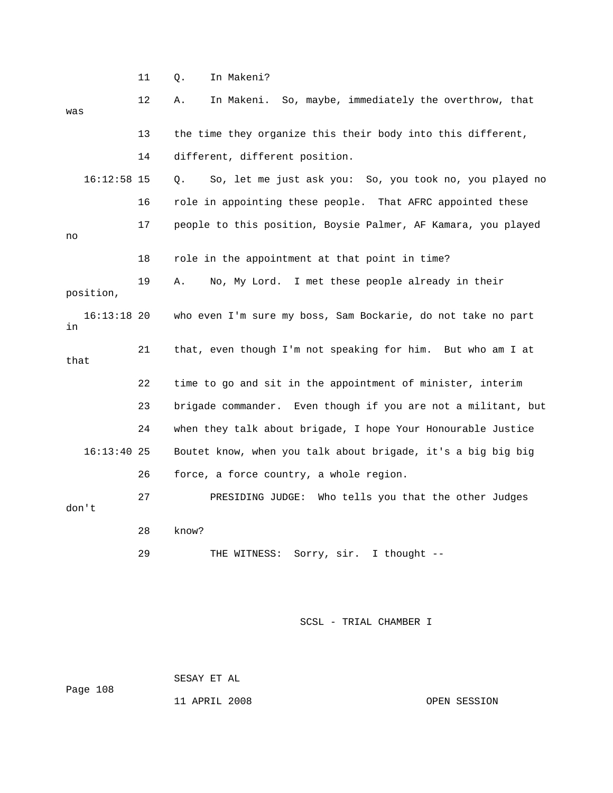11 Q. In Makeni? 12 A. In Makeni. So, maybe, immediately the overthrow, that was 13 the time they organize this their body into this different, 14 different, different position. 16:12:58 15 Q. So, let me just ask you: So, you took no, you played no 16 role in appointing these people. That AFRC appointed these 17 people to this position, Boysie Palmer, AF Kamara, you played no 18 role in the appointment at that point in time? 19 A. No, My Lord. I met these people already in their position, 16:13:18 20 who even I'm sure my boss, Sam Bockarie, do not take no part in 21 that, even though I'm not speaking for him. But who am I at that 22 time to go and sit in the appointment of minister, interim 23 brigade commander. Even though if you are not a militant, but 24 when they talk about brigade, I hope Your Honourable Justice 16:13:40 25 Boutet know, when you talk about brigade, it's a big big big 26 force, a force country, a whole region. 27 PRESIDING JUDGE: Who tells you that the other Judges don't 28 know? 29 THE WITNESS: Sorry, sir. I thought --

SCSL - TRIAL CHAMBER I

 SESAY ET AL Page 108

11 APRIL 2008 OPEN SESSION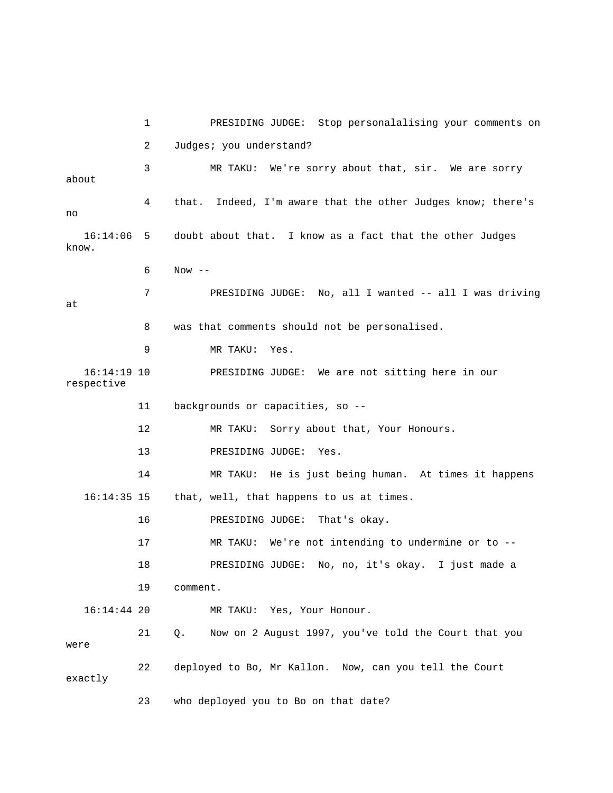1 PRESIDING JUDGE: Stop personalalising your comments on 2 Judges; you understand? 3 MR TAKU: We're sorry about that, sir. We are sorry about 4 that. Indeed, I'm aware that the other Judges know; there's no 16:14:06 5 doubt about that. I know as a fact that the other Judges know.  $6$  Now  $-$  7 PRESIDING JUDGE: No, all I wanted -- all I was driving at 8 was that comments should not be personalised. 9 MR TAKU: Yes. 16:14:19 10 PRESIDING JUDGE: We are not sitting here in our respective 11 backgrounds or capacities, so -- 12 MR TAKU: Sorry about that, Your Honours. 13 PRESIDING JUDGE: Yes. 14 MR TAKU: He is just being human. At times it happens 16:14:35 15 that, well, that happens to us at times. 16 PRESIDING JUDGE: That's okay. 17 MR TAKU: We're not intending to undermine or to -- 18 PRESIDING JUDGE: No, no, it's okay. I just made a 19 comment. 16:14:44 20 MR TAKU: Yes, Your Honour. 21 Q. Now on 2 August 1997, you've told the Court that you were 22 deployed to Bo, Mr Kallon. Now, can you tell the Court exactly 23 who deployed you to Bo on that date?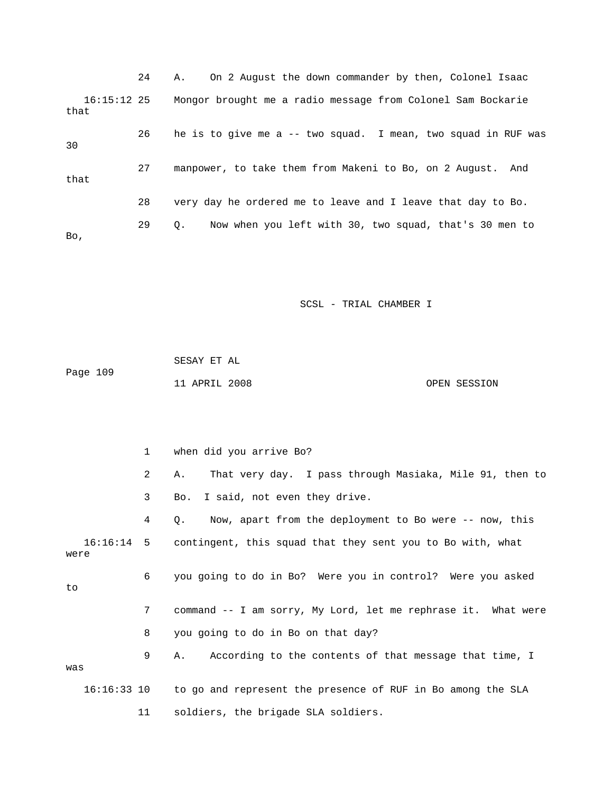24 A. On 2 August the down commander by then, Colonel Isaac 16:15:12 25 Mongor brought me a radio message from Colonel Sam Bockarie that 26 he is to give me a -- two squad. I mean, two squad in RUF was 30 27 manpower, to take them from Makeni to Bo, on 2 August. And that 28 very day he ordered me to leave and I leave that day to Bo. 29 Q. Now when you left with 30, two squad, that's 30 men to Bo,

SCSL - TRIAL CHAMBER I

|          | SESAY ET AL   |  |              |
|----------|---------------|--|--------------|
| Page 109 |               |  |              |
|          | 11 APRIL 2008 |  | OPEN SESSION |

 1 when did you arrive Bo? 2 A. That very day. I pass through Masiaka, Mile 91, then to 3 Bo. I said, not even they drive. 4 Q. Now, apart from the deployment to Bo were -- now, this 16:16:14 5 contingent, this squad that they sent you to Bo with, what were 6 you going to do in Bo? Were you in control? Were you asked to 7 command -- I am sorry, My Lord, let me rephrase it. What were 8 you going to do in Bo on that day? 9 A. According to the contents of that message that time, I was 16:16:33 10 to go and represent the presence of RUF in Bo among the SLA 11 soldiers, the brigade SLA soldiers.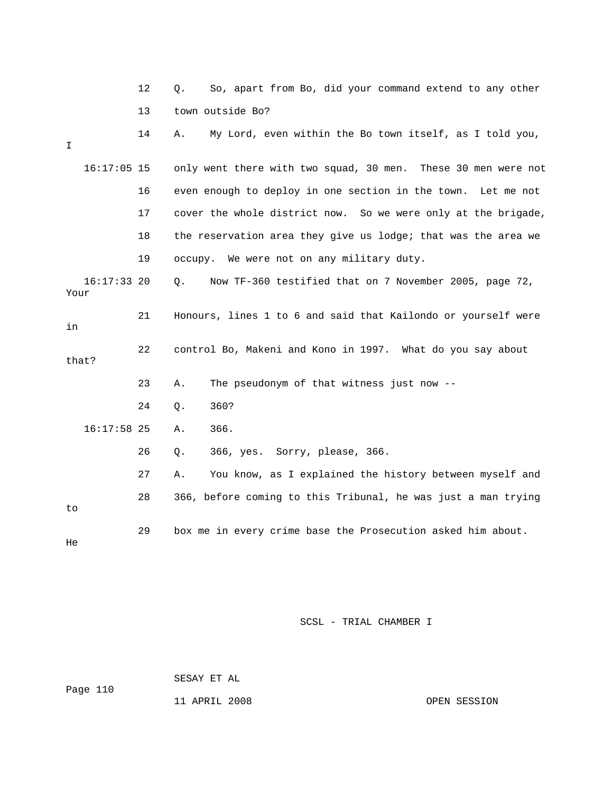|      |               | 12 | So, apart from Bo, did your command extend to any other<br>Q.   |
|------|---------------|----|-----------------------------------------------------------------|
|      |               | 13 | town outside Bo?                                                |
| I    |               | 14 | My Lord, even within the Bo town itself, as I told you,<br>Α.   |
|      | $16:17:05$ 15 |    | only went there with two squad, 30 men. These 30 men were not   |
|      |               | 16 | even enough to deploy in one section in the town.<br>Let me not |
|      |               | 17 | cover the whole district now. So we were only at the brigade,   |
|      |               | 18 | the reservation area they give us lodge; that was the area we   |
|      |               | 19 | occupy. We were not on any military duty.                       |
| Your | $16:17:33$ 20 |    | Now TF-360 testified that on 7 November 2005, page 72,<br>Q.    |
| in   |               | 21 | Honours, lines 1 to 6 and said that Kailondo or yourself were   |
|      | that?         | 22 | control Bo, Makeni and Kono in 1997. What do you say about      |
|      |               | 23 | The pseudonym of that witness just now --<br>Α.                 |
|      |               | 24 | 360?<br>Q.                                                      |
|      | $16:17:58$ 25 |    | 366.<br>Α.                                                      |
|      |               | 26 | 366, yes. Sorry, please, 366.<br>Q.                             |
|      |               | 27 | You know, as I explained the history between myself and<br>Α.   |
| to   |               | 28 | 366, before coming to this Tribunal, he was just a man trying   |
| He   |               | 29 | box me in every crime base the Prosecution asked him about.     |

 SESAY ET AL Page 110

11 APRIL 2008 CPEN SESSION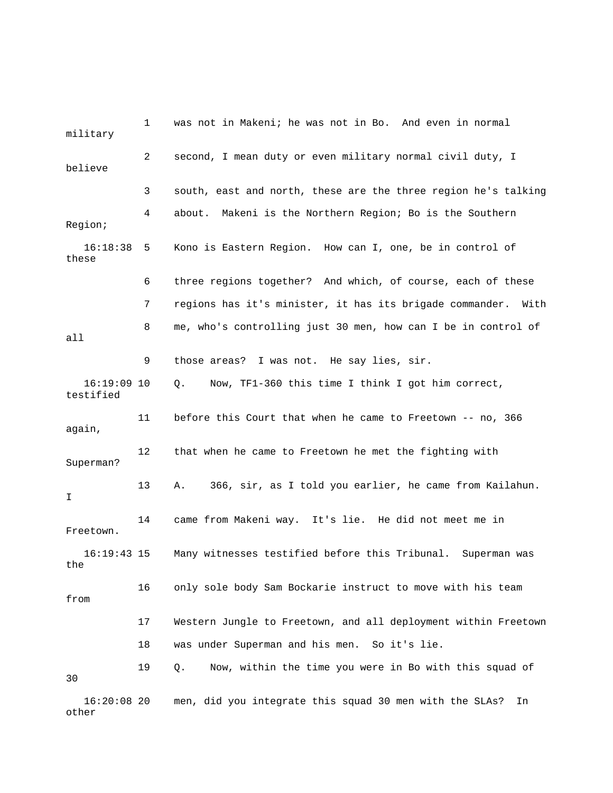| military                   | 1              | was not in Makeni; he was not in Bo. And even in normal          |
|----------------------------|----------------|------------------------------------------------------------------|
| believe                    | $\overline{2}$ | second, I mean duty or even military normal civil duty, I        |
|                            | 3              | south, east and north, these are the three region he's talking   |
| Region;                    | 4              | about. Makeni is the Northern Region; Bo is the Southern         |
| 16:18:38<br>these          | 5              | Kono is Eastern Region. How can I, one, be in control of         |
|                            | 6              | three regions together? And which, of course, each of these      |
|                            | 7              | regions has it's minister, it has its brigade commander.<br>With |
| all                        | 8              | me, who's controlling just 30 men, how can I be in control of    |
|                            | 9              | those areas? I was not. He say lies, sir.                        |
| $16:19:09$ 10<br>testified |                | Now, TF1-360 this time I think I got him correct,<br>Q.          |
| again,                     | 11             | before this Court that when he came to Freetown -- no, 366       |
| Superman?                  | 12             | that when he came to Freetown he met the fighting with           |
| I                          | 13             | 366, sir, as I told you earlier, he came from Kailahun.<br>Α.    |
| Freetown.                  | 14             | came from Makeni way. It's lie. He did not meet me in            |
| $16:19:43$ 15<br>the       |                | Many witnesses testified before this Tribunal. Superman was      |
| from                       | 16             | only sole body Sam Bockarie instruct to move with his team       |
|                            | 17             | Western Jungle to Freetown, and all deployment within Freetown   |
|                            | 18             | was under Superman and his men. So it's lie.                     |
| 30                         | 19             | Now, within the time you were in Bo with this squad of<br>Q.     |
| $16:20:08$ 20<br>other     |                | men, did you integrate this squad 30 men with the SLAs?<br>In    |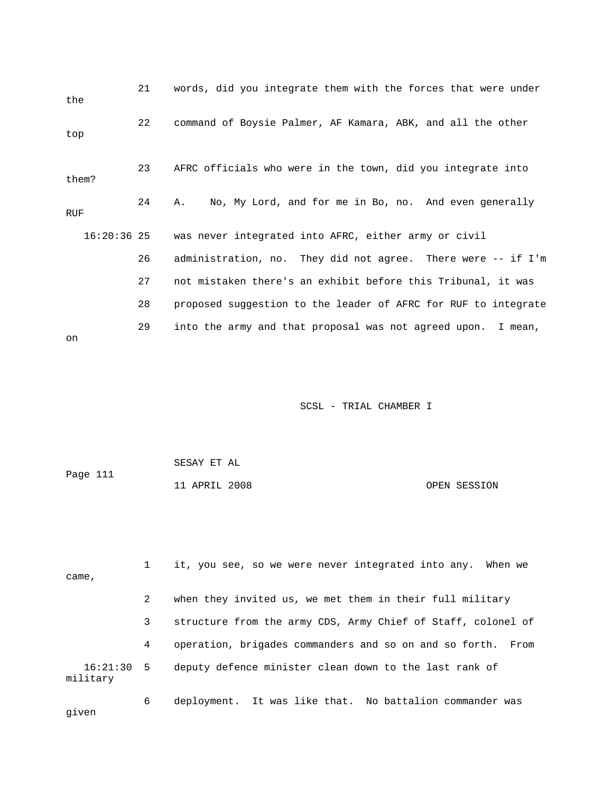| the           | 21 | words, did you integrate them with the forces that were under  |
|---------------|----|----------------------------------------------------------------|
| top           | 22 | command of Boysie Palmer, AF Kamara, ABK, and all the other    |
| them?         | 23 | AFRC officials who were in the town, did you integrate into    |
| RUF           | 24 | No, My Lord, and for me in Bo, no. And even generally<br>Α.    |
| $16:20:36$ 25 |    | was never integrated into AFRC, either army or civil           |
|               | 26 | administration, no. They did not agree. There were -- if I'm   |
|               | 27 | not mistaken there's an exhibit before this Tribunal, it was   |
|               | 28 | proposed suggestion to the leader of AFRC for RUF to integrate |
| on            | 29 | into the army and that proposal was not agreed upon. I mean,   |

| Page 111 | SESAY ET AL   |              |
|----------|---------------|--------------|
|          | 11 APRIL 2008 | OPEN SESSION |

| came,                    |   | it, you see, so we were never integrated into any. When we     |
|--------------------------|---|----------------------------------------------------------------|
|                          | 2 | when they invited us, we met them in their full military       |
|                          | 3 | structure from the army CDS, Army Chief of Staff, colonel of   |
|                          | 4 | operation, brigades commanders and so on and so forth.<br>From |
| $16:21:30$ 5<br>military |   | deputy defence minister clean down to the last rank of         |
| given                    | 6 | deployment. It was like that. No battalion commander was       |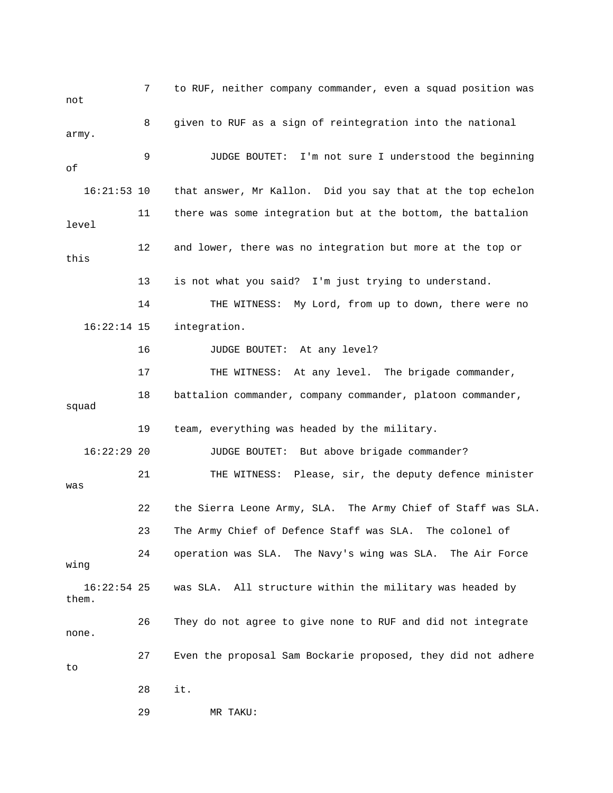7 to RUF, neither company commander, even a squad position was not 8 given to RUF as a sign of reintegration into the national army. 9 JUDGE BOUTET: I'm not sure I understood the beginning of 16:21:53 10 that answer, Mr Kallon. Did you say that at the top echelon 11 there was some integration but at the bottom, the battalion level 12 and lower, there was no integration but more at the top or this 13 is not what you said? I'm just trying to understand. 14 THE WITNESS: My Lord, from up to down, there were no 16:22:14 15 integration. 16 JUDGE BOUTET: At any level? 17 THE WITNESS: At any level. The brigade commander, 18 battalion commander, company commander, platoon commander, squad 19 team, everything was headed by the military. 16:22:29 20 JUDGE BOUTET: But above brigade commander? 21 THE WITNESS: Please, sir, the deputy defence minister was 22 the Sierra Leone Army, SLA. The Army Chief of Staff was SLA. 23 The Army Chief of Defence Staff was SLA. The colonel of 24 operation was SLA. The Navy's wing was SLA. The Air Force wing 16:22:54 25 was SLA. All structure within the military was headed by them. 26 They do not agree to give none to RUF and did not integrate none. 27 Even the proposal Sam Bockarie proposed, they did not adhere to 28 it. 29 MR TAKU: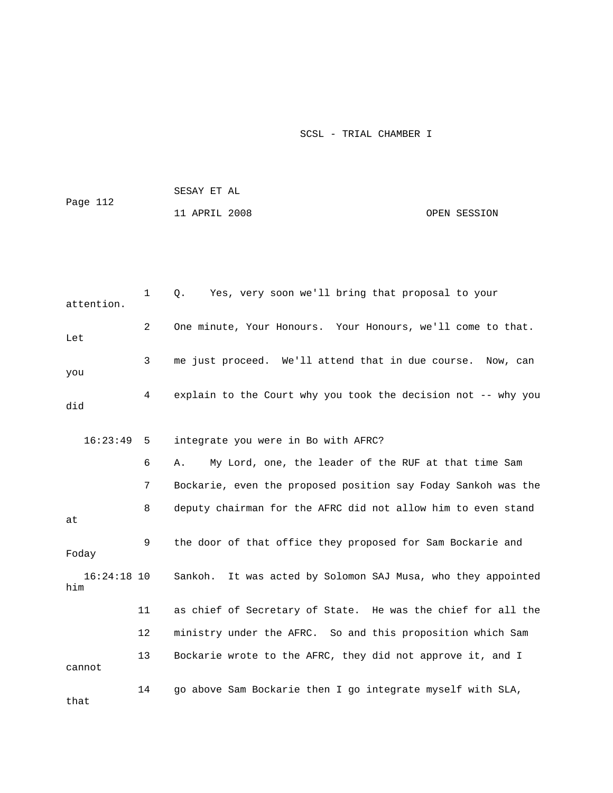| Page 112 | SESAY ET AL   |  |              |
|----------|---------------|--|--------------|
|          | 11 APRIL 2008 |  | OPEN SESSION |

| attention.           | $\mathbf{1}$ | Yes, very soon we'll bring that proposal to your<br>Q.          |
|----------------------|--------------|-----------------------------------------------------------------|
| Let                  | 2            | One minute, Your Honours. Your Honours, we'll come to that.     |
| you                  | 3            | me just proceed. We'll attend that in due course. Now, can      |
| did                  | 4            | explain to the Court why you took the decision not -- why you   |
| 16:23:49             | 5            | integrate you were in Bo with AFRC?                             |
|                      | 6            | My Lord, one, the leader of the RUF at that time Sam<br>Α.      |
|                      | 7            | Bockarie, even the proposed position say Foday Sankoh was the   |
| at                   | 8            | deputy chairman for the AFRC did not allow him to even stand    |
| Foday                | 9            | the door of that office they proposed for Sam Bockarie and      |
| $16:24:18$ 10<br>him |              | It was acted by Solomon SAJ Musa, who they appointed<br>Sankoh. |
|                      | 11           | as chief of Secretary of State. He was the chief for all the    |
|                      | 12           | ministry under the AFRC. So and this proposition which Sam      |
| cannot               | 13           | Bockarie wrote to the AFRC, they did not approve it, and I      |
| that                 | 14           | go above Sam Bockarie then I go integrate myself with SLA,      |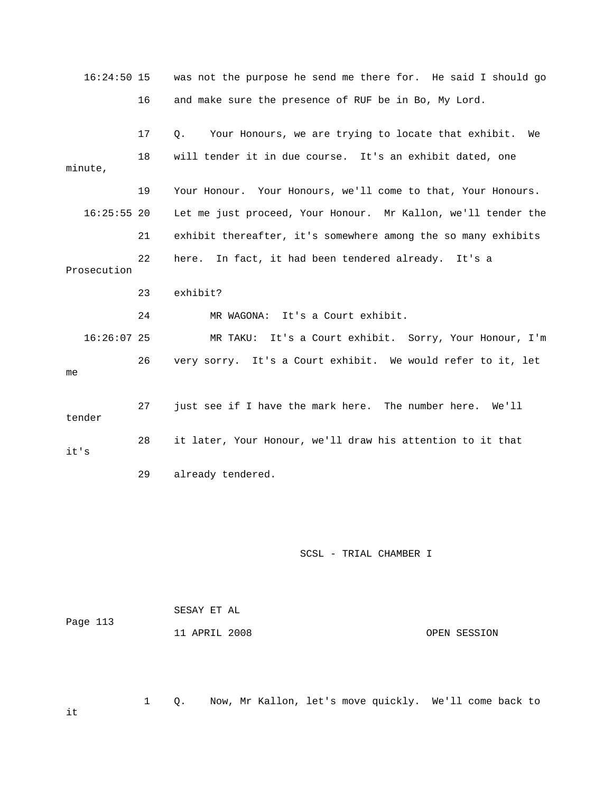16:24:50 15 was not the purpose he send me there for. He said I should go 16 and make sure the presence of RUF be in Bo, My Lord. 17 Q. Your Honours, we are trying to locate that exhibit. We 18 will tender it in due course. It's an exhibit dated, one minute, 19 Your Honour. Your Honours, we'll come to that, Your Honours. 16:25:55 20 Let me just proceed, Your Honour. Mr Kallon, we'll tender the 21 exhibit thereafter, it's somewhere among the so many exhibits 22 here. In fact, it had been tendered already. It's a Prosecution 23 exhibit? 24 MR WAGONA: It's a Court exhibit. 16:26:07 25 MR TAKU: It's a Court exhibit. Sorry, Your Honour, I'm 26 very sorry. It's a Court exhibit. We would refer to it, let me 27 just see if I have the mark here. The number here. We'll tender 28 it later, Your Honour, we'll draw his attention to it that it's 29 already tendered.

## SCSL - TRIAL CHAMBER I

| Page 113 | SESAY ET AL   |              |
|----------|---------------|--------------|
|          | 11 APRIL 2008 | OPEN SESSION |

1 Q. Now, Mr Kallon, let's move quickly. We'll come back to

it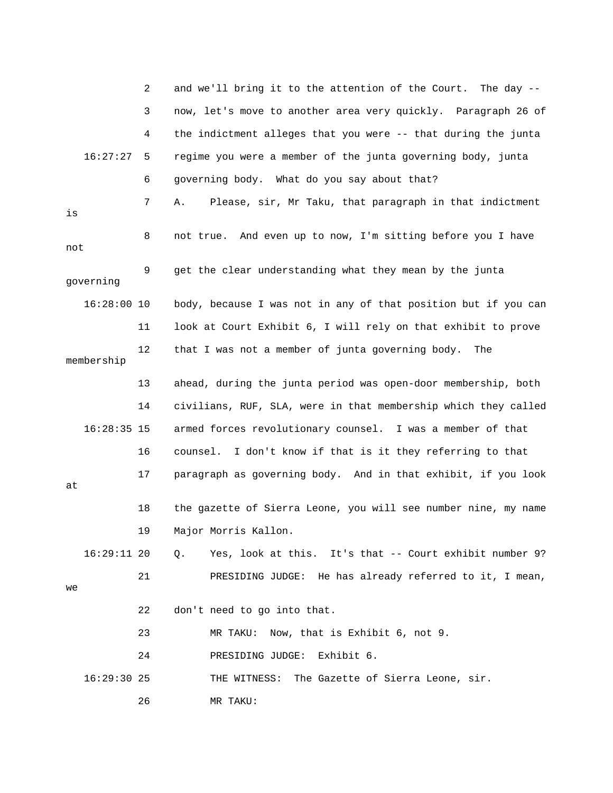|     |               | 2  | and we'll bring it to the attention of the Court.<br>The day $-$ |
|-----|---------------|----|------------------------------------------------------------------|
|     |               | 3  | now, let's move to another area very quickly. Paragraph 26 of    |
|     |               | 4  | the indictment alleges that you were -- that during the junta    |
|     | 16:27:27      | 5  | regime you were a member of the junta governing body, junta      |
|     |               | 6  | governing body. What do you say about that?                      |
| is  |               | 7  | Please, sir, Mr Taku, that paragraph in that indictment<br>Α.    |
| not |               | 8  | not true. And even up to now, I'm sitting before you I have      |
|     | governing     | 9  | get the clear understanding what they mean by the junta          |
|     | $16:28:00$ 10 |    | body, because I was not in any of that position but if you can   |
|     |               | 11 | look at Court Exhibit 6, I will rely on that exhibit to prove    |
|     | membership    | 12 | that I was not a member of junta governing body.<br>The          |
|     |               | 13 | ahead, during the junta period was open-door membership, both    |
|     |               | 14 | civilians, RUF, SLA, were in that membership which they called   |
|     | $16:28:35$ 15 |    | armed forces revolutionary counsel. I was a member of that       |
|     |               | 16 | counsel. I don't know if that is it they referring to that       |
| at  |               | 17 | paragraph as governing body. And in that exhibit, if you look    |
|     |               | 18 | the gazette of Sierra Leone, you will see number nine, my name   |
|     |               | 19 | Major Morris Kallon.                                             |
|     | $16:29:11$ 20 |    | Yes, look at this. It's that -- Court exhibit number 9?<br>Q.    |
| we  |               | 21 | PRESIDING JUDGE: He has already referred to it, I mean,          |
|     |               | 22 | don't need to go into that.                                      |
|     |               | 23 | MR TAKU: Now, that is Exhibit 6, not 9.                          |
|     |               | 24 | Exhibit 6.<br>PRESIDING JUDGE:                                   |
|     | $16:29:30$ 25 |    | THE WITNESS: The Gazette of Sierra Leone, sir.                   |
|     |               | 26 | MR TAKU:                                                         |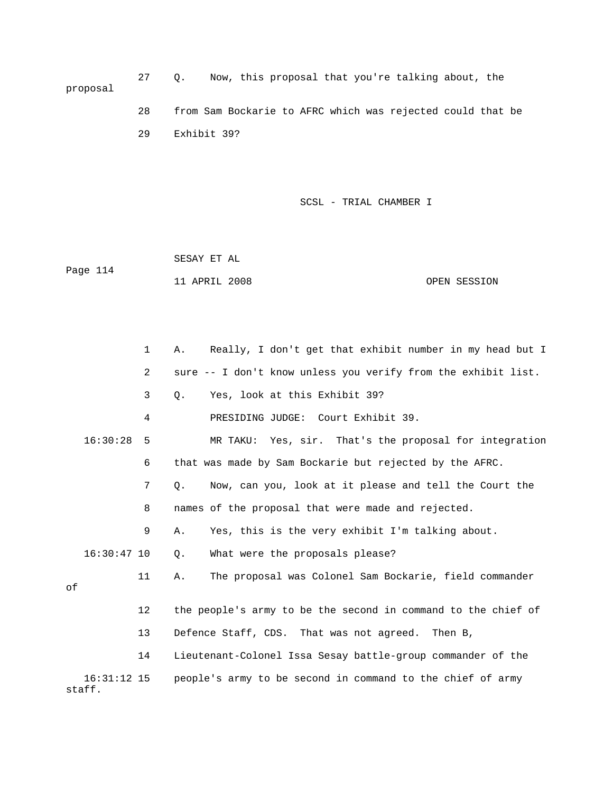| proposal |    |             |  |  |  | Now, this proposal that you're talking about, the          |  |  |
|----------|----|-------------|--|--|--|------------------------------------------------------------|--|--|
|          | 28 |             |  |  |  | from Sam Bockarie to AFRC which was rejected could that be |  |  |
|          | 29 | Exhibit 39? |  |  |  |                                                            |  |  |

 SESAY ET AL Page 114 11 APRIL 2008 OPEN SESSION

 1 A. Really, I don't get that exhibit number in my head but I 2 sure -- I don't know unless you verify from the exhibit list. 3 Q. Yes, look at this Exhibit 39? 4 PRESIDING JUDGE: Court Exhibit 39. 16:30:28 5 MR TAKU: Yes, sir. That's the proposal for integration 6 that was made by Sam Bockarie but rejected by the AFRC. 7 Q. Now, can you, look at it please and tell the Court the 8 names of the proposal that were made and rejected. 9 A. Yes, this is the very exhibit I'm talking about. 16:30:47 10 Q. What were the proposals please? 11 A. The proposal was Colonel Sam Bockarie, field commander of 12 the people's army to be the second in command to the chief of 13 Defence Staff, CDS. That was not agreed. Then B, 14 Lieutenant-Colonel Issa Sesay battle-group commander of the 16:31:12 15 people's army to be second in command to the chief of army staff.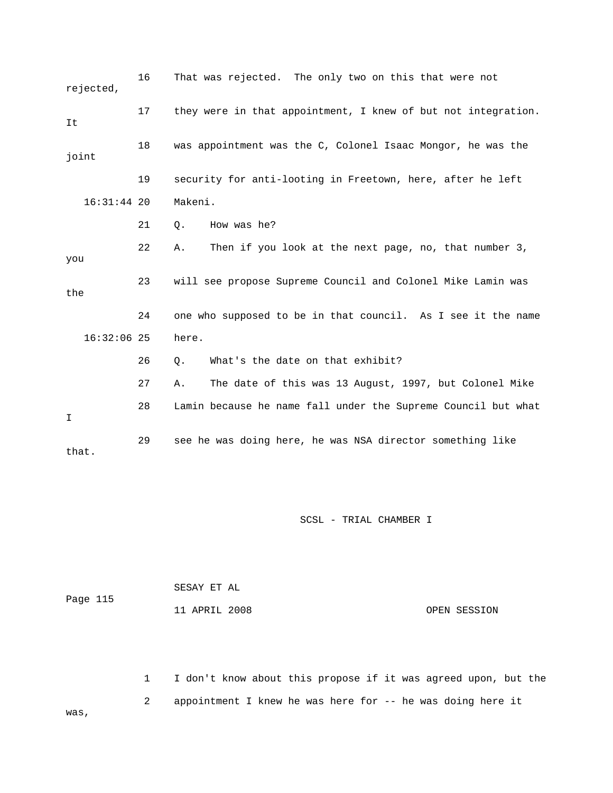| rejected,     | 16 | That was rejected. The only two on this that were not         |
|---------------|----|---------------------------------------------------------------|
| It            | 17 | they were in that appointment, I knew of but not integration. |
| joint         | 18 | was appointment was the C, Colonel Isaac Mongor, he was the   |
|               | 19 | security for anti-looting in Freetown, here, after he left    |
| $16:31:44$ 20 |    | Makeni.                                                       |
|               | 21 | How was he?<br>$\circ$ .                                      |
| you           | 22 | Then if you look at the next page, no, that number 3,<br>Α.   |
| the           | 23 | will see propose Supreme Council and Colonel Mike Lamin was   |
|               | 24 | one who supposed to be in that council. As I see it the name  |
| $16:32:06$ 25 |    | here.                                                         |
|               | 26 | What's the date on that exhibit?<br>Q.                        |
|               | 27 | The date of this was 13 August, 1997, but Colonel Mike<br>Α.  |
| $\mathbf I$   | 28 | Lamin because he name fall under the Supreme Council but what |
| that.         | 29 | see he was doing here, he was NSA director something like     |

| Page 115 | SESAY ET AL   |  |              |
|----------|---------------|--|--------------|
|          | 11 APRIL 2008 |  | OPEN SESSION |

 1 I don't know about this propose if it was agreed upon, but the 2 appointment I knew he was here for -- he was doing here it was,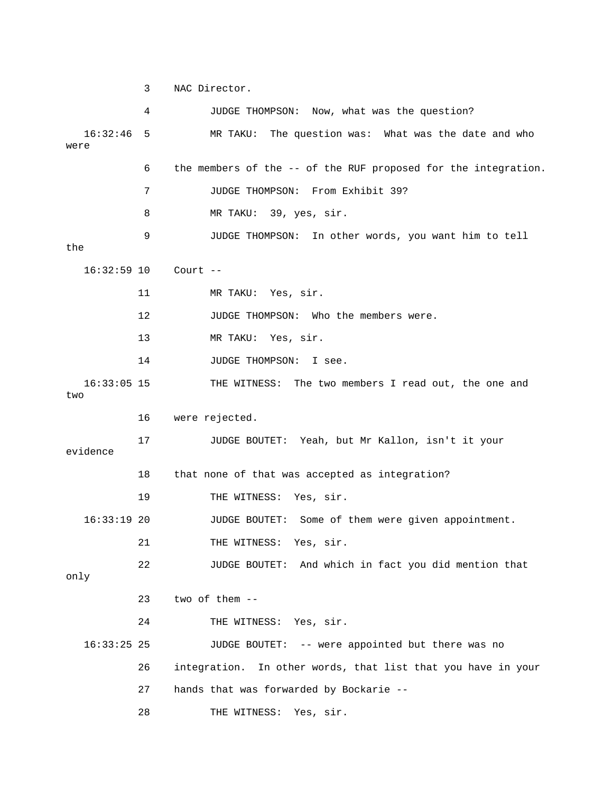3 NAC Director.

|                      | 4  | JUDGE THOMPSON: Now, what was the question?                     |
|----------------------|----|-----------------------------------------------------------------|
| 16:32:46<br>were     | 5  | MR TAKU: The question was: What was the date and who            |
|                      | 6  | the members of the -- of the RUF proposed for the integration.  |
|                      | 7  | JUDGE THOMPSON: From Exhibit 39?                                |
|                      | 8  | MR TAKU: 39, yes, sir.                                          |
| the                  | 9  | JUDGE THOMPSON: In other words, you want him to tell            |
| $16:32:59$ 10        |    | Court $--$                                                      |
|                      | 11 | MR TAKU: Yes, sir.                                              |
|                      | 12 | JUDGE THOMPSON: Who the members were.                           |
|                      | 13 | MR TAKU: Yes, sir.                                              |
|                      | 14 | JUDGE THOMPSON:<br>I see.                                       |
| $16:33:05$ 15<br>two |    | THE WITNESS: The two members I read out, the one and            |
|                      | 16 | were rejected.                                                  |
| evidence             | 17 | JUDGE BOUTET: Yeah, but Mr Kallon, isn't it your                |
|                      | 18 | that none of that was accepted as integration?                  |
|                      | 19 | THE WITNESS: Yes, sir.                                          |
| $16:33:19$ 20        |    | JUDGE BOUTET: Some of them were given appointment.              |
|                      | 21 | THE WITNESS: Yes, sir.                                          |
| only                 | 22 | JUDGE BOUTET: And which in fact you did mention that            |
|                      | 23 | two of them --                                                  |
|                      | 24 | THE WITNESS: Yes, sir.                                          |
| $16:33:25$ 25        |    | JUDGE BOUTET: -- were appointed but there was no                |
|                      | 26 | integration.<br>In other words, that list that you have in your |
|                      | 27 | hands that was forwarded by Bockarie --                         |
|                      | 28 | THE WITNESS:<br>Yes, sir.                                       |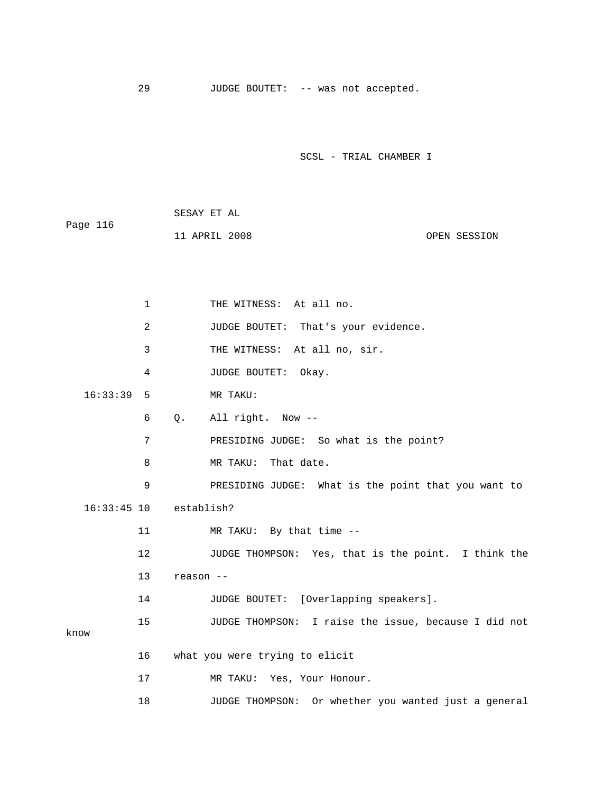29 JUDGE BOUTET: -- was not accepted.

SCSL - TRIAL CHAMBER I

|          | SESAY ET AL   |  |              |
|----------|---------------|--|--------------|
| Page 116 |               |  |              |
|          | 11 APRIL 2008 |  | OPEN SESSION |

1 THE WITNESS: At all no. 2 JUDGE BOUTET: That's your evidence. 3 THE WITNESS: At all no, sir. 4 JUDGE BOUTET: Okay. 16:33:39 5 MR TAKU: 6 Q. All right. Now -- 7 PRESIDING JUDGE: So what is the point? 8 MR TAKU: That date. 9 PRESIDING JUDGE: What is the point that you want to 16:33:45 10 establish? 11 MR TAKU: By that time -- 12 JUDGE THOMPSON: Yes, that is the point. I think the 13 reason -- 14 JUDGE BOUTET: [Overlapping speakers]. 15 JUDGE THOMPSON: I raise the issue, because I did not know 16 what you were trying to elicit 17 MR TAKU: Yes, Your Honour. 18 JUDGE THOMPSON: Or whether you wanted just a general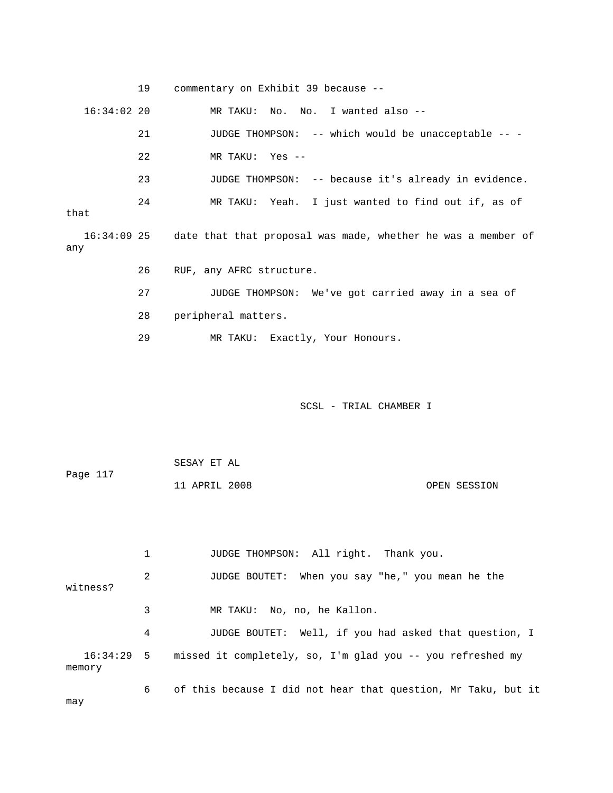|               | 19 | commentary on Exhibit 39 because --                                      |
|---------------|----|--------------------------------------------------------------------------|
| $16:34:02$ 20 |    | MR TAKU: No. No. I wanted also --                                        |
|               | 21 | JUDGE THOMPSON: -- which would be unacceptable -- -                      |
|               | 22 | MR TAKU: Yes --                                                          |
|               | 23 | JUDGE THOMPSON: -- because it's already in evidence.                     |
| that          | 24 | MR TAKU: Yeah. I just wanted to find out if, as of                       |
| any           |    | 16:34:09 25 date that that proposal was made, whether he was a member of |
|               | 26 | RUF, any AFRC structure.                                                 |
|               | 27 | JUDGE THOMPSON: We've got carried away in a sea of                       |
|               | 28 | peripheral matters.                                                      |
|               | 29 | MR TAKU: Exactly, Your Honours.                                          |

| Page 117 | SESAY ET AL   |              |
|----------|---------------|--------------|
|          | 11 APRIL 2008 | OPEN SESSION |

|          |   | JUDGE THOMPSON: All right. Thank you.                                 |
|----------|---|-----------------------------------------------------------------------|
| witness? | 2 | JUDGE BOUTET: When you say "he," you mean he the                      |
|          | 3 | MR TAKU: No, no, he Kallon.                                           |
|          | 4 | JUDGE BOUTET: Well, if you had asked that question, I                 |
| memory   |   | 16:34:29 5 missed it completely, so, I'm glad you -- you refreshed my |
| may      | 6 | of this because I did not hear that question, Mr Taku, but it         |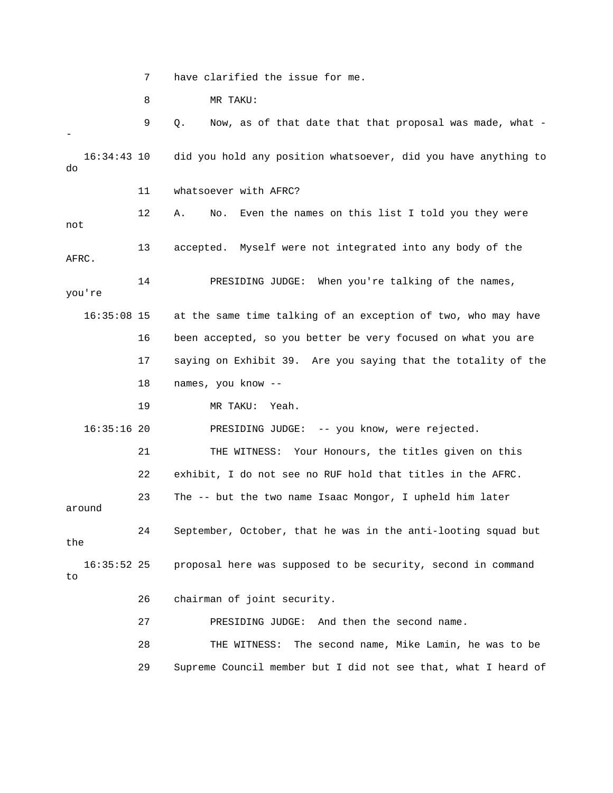7 have clarified the issue for me.

8 MR TAKU:

 9 Q. Now, as of that date that that proposal was made, what - - 16:34:43 10 did you hold any position whatsoever, did you have anything to do 11 whatsoever with AFRC? 12 A. No. Even the names on this list I told you they were not 13 accepted. Myself were not integrated into any body of the AFRC. 14 PRESIDING JUDGE: When you're talking of the names, you're 16:35:08 15 at the same time talking of an exception of two, who may have 16 been accepted, so you better be very focused on what you are 17 saying on Exhibit 39. Are you saying that the totality of the 18 names, you know -- 19 MR TAKU: Yeah. 16:35:16 20 PRESIDING JUDGE: -- you know, were rejected. 21 THE WITNESS: Your Honours, the titles given on this 22 exhibit, I do not see no RUF hold that titles in the AFRC. 23 The -- but the two name Isaac Mongor, I upheld him later around 24 September, October, that he was in the anti-looting squad but the 16:35:52 25 proposal here was supposed to be security, second in command to 26 chairman of joint security. 27 PRESIDING JUDGE: And then the second name. 28 THE WITNESS: The second name, Mike Lamin, he was to be 29 Supreme Council member but I did not see that, what I heard of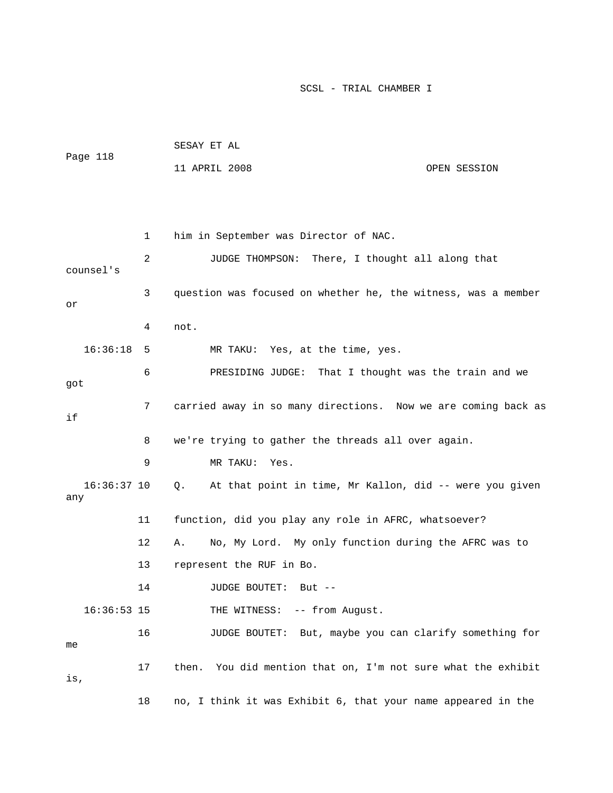| Page 118 | SESAY ET AL   |              |
|----------|---------------|--------------|
|          | 11 APRIL 2008 | OPEN SESSION |

 1 him in September was Director of NAC. 2 JUDGE THOMPSON: There, I thought all along that counsel's 3 question was focused on whether he, the witness, was a member or 4 not. 16:36:18 5 MR TAKU: Yes, at the time, yes. 6 PRESIDING JUDGE: That I thought was the train and we got 7 carried away in so many directions. Now we are coming back as if 8 we're trying to gather the threads all over again. 9 MR TAKU: Yes. 16:36:37 10 Q. At that point in time, Mr Kallon, did -- were you given any 11 function, did you play any role in AFRC, whatsoever? 12 A. No, My Lord. My only function during the AFRC was to 13 represent the RUF in Bo. 14 JUDGE BOUTET: But -- 16:36:53 15 THE WITNESS: -- from August. 16 JUDGE BOUTET: But, maybe you can clarify something for me 17 then. You did mention that on, I'm not sure what the exhibit is, 18 no, I think it was Exhibit 6, that your name appeared in the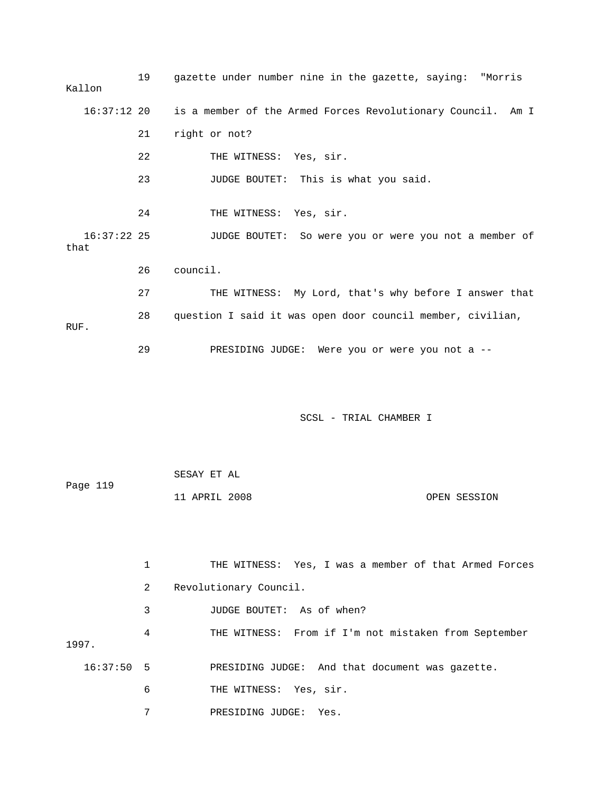| Kallon                | 19 | gazette under number nine in the gazette, saying: "Morris   |
|-----------------------|----|-------------------------------------------------------------|
| $16:37:12$ 20         |    | is a member of the Armed Forces Revolutionary Council. Am I |
|                       | 21 | right or not?                                               |
|                       | 22 | THE WITNESS: Yes, sir.                                      |
|                       | 23 | JUDGE BOUTET: This is what you said.                        |
|                       | 24 | THE WITNESS: Yes, sir.                                      |
| $16:37:22$ 25<br>that |    | JUDGE BOUTET: So were you or were you not a member of       |
|                       | 26 | council.                                                    |
|                       | 27 | THE WITNESS: My Lord, that's why before I answer that       |
| RUF.                  | 28 | question I said it was open door council member, civilian,  |
|                       | 29 | PRESIDING JUDGE: Were you or were you not a --              |
|                       |    |                                                             |
|                       |    | SCSL - TRIAL CHAMBER I                                      |
|                       |    |                                                             |
| Page 119              |    | SESAY ET AL                                                 |
|                       |    | 11 APRIL 2008<br>OPEN SESSION                               |
|                       |    |                                                             |
|                       | 1  | THE WITNESS: Yes, I was a member of that Armed Forces       |
|                       | 2  | Revolutionary Council.                                      |
|                       |    |                                                             |
|                       | 3  | JUDGE BOUTET: As of when?                                   |
| 1997.                 | 4  | THE WITNESS: From if I'm not mistaken from September        |

- 6 THE WITNESS: Yes, sir.
- 7 PRESIDING JUDGE: Yes.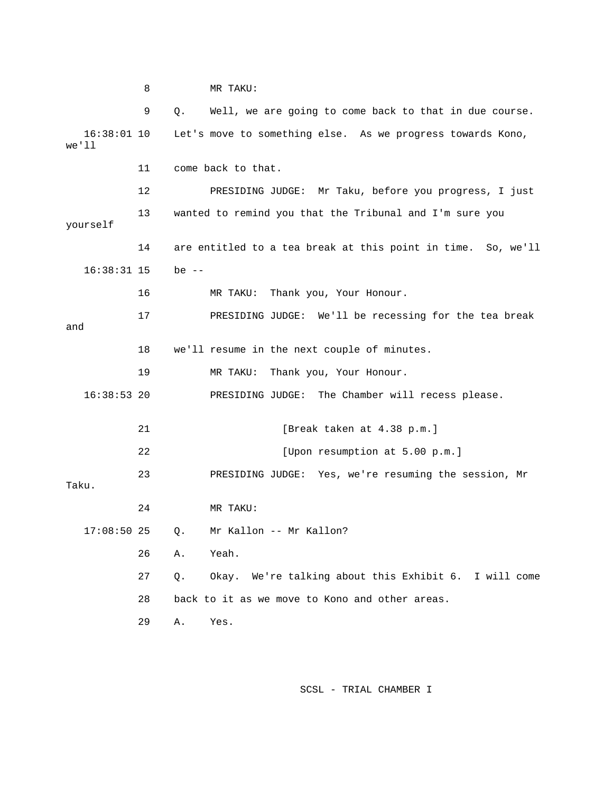8 MR TAKU: 9 Q. Well, we are going to come back to that in due course. 16:38:01 10 Let's move to something else. As we progress towards Kono, we'll 11 come back to that. 12 PRESIDING JUDGE: Mr Taku, before you progress, I just 13 wanted to remind you that the Tribunal and I'm sure you yourself 14 are entitled to a tea break at this point in time. So, we'll 16:38:31 15 be -- 16 MR TAKU: Thank you, Your Honour. 17 PRESIDING JUDGE: We'll be recessing for the tea break and 18 we'll resume in the next couple of minutes. 19 MR TAKU: Thank you, Your Honour. 16:38:53 20 PRESIDING JUDGE: The Chamber will recess please. 21 [Break taken at 4.38 p.m.] 22 [Upon resumption at 5.00 p.m.] 23 PRESIDING JUDGE: Yes, we're resuming the session, Mr Taku. 24 MR TAKU: 17:08:50 25 Q. Mr Kallon -- Mr Kallon? 26 A. Yeah. 27 Q. Okay. We're talking about this Exhibit 6. I will come 28 back to it as we move to Kono and other areas. 29 A. Yes.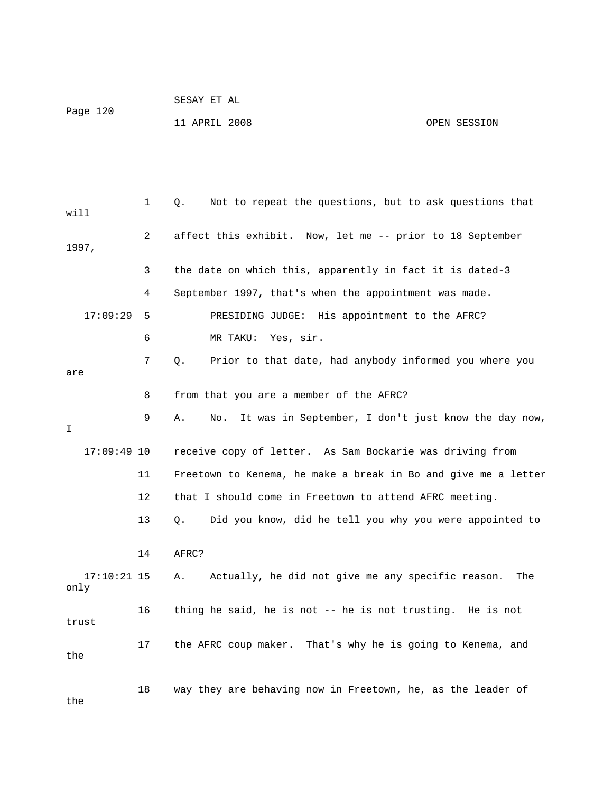| Page 120 | SESAY ET AL   |              |
|----------|---------------|--------------|
|          | 11 APRIL 2008 | OPEN SESSION |

| will                  | 1  | Not to repeat the questions, but to ask questions that<br>Q.     |
|-----------------------|----|------------------------------------------------------------------|
| 1997,                 | 2  | affect this exhibit. Now, let me -- prior to 18 September        |
|                       | 3  | the date on which this, apparently in fact it is dated-3         |
|                       | 4  | September 1997, that's when the appointment was made.            |
| 17:09:29              | 5  | PRESIDING JUDGE: His appointment to the AFRC?                    |
|                       | 6  | MR TAKU:<br>Yes, sir.                                            |
| are                   | 7  | Prior to that date, had anybody informed you where you<br>Q.     |
|                       | 8  | from that you are a member of the AFRC?                          |
| I                     | 9  | It was in September, I don't just know the day now,<br>Α.<br>No. |
| $17:09:49$ 10         |    | receive copy of letter. As Sam Bockarie was driving from         |
|                       | 11 | Freetown to Kenema, he make a break in Bo and give me a letter   |
|                       | 12 | that I should come in Freetown to attend AFRC meeting.           |
|                       | 13 | Q.<br>Did you know, did he tell you why you were appointed to    |
|                       | 14 | AFRC?                                                            |
| $17:10:21$ 15<br>only |    | Actually, he did not give me any specific reason.<br>Α.<br>The   |
| trust                 | 16 | thing he said, he is not -- he is not trusting. He is not        |
| the                   | 17 | the AFRC coup maker. That's why he is going to Kenema, and       |
|                       | 18 | way they are behaving now in Freetown, he, as the leader of      |

the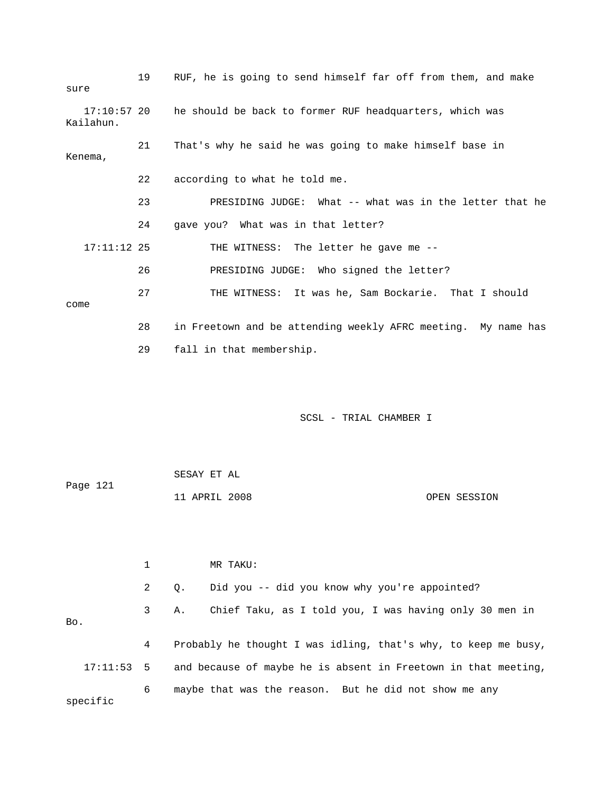| sure                       | 19 | RUF, he is going to send himself far off from them, and make  |
|----------------------------|----|---------------------------------------------------------------|
| $17:10:57$ 20<br>Kailahun. |    | he should be back to former RUF headquarters, which was       |
| Kenema,                    | 21 | That's why he said he was going to make himself base in       |
|                            | 22 | according to what he told me.                                 |
|                            | 23 | PRESIDING JUDGE: What -- what was in the letter that he       |
|                            | 24 | gave you? What was in that letter?                            |
| $17:11:12$ 25              |    | THE WITNESS: The letter he gave me --                         |
|                            | 26 | PRESIDING JUDGE: Who signed the letter?                       |
| come                       | 27 | THE WITNESS: It was he, Sam Bockarie. That I should           |
|                            | 28 | in Freetown and be attending weekly AFRC meeting. My name has |
|                            | 29 | fall in that membership.                                      |

|          | SESAY ET AL   |              |
|----------|---------------|--------------|
| Page 121 |               |              |
|          | 11 APRIL 2008 | OPEN SESSION |

|          |              | MR TAKU:                                                       |
|----------|--------------|----------------------------------------------------------------|
|          | $\mathbf{2}$ | Did you -- did you know why you're appointed?<br>0.            |
| Bo.      | 3            | Chief Taku, as I told you, I was having only 30 men in<br>А.   |
|          | 4            | Probably he thought I was idling, that's why, to keep me busy, |
| 17:11:53 | 5            | and because of maybe he is absent in Freetown in that meeting, |
| specific | 6            | maybe that was the reason. But he did not show me any          |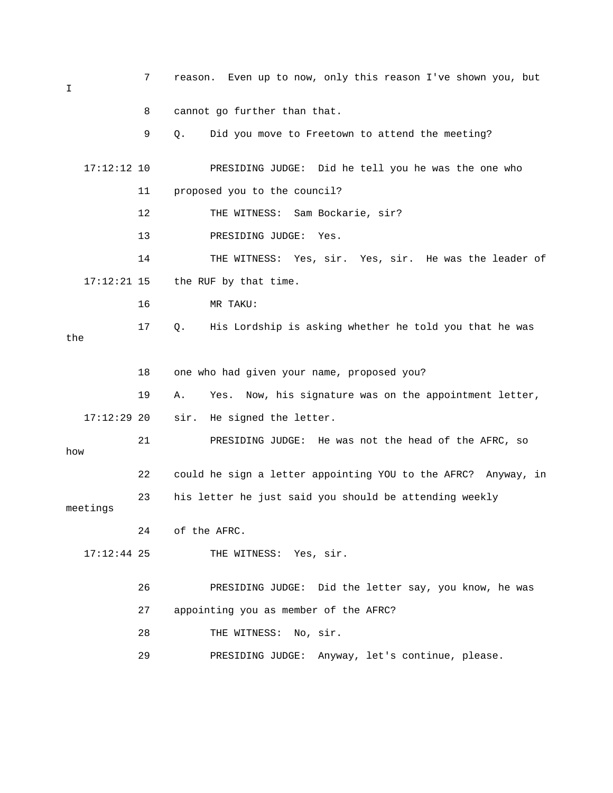| I             | 7  | Even up to now, only this reason I've shown you, but<br>reason. |
|---------------|----|-----------------------------------------------------------------|
|               | 8  | cannot go further than that.                                    |
|               | 9  | Did you move to Freetown to attend the meeting?<br>Q.           |
| $17:12:12$ 10 |    | PRESIDING JUDGE: Did he tell you he was the one who             |
|               | 11 | proposed you to the council?                                    |
|               | 12 | THE WITNESS: Sam Bockarie, sir?                                 |
|               | 13 | PRESIDING JUDGE:<br>Yes.                                        |
|               | 14 | THE WITNESS: Yes, sir. Yes, sir. He was the leader of           |
| $17:12:21$ 15 |    | the RUF by that time.                                           |
|               | 16 | MR TAKU:                                                        |
| the           | 17 | His Lordship is asking whether he told you that he was<br>Q.    |
|               |    |                                                                 |
|               | 18 | one who had given your name, proposed you?                      |
|               | 19 | Yes. Now, his signature was on the appointment letter,<br>Α.    |
| $17:12:29$ 20 |    | sir.<br>He signed the letter.                                   |
| how           | 21 | PRESIDING JUDGE: He was not the head of the AFRC, so            |
|               | 22 | could he sign a letter appointing YOU to the AFRC? Anyway, in   |
| meetings      | 23 | his letter he just said you should be attending weekly          |
|               | 24 | of the AFRC.                                                    |
| $17:12:44$ 25 |    | THE WITNESS: Yes, sir.                                          |
|               | 26 | PRESIDING JUDGE: Did the letter say, you know, he was           |
|               | 27 | appointing you as member of the AFRC?                           |
|               | 28 | THE WITNESS: No, sir.                                           |
|               | 29 | PRESIDING JUDGE: Anyway, let's continue, please.                |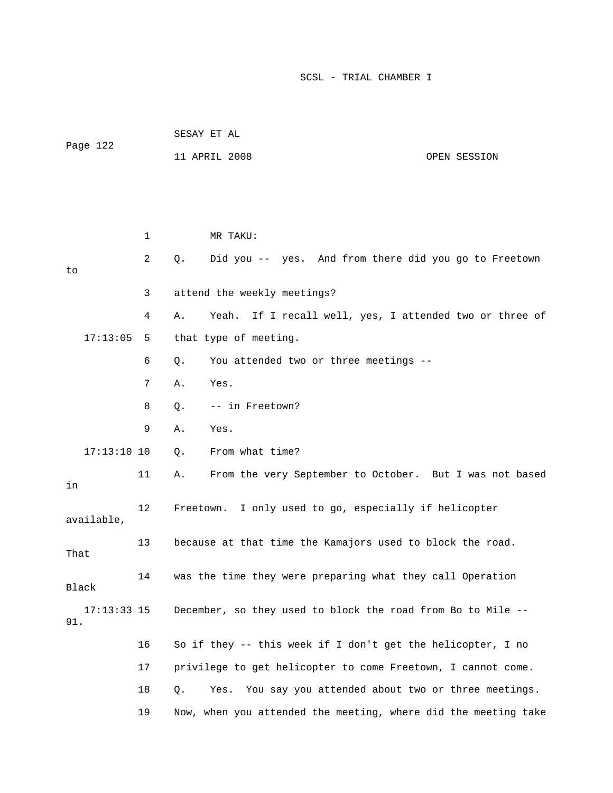|                      |      | PEPAI FI UT                                                      |  |  |  |  |
|----------------------|------|------------------------------------------------------------------|--|--|--|--|
| Page 122             |      | 11 APRIL 2008<br>OPEN SESSION                                    |  |  |  |  |
|                      |      |                                                                  |  |  |  |  |
|                      |      |                                                                  |  |  |  |  |
|                      | 1    | MR TAKU:                                                         |  |  |  |  |
| to                   | 2    | Did you -- yes. And from there did you go to Freetown<br>Q.      |  |  |  |  |
|                      | 3    | attend the weekly meetings?                                      |  |  |  |  |
|                      | 4    | If I recall well, yes, I attended two or three of<br>Yeah.<br>Α. |  |  |  |  |
| 17:13:05             | 5    | that type of meeting.                                            |  |  |  |  |
|                      | 6    | You attended two or three meetings --<br>Q.                      |  |  |  |  |
|                      | 7    | Yes.<br>Α.                                                       |  |  |  |  |
|                      | 8    | -- in Freetown?<br>Q.                                            |  |  |  |  |
|                      | 9    | Α.<br>Yes.                                                       |  |  |  |  |
| $17:13:10$ 10        |      | From what time?<br>$Q$ .                                         |  |  |  |  |
| in                   | 11   | From the very September to October. But I was not based<br>Α.    |  |  |  |  |
| available,           | 12   | Freetown. I only used to go, especially if helicopter            |  |  |  |  |
| That                 | 13   | because at that time the Kamajors used to block the road.        |  |  |  |  |
| Black                | 14   | was the time they were preparing what they call Operation        |  |  |  |  |
| $17:13:33$ 15<br>91. |      | December, so they used to block the road from Bo to Mile --      |  |  |  |  |
|                      | 16   | So if they -- this week if I don't get the helicopter, I no      |  |  |  |  |
|                      | $17$ | privilege to get helicopter to come Freetown, I cannot come.     |  |  |  |  |
|                      | 18   | You say you attended about two or three meetings.<br>Q.<br>Yes.  |  |  |  |  |
|                      | 19   | Now, when you attended the meeting, where did the meeting take   |  |  |  |  |

SESAY ET AL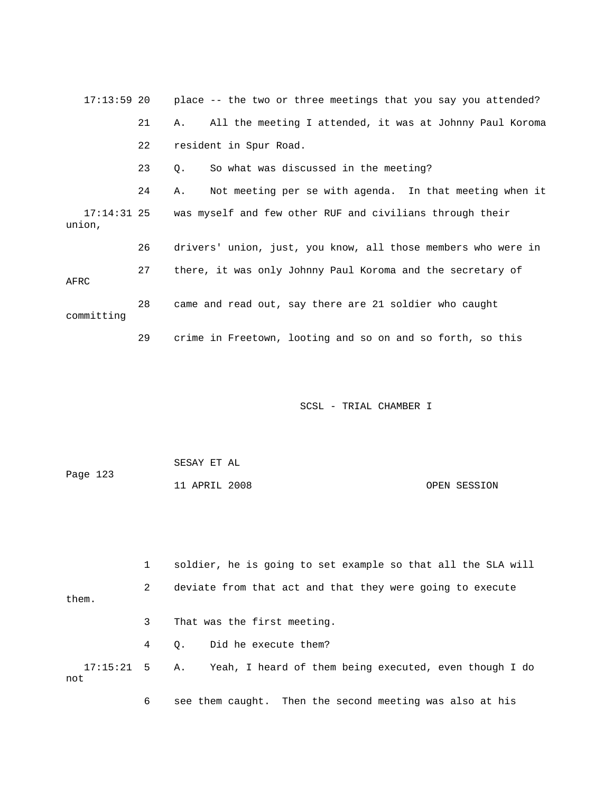17:13:59 20 place -- the two or three meetings that you say you attended? 21 A. All the meeting I attended, it was at Johnny Paul Koroma 22 resident in Spur Road. 23 Q. So what was discussed in the meeting? 24 A. Not meeting per se with agenda. In that meeting when it 17:14:31 25 was myself and few other RUF and civilians through their union, 26 drivers' union, just, you know, all those members who were in 27 there, it was only Johnny Paul Koroma and the secretary of AFRC 28 came and read out, say there are 21 soldier who caught committing 29 crime in Freetown, looting and so on and so forth, so this

SCSL - TRIAL CHAMBER I

| Page 123 | SESAY ET AL   |              |
|----------|---------------|--------------|
|          | 11 APRIL 2008 | OPEN SESSION |

 1 soldier, he is going to set example so that all the SLA will 2 deviate from that act and that they were going to execute them. 3 That was the first meeting. 4 Q. Did he execute them? 17:15:21 5 A. Yeah, I heard of them being executed, even though I do not 6 see them caught. Then the second meeting was also at his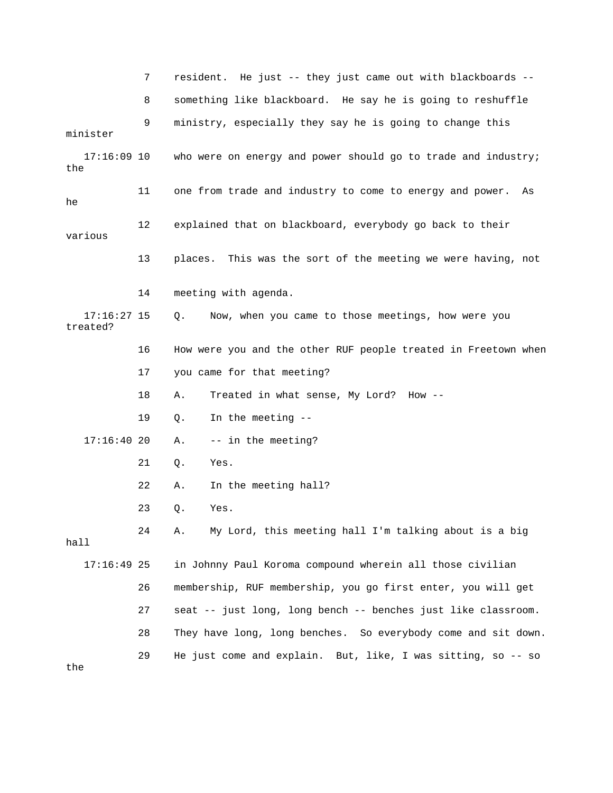|                           | 7  | resident. He just -- they just came out with blackboards --    |
|---------------------------|----|----------------------------------------------------------------|
|                           | 8  | something like blackboard. He say he is going to reshuffle     |
| minister                  | 9  | ministry, especially they say he is going to change this       |
| $17:16:09$ 10<br>the      |    | who were on energy and power should go to trade and industry;  |
| he                        | 11 | one from trade and industry to come to energy and power.<br>As |
| various                   | 12 | explained that on blackboard, everybody go back to their       |
|                           | 13 | places. This was the sort of the meeting we were having, not   |
|                           | 14 | meeting with agenda.                                           |
| $17:16:27$ 15<br>treated? |    | Now, when you came to those meetings, how were you<br>Q.       |
|                           | 16 | How were you and the other RUF people treated in Freetown when |
|                           | 17 | you came for that meeting?                                     |
|                           | 18 | Treated in what sense, My Lord? How --<br>Α.                   |
|                           | 19 | In the meeting --<br>Q.                                        |
| 17:16:4020                |    | -- in the meeting?<br>Α.                                       |
|                           | 21 | Yes.<br>Q.                                                     |
|                           | 22 | In the meeting hall?<br>Α.                                     |
|                           | 23 | Q.<br>Yes.                                                     |
| hall                      | 24 | My Lord, this meeting hall I'm talking about is a big<br>Α.    |
| $17:16:49$ 25             |    | in Johnny Paul Koroma compound wherein all those civilian      |
|                           | 26 | membership, RUF membership, you go first enter, you will get   |
|                           | 27 | seat -- just long, long bench -- benches just like classroom.  |
|                           | 28 | They have long, long benches. So everybody come and sit down.  |
| the                       | 29 | He just come and explain. But, like, I was sitting, so -- so   |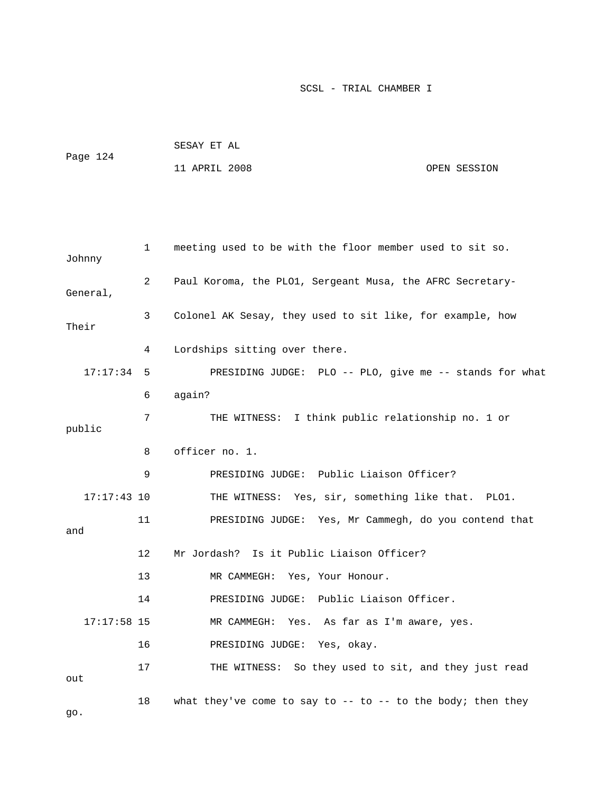| Page 124 | SESAY ET AL   |  |              |
|----------|---------------|--|--------------|
|          | 11 APRIL 2008 |  | OPEN SESSION |

| Johnny        | $\mathbf 1$ | meeting used to be with the floor member used to sit so.    |
|---------------|-------------|-------------------------------------------------------------|
| General,      | 2           | Paul Koroma, the PLO1, Sergeant Musa, the AFRC Secretary-   |
| Their         | 3           | Colonel AK Sesay, they used to sit like, for example, how   |
|               | 4           | Lordships sitting over there.                               |
| 17:17:34      | 5           | PRESIDING JUDGE: PLO -- PLO, give me -- stands for what     |
|               | 6           | again?                                                      |
| public        | 7           | THE WITNESS: I think public relationship no. 1 or           |
|               | 8           | officer no. 1.                                              |
|               | 9           | PRESIDING JUDGE: Public Liaison Officer?                    |
| $17:17:43$ 10 |             | THE WITNESS: Yes, sir, something like that. PLO1.           |
| and           | 11          | PRESIDING JUDGE: Yes, Mr Cammegh, do you contend that       |
|               | 12          | Mr Jordash? Is it Public Liaison Officer?                   |
|               | 13          | MR CAMMEGH: Yes, Your Honour.                               |
|               | 14          | PRESIDING JUDGE: Public Liaison Officer.                    |
| $17:17:58$ 15 |             | MR CAMMEGH:<br>Yes. As far as I'm aware, yes.               |
|               | 16          | PRESIDING JUDGE: Yes, okay.                                 |
| out           | 17          | THE WITNESS: So they used to sit, and they just read        |
| 90.           | 18          | what they've come to say to -- to -- to the body; then they |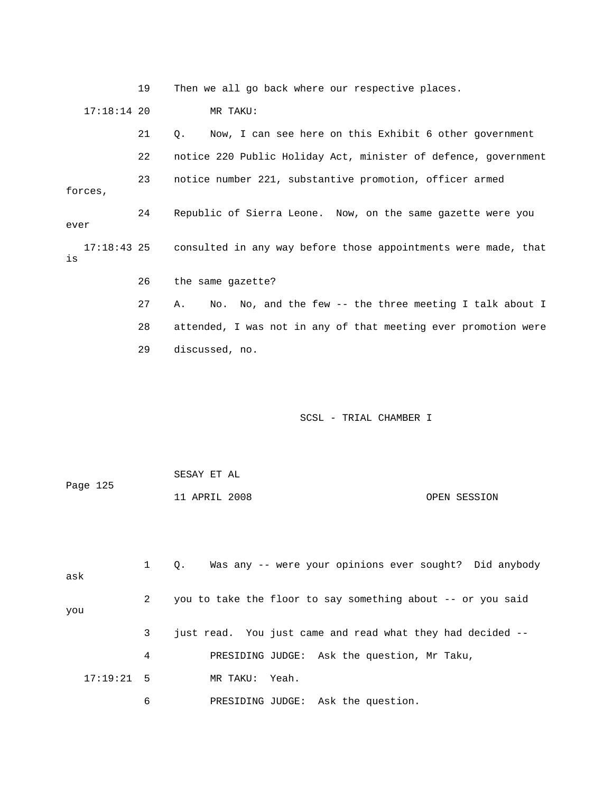19 Then we all go back where our respective places. 17:18:14 20 MR TAKU: 21 Q. Now, I can see here on this Exhibit 6 other government 22 notice 220 Public Holiday Act, minister of defence, government 23 notice number 221, substantive promotion, officer armed forces, 24 Republic of Sierra Leone. Now, on the same gazette were you ever 17:18:43 25 consulted in any way before those appointments were made, that is 26 the same gazette? 27 A. No. No, and the few -- the three meeting I talk about I 28 attended, I was not in any of that meeting ever promotion were

29 discussed, no.

SCSL - TRIAL CHAMBER I

 SESAY ET AL Page 125 11 APRIL 2008 OPEN SESSION

| ask          |              | Q. Was any -- were your opinions ever sought? Did anybody   |
|--------------|--------------|-------------------------------------------------------------|
| you          | $\mathbf{2}$ | you to take the floor to say something about -- or you said |
|              | 3            | just read. You just came and read what they had decided --  |
|              | 4            | PRESIDING JUDGE: Ask the question, Mr Taku,                 |
| $17:19:21$ 5 |              | MR TAKU: Yeah.                                              |
|              | 6            | PRESIDING JUDGE: Ask the question.                          |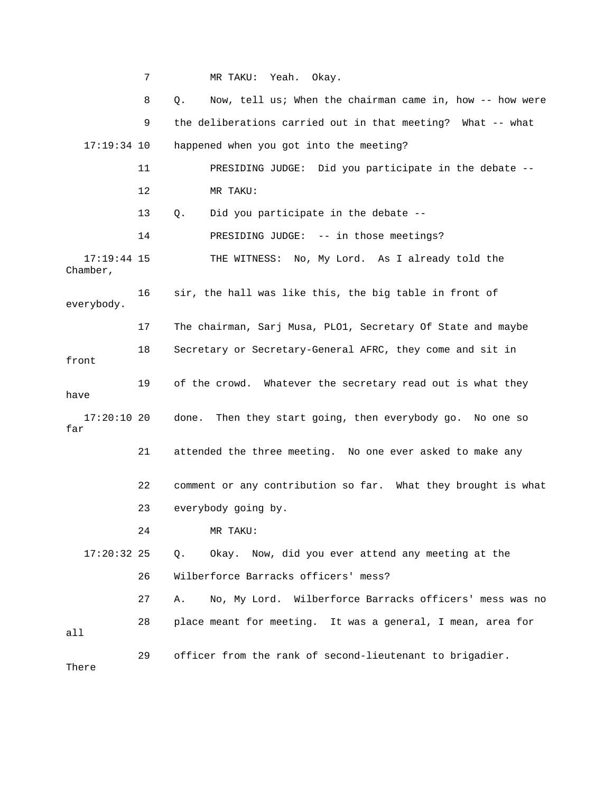7 MR TAKU: Yeah. Okay. 8 Q. Now, tell us; When the chairman came in, how -- how were 9 the deliberations carried out in that meeting? What -- what 17:19:34 10 happened when you got into the meeting? 11 PRESIDING JUDGE: Did you participate in the debate -- 12 MR TAKU: 13 Q. Did you participate in the debate -- 14 PRESIDING JUDGE: -- in those meetings? 17:19:44 15 THE WITNESS: No, My Lord. As I already told the Chamber, 16 sir, the hall was like this, the big table in front of everybody. 17 The chairman, Sarj Musa, PLO1, Secretary Of State and maybe 18 Secretary or Secretary-General AFRC, they come and sit in front 19 of the crowd. Whatever the secretary read out is what they have 17:20:10 20 done. Then they start going, then everybody go. No one so far 21 attended the three meeting. No one ever asked to make any 22 comment or any contribution so far. What they brought is what 23 everybody going by. 24 MR TAKU: 17:20:32 25 Q. Okay. Now, did you ever attend any meeting at the 26 Wilberforce Barracks officers' mess? 27 A. No, My Lord. Wilberforce Barracks officers' mess was no 28 place meant for meeting. It was a general, I mean, area for all 29 officer from the rank of second-lieutenant to brigadier. There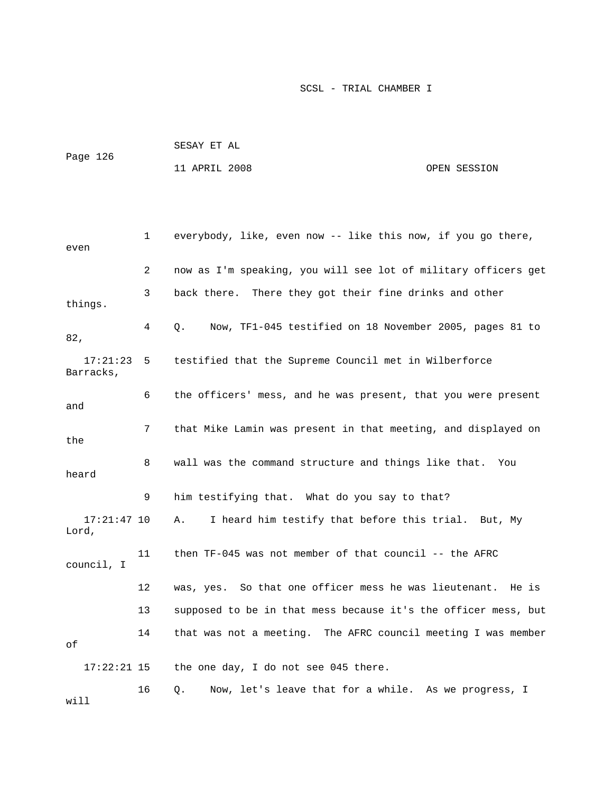| Page 126 | SESAY ET AL   |  |              |
|----------|---------------|--|--------------|
|          | 11 APRIL 2008 |  | OPEN SESSION |

```
 1 everybody, like, even now -- like this now, if you go there, 
even 
              2 now as I'm speaking, you will see lot of military officers get 
              3 back there. There they got their fine drinks and other 
things. 
              4 Q. Now, TF1-045 testified on 18 November 2005, pages 81 to 
82, 
   17:21:23 5 testified that the Supreme Council met in Wilberforce 
Barracks, 
             6 the officers' mess, and he was present, that you were present 
and 
             7 that Mike Lamin was present in that meeting, and displayed on 
the 
             8 wall was the command structure and things like that. You 
heard 
              9 him testifying that. What do you say to that? 
   17:21:47 10 A. I heard him testify that before this trial. But, My 
Lord, 
            11 then TF-045 was not member of that council -- the AFRC 
council, I 
            12 was, yes. So that one officer mess he was lieutenant. He is 
            13 supposed to be in that mess because it's the officer mess, but 
            14 that was not a meeting. The AFRC council meeting I was member 
of 
   17:22:21 15 the one day, I do not see 045 there. 
            16 Q. Now, let's leave that for a while. As we progress, I 
will
```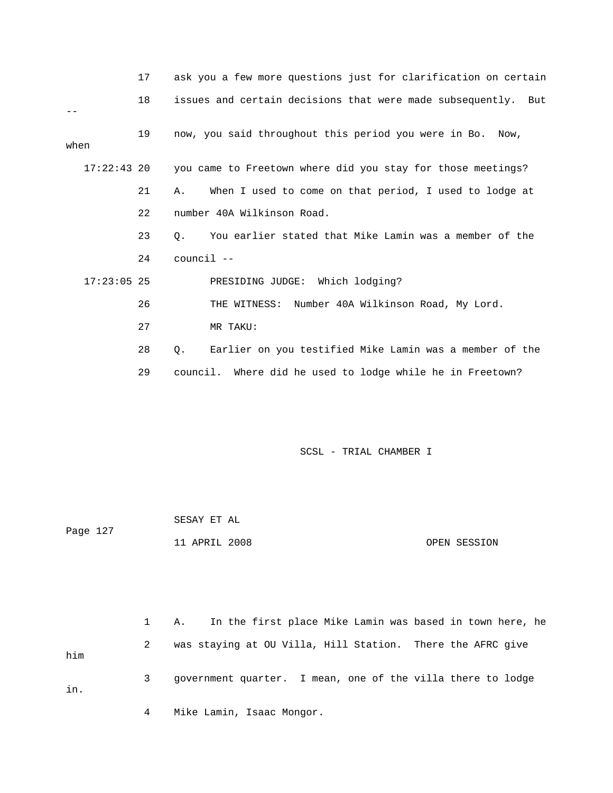|               | 17 | ask you a few more questions just for clarification on certain |
|---------------|----|----------------------------------------------------------------|
|               | 18 | issues and certain decisions that were made subsequently. But  |
| when          | 19 | now, you said throughout this period you were in Bo. Now,      |
| $17:22:43$ 20 |    | you came to Freetown where did you stay for those meetings?    |
|               | 21 | When I used to come on that period, I used to lodge at<br>Α.   |
|               | 22 | number 40A Wilkinson Road.                                     |
|               | 23 | You earlier stated that Mike Lamin was a member of the<br>Ο.   |
|               | 24 | council --                                                     |
| $17:23:05$ 25 |    | PRESIDING JUDGE: Which lodging?                                |
|               | 26 | THE WITNESS: Number 40A Wilkinson Road, My Lord.               |
|               | 27 | MR TAKU:                                                       |
|               | 28 | Earlier on you testified Mike Lamin was a member of the<br>0.  |
|               | 29 | council. Where did he used to lodge while he in Freetown?      |

|          | SESAY ET AL   |              |
|----------|---------------|--------------|
| Page 127 |               |              |
|          | 11 APRIL 2008 | OPEN SESSION |

 1 A. In the first place Mike Lamin was based in town here, he 2 was staying at OU Villa, Hill Station. There the AFRC give him 3 government quarter. I mean, one of the villa there to lodge in. 4 Mike Lamin, Isaac Mongor.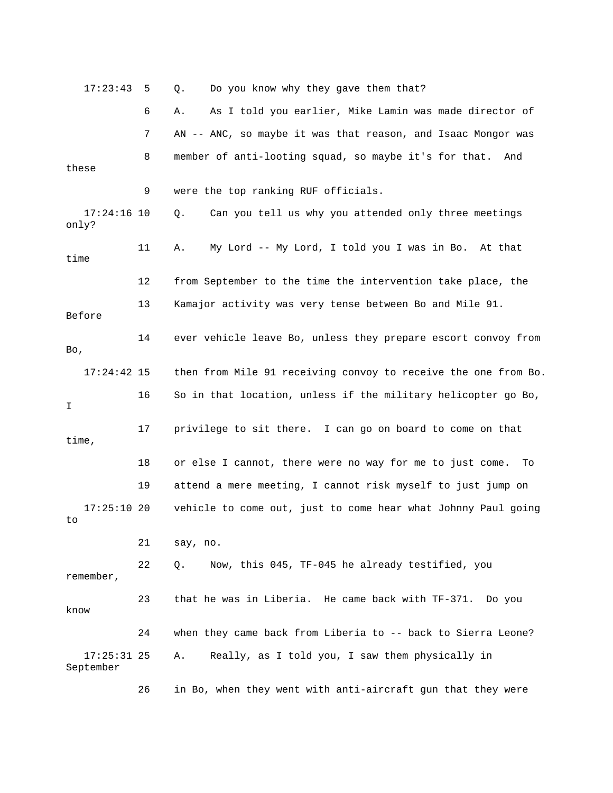| 17:23:43                   | 5  | Do you know why they gave them that?<br>Q.                     |
|----------------------------|----|----------------------------------------------------------------|
|                            | 6  | As I told you earlier, Mike Lamin was made director of<br>Α.   |
|                            | 7  | AN -- ANC, so maybe it was that reason, and Isaac Mongor was   |
| these                      | 8  | member of anti-looting squad, so maybe it's for that. And      |
|                            | 9  | were the top ranking RUF officials.                            |
| $17:24:16$ 10<br>only?     |    | Can you tell us why you attended only three meetings<br>Q.     |
| time                       | 11 | My Lord -- My Lord, I told you I was in Bo. At that<br>Α.      |
|                            | 12 | from September to the time the intervention take place, the    |
| Before                     | 13 | Kamajor activity was very tense between Bo and Mile 91.        |
| Bo,                        | 14 | ever vehicle leave Bo, unless they prepare escort convoy from  |
| $17:24:42$ 15              |    | then from Mile 91 receiving convoy to receive the one from Bo. |
| I.                         | 16 | So in that location, unless if the military helicopter go Bo,  |
| time,                      | 17 | privilege to sit there. I can go on board to come on that      |
|                            | 18 | or else I cannot, there were no way for me to just come.<br>Tо |
|                            | 19 | attend a mere meeting, I cannot risk myself to just jump on    |
| $17:25:10$ 20<br>to        |    | vehicle to come out, just to come hear what Johnny Paul going  |
|                            | 21 | say, no.                                                       |
| remember,                  | 22 | Now, this 045, TF-045 he already testified, you<br>Q.          |
| know                       | 23 | that he was in Liberia. He came back with TF-371. Do you       |
|                            | 24 | when they came back from Liberia to -- back to Sierra Leone?   |
| $17:25:31$ 25<br>September |    | Really, as I told you, I saw them physically in<br>Α.          |

26 in Bo, when they went with anti-aircraft gun that they were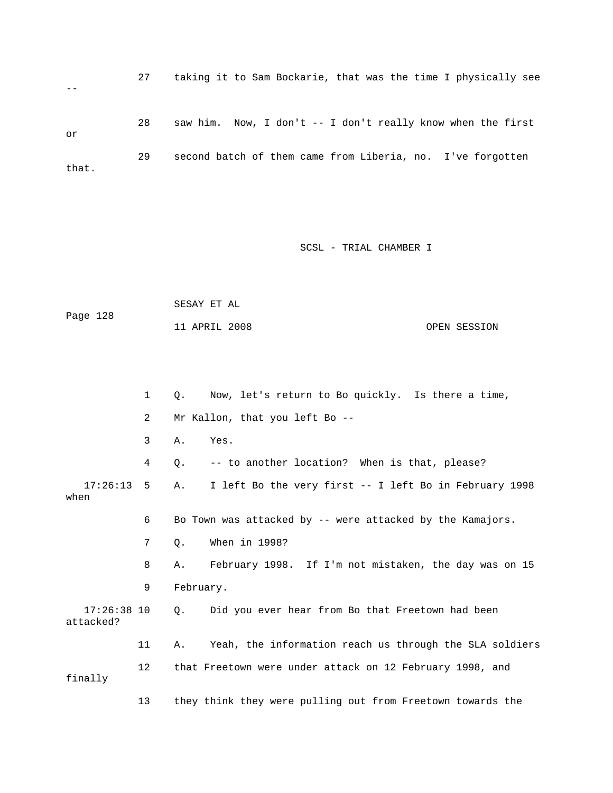|       |    | taking it to Sam Bockarie, that was the time I physically see |
|-------|----|---------------------------------------------------------------|
| or    | 28 | saw him. Now, I don't -- I don't really know when the first   |
| that. | 29 | second batch of them came from Liberia, no. I've forgotten    |

 SESAY ET AL Page 128 11 APRIL 2008 OPEN SESSION

 1 Q. Now, let's return to Bo quickly. Is there a time, 2 Mr Kallon, that you left Bo -- 3 A. Yes. 4 Q. -- to another location? When is that, please? 17:26:13 5 A. I left Bo the very first -- I left Bo in February 1998 when 6 Bo Town was attacked by -- were attacked by the Kamajors. 7 Q. When in 1998? 8 A. February 1998. If I'm not mistaken, the day was on 15 9 February. 17:26:38 10 Q. Did you ever hear from Bo that Freetown had been attacked? 11 A. Yeah, the information reach us through the SLA soldiers 12 that Freetown were under attack on 12 February 1998, and finally 13 they think they were pulling out from Freetown towards the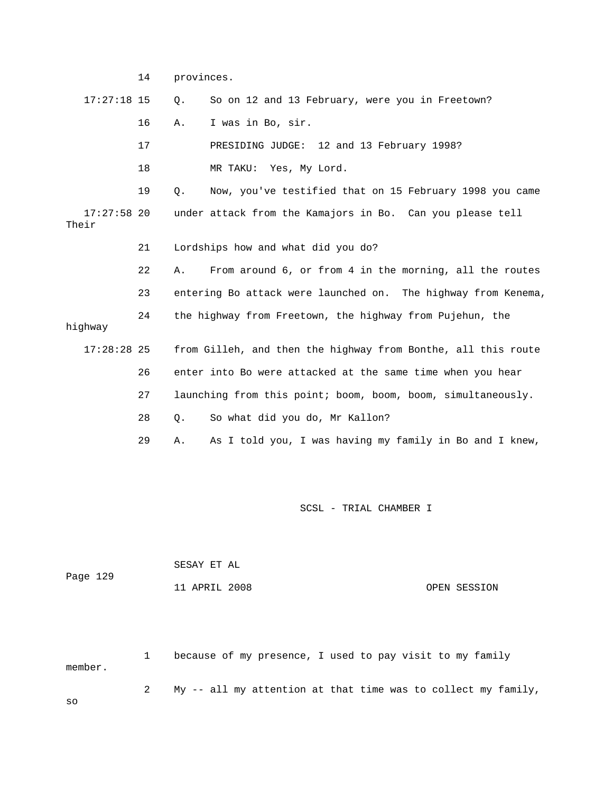|                        | 14 | provinces.                                                    |
|------------------------|----|---------------------------------------------------------------|
| $17:27:18$ 15          |    | So on 12 and 13 February, were you in Freetown?<br>Q.         |
|                        | 16 | I was in Bo, sir.<br>Α.                                       |
|                        | 17 | PRESIDING JUDGE: 12 and 13 February 1998?                     |
|                        | 18 | MR TAKU: Yes, My Lord.                                        |
|                        | 19 | Now, you've testified that on 15 February 1998 you came<br>Q. |
| $17:27:58$ 20<br>Their |    | under attack from the Kamajors in Bo. Can you please tell     |
|                        | 21 | Lordships how and what did you do?                            |
|                        | 22 | From around 6, or from 4 in the morning, all the routes<br>Α. |
|                        | 23 | entering Bo attack were launched on. The highway from Kenema, |
| hiqhway                | 24 | the highway from Freetown, the highway from Pujehun, the      |
| $17:28:28$ 25          |    | from Gilleh, and then the highway from Bonthe, all this route |
|                        | 26 | enter into Bo were attacked at the same time when you hear    |
|                        | 27 | launching from this point; boom, boom, boom, simultaneously.  |
|                        | 28 | So what did you do, Mr Kallon?<br>Q.                          |
|                        | 29 | As I told you, I was having my family in Bo and I knew,<br>Α. |
|                        |    |                                                               |

|          | SESAY ET AL   |              |
|----------|---------------|--------------|
| Page 129 |               |              |
|          | 11 APRIL 2008 | OPEN SESSION |

 1 because of my presence, I used to pay visit to my family member.

2 My -- all my attention at that time was to collect my family,

so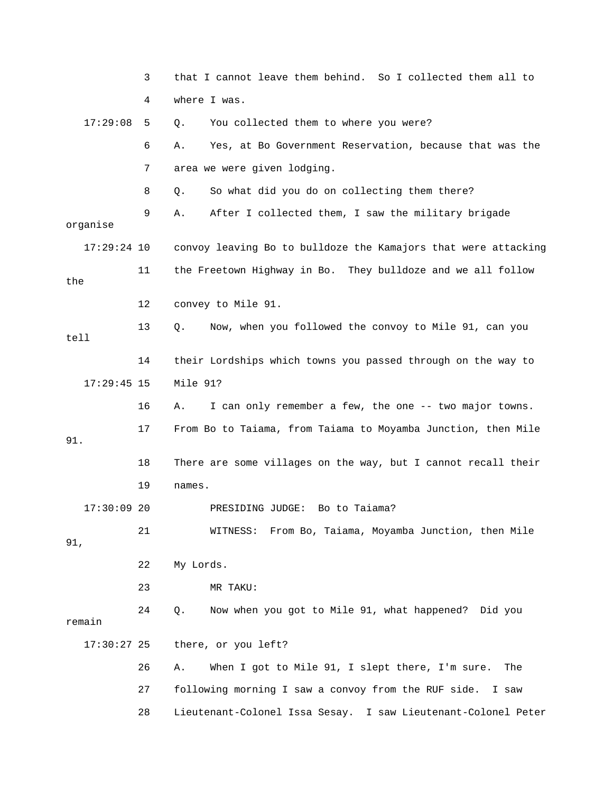|               | 3  | that I cannot leave them behind. So I collected them all to    |
|---------------|----|----------------------------------------------------------------|
|               | 4  | where I was.                                                   |
| 17:29:08      | 5  | You collected them to where you were?<br>Q.                    |
|               | 6  | Yes, at Bo Government Reservation, because that was the<br>Α.  |
|               | 7  | area we were given lodging.                                    |
|               | 8  | So what did you do on collecting them there?<br>Q.             |
| organise      | 9  | After I collected them, I saw the military brigade<br>Α.       |
| $17:29:24$ 10 |    | convoy leaving Bo to bulldoze the Kamajors that were attacking |
| the           | 11 | the Freetown Highway in Bo. They bulldoze and we all follow    |
|               | 12 | convey to Mile 91.                                             |
| tell          | 13 | Now, when you followed the convoy to Mile 91, can you<br>Q.    |
|               | 14 | their Lordships which towns you passed through on the way to   |
| $17:29:45$ 15 |    | Mile 91?                                                       |
|               | 16 | I can only remember a few, the one -- two major towns.<br>Α.   |
| 91.           | 17 | From Bo to Taiama, from Taiama to Moyamba Junction, then Mile  |
|               | 18 | There are some villages on the way, but I cannot recall their  |
|               | 19 | names.                                                         |
| $17:30:09$ 20 |    | PRESIDING JUDGE: Bo to Taiama?                                 |
| 91,           | 21 | From Bo, Taiama, Moyamba Junction, then Mile<br>WITNESS:       |
|               | 22 | My Lords.                                                      |
|               | 23 | MR TAKU:                                                       |
| remain        | 24 | Q.<br>Now when you got to Mile 91, what happened? Did you      |
| $17:30:27$ 25 |    | there, or you left?                                            |
|               | 26 | When I got to Mile 91, I slept there, I'm sure.<br>Α.<br>The   |
|               | 27 | following morning I saw a convoy from the RUF side.<br>I saw   |

28 Lieutenant-Colonel Issa Sesay. I saw Lieutenant-Colonel Peter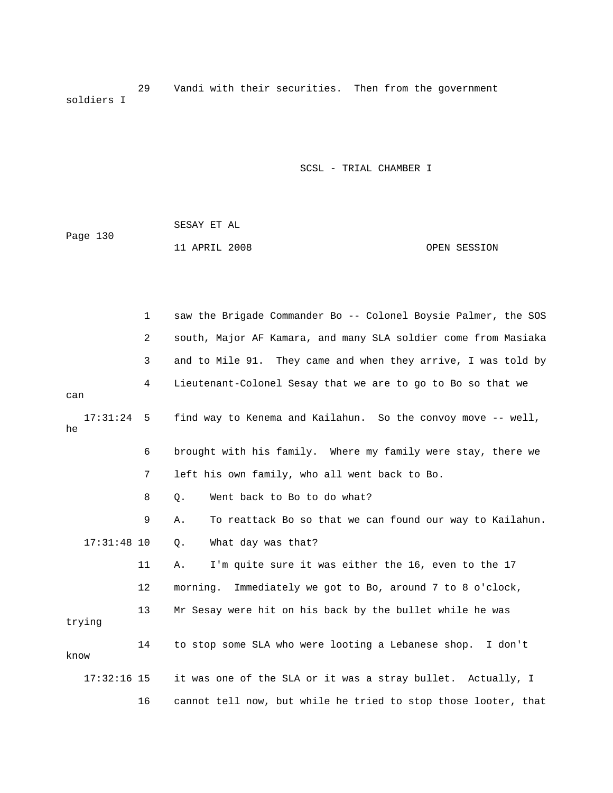29 Vandi with their securities. Then from the government soldiers I

|          | SESAY ET AL   |  |              |
|----------|---------------|--|--------------|
| Page 130 |               |  |              |
|          | 11 APRIL 2008 |  | OPEN SESSION |

|      |               | 1  | saw the Brigade Commander Bo -- Colonel Boysie Palmer, the SOS |
|------|---------------|----|----------------------------------------------------------------|
|      |               | 2  | south, Major AF Kamara, and many SLA soldier come from Masiaka |
|      |               | 3  | and to Mile 91. They came and when they arrive, I was told by  |
| can  |               | 4  | Lieutenant-Colonel Sesay that we are to go to Bo so that we    |
| he   | 17:31:24      | 5  | find way to Kenema and Kailahun. So the convoy move -- well,   |
|      |               | 6  | brought with his family. Where my family were stay, there we   |
|      |               | 7  | left his own family, who all went back to Bo.                  |
|      |               | 8  | Went back to Bo to do what?<br>$Q$ .                           |
|      |               | 9  | To reattack Bo so that we can found our way to Kailahun.<br>Α. |
|      | $17:31:48$ 10 |    | What day was that?<br>Q.                                       |
|      |               | 11 | I'm quite sure it was either the 16, even to the 17<br>Α.      |
|      |               | 12 | Immediately we got to Bo, around 7 to 8 o'clock,<br>morning.   |
|      | trying        | 13 | Mr Sesay were hit on his back by the bullet while he was       |
| know |               | 14 | to stop some SLA who were looting a Lebanese shop. I don't     |
|      | $17:32:16$ 15 |    | it was one of the SLA or it was a stray bullet. Actually, I    |
|      |               | 16 | cannot tell now, but while he tried to stop those looter, that |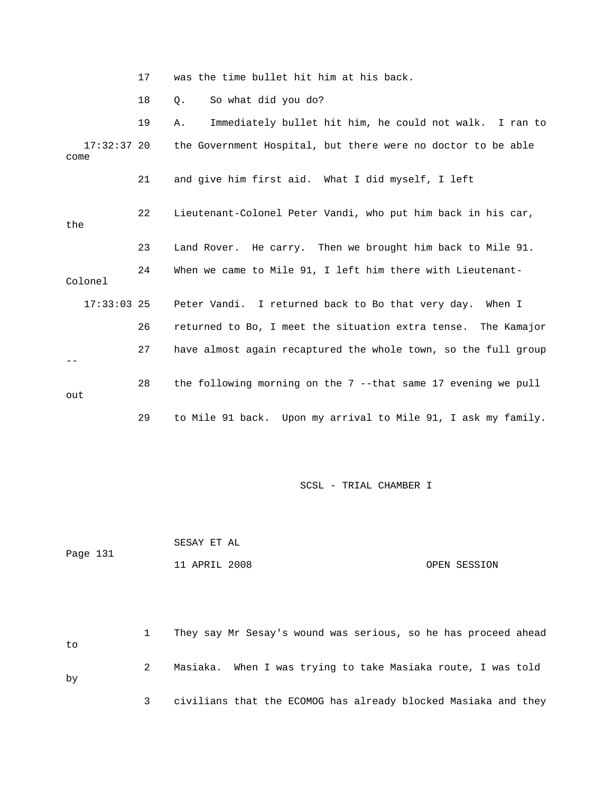17 was the time bullet hit him at his back.

18 Q. So what did you do?

|                     | 19 | Immediately bullet hit him, he could not walk. I ran to<br>Α.   |
|---------------------|----|-----------------------------------------------------------------|
| 17:32:37 20<br>come |    | the Government Hospital, but there were no doctor to be able    |
|                     | 21 | and give him first aid. What I did myself, I left               |
| the                 | 22 | Lieutenant-Colonel Peter Vandi, who put him back in his car,    |
|                     | 23 | Land Rover. He carry. Then we brought him back to Mile 91.      |
| Colonel             | 24 | When we came to Mile 91, I left him there with Lieutenant-      |
| $17:33:03$ 25       |    | Peter Vandi. I returned back to Bo that very day. When I        |
|                     | 26 | returned to Bo, I meet the situation extra tense. The Kamajor   |
|                     | 27 | have almost again recaptured the whole town, so the full group  |
| out                 | 28 | the following morning on the $7$ --that same 17 evening we pull |
|                     | 29 | to Mile 91 back. Upon my arrival to Mile 91, I ask my family.   |

SCSL - TRIAL CHAMBER I

 SESAY ET AL Page 131 11 APRIL 2008 OPEN SESSION

 1 They say Mr Sesay's wound was serious, so he has proceed ahead to 2 Masiaka. When I was trying to take Masiaka route, I was told by 3 civilians that the ECOMOG has already blocked Masiaka and they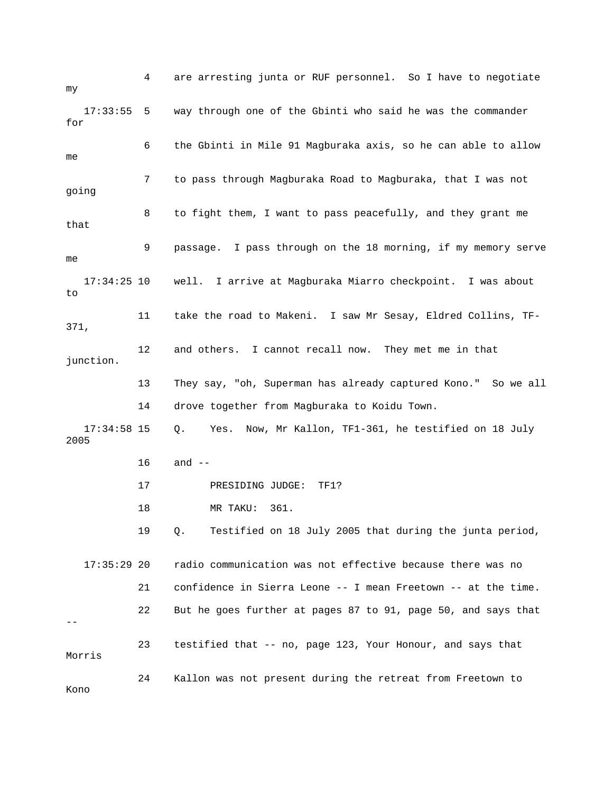4 are arresting junta or RUF personnel. So I have to negotiate my 17:33:55 5 way through one of the Gbinti who said he was the commander for 6 the Gbinti in Mile 91 Magburaka axis, so he can able to allow me 7 to pass through Magburaka Road to Magburaka, that I was not going 8 to fight them, I want to pass peacefully, and they grant me that 9 passage. I pass through on the 18 morning, if my memory serve me 17:34:25 10 well. I arrive at Magburaka Miarro checkpoint. I was about to 11 take the road to Makeni. I saw Mr Sesay, Eldred Collins, TF-371, 12 and others. I cannot recall now. They met me in that junction. 13 They say, "oh, Superman has already captured Kono." So we all 14 drove together from Magburaka to Koidu Town. 17:34:58 15 Q. Yes. Now, Mr Kallon, TF1-361, he testified on 18 July 2005 16 and -- 17 PRESIDING JUDGE: TF1? 18 MR TAKU: 361. 19 Q. Testified on 18 July 2005 that during the junta period, 17:35:29 20 radio communication was not effective because there was no 21 confidence in Sierra Leone -- I mean Freetown -- at the time. 22 But he goes further at pages 87 to 91, page 50, and says that -- 23 testified that -- no, page 123, Your Honour, and says that Morris 24 Kallon was not present during the retreat from Freetown to Kono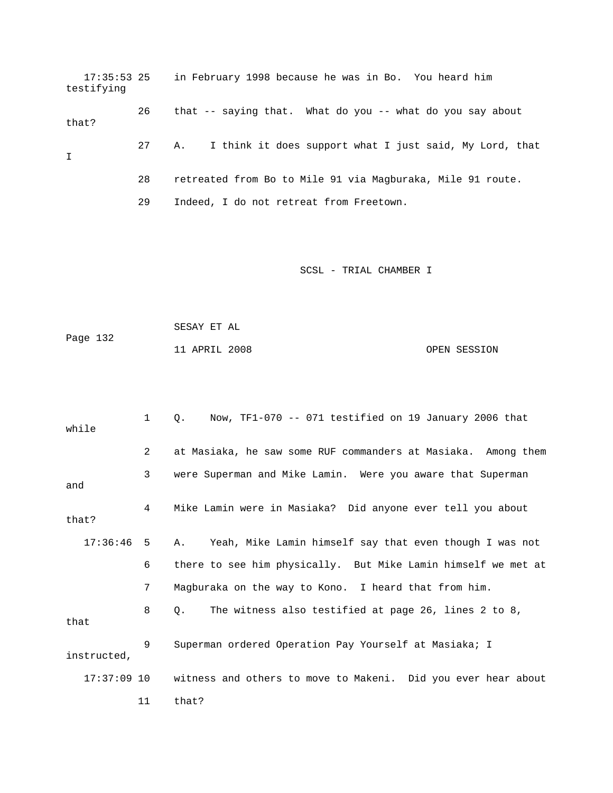17:35:53 25 in February 1998 because he was in Bo. You heard him testifying 26 that -- saying that. What do you -- what do you say about that? 27 A. I think it does support what I just said, My Lord, that I 28 retreated from Bo to Mile 91 via Magburaka, Mile 91 route. 29 Indeed, I do not retreat from Freetown.

| Page 132 | SESAY ET AL   |              |
|----------|---------------|--------------|
|          | 11 APRIL 2008 | OPEN SESSION |

| while        | $\mathbf 1$ | Now, TF1-070 -- 071 testified on 19 January 2006 that<br>$\circ$ .        |
|--------------|-------------|---------------------------------------------------------------------------|
|              | 2           | at Masiaka, he saw some RUF commanders at Masiaka. Among them             |
| and          | 3           | were Superman and Mike Lamin. Were you aware that Superman                |
| that?        | $4 \quad$   | Mike Lamin were in Masiaka? Did anyone ever tell you about                |
| $17:36:46$ 5 |             | A. Yeah, Mike Lamin himself say that even though I was not                |
|              | 6           | there to see him physically. But Mike Lamin himself we met at             |
|              | 7           | Magburaka on the way to Kono. I heard that from him.                      |
| that         | 8           | The witness also testified at page 26, lines 2 to 8,<br>$\circ$ .         |
| instructed,  | 9           | Superman ordered Operation Pay Yourself at Masiaka; I                     |
|              |             | 17:37:09 10 witness and others to move to Makeni. Did you ever hear about |
|              | 11          | that?                                                                     |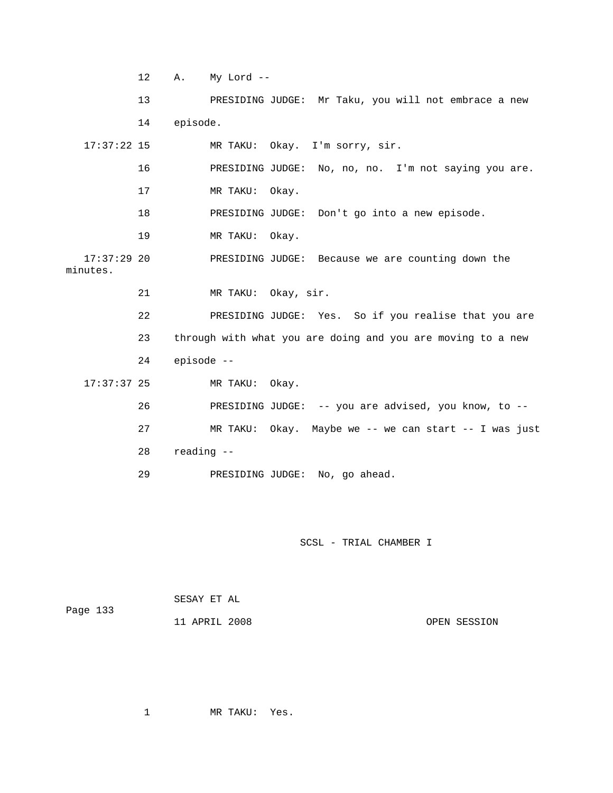12 A. My Lord --

 13 PRESIDING JUDGE: Mr Taku, you will not embrace a new 14 episode. 17:37:22 15 MR TAKU: Okay. I'm sorry, sir. 16 PRESIDING JUDGE: No, no, no. I'm not saying you are. 17 MR TAKU: Okay. 18 PRESIDING JUDGE: Don't go into a new episode. 19 MR TAKU: Okay. 17:37:29 20 PRESIDING JUDGE: Because we are counting down the minutes. 21 MR TAKU: Okay, sir. 22 PRESIDING JUDGE: Yes. So if you realise that you are 23 through with what you are doing and you are moving to a new 24 episode -- 17:37:37 25 MR TAKU: Okay. 26 PRESIDING JUDGE: -- you are advised, you know, to -- 27 MR TAKU: Okay. Maybe we -- we can start -- I was just 28 reading -- 29 PRESIDING JUDGE: No, go ahead.

SCSL - TRIAL CHAMBER I

|          | SESAY ET AL   |              |
|----------|---------------|--------------|
| Page 133 |               |              |
|          | 11 APRIL 2008 | OPEN SESSION |

1 MR TAKU: Yes.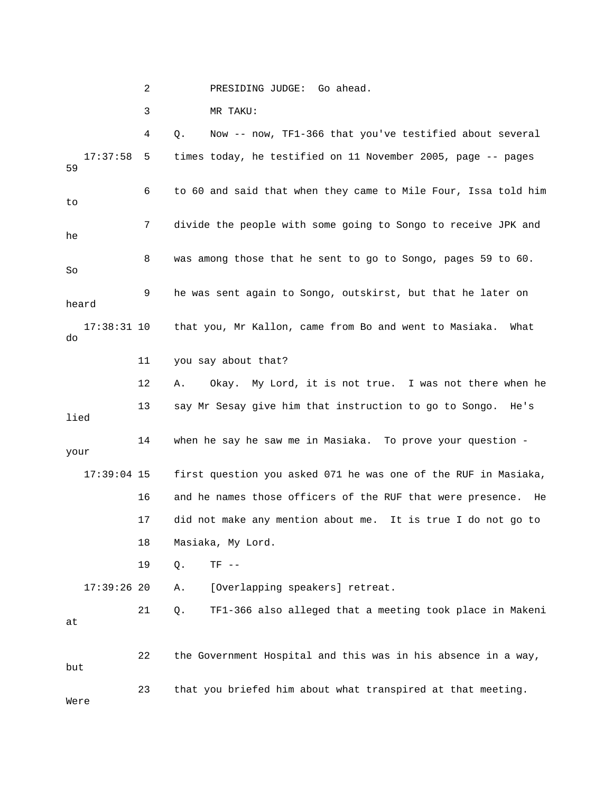2 PRESIDING JUDGE: Go ahead.

3 MR TAKU:

 4 Q. Now -- now, TF1-366 that you've testified about several 17:37:58 5 times today, he testified on 11 November 2005, page -- pages 59 6 to 60 and said that when they came to Mile Four, Issa told him to 7 divide the people with some going to Songo to receive JPK and he 8 was among those that he sent to go to Songo, pages 59 to 60. So 9 he was sent again to Songo, outskirst, but that he later on heard 17:38:31 10 that you, Mr Kallon, came from Bo and went to Masiaka. What do 11 you say about that? 12 A. Okay. My Lord, it is not true. I was not there when he 13 say Mr Sesay give him that instruction to go to Songo. He's lied 14 when he say he saw me in Masiaka. To prove your question your 17:39:04 15 first question you asked 071 he was one of the RUF in Masiaka, 16 and he names those officers of the RUF that were presence. He 17 did not make any mention about me. It is true I do not go to 18 Masiaka, My Lord. 19 Q. TF -- 17:39:26 20 A. [Overlapping speakers] retreat. 21 Q. TF1-366 also alleged that a meeting took place in Makeni at 22 the Government Hospital and this was in his absence in a way, but 23 that you briefed him about what transpired at that meeting. Were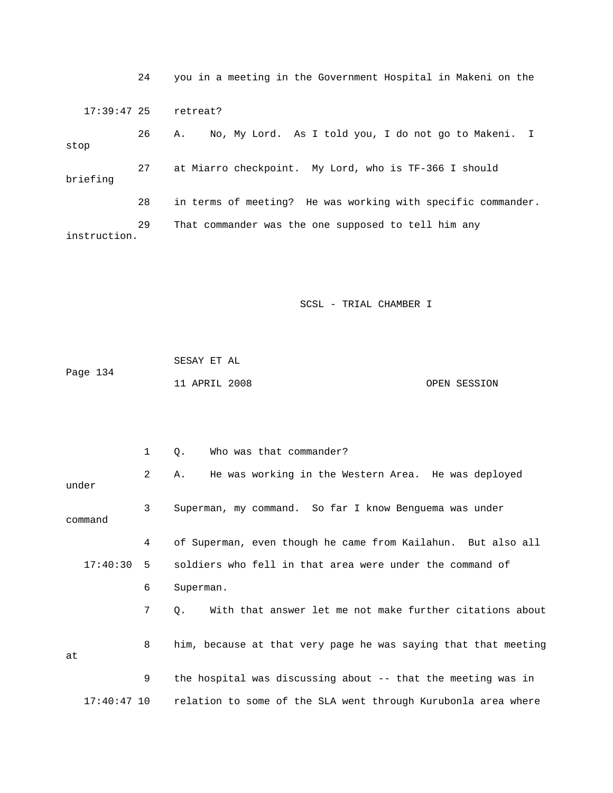24 you in a meeting in the Government Hospital in Makeni on the 17:39:47 25 retreat? 26 A. No, My Lord. As I told you, I do not go to Makeni. I stop 27 at Miarro checkpoint. My Lord, who is TF-366 I should briefing 28 in terms of meeting? He was working with specific commander. 29 That commander was the one supposed to tell him any instruction.

|          | SESAY ET AL   |  |              |
|----------|---------------|--|--------------|
| Page 134 |               |  |              |
|          | 11 APRIL 2008 |  | OPEN SESSION |

|               | 1 | Who was that commander?<br>Q.                                  |  |  |  |  |
|---------------|---|----------------------------------------------------------------|--|--|--|--|
| under         | 2 | He was working in the Western Area. He was deployed<br>Α.      |  |  |  |  |
| command       | 3 | Superman, my command. So far I know Benquema was under         |  |  |  |  |
|               | 4 | of Superman, even though he came from Kailahun. But also all   |  |  |  |  |
| $17:40:30$ 5  |   | soldiers who fell in that area were under the command of       |  |  |  |  |
|               | 6 | Superman.                                                      |  |  |  |  |
|               | 7 | With that answer let me not make further citations about<br>Q. |  |  |  |  |
| at            | 8 | him, because at that very page he was saying that that meeting |  |  |  |  |
|               | 9 | the hospital was discussing about -- that the meeting was in   |  |  |  |  |
| $17:40:47$ 10 |   | relation to some of the SLA went through Kurubonla area where  |  |  |  |  |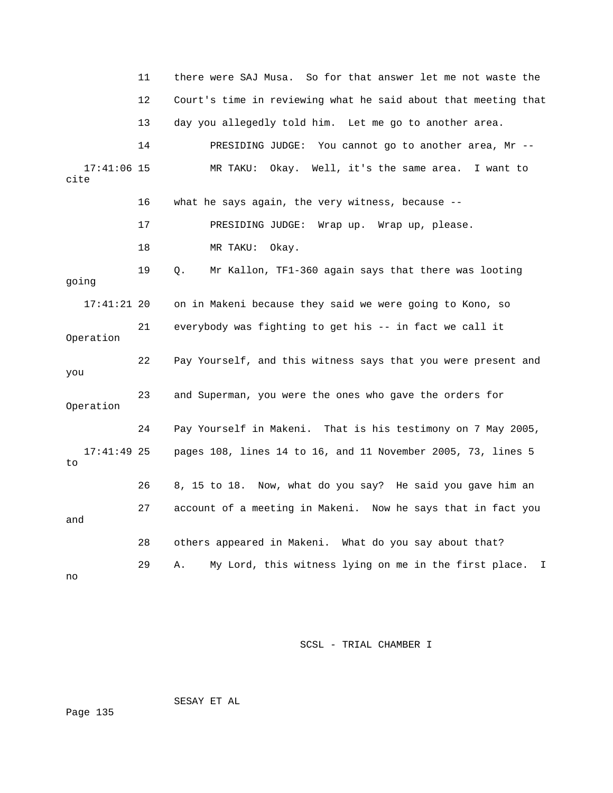|                       | 11 | there were SAJ Musa. So for that answer let me not waste the   |
|-----------------------|----|----------------------------------------------------------------|
|                       | 12 | Court's time in reviewing what he said about that meeting that |
|                       | 13 | day you allegedly told him. Let me go to another area.         |
|                       | 14 | PRESIDING JUDGE: You cannot go to another area, Mr --          |
| $17:41:06$ 15<br>cite |    | MR TAKU: Okay. Well, it's the same area. I want to             |
|                       | 16 | what he says again, the very witness, because --               |
|                       | 17 | PRESIDING JUDGE: Wrap up. Wrap up, please.                     |
|                       | 18 | MR TAKU: Okay.                                                 |
| going                 | 19 | Mr Kallon, TF1-360 again says that there was looting<br>Q.     |
| $17:41:21$ 20         |    | on in Makeni because they said we were going to Kono, so       |
| Operation             | 21 | everybody was fighting to get his -- in fact we call it        |
| you                   | 22 | Pay Yourself, and this witness says that you were present and  |
| Operation             | 23 | and Superman, you were the ones who gave the orders for        |
|                       | 24 | Pay Yourself in Makeni. That is his testimony on 7 May 2005,   |
| $17:41:49$ 25<br>to   |    | pages 108, lines 14 to 16, and 11 November 2005, 73, lines 5   |
|                       | 26 | 8, 15 to 18. Now, what do you say? He said you gave him an     |
| and                   | 27 | account of a meeting in Makeni. Now he says that in fact you   |
|                       | 28 | others appeared in Makeni. What do you say about that?         |
| no                    | 29 | My Lord, this witness lying on me in the first place. I<br>Α.  |

SESAY ET AL

Page 135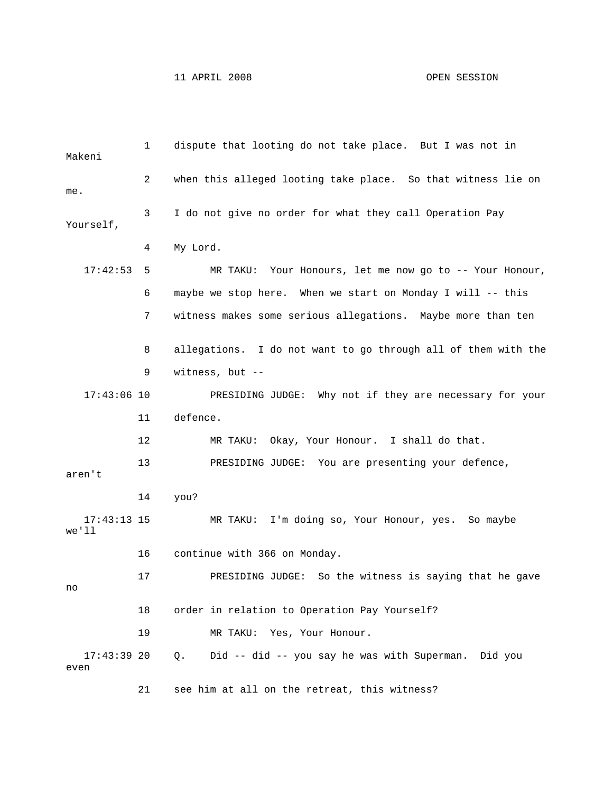| Makeni                 | $\mathbf{1}$ | dispute that looting do not take place. But I was not in        |
|------------------------|--------------|-----------------------------------------------------------------|
| me.                    | 2            | when this alleged looting take place. So that witness lie on    |
| Yourself,              | 3            | I do not give no order for what they call Operation Pay         |
|                        | 4            | My Lord.                                                        |
| 17:42:53               | 5            | MR TAKU: Your Honours, let me now go to -- Your Honour,         |
|                        | 6            | maybe we stop here. When we start on Monday I will -- this      |
|                        | 7            | witness makes some serious allegations. Maybe more than ten     |
|                        | 8            | allegations. I do not want to go through all of them with the   |
|                        | 9            | witness, but $--$                                               |
| $17:43:06$ 10          |              | PRESIDING JUDGE: Why not if they are necessary for your         |
|                        | 11           | defence.                                                        |
|                        | 12           | Okay, Your Honour. I shall do that.<br>MR TAKU:                 |
| aren't                 | 13           | PRESIDING JUDGE: You are presenting your defence,               |
|                        | 14           | you?                                                            |
| $17:43:13$ 15<br>we'll |              | I'm doing so, Your Honour, yes. So maybe<br>MR TAKU:            |
|                        | 16           | continue with 366 on Monday.                                    |
| no                     | 17           | So the witness is saying that he gave<br>PRESIDING JUDGE:       |
|                        | 18           | order in relation to Operation Pay Yourself?                    |
|                        | 19           | MR TAKU: Yes, Your Honour.                                      |
| $17:43:39$ 20<br>even  |              | Did -- did -- you say he was with Superman.<br>$Q$ .<br>Did you |

21 see him at all on the retreat, this witness?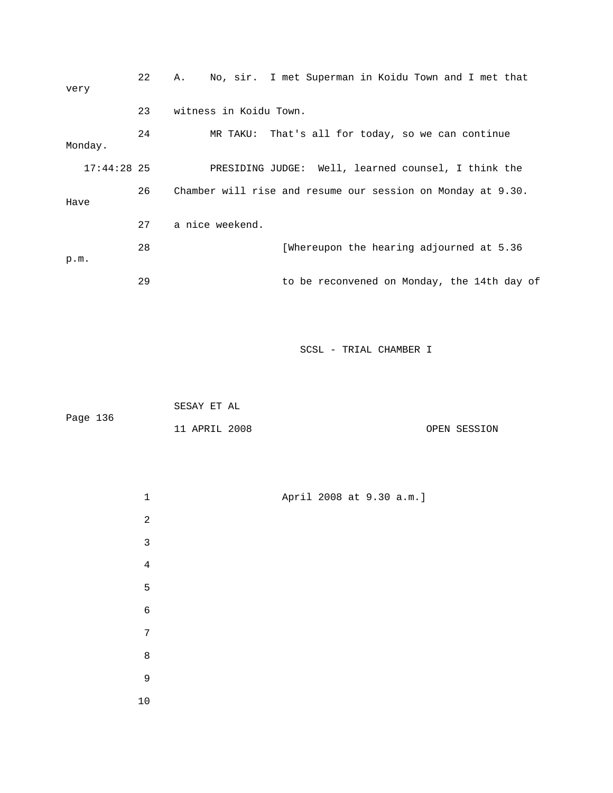| very |               | 22 | No, sir. I met Superman in Koidu Town and I met that<br>Α.  |  |  |  |  |  |  |
|------|---------------|----|-------------------------------------------------------------|--|--|--|--|--|--|
|      |               | 23 | witness in Koidu Town.                                      |  |  |  |  |  |  |
|      | Monday.       | 24 | MR TAKU: That's all for today, so we can continue           |  |  |  |  |  |  |
|      | $17:44:28$ 25 |    | PRESIDING JUDGE: Well, learned counsel, I think the         |  |  |  |  |  |  |
| Have |               | 26 | Chamber will rise and resume our session on Monday at 9.30. |  |  |  |  |  |  |
|      |               | 27 | a nice weekend.                                             |  |  |  |  |  |  |
| p.m. |               | 28 | [Whereupon the hearing adjourned at 5.36                    |  |  |  |  |  |  |
|      |               | 29 | to be reconvened on Monday, the 14th day of                 |  |  |  |  |  |  |

|          | SESAY ET AL   |  |              |
|----------|---------------|--|--------------|
| Page 136 |               |  |              |
|          | 11 APRIL 2008 |  | OPEN SESSION |

| $\mathbf 1$ | April 2008 at 9.30 a.m.] |  |  |
|-------------|--------------------------|--|--|
| $\sqrt{2}$  |                          |  |  |
| $\mathsf 3$ |                          |  |  |
| $\sqrt{4}$  |                          |  |  |
| $\mathsf S$ |                          |  |  |
| $\epsilon$  |                          |  |  |
| $\sqrt{ }$  |                          |  |  |
| $\,8\,$     |                          |  |  |
| $\mathsf 9$ |                          |  |  |
| $10\,$      |                          |  |  |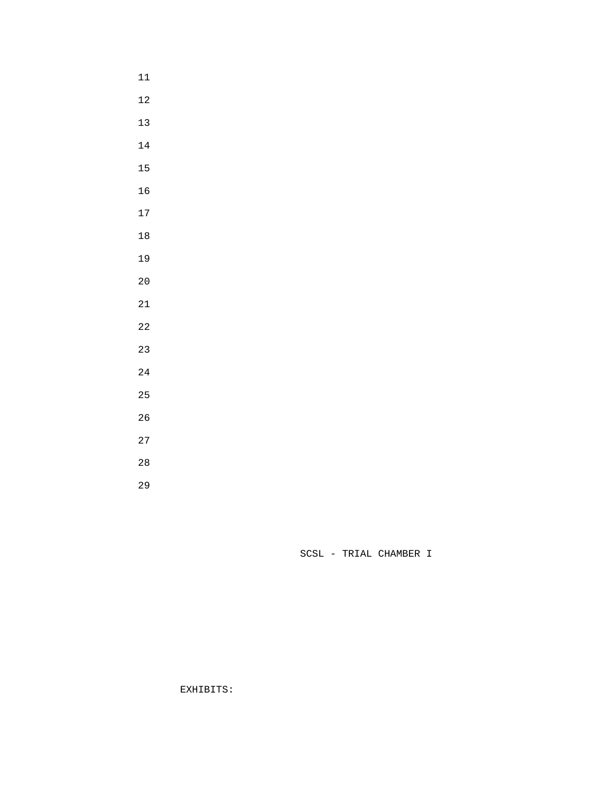- 
- 
- 
- 
- 
- 
- 
- 
- 
- 
- 
- 
- 
- 
- 
- 
- 
- 
- 
- 
- 

EXHIBITS: